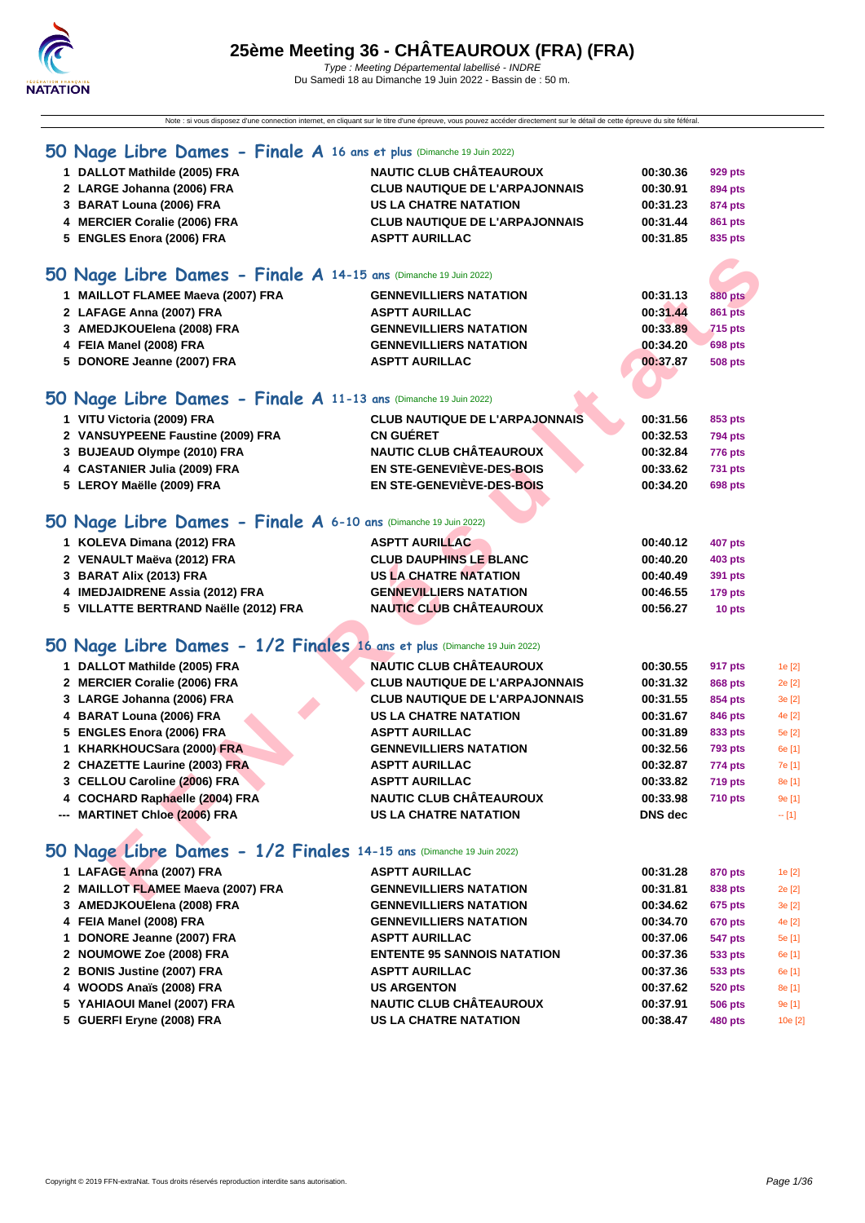

Note : si vous disposez d'une connection internet, en cliquant sur le titre d'une épreuve, vous pouvez accéder directement sur le détail de cette épreuve du site féféral.

| 50 Nage Libre Dames - Finale A 16 ans et plus (Dimanche 19 Juin 2022)    |                                       |                |                |        |
|--------------------------------------------------------------------------|---------------------------------------|----------------|----------------|--------|
| 1 DALLOT Mathilde (2005) FRA                                             | <b>NAUTIC CLUB CHÂTEAUROUX</b>        | 00:30.36       | 929 pts        |        |
| 2 LARGE Johanna (2006) FRA                                               | <b>CLUB NAUTIQUE DE L'ARPAJONNAIS</b> | 00:30.91       | 894 pts        |        |
| 3 BARAT Louna (2006) FRA                                                 | <b>US LA CHATRE NATATION</b>          | 00:31.23       | 874 pts        |        |
| 4 MERCIER Coralie (2006) FRA                                             | <b>CLUB NAUTIQUE DE L'ARPAJONNAIS</b> | 00:31.44       | 861 pts        |        |
| 5 ENGLES Enora (2006) FRA                                                | <b>ASPTT AURILLAC</b>                 | 00:31.85       | 835 pts        |        |
| 50 Nage Libre Dames - Finale A 14-15 ans (Dimanche 19 Juin 2022)         |                                       |                |                |        |
| 1 MAILLOT FLAMEE Maeva (2007) FRA                                        | <b>GENNEVILLIERS NATATION</b>         | 00:31.13       | <b>880 pts</b> |        |
| 2 LAFAGE Anna (2007) FRA                                                 | <b>ASPTT AURILLAC</b>                 | 00:31.44       | <b>861 pts</b> |        |
| 3 AMEDJKOUElena (2008) FRA                                               | <b>GENNEVILLIERS NATATION</b>         | 00:33.89       | <b>715 pts</b> |        |
| 4 FEIA Manel (2008) FRA                                                  | <b>GENNEVILLIERS NATATION</b>         | 00:34.20       | <b>698 pts</b> |        |
| 5 DONORE Jeanne (2007) FRA                                               | <b>ASPTT AURILLAC</b>                 | 00:37.87       | 508 pts        |        |
|                                                                          |                                       |                |                |        |
| 50 Nage Libre Dames - Finale A 11-13 ans (Dimanche 19 Juin 2022)         |                                       |                |                |        |
| 1 VITU Victoria (2009) FRA                                               | <b>CLUB NAUTIQUE DE L'ARPAJONNAIS</b> | 00:31.56       | 853 pts        |        |
| 2 VANSUYPEENE Faustine (2009) FRA                                        | <b>CN GUERET</b>                      | 00:32.53       | <b>794 pts</b> |        |
| 3 BUJEAUD Olympe (2010) FRA                                              | <b>NAUTIC CLUB CHÂTEAUROUX</b>        | 00:32.84       | <b>776 pts</b> |        |
| 4 CASTANIER Julia (2009) FRA                                             | EN STE-GENEVIÈVE-DES-BOIS             | 00:33.62       | 731 pts        |        |
| 5 LEROY Maëlle (2009) FRA                                                | EN STE-GENEVIÈVE-DES-BOIS             | 00:34.20       | <b>698 pts</b> |        |
|                                                                          |                                       |                |                |        |
| 50 Nage Libre Dames - Finale A 6-10 ans (Dimanche 19 Juin 2022)          |                                       |                |                |        |
| 1 KOLEVA Dimana (2012) FRA                                               | <b>ASPTT AURILLAC</b>                 | 00:40.12       | 407 pts        |        |
| 2 VENAULT Maëva (2012) FRA                                               | <b>CLUB DAUPHINS LE BLANC</b>         | 00:40.20       | <b>403 pts</b> |        |
| 3 BARAT Alix (2013) FRA                                                  | <b>US LA CHATRE NATATION</b>          | 00:40.49       | 391 pts        |        |
| 4 IMEDJAIDRENE Assia (2012) FRA                                          | <b>GENNEVILLIERS NATATION</b>         | 00:46.55       | <b>179 pts</b> |        |
| 5 VILLATTE BERTRAND Naëlle (2012) FRA                                    | <b>NAUTIC CLUB CHÂTEAUROUX</b>        | 00:56.27       | 10 pts         |        |
|                                                                          |                                       |                |                |        |
| 50 Nage Libre Dames - 1/2 Finales 16 ans et plus (Dimanche 19 Juin 2022) |                                       |                |                |        |
| 1 DALLOT Mathilde (2005) FRA                                             | <b>NAUTIC CLUB CHÂTEAUROUX</b>        | 00:30.55       | 917 pts        | 1e [2] |
| 2 MERCIER Coralie (2006) FRA                                             | <b>CLUB NAUTIQUE DE L'ARPAJONNAIS</b> | 00:31.32       | 868 pts        | 2e [2] |
| 3 LARGE Johanna (2006) FRA                                               | <b>CLUB NAUTIQUE DE L'ARPAJONNAIS</b> | 00:31.55       | 854 pts        | 3e [2] |
| 4 BARAT Louna (2006) FRA                                                 | <b>US LA CHATRE NATATION</b>          | 00:31.67       | 846 pts        | 4e [2] |
| 5 ENGLES Enora (2006) FRA                                                | <b>ASPTT AURILLAC</b>                 | 00:31.89       | 833 pts        | 5e [2] |
| 1 KHARKHOUCSara (2000) FRA                                               | <b>GENNEVILLIERS NATATION</b>         | 00:32.56       | 793 pts        | 6e [1] |
| 2 CHAZETTE Laurine (2003) FRA                                            | <b>ASPTT AURILLAC</b>                 | 00:32.87       | 774 pts        | 7e [1] |
| 3 CELLOU Caroline (2006) FRA                                             | <b>ASPTT AURILLAC</b>                 | 00:33.82       | <b>719 pts</b> | 8e [1] |
| 4 COCHARD Raphaelle (2004) FRA                                           | <b>NAUTIC CLUB CHÂTEAUROUX</b>        | 00:33.98       | <b>710 pts</b> | 9e [1] |
| --- MARTINET Chloe (2006) FRA                                            | <b>US LA CHATRE NATATION</b>          | <b>DNS</b> dec |                | $-[1]$ |
|                                                                          |                                       |                |                |        |
| 50 Nage Libre Dames - 1/2 Finales 14-15 ans (Dimanche 19 Juin 2022)      |                                       |                |                |        |
| 1 LAFAGE Anna (2007) FRA                                                 | <b>ASPTT AURILLAC</b>                 | 00:31.28       | 870 pts        | 1e [2] |
| 2 MAILLOT FLAMEE Maeva (2007) FRA                                        | <b>GENNEVILLIERS NATATION</b>         | 00:31.81       | 838 pts        | 2e [2] |

# **50 Nage Libre Dames - 1/2 Finales 14-15 ans** (Dimanche 19 Juin 2022)

| 1 LAFAGE Anna (2007) FRA          | <b>ASPTT AURILLAC</b>              | 00:31.28 | 870 pts        | 1e [2]  |
|-----------------------------------|------------------------------------|----------|----------------|---------|
| 2 MAILLOT FLAMEE Maeva (2007) FRA | <b>GENNEVILLIERS NATATION</b>      | 00:31.81 | 838 pts        | 2e [2]  |
| 3 AMEDJKOUElena (2008) FRA        | <b>GENNEVILLIERS NATATION</b>      | 00:34.62 | <b>675 pts</b> | 3e [2]  |
| 4 FEIA Manel (2008) FRA           | <b>GENNEVILLIERS NATATION</b>      | 00:34.70 | <b>670 pts</b> | 4e [2]  |
| 1 DONORE Jeanne (2007) FRA        | <b>ASPTT AURILLAC</b>              | 00:37.06 | 547 pts        | 5e [1]  |
| 2 NOUMOWE Zoe (2008) FRA          | <b>ENTENTE 95 SANNOIS NATATION</b> | 00:37.36 | 533 pts        | 6e [1]  |
| 2 BONIS Justine (2007) FRA        | <b>ASPTT AURILLAC</b>              | 00:37.36 | 533 pts        | 6e [1]  |
| 4 WOODS Anaïs (2008) FRA          | <b>US ARGENTON</b>                 | 00:37.62 | <b>520 pts</b> | 8e [1]  |
| 5 YAHIAOUI Manel (2007) FRA       | <b>NAUTIC CLUB CHÂTEAUROUX</b>     | 00:37.91 | <b>506 pts</b> | 9e [1]  |
| 5 GUERFI Eryne (2008) FRA         | <b>US LA CHATRE NATATION</b>       | 00:38.47 | 480 pts        | 10e [2] |
|                                   |                                    |          |                |         |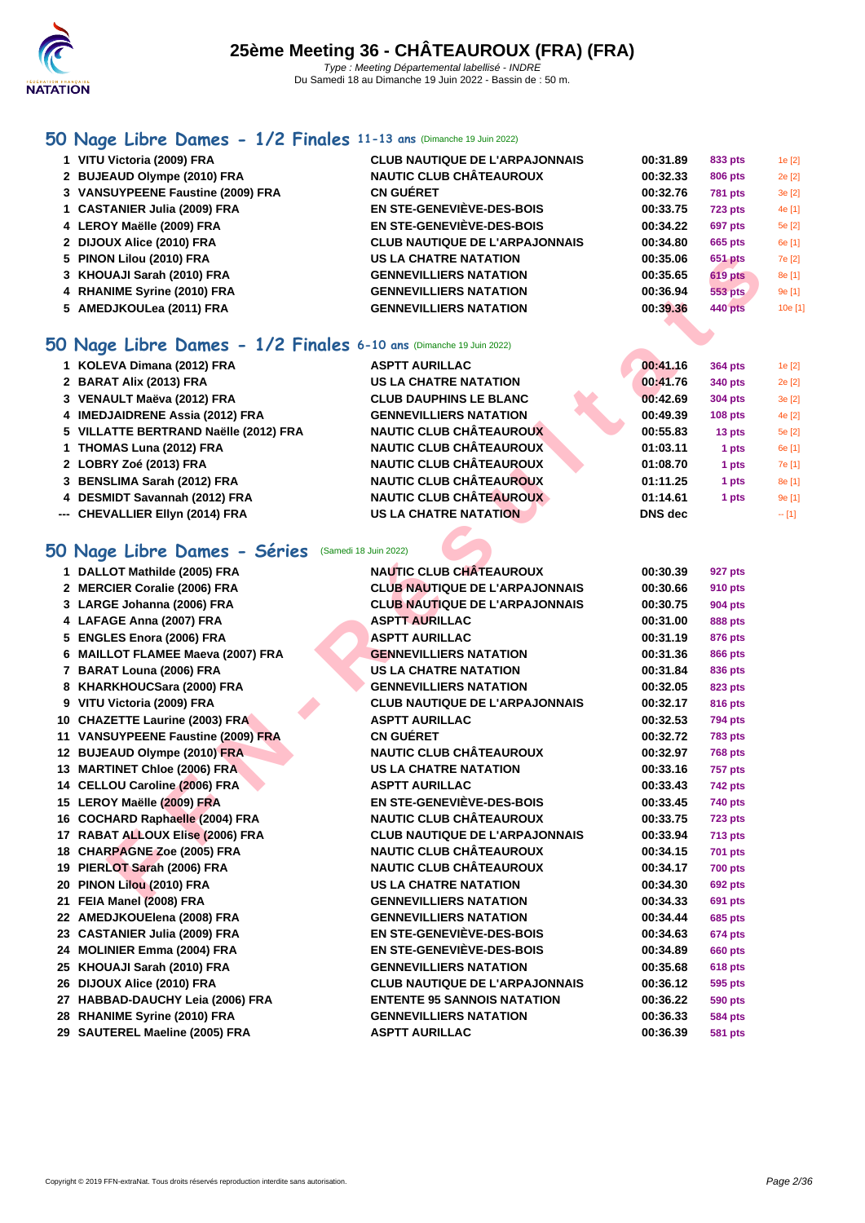

# **[50 Na](http://www.ffnatation.fr/webffn/index.php)ge Libre Dames - 1/2 Finales 11-13 ans** (Dimanche 19 Juin 2022)

| 1 VITU Victoria (2009) FRA        | <b>CLUB NAUTIQUE DE L'ARPAJONNAIS</b> | 00:31.89 | 833 pts        | 1e [2]  |
|-----------------------------------|---------------------------------------|----------|----------------|---------|
| 2 BUJEAUD Olympe (2010) FRA       | <b>NAUTIC CLUB CHÂTEAUROUX</b>        | 00:32.33 | 806 pts        | 2e [2]  |
| 3 VANSUYPEENE Faustine (2009) FRA | <b>CN GUÉRET</b>                      | 00:32.76 | <b>781 pts</b> | 3e [2]  |
| 1 CASTANIER Julia (2009) FRA      | <b>EN STE-GENEVIÈVE-DES-BOIS</b>      | 00:33.75 | <b>723 pts</b> | 4e [1]  |
| 4 LEROY Maëlle (2009) FRA         | EN STE-GENEVIÈVE-DES-BOIS             | 00:34.22 | <b>697 pts</b> | 5e [2]  |
| 2 DIJOUX Alice (2010) FRA         | <b>CLUB NAUTIQUE DE L'ARPAJONNAIS</b> | 00:34.80 | 665 pts        | 6e [1]  |
| 5 PINON Lilou (2010) FRA          | <b>US LA CHATRE NATATION</b>          | 00:35.06 | 651 pts        | 7e [2]  |
| 3 KHOUAJI Sarah (2010) FRA        | <b>GENNEVILLIERS NATATION</b>         | 00:35.65 | <b>619 pts</b> | 8e [1]  |
| 4 RHANIME Syrine (2010) FRA       | <b>GENNEVILLIERS NATATION</b>         | 00:36.94 | 553 pts        | 9e [1]  |
| 5 AMEDJKOULea (2011) FRA          | <b>GENNEVILLIERS NATATION</b>         | 00:39.36 | <b>440 pts</b> | 10e [1] |

### **50 Nage Libre Dames - 1/2 Finales 6-10 ans** (Dimanche 19 Juin 2022)

| 1 KOLEVA Dimana (2012) FRA            | <b>ASPTT AURILLAC</b>          | 00:41.16       | 364 pts        | 1e [2]  |
|---------------------------------------|--------------------------------|----------------|----------------|---------|
| 2 BARAT Alix (2013) FRA               | <b>US LA CHATRE NATATION</b>   | 00:41.76       | 340 pts        | 2e [2]  |
| 3 VENAULT Maëva (2012) FRA            | <b>CLUB DAUPHINS LE BLANC</b>  | 00:42.69       | <b>304 pts</b> | 3e[2]   |
| 4 IMEDJAIDRENE Assia (2012) FRA       | <b>GENNEVILLIERS NATATION</b>  | 00:49.39       | $108$ pts      | 4e [2]  |
| 5 VILLATTE BERTRAND Naëlle (2012) FRA | <b>NAUTIC CLUB CHÂTEAUROUX</b> | 00:55.83       | 13 pts         | 5e [2]  |
| 1 THOMAS Luna (2012) FRA              | <b>NAUTIC CLUB CHÂTEAUROUX</b> | 01:03.11       | 1 pts          | 6e [1]  |
| 2 LOBRY Zoé (2013) FRA                | <b>NAUTIC CLUB CHÂTEAUROUX</b> | 01:08.70       | 1 pts          | 7e [1]  |
| 3 BENSLIMA Sarah (2012) FRA           | <b>NAUTIC CLUB CHÂTEAUROUX</b> | 01:11.25       | 1 pts          | 8e [1]  |
| 4 DESMIDT Savannah (2012) FRA         | <b>NAUTIC CLUB CHÂTEAUROUX</b> | 01:14.61       | 1 pts          | 9e [1]  |
| --- CHEVALLIER Ellyn (2014) FRA       | <b>US LA CHATRE NATATION</b>   | <b>DNS</b> dec |                | $-$ [1] |
|                                       |                                |                |                |         |

# **50 Nage Libre Dames - Séries** (Samedi 18 Juin 2022)

| 5 PINON Lilou (2010) FRA                                          | <b>US LA CHATRE NATATION</b>          | 00:35.06       | 651 pts        |   |
|-------------------------------------------------------------------|---------------------------------------|----------------|----------------|---|
| 3 KHOUAJI Sarah (2010) FRA                                        | <b>GENNEVILLIERS NATATION</b>         | 00:35.65       | <b>619 pts</b> |   |
| 4 RHANIME Syrine (2010) FRA                                       | <b>GENNEVILLIERS NATATION</b>         | 00:36.94       | <b>553 pts</b> | Ś |
| 5 AMEDJKOULea (2011) FRA                                          | <b>GENNEVILLIERS NATATION</b>         | 00:39.36       | <b>440 pts</b> |   |
| O Nage Libre Dames - 1/2 Finales 6-10 ans (Dimanche 19 Juin 2022) |                                       |                |                |   |
| 1 KOLEVA Dimana (2012) FRA                                        | <b>ASPTT AURILLAC</b>                 | 00:41.16       | 364 pts        |   |
| 2 BARAT Alix (2013) FRA                                           | <b>US LA CHATRE NATATION</b>          | 00:41.76       | 340 pts        |   |
| 3 VENAULT Maëva (2012) FRA                                        | <b>CLUB DAUPHINS LE BLANC</b>         | 00:42.69       | 304 pts        |   |
| 4 IMEDJAIDRENE Assia (2012) FRA                                   | <b>GENNEVILLIERS NATATION</b>         | 00:49.39       | $108$ pts      |   |
| 5 VILLATTE BERTRAND Naëlle (2012) FRA                             | <b>NAUTIC CLUB CHÂTEAUROUX</b>        | 00:55.83       | 13 pts         |   |
| 1 THOMAS Luna (2012) FRA                                          | <b>NAUTIC CLUB CHÂTEAUROUX</b>        | 01:03.11       | 1 pts          | € |
| 2 LOBRY Zoé (2013) FRA                                            | <b>NAUTIC CLUB CHÂTEAUROUX</b>        | 01:08.70       | 1 pts          |   |
| 3 BENSLIMA Sarah (2012) FRA                                       | <b>NAUTIC CLUB CHÂTEAUROUX</b>        | 01:11.25       | 1 pts          | ٤ |
| 4 DESMIDT Savannah (2012) FRA                                     | <b>NAUTIC CLUB CHÂTEAUROUX</b>        | 01:14.61       | 1 pts          |   |
| --- CHEVALLIER Ellyn (2014) FRA                                   | <b>US LA CHATRE NATATION</b>          | <b>DNS</b> dec |                |   |
|                                                                   |                                       |                |                |   |
| O Nage Libre Dames - Séries (Samedi 18 Juin 2022)                 |                                       |                |                |   |
| 1 DALLOT Mathilde (2005) FRA                                      | <b>NAUTIC CLUB CHÂTEAUROUX</b>        | 00:30.39       | 927 pts        |   |
| 2 MERCIER Coralie (2006) FRA                                      | <b>CLUB NAUTIQUE DE L'ARPAJONNAIS</b> | 00:30.66       | <b>910 pts</b> |   |
| 3 LARGE Johanna (2006) FRA                                        | <b>CLUB NAUTIQUE DE L'ARPAJONNAIS</b> | 00:30.75       | <b>904 pts</b> |   |
| 4 LAFAGE Anna (2007) FRA                                          | <b>ASPTT AURILLAC</b>                 | 00:31.00       | <b>888 pts</b> |   |
| 5 ENGLES Enora (2006) FRA                                         | <b>ASPTT AURILLAC</b>                 | 00:31.19       | 876 pts        |   |
| 6 MAILLOT FLAMEE Maeva (2007) FRA                                 | <b>GENNEVILLIERS NATATION</b>         | 00:31.36       | 866 pts        |   |
| 7 BARAT Louna (2006) FRA                                          | US LA CHATRE NATATION                 | 00:31.84       | 836 pts        |   |
| 8 KHARKHOUCSara (2000) FRA                                        | <b>GENNEVILLIERS NATATION</b>         | 00:32.05       | 823 pts        |   |
| 9 VITU Victoria (2009) FRA                                        | <b>CLUB NAUTIQUE DE L'ARPAJONNAIS</b> | 00:32.17       | 816 pts        |   |
| 10 CHAZETTE Laurine (2003) FRA                                    | <b>ASPTT AURILLAC</b>                 | 00:32.53       | <b>794 pts</b> |   |
| 11 VANSUYPEENE Faustine (2009) FRA                                | <b>CN GUÉRET</b>                      | 00:32.72       | <b>783 pts</b> |   |
| 12 BUJEAUD Olympe (2010) FRA                                      | <b>NAUTIC CLUB CHÂTEAUROUX</b>        | 00:32.97       | <b>768 pts</b> |   |
| 13 MARTINET Chloe (2006) FRA                                      | <b>US LA CHATRE NATATION</b>          | 00:33.16       | <b>757 pts</b> |   |
| 14 CELLOU Caroline (2006) FRA                                     | <b>ASPTT AURILLAC</b>                 | 00:33.43       | <b>742 pts</b> |   |
| 15 LEROY Maëlle (2009) FRA                                        | <b>EN STE-GENEVIÈVE-DES-BOIS</b>      | 00:33.45       | 740 pts        |   |
| 16 COCHARD Raphaelle (2004) FRA                                   | <b>NAUTIC CLUB CHÂTEAUROUX</b>        | 00:33.75       | <b>723 pts</b> |   |
| 17 RABAT ALLOUX Elise (2006) FRA                                  | <b>CLUB NAUTIQUE DE L'ARPAJONNAIS</b> | 00:33.94       | 713 pts        |   |
| 18 CHARPAGNE Zoe (2005) FRA                                       | <b>NAUTIC CLUB CHÂTEAUROUX</b>        | 00:34.15       | <b>701 pts</b> |   |
| 19 PIERLOT Sarah (2006) FRA                                       | <b>NAUTIC CLUB CHÂTEAUROUX</b>        | 00:34.17       | <b>700 pts</b> |   |
| 20 PINON Lilou (2010) FRA                                         | <b>US LA CHATRE NATATION</b>          | 00:34.30       | <b>692 pts</b> |   |
| 21 FEIA Manel (2008) FRA                                          | <b>GENNEVILLIERS NATATION</b>         | 00:34.33       | 691 pts        |   |
| 22 AMEDJKOUElena (2008) FRA                                       | <b>GENNEVILLIERS NATATION</b>         | 00:34.44       | <b>685 pts</b> |   |
| 23 CASTANIER Julia (2009) FRA                                     | <b>EN STE-GENEVIÈVE-DES-BOIS</b>      | 00:34.63       | <b>674 pts</b> |   |
| 24 MOLINIER Emma (2004) FRA                                       | <b>EN STE-GENEVIÈVE-DES-BOIS</b>      | 00:34.89       | <b>660 pts</b> |   |
| 25 KHOUAJI Sarah (2010) FRA                                       | <b>GENNEVILLIERS NATATION</b>         | 00:35.68       | <b>618 pts</b> |   |
| 26 DIJOUX Alice (2010) FRA                                        | <b>CLUB NAUTIQUE DE L'ARPAJONNAIS</b> | 00:36.12       | 595 pts        |   |
| 27 HABBAD-DAUCHY Leia (2006) FRA                                  | <b>ENTENTE 95 SANNOIS NATATION</b>    | 00:36.22       | 590 pts        |   |
| 28 RHANIME Syrine (2010) FRA                                      | <b>GENNEVILLIERS NATATION</b>         | 00:36.33       | <b>584 pts</b> |   |
| 29 SAUTEREL Maeline (2005) FRA                                    | <b>ASPTT AURILLAC</b>                 | 00:36.39       | <b>581 pts</b> |   |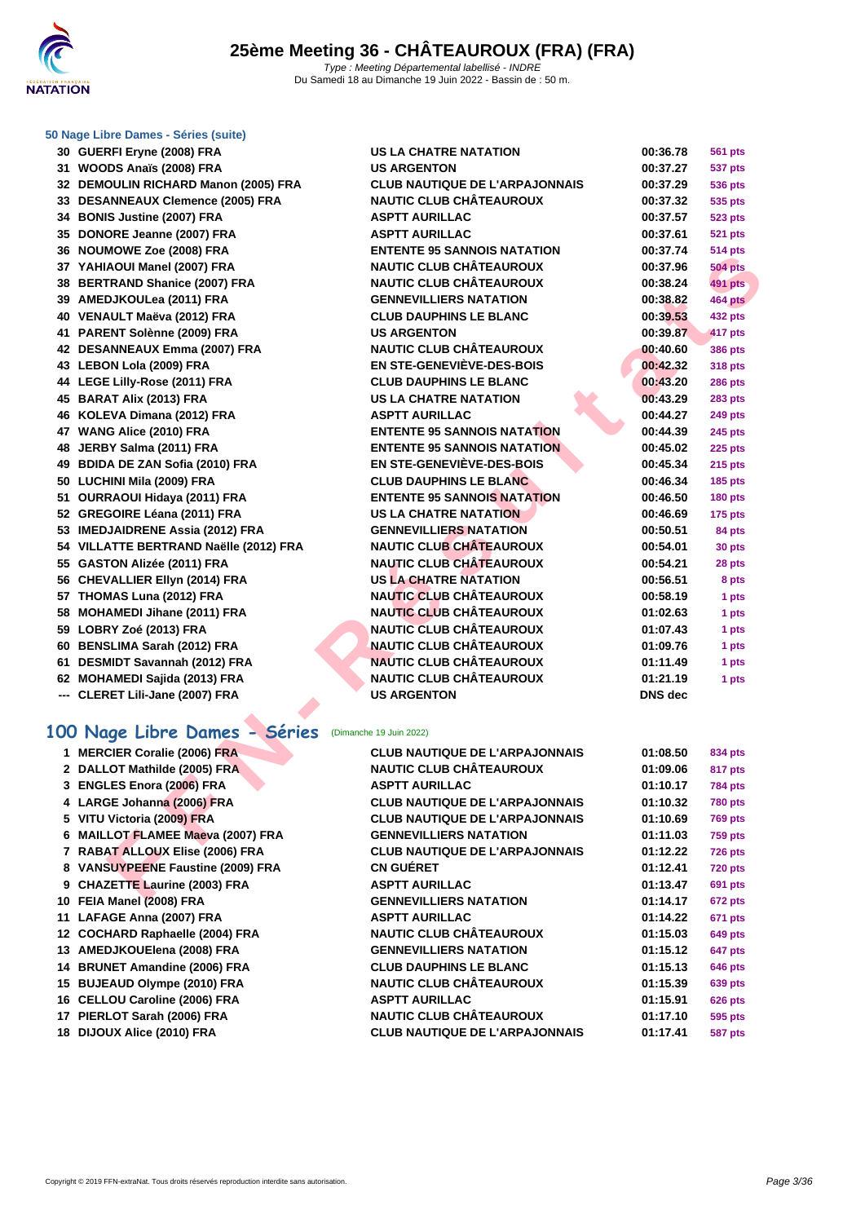

#### **[50 Nage L](http://www.ffnatation.fr/webffn/index.php)ibre Dames - Séries (suite)**

| 30 GUERFI Eryne (2008) FRA             | <b>US LA CHATRE NATATION</b>          | 00:36.78       | <b>561 pts</b>       |
|----------------------------------------|---------------------------------------|----------------|----------------------|
| 31 WOODS Anaïs (2008) FRA              | <b>US ARGENTON</b>                    | 00:37.27       | 537 pts              |
| 32 DEMOULIN RICHARD Manon (2005) FRA   | <b>CLUB NAUTIQUE DE L'ARPAJONNAIS</b> | 00:37.29       | <b>536 pts</b>       |
| 33 DESANNEAUX Clemence (2005) FRA      | <b>NAUTIC CLUB CHÂTEAUROUX</b>        | 00:37.32       | 535 pts              |
| 34 BONIS Justine (2007) FRA            | <b>ASPTT AURILLAC</b>                 | 00:37.57       | <b>523 pts</b>       |
| 35 DONORE Jeanne (2007) FRA            | <b>ASPTT AURILLAC</b>                 | 00:37.61       | <b>521 pts</b>       |
| 36 NOUMOWE Zoe (2008) FRA              | <b>ENTENTE 95 SANNOIS NATATION</b>    | 00:37.74       | <b>514 pts</b>       |
| 37 YAHIAOUI Manel (2007) FRA           | <b>NAUTIC CLUB CHÂTEAUROUX</b>        | 00:37.96       | <b>504 pts</b>       |
| 38 BERTRAND Shanice (2007) FRA         | <b>NAUTIC CLUB CHÂTEAUROUX</b>        | 00:38.24       | <b>491 pts</b>       |
| 39 AMEDJKOULea (2011) FRA              | <b>GENNEVILLIERS NATATION</b>         | 00:38.82       | 464 pts              |
| 40 VENAULT Maëva (2012) FRA            | <b>CLUB DAUPHINS LE BLANC</b>         | 00:39.53       | <b>432 pts</b>       |
| 41 PARENT Solènne (2009) FRA           | <b>US ARGENTON</b>                    | 00:39.87       | 417 pts              |
| 42 DESANNEAUX Emma (2007) FRA          | <b>NAUTIC CLUB CHÂTEAUROUX</b>        | 00:40.60       | <b>386 pts</b>       |
| 43 LEBON Lola (2009) FRA               | <b>EN STE-GENEVIÈVE-DES-BOIS</b>      | 00:42.32       | <b>318 pts</b>       |
| 44 LEGE Lilly-Rose (2011) FRA          | <b>CLUB DAUPHINS LE BLANC</b>         | 00:43.20       | <b>286 pts</b>       |
| 45 BARAT Alix (2013) FRA               | <b>US LA CHATRE NATATION</b>          | 00:43.29       | <b>283 pts</b>       |
| 46 KOLEVA Dimana (2012) FRA            | <b>ASPTT AURILLAC</b>                 | 00:44.27       | <b>249 pts</b>       |
| 47 WANG Alice (2010) FRA               | <b>ENTENTE 95 SANNOIS NATATION</b>    | 00:44.39       | <b>245 pts</b>       |
| 48 JERBY Salma (2011) FRA              | <b>ENTENTE 95 SANNOIS NATATION</b>    | 00:45.02       | 225 pts              |
| 49 BDIDA DE ZAN Sofia (2010) FRA       | <b>EN STE-GENEVIÈVE-DES-BOIS</b>      | 00:45.34       | 215 pts              |
| 50 LUCHINI Mila (2009) FRA             | <b>CLUB DAUPHINS LE BLANC</b>         | 00:46.34       | <b>185 pts</b>       |
| 51 OURRAOUI Hidaya (2011) FRA          | <b>ENTENTE 95 SANNOIS NATATION</b>    | 00:46.50       | 180 pts              |
| 52 GREGOIRE Léana (2011) FRA           | <b>US LA CHATRE NATATION</b>          | 00:46.69       | 175 pts              |
| 53 IMEDJAIDRENE Assia (2012) FRA       | <b>GENNEVILLIERS NATATION</b>         | 00:50.51       | 84 pts               |
| 54 VILLATTE BERTRAND Naëlle (2012) FRA | <b>NAUTIC CLUB CHÂTEAUROUX</b>        | 00:54.01       | 30 pts               |
| 55 GASTON Alizée (2011) FRA            | <b>NAUTIC CLUB CHÂTEAUROUX</b>        | 00:54.21       | 28 pts               |
| 56 CHEVALLIER Ellyn (2014) FRA         | <b>US LA CHATRE NATATION</b>          | 00:56.51       | 8 pts                |
| 57 THOMAS Luna (2012) FRA              | <b>NAUTIC CLUB CHÂTEAUROUX</b>        | 00:58.19       | 1 pts                |
| 58 MOHAMEDI Jihane (2011) FRA          | <b>NAUTIC CLUB CHÂTEAUROUX</b>        | 01:02.63       | 1 pts                |
| 59 LOBRY Zoé (2013) FRA                | <b>NAUTIC CLUB CHÂTEAUROUX</b>        | 01:07.43       | 1 pts                |
| 60 BENSLIMA Sarah (2012) FRA           | <b>NAUTIC CLUB CHÂTEAUROUX</b>        | 01:09.76       | 1 pts                |
| 61 DESMIDT Savannah (2012) FRA         | <b>NAUTIC CLUB CHÂTEAUROUX</b>        | 01:11.49       | 1 pts                |
| 62 MOHAMEDI Sajida (2013) FRA          | <b>NAUTIC CLUB CHÂTEAUROUX</b>        | 01:21.19       | 1 pts                |
| --- CLERET Lili-Jane (2007) FRA        | <b>US ARGENTON</b>                    | <b>DNS</b> dec |                      |
| 00 Nage Libre Dames - Séries           | (Dimanche 19 Juin 2022)               |                |                      |
| 1 MERCIER Coralie (2006) FRA           | <b>CLUB NAUTIQUE DE L'ARPAJONNAIS</b> | 01:08.50       | 834 pts              |
| 2 DALLOT Mathilde (2005) FRA           | <b>NAUTIC CLUB CHÂTEAUROUX</b>        | 01:09.06       | 817 pts              |
| 3 ENGLES Enora (2006) FRA              | <b>ASPTT AURILLAC</b>                 | 01:10.17       | <b>784 pts</b>       |
| 4 LARGE Johanna (2006) FRA             | <b>CLUB NAUTIQUE DE L'ARPAJONNAIS</b> | 01:10.32       | <b>780 pts</b>       |
| 5 VITU Victoria (2009) FRA             | <b>CLUB NAUTIQUE DE L'ARPAJONNAIS</b> | 01:10.69       | <b>769 pts</b>       |
| 6 MAILLOT FLAMEE Maeva (2007) FRA      | <b>GENNEVILLIERS NATATION</b>         | 01:11.03       | <b>759 pts</b>       |
| 7 RABAT ALLOUX Elise (2006) FRA        | <b>CLUB NAUTIQUE DE L'ARPAJONNAIS</b> | 01:12.22       | <b>726 pts</b>       |
| 8 VANSUYPEENE Faustine (2009) FRA      | <b>CN GUERET</b>                      | 01:12.41       | <b>720 pts</b>       |
| 9 CHAZETTE Laurine (2003) FRA          | <b>ASPTT AURILLAC</b>                 | 01:13.47       | <b>691 pts</b>       |
| 40 FEIA Messai (0000) FBA              | <b>OF UNIT VILLIED ON A TATION</b>    | 0.4.4.4.47     | $\sim$ $\sim$ $\sim$ |

#### **100 Nage Libre Dames - Séries** (Dimanche 19 Juin 2022)

| 1 MERCIER Coralie (2006) FRA      | <b>CLUB NAUTIQUE DE L'ARPAJONNAIS</b> | 01:08.50 | 834 pts        |
|-----------------------------------|---------------------------------------|----------|----------------|
| 2 DALLOT Mathilde (2005) FRA      | <b>NAUTIC CLUB CHÂTEAUROUX</b>        | 01:09.06 | 817 pts        |
| 3 ENGLES Enora (2006) FRA         | <b>ASPTT AURILLAC</b>                 | 01:10.17 | <b>784 pts</b> |
| 4 LARGE Johanna (2006) FRA        | <b>CLUB NAUTIQUE DE L'ARPAJONNAIS</b> | 01:10.32 | <b>780 pts</b> |
| 5 VITU Victoria (2009) FRA        | <b>CLUB NAUTIQUE DE L'ARPAJONNAIS</b> | 01:10.69 | <b>769 pts</b> |
| 6 MAILLOT FLAMEE Maeva (2007) FRA | <b>GENNEVILLIERS NATATION</b>         | 01:11.03 | <b>759 pts</b> |
| 7 RABAT ALLOUX Elise (2006) FRA   | <b>CLUB NAUTIQUE DE L'ARPAJONNAIS</b> | 01:12.22 | <b>726 pts</b> |
| 8 VANSUYPEENE Faustine (2009) FRA | <b>CN GUERET</b>                      | 01:12.41 | <b>720 pts</b> |
| 9 CHAZETTE Laurine (2003) FRA     | <b>ASPTT AURILLAC</b>                 | 01:13.47 | 691 pts        |
| 10 FEIA Manel (2008) FRA          | <b>GENNEVILLIERS NATATION</b>         | 01:14.17 | 672 pts        |
| 11 LAFAGE Anna (2007) FRA         | <b>ASPTT AURILLAC</b>                 | 01:14.22 | <b>671 pts</b> |
| 12 COCHARD Raphaelle (2004) FRA   | <b>NAUTIC CLUB CHÂTEAUROUX</b>        | 01:15.03 | 649 pts        |
| 13 AMEDJKOUElena (2008) FRA       | <b>GENNEVILLIERS NATATION</b>         | 01:15.12 | 647 pts        |
| 14 BRUNET Amandine (2006) FRA     | <b>CLUB DAUPHINS LE BLANC</b>         | 01:15.13 | <b>646 pts</b> |
| 15 BUJEAUD Olympe (2010) FRA      | <b>NAUTIC CLUB CHÂTEAUROUX</b>        | 01:15.39 | <b>639 pts</b> |
| 16 CELLOU Caroline (2006) FRA     | <b>ASPTT AURILLAC</b>                 | 01:15.91 | <b>626 pts</b> |
| 17 PIERLOT Sarah (2006) FRA       | <b>NAUTIC CLUB CHÂTEAUROUX</b>        | 01:17.10 | 595 pts        |
| 18 DIJOUX Alice (2010) FRA        | <b>CLUB NAUTIQUE DE L'ARPAJONNAIS</b> | 01:17.41 | 587 pts        |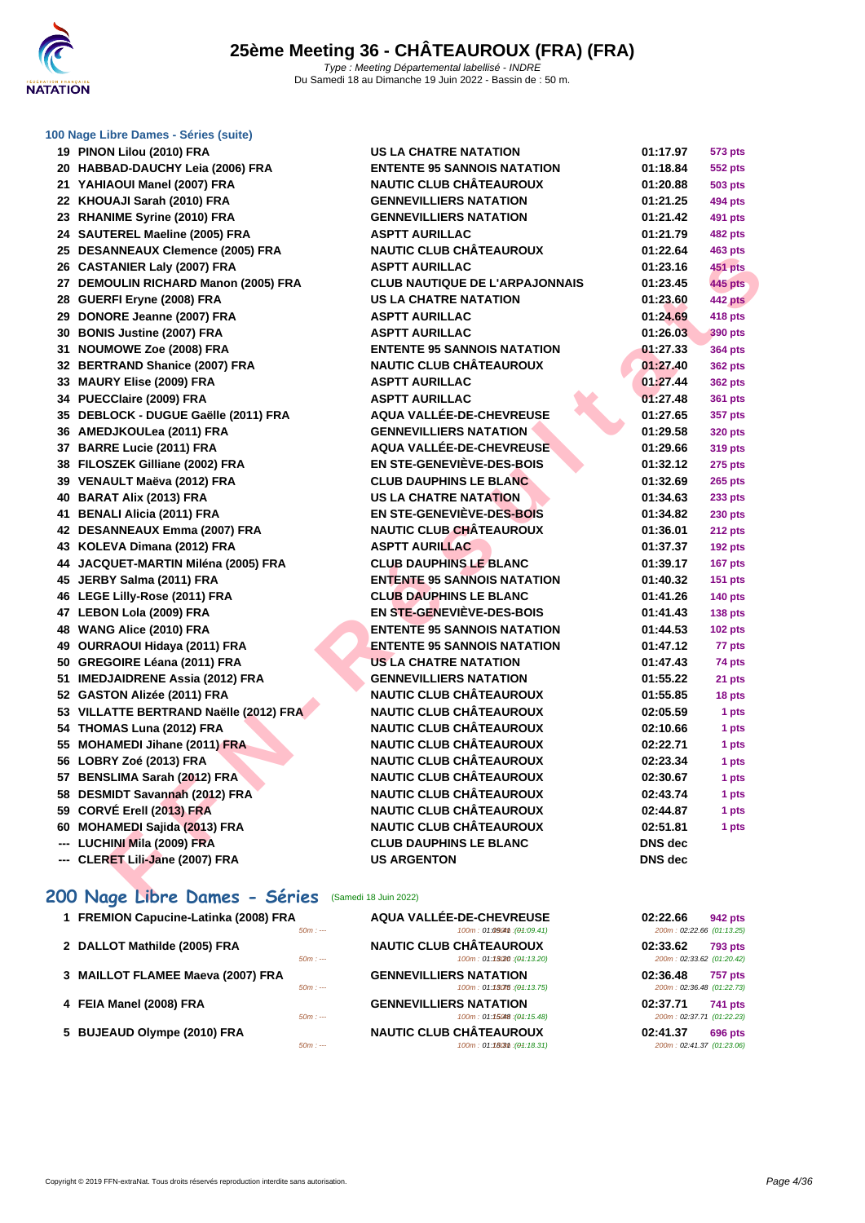

#### **[100 Nage](http://www.ffnatation.fr/webffn/index.php) Libre Dames - Séries (suite)**

| 19 PINON Lilou (2010) FRA                           | US LA CHATRE NATATION                 | 01:17.97       | 573 pts        |
|-----------------------------------------------------|---------------------------------------|----------------|----------------|
| 20 HABBAD-DAUCHY Leia (2006) FRA                    | <b>ENTENTE 95 SANNOIS NATATION</b>    | 01:18.84       | 552 pts        |
| 21 YAHIAOUI Manel (2007) FRA                        | <b>NAUTIC CLUB CHÂTEAUROUX</b>        | 01:20.88       | 503 pts        |
| 22 KHOUAJI Sarah (2010) FRA                         | <b>GENNEVILLIERS NATATION</b>         | 01:21.25       | 494 pts        |
| 23 RHANIME Syrine (2010) FRA                        | <b>GENNEVILLIERS NATATION</b>         | 01:21.42       | 491 pts        |
| 24 SAUTEREL Maeline (2005) FRA                      | <b>ASPTT AURILLAC</b>                 | 01:21.79       | 482 pts        |
| 25 DESANNEAUX Clemence (2005) FRA                   | <b>NAUTIC CLUB CHÂTEAUROUX</b>        | 01:22.64       | 463 pts        |
| 26 CASTANIER Laly (2007) FRA                        | <b>ASPTT AURILLAC</b>                 | 01:23.16       | 451 pts        |
| 27 DEMOULIN RICHARD Manon (2005) FRA                | <b>CLUB NAUTIQUE DE L'ARPAJONNAIS</b> | 01:23.45       | <b>445 pts</b> |
| 28 GUERFI Eryne (2008) FRA                          | <b>US LA CHATRE NATATION</b>          | 01:23.60       | 442 pts        |
| 29 DONORE Jeanne (2007) FRA                         | <b>ASPTT AURILLAC</b>                 | 01:24.69       | 418 pts        |
| 30 BONIS Justine (2007) FRA                         | <b>ASPTT AURILLAC</b>                 | 01:26.03       | 390 pts        |
| 31 NOUMOWE Zoe (2008) FRA                           | <b>ENTENTE 95 SANNOIS NATATION</b>    | 01:27.33       | 364 pts        |
| 32 BERTRAND Shanice (2007) FRA                      | <b>NAUTIC CLUB CHÂTEAUROUX</b>        | 01:27.40       | 362 pts        |
| 33 MAURY Elise (2009) FRA                           | <b>ASPTT AURILLAC</b>                 | 01:27.44       | 362 pts        |
| 34 PUECClaire (2009) FRA                            | <b>ASPTT AURILLAC</b>                 | 01:27.48       | 361 pts        |
| 35 DEBLOCK - DUGUE Gaëlle (2011) FRA                | AQUA VALLÉE-DE-CHEVREUSE              | 01:27.65       | 357 pts        |
| 36 AMEDJKOULea (2011) FRA                           | <b>GENNEVILLIERS NATATION</b>         | 01:29.58       | 320 pts        |
| 37 BARRE Lucie (2011) FRA                           | AQUA VALLÉE-DE-CHEVREUSE              | 01:29.66       | 319 pts        |
| 38 FILOSZEK Gilliane (2002) FRA                     | <b>EN STE-GENEVIÈVE-DES-BOIS</b>      | 01:32.12       | 275 pts        |
| 39 VENAULT Maëva (2012) FRA                         | <b>CLUB DAUPHINS LE BLANC</b>         | 01:32.69       | <b>265 pts</b> |
| 40 BARAT Alix (2013) FRA                            | <b>US LA CHATRE NATATION</b>          | 01:34.63       | 233 pts        |
| 41 BENALI Alicia (2011) FRA                         | EN STE-GENEVIÈVE-DES-BOIS             | 01:34.82       | <b>230 pts</b> |
| 42 DESANNEAUX Emma (2007) FRA                       | <b>NAUTIC CLUB CHÂTEAUROUX</b>        | 01:36.01       | <b>212 pts</b> |
| 43 KOLEVA Dimana (2012) FRA                         | <b>ASPTT AURILLAC</b>                 | 01:37.37       | <b>192 pts</b> |
| 44 JACQUET-MARTIN Miléna (2005) FRA                 | <b>CLUB DAUPHINS LE BLANC</b>         | 01:39.17       | 167 pts        |
| 45 JERBY Salma (2011) FRA                           | <b>ENTENTE 95 SANNOIS NATATION</b>    | 01:40.32       | 151 pts        |
| 46 LEGE Lilly-Rose (2011) FRA                       | <b>CLUB DAUPHINS LE BLANC</b>         | 01:41.26       | <b>140 pts</b> |
| 47 LEBON Lola (2009) FRA                            | EN STE-GENEVIÈVE-DES-BOIS             | 01:41.43       | <b>138 pts</b> |
| 48 WANG Alice (2010) FRA                            | <b>ENTENTE 95 SANNOIS NATATION</b>    | 01:44.53       | <b>102 pts</b> |
| 49 OURRAOUI Hidaya (2011) FRA                       | <b>ENTENTE 95 SANNOIS NATATION</b>    | 01:47.12       | 77 pts         |
| 50 GREGOIRE Léana (2011) FRA                        | <b>US LA CHATRE NATATION</b>          | 01:47.43       | 74 pts         |
| 51 IMEDJAIDRENE Assia (2012) FRA                    | <b>GENNEVILLIERS NATATION</b>         | 01:55.22       | 21 pts         |
| 52 GASTON Alizée (2011) FRA                         | <b>NAUTIC CLUB CHÂTEAUROUX</b>        | 01:55.85       | 18 pts         |
| 53 VILLATTE BERTRAND Naëlle (2012) FRA              | <b>NAUTIC CLUB CHÂTEAUROUX</b>        | 02:05.59       | 1 pts          |
| 54 THOMAS Luna (2012) FRA                           | <b>NAUTIC CLUB CHÂTEAUROUX</b>        | 02:10.66       | 1 pts          |
| 55 MOHAMEDI Jihane (2011) FRA                       | <b>NAUTIC CLUB CHÂTEAUROUX</b>        | 02:22.71       | 1 pts          |
| 56 LOBRY Zoé (2013) FRA                             | <b>NAUTIC CLUB CHÂTEAUROUX</b>        | 02:23.34       | 1 pts          |
| 57 BENSLIMA Sarah (2012) FRA                        | <b>NAUTIC CLUB CHÂTEAUROUX</b>        | 02:30.67       | 1 pts          |
| 58 DESMIDT Savannah (2012) FRA                      | <b>NAUTIC CLUB CHÂTEAUROUX</b>        | 02:43.74       | 1 pts          |
| 59 CORVÉ Erell (2013) FRA                           | <b>NAUTIC CLUB CHÂTEAUROUX</b>        | 02:44.87       | 1 pts          |
| 60 MOHAMEDI Sajida (2013) FRA                       | <b>NAUTIC CLUB CHÂTEAUROUX</b>        | 02:51.81       | 1 pts          |
| --- LUCHINI Mila (2009) FRA                         | <b>CLUB DAUPHINS LE BLANC</b>         | <b>DNS</b> dec |                |
| --- CLERET Lili-Jane (2007) FRA                     | <b>US ARGENTON</b>                    | DNS dec        |                |
|                                                     |                                       |                |                |
| 200 Nage Libre Dames - Séries (Samedi 18 Juin 2022) |                                       |                |                |

| 1 FREMION Capucine-Latinka (2008) FRA | AQUA VALLÉE-DE-CHEVREUSE       | 02:22.66<br><b>942 pts</b> |
|---------------------------------------|--------------------------------|----------------------------|
| $50m: -$                              | 100m: 01:0904m: (01:09.41)     | 200m: 02:22.66 (01:13.25)  |
| 2 DALLOT Mathilde (2005) FRA          | <b>NAUTIC CLUB CHÂTEAUROUX</b> | 02:33.62<br><b>793 pts</b> |
| $50m: -$                              | 100m: 01:13020 : (04:13.20)    | 200m: 02:33.62 (01:20.42)  |
| 3 MAILLOT FLAMEE Maeva (2007) FRA     | <b>GENNEVILLIERS NATATION</b>  | 02:36.48<br><b>757 pts</b> |
| $50m: -$                              | 100m: 01:130T5:(04:13.75)      | 200m: 02:36.48 (01:22.73)  |
| 4 FEIA Manel (2008) FRA               | <b>GENNEVILLIERS NATATION</b>  | 02:37.71<br><b>741 pts</b> |
| $50m: --$                             | 100m: 01:15048 : (04:15.48)    | 200m: 02:37.71 (01:22.23)  |
| 5 BUJEAUD Olympe (2010) FRA           | <b>NAUTIC CLUB CHÂTEAUROUX</b> | 02:41.37<br>696 pts        |
| $50m: -$                              | 100m: 01:18(3th: (01:18.31)    | 200m: 02:41.37 (01:23.06)  |
|                                       |                                |                            |

| 01:17.97       | 573 pts        |
|----------------|----------------|
| 01:18.84       | 552 pts        |
| 01:20.88       | 503 pts        |
| 01:21.25       | <b>494 pts</b> |
| 01:21.42       | 491 pts        |
| 01:21.79       | <b>482 pts</b> |
| 01:22.64       | <b>463 pts</b> |
| 01:23.16       | 451 pts        |
| 01:23.45       | 445 pts        |
| 01:23.60       | 442 pts        |
| 01:24.69       | <b>418 pts</b> |
| 01:26.03       | 390 pts        |
| 01:27.33       | 364 pts        |
| 01:27.40       | 362 pts        |
| 01:27.44       | 362 pts        |
| 01:27.48       | 361 pts        |
| 01:27.65       | 357 pts        |
| 01:29.58       | <b>320 pts</b> |
| 01:29.66       | 319 pts        |
| 01:32.12       | 275 pts        |
| 01:32.69       | 265 pts        |
| 01:34.63       | <b>233 pts</b> |
| 01:34.82       | <b>230 pts</b> |
| 01:36.01       | 212 pts        |
| 01:37.37       | 192 pts        |
| 01:39.17       | 167 pts        |
| 01:40.32       | 151 pts        |
| 01:41.26       | 140 pts        |
| 01:41.43       | 138 pts        |
| 01:44.53       | <b>102 pts</b> |
| 01:47.12       | 77 pts         |
| 01:47.43       | 74 pts         |
| 01:55.22       | 21 pts         |
| 01:55.85       | 18 pts         |
| 02:05.59       | 1 pts          |
| 02:10.66       | 1 pts          |
| 02:22.71       | 1 pts          |
| 02:23.34       | 1 pts          |
| 02:30.67       | 1 pts          |
| 02:43.74       | 1 pts          |
| 02:44.87       | 1 pts          |
| 02:51.81       | 1 pts          |
| DNS dec        |                |
| <b>DNS</b> dec |                |

| 02:22.66<br>200m: 02:22.66 (01:13.25) | <b>942 pts</b> |
|---------------------------------------|----------------|
| 02:33.62<br>200m: 02:33.62 (01:20.42) | <b>793 pts</b> |
| 02:36.48<br>200m: 02:36.48 (01:22.73) | <b>757 pts</b> |
| 02:37.71<br>200m: 02:37.71 (01:22.23) | <b>741 pts</b> |
| 02:41.37<br>200m: 02:41.37 (01:23.06) | 696 pts        |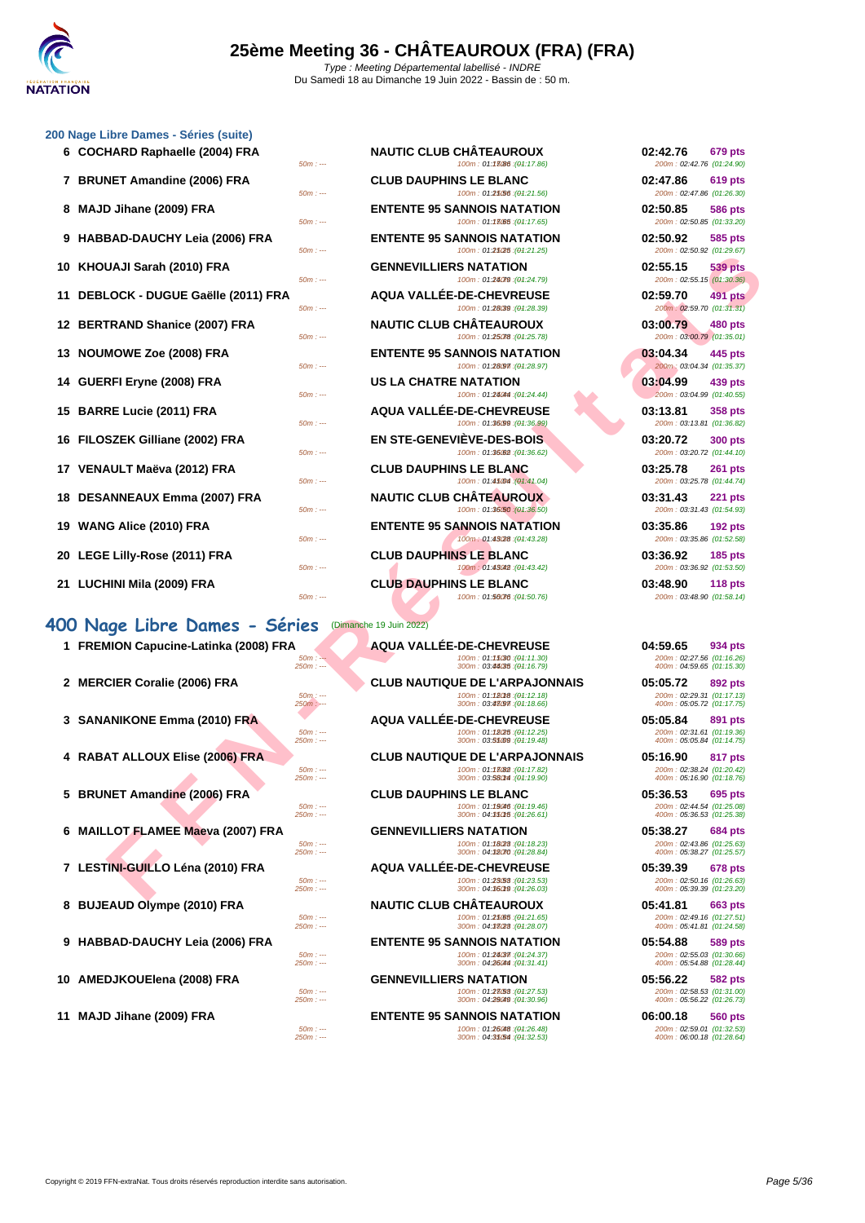

#### **[200 Nage](http://www.ffnatation.fr/webffn/index.php) Libre Dames - Séries (suite)**

| o nago Libro Damos - Ochos (suno)     |                                                                                                                                      |                                                                                      |
|---------------------------------------|--------------------------------------------------------------------------------------------------------------------------------------|--------------------------------------------------------------------------------------|
| 6 COCHARD Raphaelle (2004) FRA        | <b>NAUTIC CLUB CHATEAUROUX</b><br>100m: 01:13086 : (01:17.86)<br>$50m: -$                                                            | 02:42.76<br>679 pts<br>200m: 02:42.76 (01:24.90)                                     |
| 7 BRUNET Amandine (2006) FRA          | <b>CLUB DAUPHINS LE BLANC</b><br>$50m: -$                                                                                            | 02:47.86<br><b>619 pts</b><br>200m: 02:47.86 (01:26.30)                              |
| MAJD Jihane (2009) FRA                | 100m: 01:25/56 : (01:21.56)<br><b>ENTENTE 95 SANNOIS NATATION</b><br>100m: 01:13065 : (04:17.65)<br>$50m: -$                         | 02:50.85<br><b>586 pts</b><br>200m: 02:50.85 (01:33.20)                              |
| 9 HABBAD-DAUCHY Leia (2006) FRA       | <b>ENTENTE 95 SANNOIS NATATION</b><br>100m: 01:25/25 : (04:21.25)<br>$50m: -$                                                        | 02:50.92<br>585 pts<br>200m: 02:50.92 (01:29.67)                                     |
| 10   KHOUAJI Sarah (2010) FRA         | <b>GENNEVILLIERS NATATION</b><br>100m: 01:24079 : (01:24.79)<br>$50m: -$                                                             | 02:55.15<br>539 pts<br>200m: 02:55.15 (01:30.36)                                     |
| 11 DEBLOCK - DUGUE Gaëlle (2011) FRA  | AQUA VALLÉE-DE-CHEVREUSE<br>100m: 01:28039 : (01:28.39)<br>$50m: -$                                                                  | 02:59.70<br>491 pts<br>200m: 02:59.70 (01:31.31)                                     |
| 12 BERTRAND Shanice (2007) FRA        | <b>NAUTIC CLUB CHATEAUROUX</b>                                                                                                       | 03:00.79<br>480 pts                                                                  |
| 13 NOUMOWE Zoe (2008) FRA             | 100m: 01:25078 : (01:25.78)<br>$50m: -$<br><b>ENTENTE 95 SANNOIS NATATION</b>                                                        | 200m: 03:00.79 (01:35.01)<br>03:04.34<br>445 pts                                     |
| 14 GUERFI Eryne (2008) FRA            | 100m: 01:28097 : (01:28.97)<br>$50m: -$<br>US LA CHATRE NATATION                                                                     | 200m: 03:04.34 (01:35.37)<br>03:04.99<br>439 pts                                     |
| 15 BARRE Lucie (2011) FRA             | 100m: 01:24044 : (01:24.44)<br>$50m: -$<br><b>AQUA VALLEE-DE-CHEVREUSE</b>                                                           | 200m: 03:04.99 (01:40.55)<br>03:13.81<br><b>358 pts</b>                              |
| 16 FILOSZEK Gilliane (2002) FRA       | 100m: 01:36/99 : (01:36.99)<br>$50m: -$<br><b>EN STE-GENEVIEVE-DES-BOIS</b>                                                          | 200m: 03:13.81 (01:36.82)<br>03:20.72<br><b>300 pts</b>                              |
| 17 VENAULT Maëva (2012) FRA           | 100m: 01:36.62 : (04:36.62)<br>$50m: -$<br><b>CLUB DAUPHINS LE BLANC</b>                                                             | 200m: 03:20.72 (01:44.10)<br>03:25.78<br><b>261 pts</b>                              |
| 18 DESANNEAUX Emma (2007) FRA         | 100m: 01:45004 : (01:41.04)<br>$50m: -$<br><b>NAUTIC CLUB CHATEAUROUX</b>                                                            | 200m: 03:25.78 (01:44.74)<br>03:31.43<br><b>221 pts</b>                              |
| 19   WANG Alice (2010) FRA            | 100m: 01:36/50 : (01:36.50)<br>$50m: -$<br><b>ENTENTE 95 SANNOIS NATATION</b><br>100m: 01:43/28 : (01:43.28)<br>$50m: -$             | 200m: 03:31.43 (01:54.93)<br>03:35.86<br><b>192 pts</b><br>200m: 03:35.86 (01:52.58) |
| 20   LEGE Lilly-Rose (2011) FRA       | <b>CLUB DAUPHINS LE BLANC</b><br>$50m: -$                                                                                            | 03:36.92<br><b>185 pts</b><br>200m: 03:36.92 (01:53.50)                              |
| 21 LUCHINI Mila (2009) FRA            | <b>CLUB DAUPHINS LE BLANC</b><br>100m: 01:56076 : (01:50.76)<br>$50m: -$                                                             | 03:48.90<br><b>118 pts</b><br>200m: 03:48.90 (01:58.14)                              |
| 00 Nage Libre Dames - Séries          | (Dimanche 19 Juin 2022)                                                                                                              |                                                                                      |
| 1 FREMION Capucine-Latinka (2008) FRA | <b>AQUA VALLÉE-DE-CHEVREUSE</b><br>100m: 01:15030 :(04:11.30)<br>$50m: -$<br>$250m: -$<br>300m: 03:44085 : (04:16.79)                | 04:59.65<br>934 pts<br>200m: 02:27.56 (01:16.26)<br>400m: 04:59.65 (01:15.30)        |
| 2 MERCIER Coralie (2006) FRA          | <b>CLUB NAUTIQUE DE L'ARPAJONNAIS</b><br>100m: 01:12018 : (01:12.18)<br>$50m$ : ---<br>300m: 03:43097 : (04:18.66)                   | 05:05.72<br>892 pts<br>200m: 02:29.31 (01:17.13)                                     |
| 3 SANANIKONE Emma (2010) FRA          | 250m : ---<br><b>AQUA VALLÉE-DE-CHEVREUSE</b><br>$50m: -$<br>100m: 01:18025 : (01:12.25)<br>$250m: -$<br>300m: 03:55009 : (04:19.48) | 400m: 05:05.72 (01:17.75)<br>05:05.84<br>891 pts<br>200m: 02:31.61 (01:19.36)        |
| 4 RABAT ALLOUX Elise (2006) FRA       | <b>CLUB NAUTIQUE DE L'ARPAJONNAIS</b>                                                                                                | 400m: 05:05.84 (01:14.75)<br>05:16.90<br>817 pts                                     |
|                                       | 100m: 01:13(82): (01:17.82)<br>$50m: -$<br>$250m: -$<br>300m: 03:580M : (04:19.90)                                                   | 200m: 02:38.24 (01:20.42)<br>400m: 05:16.90 (01:18.76)                               |
| 5 BRUNET Amandine (2006) FRA          | <b>CLUB DAUPHINS LE BLANC</b><br>100m: 01:19046 : (01:19.46)<br>$50m: -$<br>300m: 04:350f5 : (01:26.61)<br>$250m: -$                 | 05:36.53<br>695 pts<br>200m: 02:44.54 (01:25.08)<br>400m: 05:36.53 (01:25.38)        |
| 6 MAILLOT FLAMEE Maeva (2007) FRA     | <b>GENNEVILLIERS NATATION</b><br>$50m: -$<br>100m: 01:1828 : (01:18.23)                                                              | 05:38.27<br>684 pts<br>200m: 02:43.86 (01:25.63)                                     |
| 7 LESTINI-GUILLO Léna (2010) FRA      | 300m: 04:32070 : (04:28.84)<br>$250m: -$<br><b>AQUA VALLÉE-DE-CHEVREUSE</b>                                                          | 400m: 05:38.27 (01:25.57)<br>05:39.39<br>678 pts                                     |
|                                       | 100m: 01:23.53 : (01:23.53)<br>$50m: -$<br>$250m: -$<br>300m: 04:36019 : (01:26.03)                                                  | 200m: 02:50.16 (01:26.63)<br>400m: 05:39.39 (01:23.20)                               |
|                                       |                                                                                                                                      |                                                                                      |

### **400 Nage Libre Dames - Séries** (Dimanche 19 Juin 2022)

|  |  | 1 FREMION Capucine-Latinka (2008) FRA |  |
|--|--|---------------------------------------|--|
|--|--|---------------------------------------|--|

- 
- 
- 
- 
- 
- 
- 
- 
- 

| $50m: -$  | <b>NAUTIC CLUB CHÂTEAUROUX</b><br>100m: 01:13086 : (01:17.86)     | 02:42.76<br>679 pts<br>200m: 02:42.76 (01:24.90)        |
|-----------|-------------------------------------------------------------------|---------------------------------------------------------|
| $50m: -$  | <b>CLUB DAUPHINS LE BLANC</b><br>100m: 01:25.56 : (01:21.56)      | 02:47.86<br><b>619 pts</b><br>200m: 02:47.86 (01:26.30) |
| $50m: -$  | <b>ENTENTE 95 SANNOIS NATATION</b><br>100m: 01:13065 : (01:17.65) | 02:50.85<br><b>586 pts</b><br>200m: 02:50.85 (01:33.20) |
| $50m: -$  | <b>ENTENTE 95 SANNOIS NATATION</b><br>100m: 01:25(25: (01:21.25)  | 02:50.92<br>585 pts<br>200m: 02:50.92 (01:29.67)        |
| $50m: -$  | <b>GENNEVILLIERS NATATION</b><br>100m: 01:24079 : (01:24.79)      | 02:55.15<br><b>539 pts</b><br>200m: 02:55.15 (01:30.36) |
| 50m : --- | AQUA VALLÉE-DE-CHEVREUSE<br>100m: 01:28(39 : (01:28.39)           | <b>491 pts</b><br>02:59.70<br>200m: 02:59.70 (01:31.31) |
| $50m: -$  | <b>NAUTIC CLUB CHÂTEAUROUX</b><br>100m: 01:25078 : (01:25.78)     | 03:00.79<br><b>480 pts</b><br>200m: 03:00.79 (01:35.01) |
| $50m: -$  | <b>ENTENTE 95 SANNOIS NATATION</b><br>100m: 01:28097 : (01:28.97) | 03:04.34<br>445 pts<br>200m: 03:04.34 (01:35.37)        |
| 50m : --- | <b>US LA CHATRE NATATION</b><br>100m: 01:24044 : (01:24.44)       | 03:04.99<br>439 pts<br>200m: 03:04.99 (01:40.55)        |
| 50m : --- | AQUA VALLÉE-DE-CHEVREUSE<br>100m: 01:36.99 : (01:36.99)           | 03:13.81<br>358 pts<br>200m: 03:13.81 (01:36.82)        |
| $50m: -$  | EN STE-GENEVIEVE-DES-BOIS<br>100m: 01:36.62 : (01:36.62)          | 03:20.72<br><b>300 pts</b><br>200m: 03:20.72 (01:44.10) |
| 50m : --- | <b>CLUB DAUPHINS LE BLANC</b><br>100m: 01:45004 : (01:41.04)      | 03:25.78<br><b>261 pts</b><br>200m: 03:25.78 (01:44.74) |
| $50m: -$  | <b>NAUTIC CLUB CHÂTEAUROUX</b><br>100m: 01:36/50 : (01:36.50)     | 03:31.43<br>221 pts<br>200m: 03:31.43 (01:54.93)        |
| $50m: -$  | <b>ENTENTE 95 SANNOIS NATATION</b><br>100m: 01:43(28 : (01:43.28) | 03:35.86<br><b>192 pts</b><br>200m: 03:35.86 (01:52.58) |
|           | <b>CLUB DAUPHINS LE BLANC</b>                                     | 03:36.92<br><b>185 pts</b>                              |

**8 BUJEAUD Olympe (2010) FRA NAUTIC CLUB CHÂTEAUROUX 05:41.81 663 pts** 50m : --- 100m : 01:21.65 150m : --- (01:21.65) 200m : 02:49.16 (01:27.51) 250m : --- 300m : 04:17.23 350m : --- (01:28.07) 400m : 05:41.81 (01:24.58)

**9 HABBAD-DAUCHY Leia (2006) FRA ENTENTE 95 SANNOIS NATATION 05:54.88 05:54.88 9** pts<br>
2008 (01:26.69 m i magnetic 31.41) **100m** i 01:24.437<br>
200m i 02:55.03 (01:28.44) **100m** i 05:54.88 (01:28.44) 50m : --- 100m : 01:24.37 150m : --- (01:24.37) 200m : 02:55.03 (01:30.66) 250m : --- 300m : 04:26.44 350m : --- (01:31.41) 400m : 05:54.88 (01:28.44)

**10 AMEDJKOUElena (2008) FRA GENNEVILLIERS NATATION 10 GENNEVILLIERS** 10127.53 **05:56.22 05:56.22 682 pts**<br>
2507:07:07:27:58 (91:27:53) **1007:07:27:58**<br>
2507:07:08 **101:08:56.22 101:26:56.22 101:05:56.22** 50m : --- 100m : 01:27.53 150m : --- (01:27.53) 200m : 02:58.53 (01:31.00) 250m : --- 300m : 04:29.49 350m : --- (01:30.96) 400m : 05:56.22 (01:26.73)

**11 MAJD Jihane (2009) FRA ENTENTE 95 SANNOIS NATATION 06:00.18 560 pts**<br> **100m**: 01:**26648** (04:26.48) **06:00.18 101:32.53** 50m : --- 100m : 01:26.48 150m : --- (01:26.48) 200m : 02:59.01 (01:32.53) 250m : --- 300m : 04:31.5450m : --- (01:32.53) 400m : 06:00.18 (01:28.64)

| 02:42.76 679 pts                              |         |  |
|-----------------------------------------------|---------|--|
| 200m: 02:42.76 (01:24.90)                     |         |  |
| 02:47.86 619 pts<br>200m: 02:47.86 (01:26.30) |         |  |
| 02:50.85                                      | 586 pts |  |
| 200m: 02:50.85 (01:33.20)                     |         |  |
| 02:50.92 585 pts                              |         |  |
| 200m: 02:50.92 (01:29.67)                     |         |  |
| 02:55.15 539 pts                              |         |  |
| 200m: 02:55.15 (01:30.36)                     |         |  |
| 02:59.70 491 pts<br>200m: 02:59.70 (01:31.31) |         |  |
|                                               |         |  |
| 03:00.79 480 pts<br>200m: 03:00.79 (01:35.01) |         |  |
| 03:04.34 445 pts                              |         |  |
| 200m: 03:04.34 (01:35.37)                     |         |  |
| 03:04.99 439 pts                              |         |  |
| 200m: 03:04.99 (01:40.55)                     |         |  |
| 03:13.81 358 pts                              |         |  |
| 200m: 03:13.81 (01:36.82)                     |         |  |
| 03:20.72 300 pts                              |         |  |
| 200m: 03:20.72 (01:44.10)                     |         |  |
| 03:25.78 261 pts<br>200m: 03:25.78 (01:44.74) |         |  |
| 03:31.43 221 pts                              |         |  |
| 200m: 03:31.43 (01:54.93)                     |         |  |
| 03:35.86 192 pts                              |         |  |
| 200m: 03:35.86 (01:52.58)                     |         |  |
| 03:36.92 185 pts                              |         |  |
| 200m: 03:36.92 (01:53.50)                     |         |  |
| 03:48.90 118 pts                              |         |  |
| 200m: 03:48.90 (01:58.14)                     |         |  |
|                                               |         |  |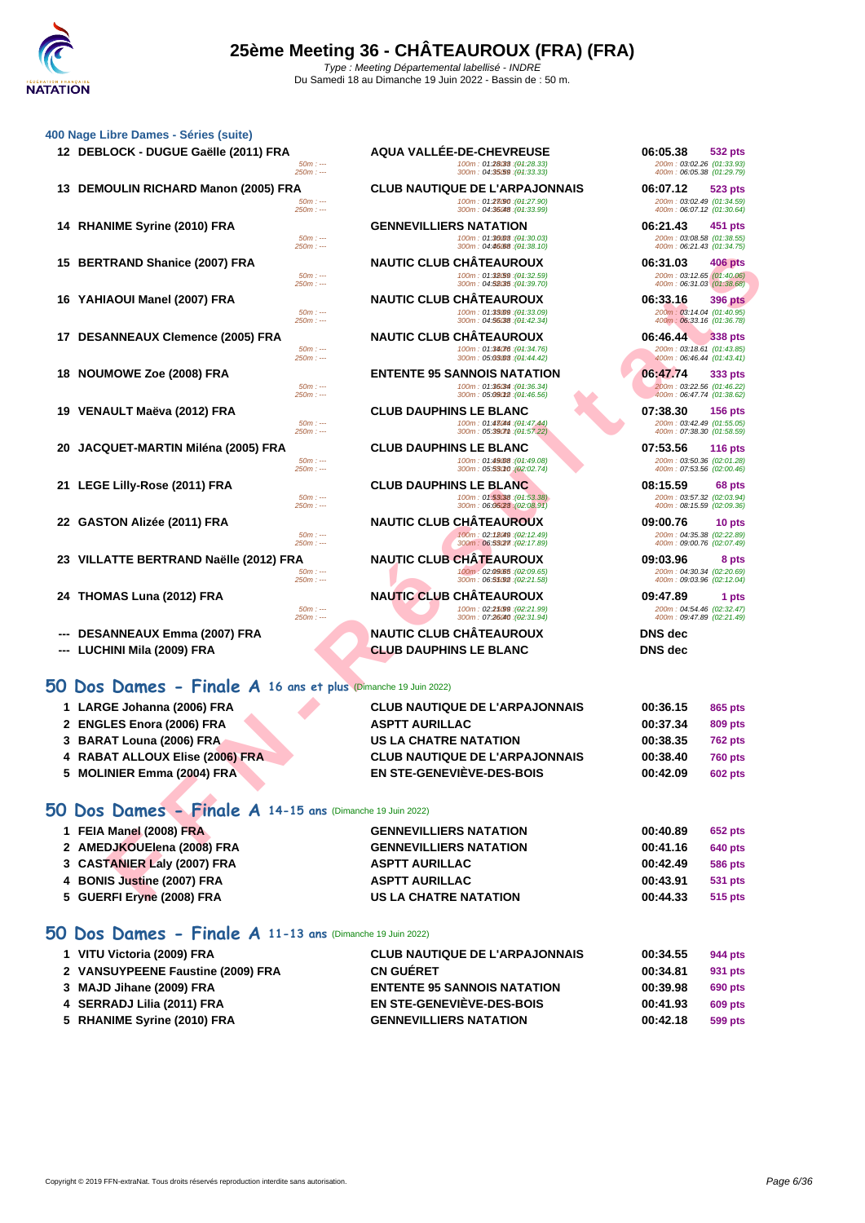|                                                           | <b>AQUA VALLÉE-DE-CHEVREUSE</b>                                                                                                                                                                                                                                                                                                                                                                                                                                                                                                                                                                                                                                                                                                   | 06:05.38<br>532 pts                                                                                                                                                                                                                                                                                                                                                                                                                                                                                                                                                                                                                                                                                                                                                                                                                      |
|-----------------------------------------------------------|-----------------------------------------------------------------------------------------------------------------------------------------------------------------------------------------------------------------------------------------------------------------------------------------------------------------------------------------------------------------------------------------------------------------------------------------------------------------------------------------------------------------------------------------------------------------------------------------------------------------------------------------------------------------------------------------------------------------------------------|------------------------------------------------------------------------------------------------------------------------------------------------------------------------------------------------------------------------------------------------------------------------------------------------------------------------------------------------------------------------------------------------------------------------------------------------------------------------------------------------------------------------------------------------------------------------------------------------------------------------------------------------------------------------------------------------------------------------------------------------------------------------------------------------------------------------------------------|
| $50m: -$<br>250m : ---                                    | 100m: 01:28033 : (01:28.33)<br>300m: 04:35/59 : (01:33.33)                                                                                                                                                                                                                                                                                                                                                                                                                                                                                                                                                                                                                                                                        | 200m: 03:02.26 (01:33.93)<br>400m: 06:05.38 (01:29.79)                                                                                                                                                                                                                                                                                                                                                                                                                                                                                                                                                                                                                                                                                                                                                                                   |
|                                                           |                                                                                                                                                                                                                                                                                                                                                                                                                                                                                                                                                                                                                                                                                                                                   | 06:07.12<br><b>523 pts</b>                                                                                                                                                                                                                                                                                                                                                                                                                                                                                                                                                                                                                                                                                                                                                                                                               |
| $50m: -$                                                  | 100m: 01:23090 : (01:27.90)                                                                                                                                                                                                                                                                                                                                                                                                                                                                                                                                                                                                                                                                                                       | 200m: 03:02.49 (01:34.59)<br>400m: 06:07.12 (01:30.64)                                                                                                                                                                                                                                                                                                                                                                                                                                                                                                                                                                                                                                                                                                                                                                                   |
|                                                           |                                                                                                                                                                                                                                                                                                                                                                                                                                                                                                                                                                                                                                                                                                                                   | 06:21.43<br>451 pts                                                                                                                                                                                                                                                                                                                                                                                                                                                                                                                                                                                                                                                                                                                                                                                                                      |
| $50m: -$                                                  | 100m: 01:36008 : (04:30.03)                                                                                                                                                                                                                                                                                                                                                                                                                                                                                                                                                                                                                                                                                                       | 200m: 03:08.58 (01:38.55)                                                                                                                                                                                                                                                                                                                                                                                                                                                                                                                                                                                                                                                                                                                                                                                                                |
|                                                           |                                                                                                                                                                                                                                                                                                                                                                                                                                                                                                                                                                                                                                                                                                                                   | 400m: 06:21.43 (01:34.75)<br>06:31.03                                                                                                                                                                                                                                                                                                                                                                                                                                                                                                                                                                                                                                                                                                                                                                                                    |
| $50m: -$                                                  | 100m: 01:32.59 : (01:32.59)                                                                                                                                                                                                                                                                                                                                                                                                                                                                                                                                                                                                                                                                                                       | 406 pts<br>200m: 03:12.65 (01:40.06)                                                                                                                                                                                                                                                                                                                                                                                                                                                                                                                                                                                                                                                                                                                                                                                                     |
|                                                           |                                                                                                                                                                                                                                                                                                                                                                                                                                                                                                                                                                                                                                                                                                                                   | 400m: 06:31.03 (01:38.68)                                                                                                                                                                                                                                                                                                                                                                                                                                                                                                                                                                                                                                                                                                                                                                                                                |
| $50m: -$                                                  | 100m: 01:33009 : (01:33.09)                                                                                                                                                                                                                                                                                                                                                                                                                                                                                                                                                                                                                                                                                                       | 06:33.16<br>396 pts<br>200m: 03:14.04 (01:40.95)                                                                                                                                                                                                                                                                                                                                                                                                                                                                                                                                                                                                                                                                                                                                                                                         |
| $250m: -$                                                 | 300m: 04:56038 : (04:42.34)                                                                                                                                                                                                                                                                                                                                                                                                                                                                                                                                                                                                                                                                                                       | 400m: 06:33.16 (01:36.78)                                                                                                                                                                                                                                                                                                                                                                                                                                                                                                                                                                                                                                                                                                                                                                                                                |
| <b>DESANNEAUX Clemence (2005) FRA</b>                     |                                                                                                                                                                                                                                                                                                                                                                                                                                                                                                                                                                                                                                                                                                                                   | 06:46.44<br>338 pts<br>200m: 03:18.61 (01:43.85)                                                                                                                                                                                                                                                                                                                                                                                                                                                                                                                                                                                                                                                                                                                                                                                         |
| 250m : ---                                                | 300m: 05:03008 : (01:44.42)                                                                                                                                                                                                                                                                                                                                                                                                                                                                                                                                                                                                                                                                                                       | 400m: 06:46.44 (01:43.41)                                                                                                                                                                                                                                                                                                                                                                                                                                                                                                                                                                                                                                                                                                                                                                                                                |
| <b>NOUMOWE Zoe (2008) FRA</b>                             | <b>ENTENTE 95 SANNOIS NATATION</b>                                                                                                                                                                                                                                                                                                                                                                                                                                                                                                                                                                                                                                                                                                | 06:47.74<br>333 pts                                                                                                                                                                                                                                                                                                                                                                                                                                                                                                                                                                                                                                                                                                                                                                                                                      |
| $50m: -$<br>$250m: -$                                     | 100m: 01:36034 : (01:36.34)<br>300m: 05:09012 : (01:46.56)                                                                                                                                                                                                                                                                                                                                                                                                                                                                                                                                                                                                                                                                        | 200m: 03:22.56 (01:46.22)<br>400m: 06:47.74 (01:38.62)                                                                                                                                                                                                                                                                                                                                                                                                                                                                                                                                                                                                                                                                                                                                                                                   |
| VENAULT Maëva (2012) FRA                                  | <b>CLUB DAUPHINS LE BLANC</b>                                                                                                                                                                                                                                                                                                                                                                                                                                                                                                                                                                                                                                                                                                     | 07:38.30<br>156 pts                                                                                                                                                                                                                                                                                                                                                                                                                                                                                                                                                                                                                                                                                                                                                                                                                      |
| $50m: -$<br>$250m: -$                                     | 100m: 01:43044 : (01:47.44)                                                                                                                                                                                                                                                                                                                                                                                                                                                                                                                                                                                                                                                                                                       | 200m: 03:42.49 (01:55.05)<br>400m: 07:38.30 (01:58.59)                                                                                                                                                                                                                                                                                                                                                                                                                                                                                                                                                                                                                                                                                                                                                                                   |
|                                                           |                                                                                                                                                                                                                                                                                                                                                                                                                                                                                                                                                                                                                                                                                                                                   | 07:53.56<br>116 pts                                                                                                                                                                                                                                                                                                                                                                                                                                                                                                                                                                                                                                                                                                                                                                                                                      |
| $50m: -$                                                  | 100m: 01:49008 : (01:49.08)                                                                                                                                                                                                                                                                                                                                                                                                                                                                                                                                                                                                                                                                                                       | 200m: 03:50.36 (02:01.28)<br>400m: 07:53.56 (02:00.46)                                                                                                                                                                                                                                                                                                                                                                                                                                                                                                                                                                                                                                                                                                                                                                                   |
|                                                           |                                                                                                                                                                                                                                                                                                                                                                                                                                                                                                                                                                                                                                                                                                                                   | 08:15.59                                                                                                                                                                                                                                                                                                                                                                                                                                                                                                                                                                                                                                                                                                                                                                                                                                 |
| $50m: -$                                                  | 100m: 01:53/38 : (01:53.38)                                                                                                                                                                                                                                                                                                                                                                                                                                                                                                                                                                                                                                                                                                       | 68 pts<br>200m: 03:57.32 (02:03.94)                                                                                                                                                                                                                                                                                                                                                                                                                                                                                                                                                                                                                                                                                                                                                                                                      |
|                                                           |                                                                                                                                                                                                                                                                                                                                                                                                                                                                                                                                                                                                                                                                                                                                   | 400m: 08:15.59 (02:09.36)                                                                                                                                                                                                                                                                                                                                                                                                                                                                                                                                                                                                                                                                                                                                                                                                                |
|                                                           |                                                                                                                                                                                                                                                                                                                                                                                                                                                                                                                                                                                                                                                                                                                                   | 09:00.76<br>10 pts<br>200m: 04:35.38 (02:22.89)                                                                                                                                                                                                                                                                                                                                                                                                                                                                                                                                                                                                                                                                                                                                                                                          |
| $250m: -$                                                 | 300m: 06:53027. (02:17.89)                                                                                                                                                                                                                                                                                                                                                                                                                                                                                                                                                                                                                                                                                                        | 400m: 09:00.76 (02:07.49)                                                                                                                                                                                                                                                                                                                                                                                                                                                                                                                                                                                                                                                                                                                                                                                                                |
|                                                           |                                                                                                                                                                                                                                                                                                                                                                                                                                                                                                                                                                                                                                                                                                                                   | 09:03.96<br>8 pts<br>200m: 04:30.34 (02:20.69)                                                                                                                                                                                                                                                                                                                                                                                                                                                                                                                                                                                                                                                                                                                                                                                           |
| $250m: -$                                                 | 300m: 06:55092 : (02:21.58)                                                                                                                                                                                                                                                                                                                                                                                                                                                                                                                                                                                                                                                                                                       | 400m: 09:03.96 (02:12.04)                                                                                                                                                                                                                                                                                                                                                                                                                                                                                                                                                                                                                                                                                                                                                                                                                |
|                                                           | <b>NAUTIC CLUB CHATEAUROUX</b>                                                                                                                                                                                                                                                                                                                                                                                                                                                                                                                                                                                                                                                                                                    | 09:47.89<br>1 pts                                                                                                                                                                                                                                                                                                                                                                                                                                                                                                                                                                                                                                                                                                                                                                                                                        |
| $250m: -$                                                 | 300m: 07:26040 : (02:31.94)                                                                                                                                                                                                                                                                                                                                                                                                                                                                                                                                                                                                                                                                                                       | 200m: 04:54.46 (02:32.47)<br>400m: 09:47.89 (02:21.49)                                                                                                                                                                                                                                                                                                                                                                                                                                                                                                                                                                                                                                                                                                                                                                                   |
| DESANNEAUX Emma (2007) FRA                                | <b>NAUTIC CLUB CHÂTEAUROUX</b>                                                                                                                                                                                                                                                                                                                                                                                                                                                                                                                                                                                                                                                                                                    | <b>DNS</b> dec                                                                                                                                                                                                                                                                                                                                                                                                                                                                                                                                                                                                                                                                                                                                                                                                                           |
| LUCHINI Mila (2009) FRA                                   | <b>CLUB DAUPHINS LE BLANC</b>                                                                                                                                                                                                                                                                                                                                                                                                                                                                                                                                                                                                                                                                                                     | <b>DNS</b> dec                                                                                                                                                                                                                                                                                                                                                                                                                                                                                                                                                                                                                                                                                                                                                                                                                           |
|                                                           |                                                                                                                                                                                                                                                                                                                                                                                                                                                                                                                                                                                                                                                                                                                                   |                                                                                                                                                                                                                                                                                                                                                                                                                                                                                                                                                                                                                                                                                                                                                                                                                                          |
|                                                           |                                                                                                                                                                                                                                                                                                                                                                                                                                                                                                                                                                                                                                                                                                                                   |                                                                                                                                                                                                                                                                                                                                                                                                                                                                                                                                                                                                                                                                                                                                                                                                                                          |
|                                                           | <b>CLUB NAUTIQUE DE L'ARPAJONNAIS</b>                                                                                                                                                                                                                                                                                                                                                                                                                                                                                                                                                                                                                                                                                             | 00:36.15<br>865 pts                                                                                                                                                                                                                                                                                                                                                                                                                                                                                                                                                                                                                                                                                                                                                                                                                      |
|                                                           | <b>ASPTT AURILLAC</b>                                                                                                                                                                                                                                                                                                                                                                                                                                                                                                                                                                                                                                                                                                             | 00:37.34<br>809 pts                                                                                                                                                                                                                                                                                                                                                                                                                                                                                                                                                                                                                                                                                                                                                                                                                      |
|                                                           | <b>US LA CHATRE NATATION</b>                                                                                                                                                                                                                                                                                                                                                                                                                                                                                                                                                                                                                                                                                                      | 00:38.35<br><b>762 pts</b>                                                                                                                                                                                                                                                                                                                                                                                                                                                                                                                                                                                                                                                                                                                                                                                                               |
|                                                           | <b>CLUB NAUTIQUE DE L'ARPAJONNAIS</b>                                                                                                                                                                                                                                                                                                                                                                                                                                                                                                                                                                                                                                                                                             | 00:38.40<br>760 pts                                                                                                                                                                                                                                                                                                                                                                                                                                                                                                                                                                                                                                                                                                                                                                                                                      |
|                                                           | <b>EN STE-GENEVIÈVE-DES-BOIS</b>                                                                                                                                                                                                                                                                                                                                                                                                                                                                                                                                                                                                                                                                                                  | 00:42.09<br><b>602 pts</b>                                                                                                                                                                                                                                                                                                                                                                                                                                                                                                                                                                                                                                                                                                                                                                                                               |
|                                                           |                                                                                                                                                                                                                                                                                                                                                                                                                                                                                                                                                                                                                                                                                                                                   |                                                                                                                                                                                                                                                                                                                                                                                                                                                                                                                                                                                                                                                                                                                                                                                                                                          |
|                                                           |                                                                                                                                                                                                                                                                                                                                                                                                                                                                                                                                                                                                                                                                                                                                   |                                                                                                                                                                                                                                                                                                                                                                                                                                                                                                                                                                                                                                                                                                                                                                                                                                          |
|                                                           |                                                                                                                                                                                                                                                                                                                                                                                                                                                                                                                                                                                                                                                                                                                                   | 00:40.89<br>652 pts                                                                                                                                                                                                                                                                                                                                                                                                                                                                                                                                                                                                                                                                                                                                                                                                                      |
|                                                           |                                                                                                                                                                                                                                                                                                                                                                                                                                                                                                                                                                                                                                                                                                                                   | 00:41.16<br><b>640 pts</b>                                                                                                                                                                                                                                                                                                                                                                                                                                                                                                                                                                                                                                                                                                                                                                                                               |
|                                                           |                                                                                                                                                                                                                                                                                                                                                                                                                                                                                                                                                                                                                                                                                                                                   |                                                                                                                                                                                                                                                                                                                                                                                                                                                                                                                                                                                                                                                                                                                                                                                                                                          |
|                                                           |                                                                                                                                                                                                                                                                                                                                                                                                                                                                                                                                                                                                                                                                                                                                   |                                                                                                                                                                                                                                                                                                                                                                                                                                                                                                                                                                                                                                                                                                                                                                                                                                          |
| 3 CASTANIER Laly (2007) FRA<br>4 BONIS Justine (2007) FRA | <b>ASPTT AURILLAC</b><br><b>ASPTT AURILLAC</b>                                                                                                                                                                                                                                                                                                                                                                                                                                                                                                                                                                                                                                                                                    | 00:42.49<br><b>586 pts</b><br>00:43.91<br>531 pts                                                                                                                                                                                                                                                                                                                                                                                                                                                                                                                                                                                                                                                                                                                                                                                        |
|                                                           | 400 Nage Libre Dames - Séries (suite)<br>12 DEBLOCK - DUGUE Gaëlle (2011) FRA<br><b>DEMOULIN RICHARD Manon (2005) FRA</b><br>250m : ---<br>RHANIME Syrine (2010) FRA<br>$250m: -$<br>BERTRAND Shanice (2007) FRA<br>$250m: -$<br>YAHIAOUI Manel (2007) FRA<br>$50m: -$<br>JACQUET-MARTIN Miléna (2005) FRA<br>$250m: -$<br>LEGE Lilly-Rose (2011) FRA<br>$250m: -$<br>GASTON Alizée (2011) FRA<br>$50m: -$<br>VILLATTE BERTRAND Naëlle (2012) FRA<br>$50m: -$<br>THOMAS Luna (2012) FRA<br>$50m: -$<br>LARGE Johanna (2006) FRA<br><b>ENGLES Enora (2006) FRA</b><br><b>BARAT Louna (2006) FRA</b><br><b>RABAT ALLOUX Elise (2006) FRA</b><br>5 MOLINIER Emma (2004) FRA<br>1 FEIA Manel (2008) FRA<br>2 AMEDJKOUElena (2008) FRA | <b>CLUB NAUTIQUE DE L'ARPAJONNAIS</b><br>300m: 04:36048: (01:33.99)<br><b>GENNEVILLIERS NATATION</b><br>300m: 04:46:68 : (04:38.10)<br><b>NAUTIC CLUB CHATEAUROUX</b><br>300m: 04:52035 : (04:39.70)<br><b>NAUTIC CLUB CHATEAUROUX</b><br><b>NAUTIC CLUB CHATEAUROUX</b><br>100m: 01:34076 : (01:34.76)<br>300m: 05:39071: (04:57.22)<br><b>CLUB DAUPHINS LE BLANC</b><br>300m: 05:53010 : (02:02.74)<br><b>CLUB DAUPHINS LE BLANC</b><br>300m: 06:06/23 : (02:08.91)<br><b>NAUTIC CLUB CHATEAUROUX</b><br>100m: 02:18049 : (02:12.49)<br><b>NAUTIC CLUB CHATEAUROUX</b><br>100m: 02:09.65 : (02:09.65)<br>100m: 02:25099 : (02:21.99)<br>Dos Dames - Finale A 16 ans et plus (Dimanche 19 Juin 2022)<br>$50$ Dos Dames - Finale $A$ 14-15 ans (Dimanche 19 Juin 2022)<br><b>GENNEVILLIERS NATATION</b><br><b>GENNEVILLIERS NATATION</b> |

- 
- **--- DESANNEAUX Emma (2007) FRA NAUTIC CLUB CHÂTEAUROUX DNS dec**
- 

#### **50 Dos Dames - Finale A 16 ans et plus** (Dimanche 19 Juin 2022)

| 1 LARGE Johanna (2006) FRA      | <b>CLUB NAUTIQUE DE L'ARPAJONNAIS</b> | 00:36.15 | 865 pts        |
|---------------------------------|---------------------------------------|----------|----------------|
| 2 ENGLES Enora (2006) FRA       | <b>ASPTT AURILLAC</b>                 | 00:37.34 | 809 pts        |
| 3 BARAT Louna (2006) FRA        | US LA CHATRE NATATION                 | 00:38.35 | <b>762 pts</b> |
| 4 RABAT ALLOUX Elise (2006) FRA | <b>CLUB NAUTIQUE DE L'ARPAJONNAIS</b> | 00:38.40 | <b>760 pts</b> |
|                                 |                                       |          |                |

#### **50 Dos Dames - Finale A 14-15 ans** (Dimanche 19 Juin 2022)

| 1 FEIA Manel (2008) FRA     | <b>GENNEVILLIERS NATATION</b> | 00:40.89 | 652 pts        |
|-----------------------------|-------------------------------|----------|----------------|
| 2 AMEDJKOUElena (2008) FRA  | <b>GENNEVILLIERS NATATION</b> | 00:41.16 | <b>640 pts</b> |
| 3 CASTANIER Laly (2007) FRA | <b>ASPTT AURILLAC</b>         | 00:42.49 | 586 pts        |
| 4 BONIS Justine (2007) FRA  | <b>ASPTT AURILLAC</b>         | 00:43.91 | 531 pts        |
| 5 GUERFI Eryne (2008) FRA   | <b>US LA CHATRE NATATION</b>  | 00:44.33 | 515 pts        |

#### **50 Dos Dames - Finale A 11-13 ans** (Dimanche 19 Juin 2022)

| 1 VITU Victoria (2009) FRA        | <b>CLUB NAUTIQUE DE L'ARPAJONNAIS</b> | 00:34.55 | 944 pts |
|-----------------------------------|---------------------------------------|----------|---------|
| 2 VANSUYPEENE Faustine (2009) FRA | <b>CN GUÉRET</b>                      | 00:34.81 | 931 pts |
| 3 MAJD Jihane (2009) FRA          | <b>ENTENTE 95 SANNOIS NATATION</b>    | 00:39.98 | 690 pts |
| 4 SERRADJ Lilia (2011) FRA        | EN STE-GENEVIÈVE-DES-BOIS             | 00:41.93 | 609 pts |
| 5 RHANIME Syrine (2010) FRA       | <b>GENNEVILLIERS NATATION</b>         | 00:42.18 | 599 pts |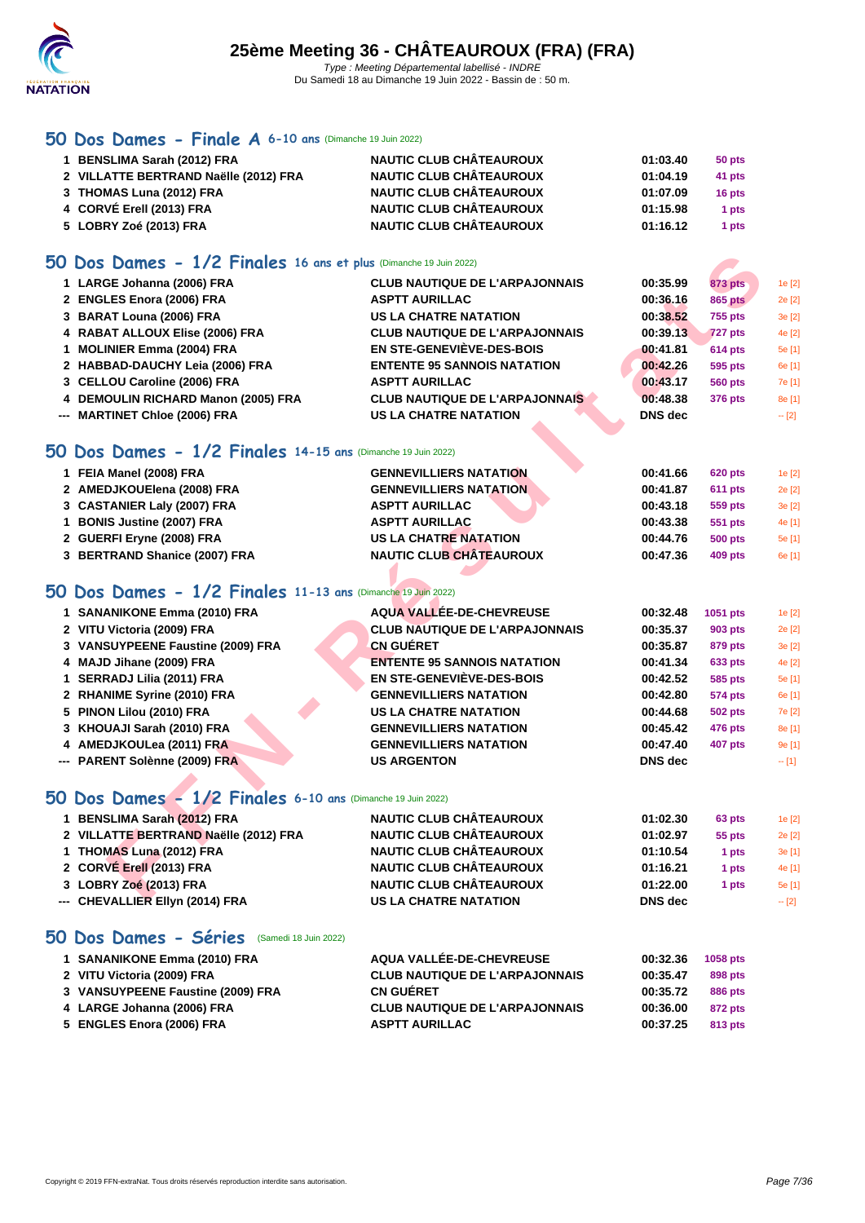

### **[50 Do](http://www.ffnatation.fr/webffn/index.php)s Dames - Finale A 6-10 ans** (Dimanche 19 Juin 2022)

| 1 BENSLIMA Sarah (2012) FRA           | <b>NAUTIC CLUB CHÂTEAUROUX</b> | 01:03.40 | 50 pts |
|---------------------------------------|--------------------------------|----------|--------|
| 2 VILLATTE BERTRAND Naëlle (2012) FRA | <b>NAUTIC CLUB CHÂTEAUROUX</b> | 01:04.19 | 41 pts |
| 3 THOMAS Luna (2012) FRA              | <b>NAUTIC CLUB CHÂTEAUROUX</b> | 01:07.09 | 16 pts |
| 4 CORVÉ Erell (2013) FRA              | <b>NAUTIC CLUB CHÂTEAUROUX</b> | 01:15.98 | 1 pts  |
| 5 LOBRY Zoé (2013) FRA                | <b>NAUTIC CLUB CHÂTEAUROUX</b> | 01:16.12 | 1 pts  |

#### **50 Dos Dames - 1/2 Finales 16 ans et plus** (Dimanche 19 Juin 2022)

| 1 LARGE Johanna (2006) FRA          | <b>CLUB NAUTIQUE DE L'ARPAJONNAIS</b> | 00:35.99       | 873 pts        | 1e [2]  |
|-------------------------------------|---------------------------------------|----------------|----------------|---------|
| 2 ENGLES Enora (2006) FRA           | <b>ASPTT AURILLAC</b>                 | 00:36.16       | 865 pts        | 2e [2]  |
| 3 BARAT Louna (2006) FRA            | <b>US LA CHATRE NATATION</b>          | 00:38.52       | <b>755 pts</b> | 3e [2]  |
| 4 RABAT ALLOUX Elise (2006) FRA     | <b>CLUB NAUTIQUE DE L'ARPAJONNAIS</b> | 00:39.13       | <b>727 pts</b> | 4e [2]  |
| 1 MOLINIER Emma (2004) FRA          | <b>EN STE-GENEVIÈVE-DES-BOIS</b>      | 00:41.81       | <b>614 pts</b> | 5e [1]  |
| 2 HABBAD-DAUCHY Leia (2006) FRA     | <b>ENTENTE 95 SANNOIS NATATION</b>    | 00:42.26       | 595 pts        | 6e [1]  |
| 3 CELLOU Caroline (2006) FRA        | <b>ASPTT AURILLAC</b>                 | 00:43.17       | <b>560 pts</b> | 7e [1]  |
| 4 DEMOULIN RICHARD Manon (2005) FRA | <b>CLUB NAUTIQUE DE L'ARPAJONNAIS</b> | 00:48.38       | 376 pts        | 8e [1]  |
| --- MARTINET Chloe (2006) FRA       | <b>US LA CHATRE NATATION</b>          | <b>DNS</b> dec |                | $-$ [2] |

### **50 Dos Dames - 1/2 Finales 14-15 ans** (Dimanche 19 Juin 2022)

| 1 FEIA Manel (2008) FRA       | <b>GENNEVILLIERS NATATION</b>  | 00:41.66 | <b>620 pts</b> | 1e [2] |
|-------------------------------|--------------------------------|----------|----------------|--------|
| 2 AMEDJKOUElena (2008) FRA    | <b>GENNEVILLIERS NATATION</b>  | 00:41.87 | <b>611 pts</b> | 2e [2] |
| 3 CASTANIER Laly (2007) FRA   | <b>ASPTT AURILLAC</b>          | 00:43.18 | 559 pts        | 3e[2]  |
| 1 BONIS Justine (2007) FRA    | <b>ASPTT AURILLAC</b>          | 00:43.38 | 551 pts        | 4e [1] |
| 2 GUERFI Eryne (2008) FRA     | US LA CHATRE NATATION          | 00:44.76 | 500 pts        | 5e [1] |
| 3 BERTRAND Shanice (2007) FRA | <b>NAUTIC CLUB CHÂTEAUROUX</b> | 00:47.36 | 409 pts        | 6e [1] |

### **50 Dos Dames - 1/2 Finales 11-13 ans** (Dimanche 19 Juin 2022)

| O Dos Dames - 1/2 Finales 16 ans et plus (Dimanche 19 Juin 2022) |                                       |                |                |            |
|------------------------------------------------------------------|---------------------------------------|----------------|----------------|------------|
| 1 LARGE Johanna (2006) FRA                                       | <b>CLUB NAUTIQUE DE L'ARPAJONNAIS</b> | 00:35.99       | <b>873 pts</b> | 1e [2]     |
| 2 ENGLES Enora (2006) FRA                                        | <b>ASPTT AURILLAC</b>                 | 00:36.16       | <b>865 pts</b> | 2e [2]     |
| 3 BARAT Louna (2006) FRA                                         | <b>US LA CHATRE NATATION</b>          | 00:38.52       | <b>755 pts</b> | 3e [2]     |
| 4 RABAT ALLOUX Elise (2006) FRA                                  | <b>CLUB NAUTIQUE DE L'ARPAJONNAIS</b> | 00:39.13       | 727 pts        | 4e [2]     |
| 1 MOLINIER Emma (2004) FRA                                       | <b>EN STE-GENEVIÈVE-DES-BOIS</b>      | 00:41.81       | <b>614 pts</b> | 5e [1]     |
| 2 HABBAD-DAUCHY Leia (2006) FRA                                  | <b>ENTENTE 95 SANNOIS NATATION</b>    | 00:42.26       | 595 pts        | 6e [1]     |
| 3 CELLOU Caroline (2006) FRA                                     | <b>ASPTT AURILLAC</b>                 | 00:43.17       | <b>560 pts</b> | 7e [1]     |
| 4 DEMOULIN RICHARD Manon (2005) FRA                              | <b>CLUB NAUTIQUE DE L'ARPAJONNAIS</b> | 00:48.38       | 376 pts        | 8e [1]     |
| --- MARTINET Chloe (2006) FRA                                    | <b>US LA CHATRE NATATION</b>          | <b>DNS</b> dec |                | $- [2]$    |
| O Dos Dames - 1/2 Finales 14-15 ans (Dimanche 19 Juin 2022)      |                                       |                |                |            |
| 1 FEIA Manel (2008) FRA                                          | <b>GENNEVILLIERS NATATION</b>         | 00:41.66       | <b>620 pts</b> | 1e [2]     |
| 2 AMEDJKOUElena (2008) FRA                                       | <b>GENNEVILLIERS NATATION</b>         | 00:41.87       | 611 pts        | 2e [2]     |
| 3 CASTANIER Laly (2007) FRA                                      | <b>ASPTT AURILLAC</b>                 | 00:43.18       | 559 pts        | 3e [2]     |
| 1 BONIS Justine (2007) FRA                                       | <b>ASPTT AURILLAC</b>                 | 00:43.38       | 551 pts        | 4e [1]     |
| 2 GUERFI Eryne (2008) FRA                                        | <b>US LA CHATRE NATATION</b>          | 00:44.76       | <b>500 pts</b> | 5e [1]     |
| 3 BERTRAND Shanice (2007) FRA                                    | <b>NAUTIC CLUB CHÂTEAUROUX</b>        | 00:47.36       | <b>409 pts</b> | 6e [1]     |
| O Dos Dames - 1/2 Finales 11-13 ans (Dimanche 19 Juin 2022)      |                                       |                |                |            |
| 1 SANANIKONE Emma (2010) FRA                                     | <b>AQUA VALLÉE-DE-CHEVREUSE</b>       | 00:32.48       | 1051 pts       | 1e [2]     |
| 2 VITU Victoria (2009) FRA                                       | <b>CLUB NAUTIQUE DE L'ARPAJONNAIS</b> | 00:35.37       | 903 pts        | 2e [2]     |
| 3 VANSUYPEENE Faustine (2009) FRA                                | <b>CN GUÉRET</b>                      | 00:35.87       | 879 pts        | 3e [2]     |
| 4 MAJD Jihane (2009) FRA                                         | <b>ENTENTE 95 SANNOIS NATATION</b>    | 00:41.34       | 633 pts        | 4e [2]     |
| 1 SERRADJ Lilia (2011) FRA                                       | <b>EN STE-GENEVIÈVE-DES-BOIS</b>      | 00:42.52       | 585 pts        | 5e [1]     |
| 2 RHANIME Syrine (2010) FRA                                      | <b>GENNEVILLIERS NATATION</b>         | 00:42.80       | <b>574 pts</b> | 6e [1]     |
| 5 PINON Lilou (2010) FRA                                         | <b>US LA CHATRE NATATION</b>          | 00:44.68       | <b>502 pts</b> | 7e [2]     |
| 3 KHOUAJI Sarah (2010) FRA                                       | <b>GENNEVILLIERS NATATION</b>         | 00:45.42       | 476 pts        | 8e [1]     |
| 4 AMEDJKOULea (2011) FRA                                         | <b>GENNEVILLIERS NATATION</b>         | 00:47.40       | <b>407 pts</b> | 9e [1]     |
| --- PARENT Solènne (2009) FRA                                    | <b>US ARGENTON</b>                    | <b>DNS</b> dec |                | $- [1]$    |
| O Dos Dames - 1/2 Finales 6-10 ans (Dimanche 19 Juin 2022)       |                                       |                |                |            |
| 1 BENSLIMA Sarah (2012) FRA                                      | <b>NAUTIC CLUB CHÂTEAUROUX</b>        | 01:02.30       | 63 pts         | 1e [2]     |
| 2 VILLATTE BERTRAND Naëlle (2012) FRA                            | <b>NAUTIC CLUB CHÂTEAUROUX</b>        | 01:02.97       | 55 pts         | 2e [2]     |
| 1 THOMAS Luna (2012) FRA                                         | <b>NAUTIC CLUB CHÂTEAUROUX</b>        | 01:10.54       | 1 pts          | 3e [1]     |
| 2 CORVÉ Erell (2013) FRA                                         | <b>NAUTIC CLUB CHÂTEAUROUX</b>        | 01:16.21       | 1 pts          | 4e [1]     |
| 3 LOBRY Zoé (2013) FRA                                           | <b>NAUTIC CLUB CHÂTEAUROUX</b>        | 01:22.00       | 1 pts          | 5e [1]     |
| CUEVALLED EINA (004 4) ED A                                      | HO LA CHATDE MATATION                 | DNC Jac        |                | <b>FOL</b> |

### **50 Dos Dames - 1/2 Finales 6-10 ans** (Dimanche 19 Juin 2022)

| 1 BENSLIMA Sarah (2012) FRA           | <b>NAUTIC CLUB CHÂTEAUROUX</b> | 01:02.30       | 63 pts | 1e [2] |
|---------------------------------------|--------------------------------|----------------|--------|--------|
| 2 VILLATTE BERTRAND Naëlle (2012) FRA | <b>NAUTIC CLUB CHÂTEAUROUX</b> | 01:02.97       | 55 pts | 2e [2] |
| 1 THOMAS Luna (2012) FRA              | <b>NAUTIC CLUB CHÂTEAUROUX</b> | 01:10.54       | 1 pts  | 3e[1]  |
| 2 CORVÉ Erell (2013) FRA              | <b>NAUTIC CLUB CHÂTEAUROUX</b> | 01:16.21       | 1 pts  | 4e [1] |
| 3 LOBRY Zoé (2013) FRA                | <b>NAUTIC CLUB CHÂTEAUROUX</b> | 01:22.00       | 1 pts  | 5e [1] |
| --- CHEVALLIER Ellyn (2014) FRA       | <b>US LA CHATRE NATATION</b>   | <b>DNS</b> dec |        |        |

### **50 Dos Dames - Séries** (Samedi 18 Juin 2022)

| 1 SANANIKONE Emma (2010) FRA      | AQUA VALLÉE-DE-CHEVREUSE              | 00:32.36 | <b>1058 pts</b> |
|-----------------------------------|---------------------------------------|----------|-----------------|
| 2 VITU Victoria (2009) FRA        | <b>CLUB NAUTIQUE DE L'ARPAJONNAIS</b> | 00:35.47 | 898 pts         |
| 3 VANSUYPEENE Faustine (2009) FRA | <b>CN GUÉRET</b>                      | 00:35.72 | 886 pts         |
| 4 LARGE Johanna (2006) FRA        | <b>CLUB NAUTIQUE DE L'ARPAJONNAIS</b> | 00:36.00 | 872 pts         |
| 5 ENGLES Enora (2006) FRA         | <b>ASPTT AURILLAC</b>                 | 00:37.25 | 813 pts         |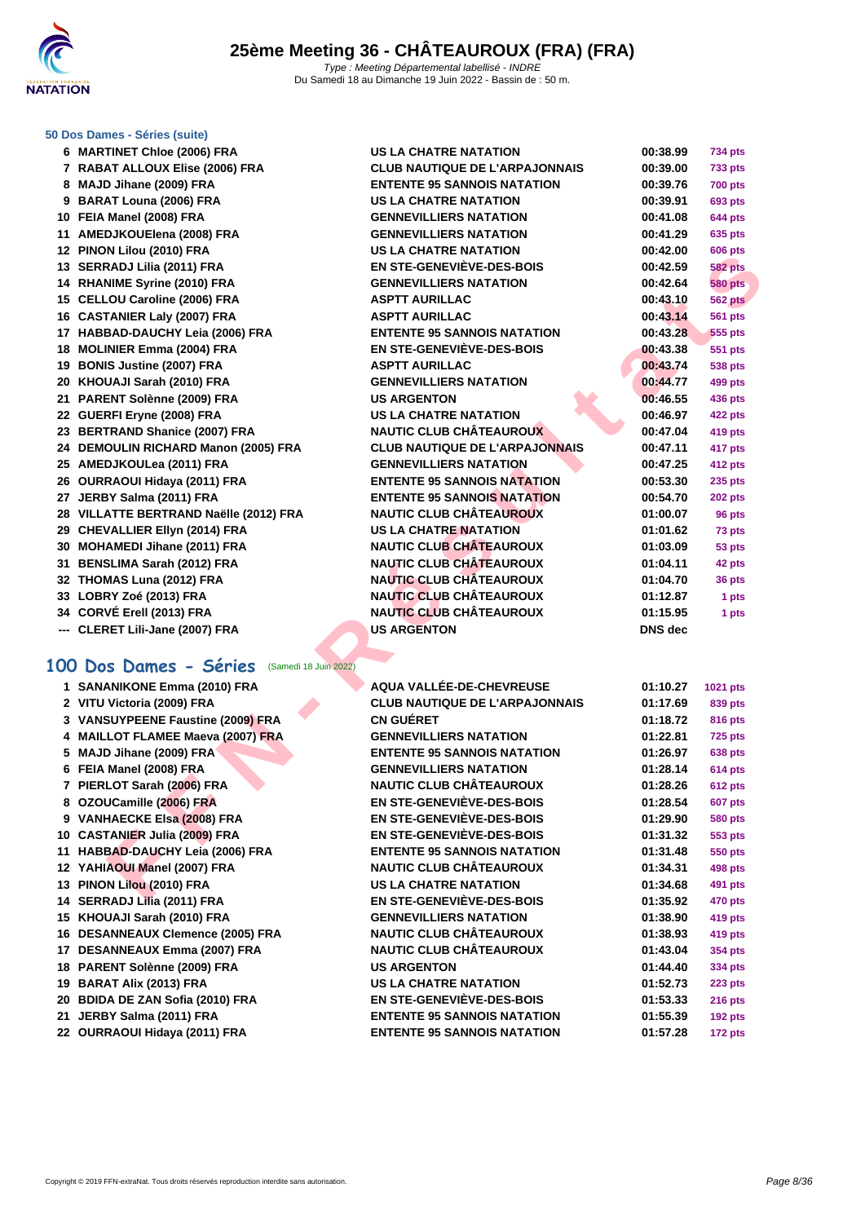

#### **[50 Dos D](http://www.ffnatation.fr/webffn/index.php)ames - Séries (suite)**

| 6 MARTINET Chloe (2006) FRA                     | <b>US LA CHATRE NATATION</b>          | 00:38.99       | 734 pts        |
|-------------------------------------------------|---------------------------------------|----------------|----------------|
| 7 RABAT ALLOUX Elise (2006) FRA                 | <b>CLUB NAUTIQUE DE L'ARPAJONNAIS</b> | 00:39.00       | <b>733 pts</b> |
| 8 MAJD Jihane (2009) FRA                        | <b>ENTENTE 95 SANNOIS NATATION</b>    | 00:39.76       | <b>700 pts</b> |
| 9 BARAT Louna (2006) FRA                        | <b>US LA CHATRE NATATION</b>          | 00:39.91       | 693 pts        |
| 10 FEIA Manel (2008) FRA                        | <b>GENNEVILLIERS NATATION</b>         | 00:41.08       | <b>644 pts</b> |
| 11 AMEDJKOUElena (2008) FRA                     | <b>GENNEVILLIERS NATATION</b>         | 00:41.29       | 635 pts        |
| 12 PINON Lilou (2010) FRA                       | <b>US LA CHATRE NATATION</b>          | 00:42.00       | <b>606 pts</b> |
| 13 SERRADJ Lilia (2011) FRA                     | <b>EN STE-GENEVIÈVE-DES-BOIS</b>      | 00:42.59       | <b>582 pts</b> |
| 14 RHANIME Syrine (2010) FRA                    | <b>GENNEVILLIERS NATATION</b>         | 00:42.64       | <b>580 pts</b> |
| 15 CELLOU Caroline (2006) FRA                   | <b>ASPTT AURILLAC</b>                 | 00:43.10       | <b>562 pts</b> |
| 16 CASTANIER Laly (2007) FRA                    | <b>ASPTT AURILLAC</b>                 | 00:43.14       | <b>561 pts</b> |
| 17 HABBAD-DAUCHY Leia (2006) FRA                | <b>ENTENTE 95 SANNOIS NATATION</b>    | 00:43.28       | <b>555 pts</b> |
| 18 MOLINIER Emma (2004) FRA                     | <b>EN STE-GENEVIÈVE-DES-BOIS</b>      | 00:43.38       | 551 pts        |
| 19 BONIS Justine (2007) FRA                     | <b>ASPTT AURILLAC</b>                 | 00:43.74       | <b>538 pts</b> |
| 20 KHOUAJI Sarah (2010) FRA                     | <b>GENNEVILLIERS NATATION</b>         | 00:44.77       | 499 pts        |
| 21 PARENT Solènne (2009) FRA                    | <b>US ARGENTON</b>                    | 00:46.55       | <b>436 pts</b> |
| 22 GUERFI Eryne (2008) FRA                      | <b>US LA CHATRE NATATION</b>          | 00:46.97       | <b>422 pts</b> |
| 23 BERTRAND Shanice (2007) FRA                  | <b>NAUTIC CLUB CHÂTEAUROUX</b>        | 00:47.04       | <b>419 pts</b> |
| 24 DEMOULIN RICHARD Manon (2005) FRA            | <b>CLUB NAUTIQUE DE L'ARPAJONNAIS</b> | 00:47.11       | 417 pts        |
| 25 AMEDJKOULea (2011) FRA                       | <b>GENNEVILLIERS NATATION</b>         | 00:47.25       | <b>412 pts</b> |
| 26 OURRAOUI Hidaya (2011) FRA                   | <b>ENTENTE 95 SANNOIS NATATION</b>    | 00:53.30       | 235 pts        |
| 27 JERBY Salma (2011) FRA                       | <b>ENTENTE 95 SANNOIS NATATION</b>    | 00:54.70       | <b>202 pts</b> |
| 28 VILLATTE BERTRAND Naëlle (2012) FRA          | <b>NAUTIC CLUB CHÂTEAUROUX</b>        | 01:00.07       | 96 pts         |
| 29 CHEVALLIER Ellyn (2014) FRA                  | <b>US LA CHATRE NATATION</b>          | 01:01.62       | 73 pts         |
| 30 MOHAMEDI Jihane (2011) FRA                   | <b>NAUTIC CLUB CHÂTEAUROUX</b>        | 01:03.09       | 53 pts         |
| 31 BENSLIMA Sarah (2012) FRA                    | <b>NAUTIC CLUB CHÂTEAUROUX</b>        | 01:04.11       | 42 pts         |
| 32 THOMAS Luna (2012) FRA                       | <b>NAUTIC CLUB CHÂTEAUROUX</b>        | 01:04.70       | 36 pts         |
| 33 LOBRY Zoé (2013) FRA                         | <b>NAUTIC CLUB CHÂTEAUROUX</b>        | 01:12.87       | 1 pts          |
| 34 CORVÉ Erell (2013) FRA                       | <b>NAUTIC CLUB CHÂTEAUROUX</b>        | 01:15.95       | 1 pts          |
| --- CLERET Lili-Jane (2007) FRA                 | <b>US ARGENTON</b>                    | <b>DNS</b> dec |                |
|                                                 |                                       |                |                |
| 100 Dos Dames - Séries<br>(Samedi 18 Juin 2022) |                                       |                |                |
| 1 SANANIKONE Emma (2010) FRA                    | <b>AQUA VALLÉE-DE-CHEVREUSE</b>       | 01:10.27       | 1021 pts       |
| 2 VITU Victoria (2009) FRA                      | <b>CLUB NAUTIQUE DE L'ARPAJONNAIS</b> | 01:17.69       | 839 pts        |
| 3 VANSUYPEENE Faustine (2009) FRA               | <b>CN GUERET</b>                      | 01:18.72       | 816 pts        |
| 4 MAILLOT FLAMEE Maeva (2007) FRA               | <b>GENNEVILLIERS NATATION</b>         | 01:22.81       | <b>725 pts</b> |
| 5 MAJD Jihane (2009) FRA                        | <b>ENTENTE 95 SANNOIS NATATION</b>    | 01:26.97       | <b>638 pts</b> |
| 6 FEIA Manel (2008) FRA                         | <b>GENNEVILLIERS NATATION</b>         | 01:28.14       | <b>614 pts</b> |
| 7 PIERLOT Sarah (2006) FRA                      | <b>NAUTIC CLUB CHÂTEAUROUX</b>        | 01:28.26       | <b>612 pts</b> |
| 8 OZOUCamille (2006) FRA                        | <b>EN STE-GENEVIÈVE-DES-BOIS</b>      | 01:28.54       | <b>607 pts</b> |
| 9 VANHAECKE Elsa (2008) FRA                     | <b>EN STE-GENEVIÈVE-DES-BOIS</b>      | 01:29.90       | <b>580 pts</b> |
| 10 CASTANIER Julia (2009) FRA                   | <b>EN STE-GENEVIÈVE-DES-BOIS</b>      | 01:31.32       | 553 pts        |
| 11 HABBAD-DAUCHY Leia (2006) FRA                | <b>ENTENTE 95 SANNOIS NATATION</b>    | 01:31.48       | <b>550 pts</b> |
| 12 YAHIAOUI Manel (2007) FRA                    | <b>NAUTIC CLUB CHÂTEAUROUX</b>        | 01:34.31       | 498 pts        |
| 13 PINON Lilou (2010) FRA                       | <b>US LA CHATRE NATATION</b>          | 01:34.68       | 491 pts        |
| CERRAN LUBS (0044) ERA                          | FU OTE AFUEUIÈVE BES BAIS             | 04.250         | $470 - 1$      |

|  | 1 SANANIKONE Emma (2010) FRA |  |  |  |
|--|------------------------------|--|--|--|
|--|------------------------------|--|--|--|

- 
- 
- 
- 
- 
- 
- 
- 
- 
- 
- 
- 
- 
- 
- 
- 
- 
- 
- 
- **OURRAOUI Hidaya (2011) FRA ENTENTE 95 SANNOIS NATATION 01:57.28 172 pts**

| <b>ATRE NATATION</b>                    | 00:38.99       |
|-----------------------------------------|----------------|
| <b>TIQUE DE L'ARPAJONNAIS</b>           | 00:39.00       |
| <b>95 SANNOIS NATATION</b>              | 00:39.76       |
| <b><i>ITRE NATATION</i></b>             | 00:39.91       |
| <b>LIERS NATATION</b>                   | 00:41.08       |
| <b>LIERS NATATION</b>                   | 00:41.29       |
| <b>ITRE NATATION</b>                    | 00:42.00       |
| <b>ENEVIÈVE-DES-BOIS</b>                | 00:42.59       |
| <b>LIERS NATATION</b>                   | 00:42.64       |
| <b>RILLAC</b>                           | 00:43.10       |
| <b>RILLAC</b>                           | 00:43.14       |
| <b>95 SANNOIS NATATION</b>              | 00:43.28       |
| <b>ENEVIÈVE-DES-BOIS</b>                | 00:43.38       |
| RILLAC                                  | 00:43.74       |
| <b>LIERS NATATION</b>                   | 00:44.77       |
| <b>ITON</b>                             | 00:46.55       |
| <b><i>ITRE NATATION</i></b>             | 00:46.97       |
| LUB CHÂTEAUROUX                         | 00:47.04       |
| <b>TIQUE DE L'ARPAJONNAIS</b>           | 00:47.11       |
| <b>LIERS NATATION</b>                   | 00:47.25       |
| <b>95 SANNOIS NATATION</b>              | 00:53.30       |
| <b>95 SANNOI<mark>S</mark> NATATION</b> | 00:54.70       |
| <b>LUB CHÂTEAUROUX</b>                  | 01:00.07       |
| <b>ATRE NATATION</b>                    | 01:01.62       |
| <b>LUB CHÂTEAUROUX</b>                  | 01:03.09       |
| <b>LUB CHÂTEAUROUX</b>                  | 01:04.11       |
| <b>LUB CHÂTEAUROUX</b>                  | 01:04.70       |
| <b>LUB CHÂTEAUROUX</b>                  | 01:12.87       |
| <b>LUB CHÂTEAUROUX</b>                  | 01:15.95       |
| <b>ITON</b>                             | <b>DNS</b> dec |
|                                         |                |

 **SANANIKONE Emma (2010) FRA AQUA VALLÉE-DE-CHEVREUSE 01:10.27 1021 pts VITU Victoria (2009) FRA CLUB NAUTIQUE DE L'ARPAJONNAIS 01:17.69 839 pts VANSUYPEENE Faustine (2009) FRA CN GUÉRET 01:18.72 816 pts MAILLOT FLAMEE Maeva (2007) FRA GENNEVILLIERS NATATION 01:22.81 725 pts MAJD Jihane (2009) FRA ENTENTE 95 SANNOIS NATATION 01:26.97 638 pts FEIA Manel (2008) FRA GENNEVILLIERS NATATION 01:28.14 614 pts PIERLOT Sarah (2006) FRA NAUTIC CLUB CHÂTEAUROUX 01:28.26 612 pts OZOUCamille (2006) FRA EN STE-GENEVIÈVE-DES-BOIS 01:28.54 607 pts VANHAECKE Elsa (2008) FRA EN STE-GENEVIÈVE-DES-BOIS 01:29.90 580 pts CASTANIER Julia (2009) FRA EN STE-GENEVIÈVE-DES-BOIS 01:31.32 553 pts HABBAD-DAUCHY Leia (2006) FRA ENTENTE 95 SANNOIS NATATION 01:31.48 550 pts YAHIAOUI Manel (2007) FRA NAUTIC CLUB CHÂTEAUROUX 01:34.31 498 pts PINON Lilou (2010) FRA US LA CHATRE NATATION 01:34.68 491 pts SERRADJ Lilia (2011) FRA EN STE-GENEVIÈVE-DES-BOIS 01:35.92 470 pts KHOUAJI Sarah (2010) FRA GENNEVILLIERS NATATION 01:38.90 419 pts DESANNEAUX Clemence (2005) FRA NAUTIC CLUB CHÂTEAUROUX 01:38.93 419 pts DESANNEAUX Emma (2007) FRA NAUTIC CLUB CHÂTEAUROUX 01:43.04 354 pts PARENT Solènne (2009) FRA US ARGENTON 01:44.40 334 pts BARAT Alix (2013) FRA US LA CHATRE NATATION 01:52.73 223 pts BDIDA DE ZAN Sofia (2010) FRA EN STE-GENEVIÈVE-DES-BOIS 01:53.33 216 pts JERBY Salma (2011) FRA ENTENTE 95 SANNOIS NATATION 01:55.39 192 pts**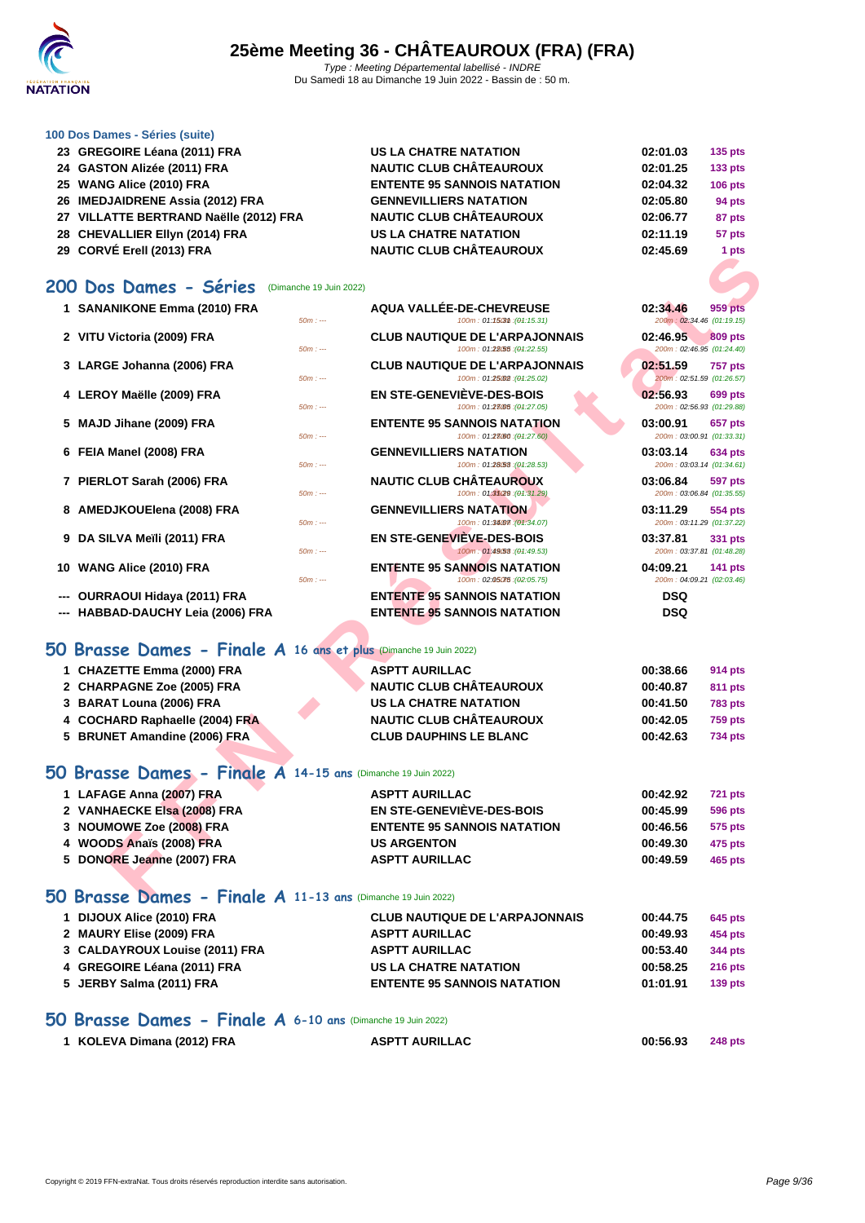

#### **[100 Dos D](http://www.ffnatation.fr/webffn/index.php)ames - Séries (suite)**

| 23 GREGOIRE Léana (2011) FRA           | <b>US LA CHATRE NATATION</b>       | 02:01.03 | <b>135 pts</b> |
|----------------------------------------|------------------------------------|----------|----------------|
| 24 GASTON Alizée (2011) FRA            | <b>NAUTIC CLUB CHÂTEAUROUX</b>     | 02:01.25 | <b>133 pts</b> |
| 25 WANG Alice (2010) FRA               | <b>ENTENTE 95 SANNOIS NATATION</b> | 02:04.32 | <b>106 pts</b> |
| 26 IMEDJAIDRENE Assia (2012) FRA       | <b>GENNEVILLIERS NATATION</b>      | 02:05.80 | 94 pts         |
| 27 VILLATTE BERTRAND Naëlle (2012) FRA | <b>NAUTIC CLUB CHÂTEAUROUX</b>     | 02:06.77 | 87 pts         |
| 28 CHEVALLIER Ellyn (2014) FRA         | <b>US LA CHATRE NATATION</b>       | 02:11.19 | 57 pts         |
|                                        |                                    |          |                |

**CORVÉ Erell (2013) FRA NAUTIC CLUB CHÂTEAUROUX 02:45.69 1 pts**

#### **200 Dos Dames - Séries** (Dimanche 19 Juin 2022)

| ראו ונכושאן וו <del>ס</del> ום שטורטט נג                           |                                                                             | i pis                                                   |
|--------------------------------------------------------------------|-----------------------------------------------------------------------------|---------------------------------------------------------|
| 00 Dos Dames - Séries                                              | (Dimanche 19 Juin 2022)                                                     |                                                         |
|                                                                    |                                                                             |                                                         |
| 1 SANANIKONE Emma (2010) FRA                                       | <b>AQUA VALLÉE-DE-CHEVREUSE</b><br>100m: 01:1503m: (01:15.31)<br>$50m: -$   | 02:34.46<br><b>959 pts</b><br>200m: 02:34.46 (01:19.15) |
| 2 VITU Victoria (2009) FRA                                         | <b>CLUB NAUTIQUE DE L'ARPAJONNAIS</b>                                       | 02:46.95<br><b>809 pts</b>                              |
|                                                                    | 100m: 01:28.55 : (01:22.55)<br>$50m: -$                                     | 200m: 02:46.95 (01:24.40)                               |
| 3 LARGE Johanna (2006) FRA                                         | <b>CLUB NAUTIQUE DE L'ARPAJONNAIS</b>                                       | 02:51.59<br><b>757 pts</b>                              |
|                                                                    | 100m: 01:25002 : (01:25.02)<br>$50m: -$                                     | 200m: 02:51.59 (01:26.57)                               |
| 4 LEROY Maëlle (2009) FRA                                          | <b>EN STE-GENEVIEVE-DES-BOIS</b><br>100m: 01:23005 : (01:27.05)<br>$50m: -$ | 02:56.93<br>699 pts<br>200m: 02:56.93 (01:29.88)        |
| 5 MAJD Jihane (2009) FRA                                           | <b>ENTENTE 95 SANNOIS NATATION</b>                                          | 03:00.91<br>657 pts                                     |
|                                                                    | $50m: -$<br>100m: 01:23060 : (01:27.60)                                     | 200m: 03:00.91 (01:33.31)                               |
| 6 FEIA Manel (2008) FRA                                            | <b>GENNEVILLIERS NATATION</b>                                               | 03:03.14<br>634 pts                                     |
|                                                                    | 100m: 01:28.53 : (01:28.53)<br>$50m: -$                                     | 200m: 03:03.14 (01:34.61)                               |
| 7 PIERLOT Sarah (2006) FRA                                         | NAUTIC CLUB CHÂTEAUROUX                                                     | 03:06.84<br><b>597 pts</b>                              |
|                                                                    | 100m: 01:35(29 : (01:31.29)<br>$50m: -$                                     | 200m: 03:06.84 (01:35.55)                               |
| 8 AMEDJKOUElena (2008) FRA                                         | <b>GENNEVILLIERS NATATION</b><br>$50m: -$<br>100m: 01:34/07 : (01:34.07)    | 03:11.29<br>554 pts<br>200m: 03:11.29 (01:37.22)        |
| 9 DA SILVA Meïli (2011) FRA                                        | <b>EN STE-GENEVIEVE-DES-BOIS</b>                                            | 03:37.81<br>331 pts                                     |
|                                                                    | 100m: 01:49.53 : (01:49.53)<br>$50m: -$                                     | 200m: 03:37.81 (01:48.28)                               |
| 10 WANG Alice (2010) FRA                                           | <b>ENTENTE 95 SANNOIS NATATION</b>                                          | 04:09.21<br><b>141 pts</b>                              |
|                                                                    | 100m: 02:05075 : (02:05.75)<br>$50m: -$                                     | 200m: 04:09.21 (02:03.46)                               |
| --- OURRAOUI Hidaya (2011) FRA                                     | <b>ENTENTE 95 SANNOIS NATATION</b>                                          | <b>DSQ</b>                                              |
| --- HABBAD-DAUCHY Leia (2006) FRA                                  | <b>ENTENTE 95 SANNOIS NATATION</b>                                          | <b>DSQ</b>                                              |
|                                                                    |                                                                             |                                                         |
| O Brasse Dames - Finale A 16 ans et plus (Dimanche 19 Juin 2022)   |                                                                             |                                                         |
| 1 CHAZETTE Emma (2000) FRA                                         | <b>ASPTT AURILLAC</b>                                                       | 00:38.66<br>914 pts                                     |
| 2 CHARPAGNE Zoe (2005) FRA                                         | <b>NAUTIC CLUB CHÂTEAUROUX</b>                                              | 00:40.87<br><b>811 pts</b>                              |
| 3 BARAT Louna (2006) FRA                                           | <b>US LA CHATRE NATATION</b>                                                | 00:41.50<br><b>783 pts</b>                              |
| 4 COCHARD Raphaelle (2004) FRA                                     | <b>NAUTIC CLUB CHÂTEAUROUX</b>                                              | 00:42.05<br><b>759 pts</b>                              |
| 5 BRUNET Amandine (2006) FRA                                       | <b>CLUB DAUPHINS LE BLANC</b>                                               | 00:42.63<br><b>734 pts</b>                              |
|                                                                    |                                                                             |                                                         |
| O Brasse Dames - Finale A 14-15 ans (Dimanche 19 Juin 2022)        |                                                                             |                                                         |
| 1 LAFAGE Anna (2007) FRA                                           | <b>ASPTT AURILLAC</b>                                                       | 00:42.92<br><b>721 pts</b>                              |
| 2 VANHAECKE Elsa (2008) FRA                                        | EN STE-GENEVIÈVE-DES-BOIS                                                   | 00:45.99<br><b>596 pts</b>                              |
| 3 NOUMOWE Zoe (2008) FRA                                           | <b>ENTENTE 95 SANNOIS NATATION</b>                                          | 00:46.56<br>575 pts                                     |
| 4 WOODS Anaïs (2008) FRA                                           | <b>US ARGENTON</b>                                                          | 00:49.30<br>475 pts                                     |
| 5 DONORE Jeanne (2007) FRA                                         | <b>ASPTT AURILLAC</b>                                                       | 00:49.59<br>465 pts                                     |
| <b>O Brasse Dames - Finale A 11-13 ans (Dimanche 19 Juin 2022)</b> |                                                                             |                                                         |
|                                                                    |                                                                             |                                                         |

#### **50 Brasse Dames - Finale A 16 ans et plus** (Dimanche 19 Juin 2022)

| 1 CHAZETTE Emma (2000) FRA     | <b>ASPTT AURILLAC</b>          | 00:38.66<br>914 pts        |
|--------------------------------|--------------------------------|----------------------------|
| 2 CHARPAGNE Zoe (2005) FRA     | <b>NAUTIC CLUB CHÂTEAUROUX</b> | 00:40.87<br>811 pts        |
| 3 BARAT Louna (2006) FRA       | <b>US LA CHATRE NATATION</b>   | 00:41.50<br><b>783 pts</b> |
| 4 COCHARD Raphaelle (2004) FRA | <b>NAUTIC CLUB CHÂTEAUROUX</b> | 00:42.05<br><b>759 pts</b> |
| 5 BRUNET Amandine (2006) FRA   | <b>CLUB DAUPHINS LE BLANC</b>  | 00:42.63<br><b>734 pts</b> |
|                                |                                |                            |

### **50 Brasse Dames - Finale A 14-15 ans** (Dimanche 19 Juin 2022)

| 1 LAFAGE Anna (2007) FRA    | <b>ASPTT AURILLAC</b>              | 00:42.92 | <b>721 pts</b> |
|-----------------------------|------------------------------------|----------|----------------|
| 2 VANHAECKE Elsa (2008) FRA | EN STE-GENEVIÈVE-DES-BOIS          | 00:45.99 | 596 pts        |
| 3 NOUMOWE Zoe (2008) FRA    | <b>ENTENTE 95 SANNOIS NATATION</b> | 00:46.56 | 575 pts        |
| 4 WOODS Anaïs (2008) FRA    | <b>US ARGENTON</b>                 | 00:49.30 | 475 pts        |
| 5 DONORE Jeanne (2007) FRA  | <b>ASPTT AURILLAC</b>              | 00:49.59 | 465 pts        |

#### **50 Brasse Dames - Finale A 11-13 ans** (Dimanche 19 Juin 2022)

| 1 DIJOUX Alice (2010) FRA      | <b>CLUB NAUTIQUE DE L'ARPAJONNAIS</b> | 00:44.75 | 645 pts        |
|--------------------------------|---------------------------------------|----------|----------------|
| 2 MAURY Elise (2009) FRA       | <b>ASPTT AURILLAC</b>                 | 00:49.93 | 454 pts        |
| 3 CALDAYROUX Louise (2011) FRA | <b>ASPTT AURILLAC</b>                 | 00:53.40 | <b>344 pts</b> |
| 4 GREGOIRE Léana (2011) FRA    | US LA CHATRE NATATION                 | 00:58.25 | <b>216 pts</b> |
| 5 JERBY Salma (2011) FRA       | <b>ENTENTE 95 SANNOIS NATATION</b>    | 01:01.91 | $139$ pts      |

#### **50 Brasse Dames - Finale A 6-10 ans** (Dimanche 19 Juin 2022)

| 1 KOLEVA Dimana (2012) FRA |  |
|----------------------------|--|
|----------------------------|--|

**KOLEVA Dimana (2012) FRA ASPTT AURILLAC 00:56.93 248 pts**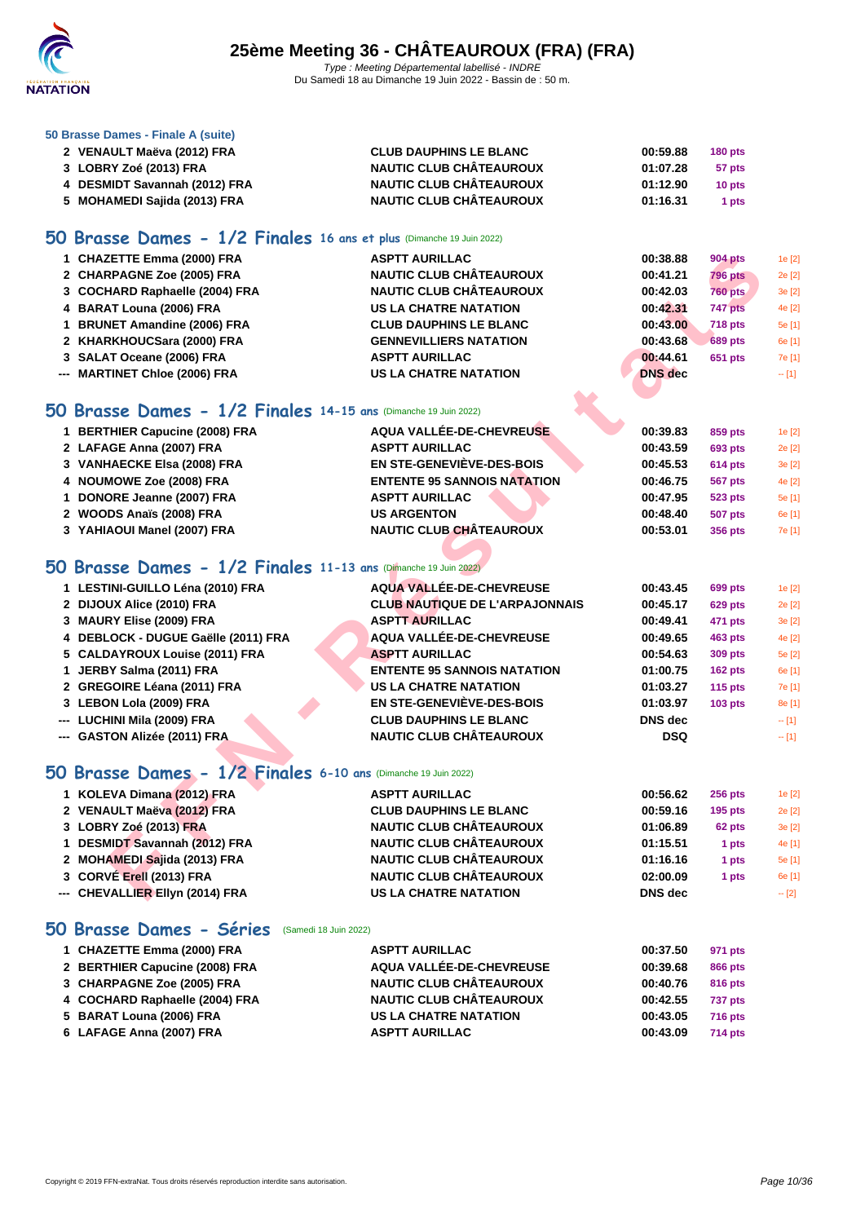

#### **[50 Brasse](http://www.ffnatation.fr/webffn/index.php) Dames - Finale A (suite)**

| 2 VENAULT Maëva (2012) FRA    | <b>CLUB DAUPHINS LE BLANC</b>  | 00:59.88 | $180$ pts         |
|-------------------------------|--------------------------------|----------|-------------------|
| 3 LOBRY Zoé (2013) FRA        | <b>NAUTIC CLUB CHÂTEAUROUX</b> | 01:07.28 | 57 pts            |
| 4 DESMIDT Savannah (2012) FRA | <b>NAUTIC CLUB CHÂTEAUROUX</b> | 01:12.90 | 10 <sub>pts</sub> |
| 5 MOHAMEDI Sajida (2013) FRA  | <b>NAUTIC CLUB CHÂTEAUROUX</b> | 01:16.31 | 1 pts             |

### **50 Brasse Dames - 1/2 Finales 16 ans et plus** (Dimanche 19 Juin 2022)

| 1 CHAZETTE Emma (2000) FRA     | <b>ASPTT AURILLAC</b>          | 00:38.88       | 904 pts        | 1e [2]  |
|--------------------------------|--------------------------------|----------------|----------------|---------|
|                                |                                |                |                |         |
| 2 CHARPAGNE Zoe (2005) FRA     | <b>NAUTIC CLUB CHÂTEAUROUX</b> | 00:41.21       | <b>796 pts</b> | 2e [2]  |
| 3 COCHARD Raphaelle (2004) FRA | <b>NAUTIC CLUB CHÂTEAUROUX</b> | 00:42.03       | <b>760 pts</b> | 3e [2]  |
| 4 BARAT Louna (2006) FRA       | <b>US LA CHATRE NATATION</b>   | 00:42.31       | 747 pts        | 4e [2]  |
| 1 BRUNET Amandine (2006) FRA   | <b>CLUB DAUPHINS LE BLANC</b>  | 00:43.00       | <b>718 pts</b> | 5e [1]  |
| 2 KHARKHOUCSara (2000) FRA     | <b>GENNEVILLIERS NATATION</b>  | 00:43.68       | <b>689 pts</b> | 6e [1]  |
| 3 SALAT Oceane (2006) FRA      | <b>ASPTT AURILLAC</b>          | 00:44.61       | 651 pts        | 7e [1]  |
| --- MARTINET Chloe (2006) FRA  | <b>US LA CHATRE NATATION</b>   | <b>DNS</b> dec |                | $-$ [1] |
|                                |                                |                |                |         |

### **50 Brasse Dames - 1/2 Finales 14-15 ans** (Dimanche 19 Juin 2022)

| 1 BERTHIER Capucine (2008) FRA | AQUA VALLÉE-DE-CHEVREUSE           | 00:39.83 | 859 pts        | 1e[2]  |
|--------------------------------|------------------------------------|----------|----------------|--------|
| 2 LAFAGE Anna (2007) FRA       | <b>ASPTT AURILLAC</b>              | 00:43.59 | <b>693 pts</b> | 2e [2] |
| 3 VANHAECKE Elsa (2008) FRA    | <b>EN STE-GENEVIÈVE-DES-BOIS</b>   | 00:45.53 | <b>614 pts</b> | 3e [2] |
| 4 NOUMOWE Zoe (2008) FRA       | <b>ENTENTE 95 SANNOIS NATATION</b> | 00:46.75 | <b>567 pts</b> | 4e [2] |
| 1 DONORE Jeanne (2007) FRA     | <b>ASPTT AURILLAC</b>              | 00:47.95 | <b>523 pts</b> | 5e [1] |
| 2 WOODS Anaïs (2008) FRA       | <b>US ARGENTON</b>                 | 00:48.40 | <b>507 pts</b> | 6e [1] |
| 3 YAHIAOUI Manel (2007) FRA    | <b>NAUTIC CLUB CHÂTEAUROUX</b>     | 00:53.01 | 356 pts        | 7e [1] |
|                                |                                    |          |                |        |

## **50 Brasse Dames - 1/2 Finales 11-13 ans** (Dimanche 19 Juin 2022)

| <b>ASPTT AURILLAC</b>                                                                                                                                                                                                                                                                                                                                                                                                                                                                                                                                                                                                                                                                                                                                                                                                                                                                                                                                                                                                 | 00:38.88                                                                                                                                                                                              | <b>904 pts</b> | 1e [2]  |
|-----------------------------------------------------------------------------------------------------------------------------------------------------------------------------------------------------------------------------------------------------------------------------------------------------------------------------------------------------------------------------------------------------------------------------------------------------------------------------------------------------------------------------------------------------------------------------------------------------------------------------------------------------------------------------------------------------------------------------------------------------------------------------------------------------------------------------------------------------------------------------------------------------------------------------------------------------------------------------------------------------------------------|-------------------------------------------------------------------------------------------------------------------------------------------------------------------------------------------------------|----------------|---------|
| <b>NAUTIC CLUB CHÂTEAUROUX</b>                                                                                                                                                                                                                                                                                                                                                                                                                                                                                                                                                                                                                                                                                                                                                                                                                                                                                                                                                                                        | 00:41.21                                                                                                                                                                                              | <b>796 pts</b> | 2e [2]  |
| <b>NAUTIC CLUB CHÂTEAUROUX</b>                                                                                                                                                                                                                                                                                                                                                                                                                                                                                                                                                                                                                                                                                                                                                                                                                                                                                                                                                                                        | 00:42.03                                                                                                                                                                                              | <b>760 pts</b> | 3e [2]  |
| <b>US LA CHATRE NATATION</b>                                                                                                                                                                                                                                                                                                                                                                                                                                                                                                                                                                                                                                                                                                                                                                                                                                                                                                                                                                                          | 00:42.31                                                                                                                                                                                              | 747 pts        | 4e [2]  |
| <b>CLUB DAUPHINS LE BLANC</b>                                                                                                                                                                                                                                                                                                                                                                                                                                                                                                                                                                                                                                                                                                                                                                                                                                                                                                                                                                                         | 00:43.00                                                                                                                                                                                              | <b>718 pts</b> | 5e [1]  |
| <b>GENNEVILLIERS NATATION</b>                                                                                                                                                                                                                                                                                                                                                                                                                                                                                                                                                                                                                                                                                                                                                                                                                                                                                                                                                                                         | 00:43.68                                                                                                                                                                                              | <b>689 pts</b> | 6e [1]  |
| <b>ASPTT AURILLAC</b>                                                                                                                                                                                                                                                                                                                                                                                                                                                                                                                                                                                                                                                                                                                                                                                                                                                                                                                                                                                                 | 00:44.61                                                                                                                                                                                              | <b>651 pts</b> | 7e [1]  |
| <b>US LA CHATRE NATATION</b>                                                                                                                                                                                                                                                                                                                                                                                                                                                                                                                                                                                                                                                                                                                                                                                                                                                                                                                                                                                          | <b>DNS</b> dec                                                                                                                                                                                        |                | $- [1]$ |
|                                                                                                                                                                                                                                                                                                                                                                                                                                                                                                                                                                                                                                                                                                                                                                                                                                                                                                                                                                                                                       |                                                                                                                                                                                                       |                |         |
|                                                                                                                                                                                                                                                                                                                                                                                                                                                                                                                                                                                                                                                                                                                                                                                                                                                                                                                                                                                                                       |                                                                                                                                                                                                       |                |         |
| AQUA VALLÉE-DE-CHEVREUSE                                                                                                                                                                                                                                                                                                                                                                                                                                                                                                                                                                                                                                                                                                                                                                                                                                                                                                                                                                                              | 00:39.83                                                                                                                                                                                              | 859 pts        | 1e [2]  |
| <b>ASPTT AURILLAC</b>                                                                                                                                                                                                                                                                                                                                                                                                                                                                                                                                                                                                                                                                                                                                                                                                                                                                                                                                                                                                 | 00:43.59                                                                                                                                                                                              | <b>693 pts</b> | 2e [2]  |
| <b>EN STE-GENEVIÈVE-DES-BOIS</b>                                                                                                                                                                                                                                                                                                                                                                                                                                                                                                                                                                                                                                                                                                                                                                                                                                                                                                                                                                                      | 00:45.53                                                                                                                                                                                              | 614 pts        | 3e [2]  |
| <b>ENTENTE 95 SANNOIS NATATION</b>                                                                                                                                                                                                                                                                                                                                                                                                                                                                                                                                                                                                                                                                                                                                                                                                                                                                                                                                                                                    | 00:46.75                                                                                                                                                                                              | <b>567 pts</b> | 4e [2]  |
| <b>ASPTT AURILLAC</b>                                                                                                                                                                                                                                                                                                                                                                                                                                                                                                                                                                                                                                                                                                                                                                                                                                                                                                                                                                                                 | 00:47.95                                                                                                                                                                                              | 523 pts        | 5e [1]  |
| <b>US ARGENTON</b>                                                                                                                                                                                                                                                                                                                                                                                                                                                                                                                                                                                                                                                                                                                                                                                                                                                                                                                                                                                                    | 00:48.40                                                                                                                                                                                              | <b>507 pts</b> | 6e [1]  |
| <b>NAUTIC CLUB CHÂTEAUROUX</b>                                                                                                                                                                                                                                                                                                                                                                                                                                                                                                                                                                                                                                                                                                                                                                                                                                                                                                                                                                                        | 00:53.01                                                                                                                                                                                              | <b>356 pts</b> | 7e [1]  |
|                                                                                                                                                                                                                                                                                                                                                                                                                                                                                                                                                                                                                                                                                                                                                                                                                                                                                                                                                                                                                       |                                                                                                                                                                                                       |                |         |
|                                                                                                                                                                                                                                                                                                                                                                                                                                                                                                                                                                                                                                                                                                                                                                                                                                                                                                                                                                                                                       |                                                                                                                                                                                                       |                |         |
| AQUA VALLÉE-DE-CHEVREUSE                                                                                                                                                                                                                                                                                                                                                                                                                                                                                                                                                                                                                                                                                                                                                                                                                                                                                                                                                                                              | 00:43.45                                                                                                                                                                                              | 699 pts        | 1e [2]  |
| <b>CLUB NAUTIQUE DE L'ARPAJONNAIS</b>                                                                                                                                                                                                                                                                                                                                                                                                                                                                                                                                                                                                                                                                                                                                                                                                                                                                                                                                                                                 | 00:45.17                                                                                                                                                                                              | <b>629 pts</b> | 2e [2]  |
| <b>ASPTT AURILLAC</b>                                                                                                                                                                                                                                                                                                                                                                                                                                                                                                                                                                                                                                                                                                                                                                                                                                                                                                                                                                                                 | 00:49.41                                                                                                                                                                                              | 471 pts        | 3e [2]  |
| <b>AQUA VALLÉE-DE-CHEVREUSE</b>                                                                                                                                                                                                                                                                                                                                                                                                                                                                                                                                                                                                                                                                                                                                                                                                                                                                                                                                                                                       | 00:49.65                                                                                                                                                                                              | <b>463 pts</b> | 4e [2]  |
| <b>ASPTT AURILLAC</b>                                                                                                                                                                                                                                                                                                                                                                                                                                                                                                                                                                                                                                                                                                                                                                                                                                                                                                                                                                                                 | 00:54.63                                                                                                                                                                                              | <b>309 pts</b> | 5e [2]  |
| <b>ENTENTE 95 SANNOIS NATATION</b>                                                                                                                                                                                                                                                                                                                                                                                                                                                                                                                                                                                                                                                                                                                                                                                                                                                                                                                                                                                    | 01:00.75                                                                                                                                                                                              | 162 pts        | 6e [1]  |
| <b>US LA CHATRE NATATION</b>                                                                                                                                                                                                                                                                                                                                                                                                                                                                                                                                                                                                                                                                                                                                                                                                                                                                                                                                                                                          | 01:03.27                                                                                                                                                                                              | $115$ pts      | 7e [1]  |
| <b>EN STE-GENEVIÈVE-DES-BOIS</b>                                                                                                                                                                                                                                                                                                                                                                                                                                                                                                                                                                                                                                                                                                                                                                                                                                                                                                                                                                                      | 01:03.97                                                                                                                                                                                              | $103$ pts      | 8e [1]  |
| <b>CLUB DAUPHINS LE BLANC</b>                                                                                                                                                                                                                                                                                                                                                                                                                                                                                                                                                                                                                                                                                                                                                                                                                                                                                                                                                                                         | <b>DNS</b> dec                                                                                                                                                                                        |                | $-$ [1] |
| <b>NAUTIC CLUB CHÂTEAUROUX</b>                                                                                                                                                                                                                                                                                                                                                                                                                                                                                                                                                                                                                                                                                                                                                                                                                                                                                                                                                                                        | <b>DSQ</b>                                                                                                                                                                                            |                | $-$ [1] |
|                                                                                                                                                                                                                                                                                                                                                                                                                                                                                                                                                                                                                                                                                                                                                                                                                                                                                                                                                                                                                       |                                                                                                                                                                                                       |                |         |
|                                                                                                                                                                                                                                                                                                                                                                                                                                                                                                                                                                                                                                                                                                                                                                                                                                                                                                                                                                                                                       |                                                                                                                                                                                                       |                |         |
| <b>ASPTT AURILLAC</b>                                                                                                                                                                                                                                                                                                                                                                                                                                                                                                                                                                                                                                                                                                                                                                                                                                                                                                                                                                                                 | 00:56.62                                                                                                                                                                                              | 256 pts        | 1e [2]  |
| <b>CLUB DAUPHINS LE BLANC</b>                                                                                                                                                                                                                                                                                                                                                                                                                                                                                                                                                                                                                                                                                                                                                                                                                                                                                                                                                                                         | 00:59.16                                                                                                                                                                                              | $195$ pts      | 2e [2]  |
| <b>NAUTIC CLUB CHÂTEAUROUX</b>                                                                                                                                                                                                                                                                                                                                                                                                                                                                                                                                                                                                                                                                                                                                                                                                                                                                                                                                                                                        | 01:06.89                                                                                                                                                                                              | 62 pts         | 3e [2]  |
| <b>NAUTIC CLUB CHÂTEAUROUX</b>                                                                                                                                                                                                                                                                                                                                                                                                                                                                                                                                                                                                                                                                                                                                                                                                                                                                                                                                                                                        | 01:15.51                                                                                                                                                                                              | 1 pts          | 4e [1]  |
| <b>NAUTIC CLUB CHÂTEAUROUX</b>                                                                                                                                                                                                                                                                                                                                                                                                                                                                                                                                                                                                                                                                                                                                                                                                                                                                                                                                                                                        | 01:16.16                                                                                                                                                                                              | 1 pts          | 5e [1]  |
| <b>NAUTIC CLUB CHÂTEAUROUX</b>                                                                                                                                                                                                                                                                                                                                                                                                                                                                                                                                                                                                                                                                                                                                                                                                                                                                                                                                                                                        | 02:00.09                                                                                                                                                                                              | 1 pts          | 6e [1]  |
| <b>US LA CHATRE NATATION</b>                                                                                                                                                                                                                                                                                                                                                                                                                                                                                                                                                                                                                                                                                                                                                                                                                                                                                                                                                                                          | DNS dec                                                                                                                                                                                               |                | $-$ [2] |
| 1 CHAZETTE Emma (2000) FRA<br>2 CHARPAGNE Zoe (2005) FRA<br>3 COCHARD Raphaelle (2004) FRA<br>4 BARAT Louna (2006) FRA<br>1 BRUNET Amandine (2006) FRA<br>2 KHARKHOUCSara (2000) FRA<br>3 SALAT Oceane (2006) FRA<br>--- MARTINET Chloe (2006) FRA<br>1 BERTHIER Capucine (2008) FRA<br>2 LAFAGE Anna (2007) FRA<br>3 VANHAECKE Elsa (2008) FRA<br>4 NOUMOWE Zoe (2008) FRA<br>1 DONORE Jeanne (2007) FRA<br>2 WOODS Anaïs (2008) FRA<br>3 YAHIAOUI Manel (2007) FRA<br>1 LESTINI-GUILLO Léna (2010) FRA<br>2 DIJOUX Alice (2010) FRA<br>3 MAURY Elise (2009) FRA<br>4 DEBLOCK - DUGUE Gaëlle (2011) FRA<br>5 CALDAYROUX Louise (2011) FRA<br>1 JERBY Salma (2011) FRA<br>2 GREGOIRE Léana (2011) FRA<br>3 LEBON Lola (2009) FRA<br>--- LUCHINI Mila (2009) FRA<br>--- GASTON Alizée (2011) FRA<br>1 KOLEVA Dimana (2012) FRA<br>2 VENAULT Maëva (2012) FRA<br>3 LOBRY Zoé (2013) FRA<br>1 DESMIDT Savannah (2012) FRA<br>2 MOHAMEDI Sajida (2013) FRA<br>3 CORVE Erell (2013) FRA<br>--- CHEVALLIER Ellyn (2014) FRA | O Brasse Dames - 1/2 Finales 14-15 ans (Dimanche 19 Juin 2022)<br>O Brasse Dames - 1/2 Finales 11-13 ans Dimanche 19 Juin 2022)<br>$60$ Brasse Dames - $1/2$ Finales 6-10 ans (Dimanche 19 Juin 2022) |                |         |

# **50 Brasse Dames - 1/2 Finales 6-10 ans** (Dimanche 19 Juin 2022)

| 1 KOLEVA Dimana (2012) FRA      | <b>ASPTT AURILLAC</b>          | 00:56.62       | $256$ pts | 1e [2]  |
|---------------------------------|--------------------------------|----------------|-----------|---------|
| 2 VENAULT Maëva (2012) FRA      | <b>CLUB DAUPHINS LE BLANC</b>  | 00:59.16       | $195$ pts | 2e [2]  |
| 3 LOBRY Zoé (2013) FRA          | <b>NAUTIC CLUB CHÂTEAUROUX</b> | 01:06.89       | 62 pts    | 3e[2]   |
| 1 DESMIDT Savannah (2012) FRA   | <b>NAUTIC CLUB CHÂTEAUROUX</b> | 01:15.51       | 1 pts     | 4e [1]  |
| 2 MOHAMEDI Sajida (2013) FRA    | <b>NAUTIC CLUB CHÂTEAUROUX</b> | 01:16.16       | 1 pts     | 5e [1]  |
| 3 CORVÉ Erell (2013) FRA        | <b>NAUTIC CLUB CHÂTEAUROUX</b> | 02:00.09       | 1 pts     | 6e [1]  |
| --- CHEVALLIER Ellyn (2014) FRA | <b>US LA CHATRE NATATION</b>   | <b>DNS</b> dec |           | $-$ [2] |

### **50 Brasse Dames - Séries** (Samedi 18 Juin 2022)

| 1 CHAZETTE Emma (2000) FRA     | <b>ASPTT AURILLAC</b>          | 00:37.50 | 971 pts        |
|--------------------------------|--------------------------------|----------|----------------|
| 2 BERTHIER Capucine (2008) FRA | AQUA VALLÉE-DE-CHEVREUSE       | 00:39.68 | 866 pts        |
| 3 CHARPAGNE Zoe (2005) FRA     | <b>NAUTIC CLUB CHÂTEAUROUX</b> | 00:40.76 | 816 pts        |
| 4 COCHARD Raphaelle (2004) FRA | <b>NAUTIC CLUB CHÂTEAUROUX</b> | 00:42.55 | <b>737 pts</b> |
| 5 BARAT Louna (2006) FRA       | <b>US LA CHATRE NATATION</b>   | 00:43.05 | <b>716 pts</b> |
| 6 LAFAGE Anna (2007) FRA       | <b>ASPTT AURILLAC</b>          | 00:43.09 | <b>714 pts</b> |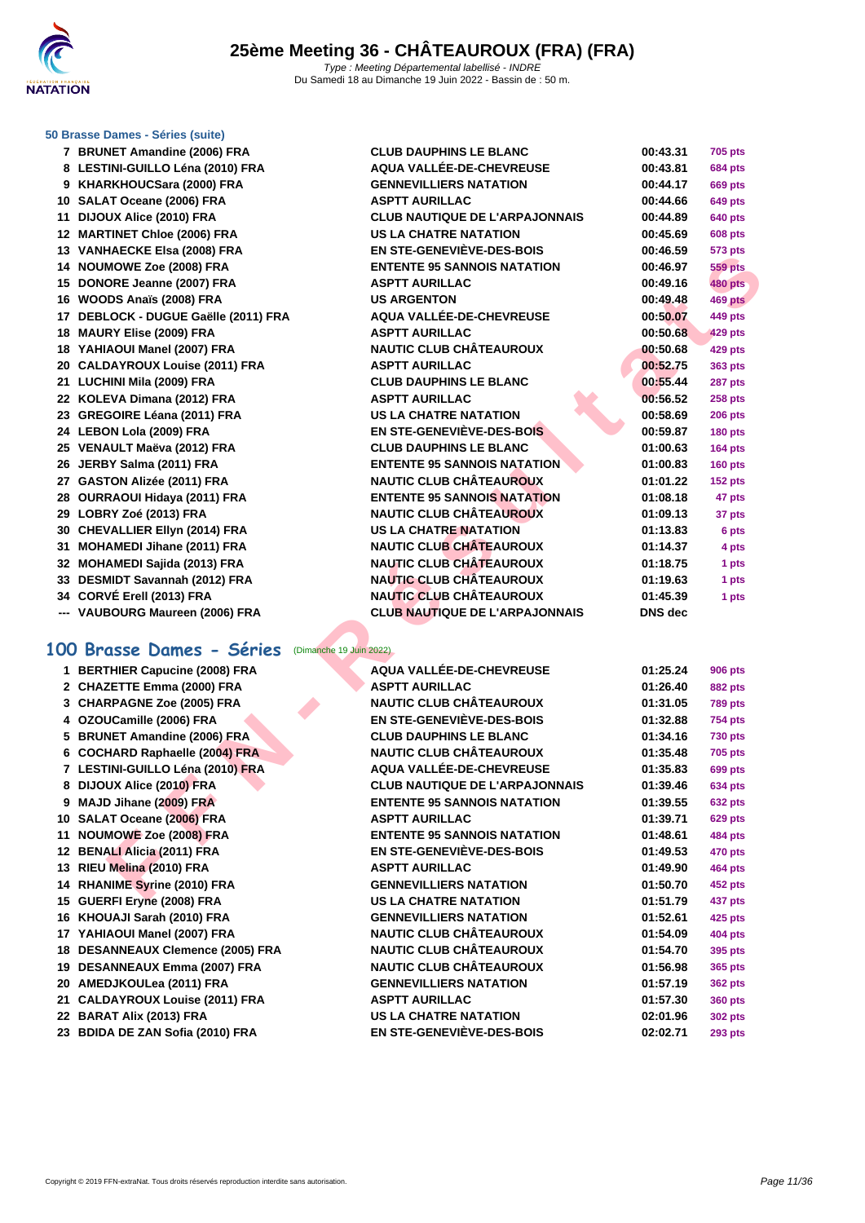

#### **[50 Brasse](http://www.ffnatation.fr/webffn/index.php) Dames - Séries (suite)**

 **BRUNET Amandine (2006) FRA CLUB DAUPHINS LE BLANC 00:43.31 705 pts LESTINI-GUILLO Léna (2010) FRA AQUA VALLÉE-DE-CHEVREUSE 00:43.81 684 pts KHARKHOUCSara (2000) FRA GENNEVILLIERS NATATION 00:44.17 669 pts SALAT Oceane (2006) FRA ASPTT AURILLAC 00:44.66 649 pts DIJOUX Alice (2010) FRA CLUB NAUTIQUE DE L'ARPAJONNAIS 00:44.89 640 pts MARTINET Chloe (2006) FRA US LA CHATRE NATATION 00:45.69 608 pts VANHAECKE Elsa (2008) FRA EN STE-GENEVIÈVE-DES-BOIS 00:46.59 573 pts NOUMOWE Zoe (2008) FRA ENTENTE 95 SANNOIS NATATION 00:46.97 559 pts DONORE Jeanne (2007) FRA ASPTT AURILLAC 00:49.16 480 pts WOODS Anaïs (2008) FRA US ARGENTON 00:49.48 469 pts DEBLOCK - DUGUE Gaëlle (2011) FRA AQUA VALLÉE-DE-CHEVREUSE 00:50.07 449 pts MAURY Elise (2009) FRA ASPTT AURILLAC 00:50.68 429 pts YAHIAOUI Manel (2007) FRA NAUTIC CLUB CHÂTEAUROUX 00:50.68 429 pts CALDAYROUX Louise (2011) FRA ASPTT AURILLAC 00:52.75 363 pts LUCHINI Mila (2009) FRA CLUB DAUPHINS LE BLANC 00:55.44 287 pts KOLEVA Dimana (2012) FRA ASPTT AURILLAC 00:56.52 258 pts GREGOIRE Léana (2011) FRA US LA CHATRE NATATION 00:58.69 206 pts LEBON Lola (2009) FRA EN STE-GENEVIÈVE-DES-BOIS 00:59.87 180 pts VENAULT Maëva (2012) FRA CLUB DAUPHINS LE BLANC 01:00.63 164 pts JERBY Salma (2011) FRA ENTENTE 95 SANNOIS NATATION 01:00.83 160 pts GASTON Alizée (2011) FRA NAUTIC CLUB CHÂTEAUROUX 01:01.22 152 pts OURRAOUI Hidaya (2011) FRA ENTENTE 95 SANNOIS NATATION 01:08.18 47 pts LOBRY Zoé (2013) FRA NAUTIC CLUB CHÂTEAUROUX 01:09.13 37 pts CHEVALLIER Ellyn (2014) FRA US LA CHATRE NATATION 01:13.83 6 pts MOHAMEDI Jihane (2011) FRA NAUTIC CLUB CHÂTEAUROUX 01:14.37 4 pts MOHAMEDI Sajida (2013) FRA NAUTIC CLUB CHÂTEAUROUX 01:18.75 1 pts DESMIDT Savannah (2012) FRA NAUTIC CLUB CHÂTEAUROUX 01:19.63 1 pts CORVÉ Erell (2013) FRA NAUTIC CLUB CHÂTEAUROUX 01:45.39 1 pts --- VAUBOURG Maureen (2006) FRA CLUB NAUTIQUE DE L'ARPAJONNAIS DNS dec**

#### **100 Brasse Dames - Séries** (Dimanche 19 Juin 2022)

# **HOWE Zero (2009) FRA**<br> **FORE ASSES (2009) FRA**<br> **FORE ASSES (2009) FRA**<br> **FORE ASSES (2009) FRA**<br> **FORE ASSESS (2009) FRA**<br> **FORE ASSESS (2009) FRA**<br> **FORE ASSESS (2009) FRA**<br> **FORE ASSESS (2009) FRA**<br> **FORE ASSESS (2009) BERTHIER Capucine (2008) FRA AQUA VALLÉE-DE-CHEVREUSE 01:25.24 906 pts CHAZETTE Emma (2000) FRA ASPTT AURILLAC 01:26.40 882 pts CHARPAGNE Zoe (2005) FRA NAUTIC CLUB CHÂTEAUROUX 01:31.05 789 pts OZOUCamille (2006) FRA EN STE-GENEVIÈVE-DES-BOIS 01:32.88 754 pts BRUNET Amandine (2006) FRA CLUB DAUPHINS LE BLANC 01:34.16 730 pts COCHARD Raphaelle (2004) FRA NAUTIC CLUB CHÂTEAUROUX 01:35.48 705 pts LESTINI-GUILLO Léna (2010) FRA AQUA VALLÉE-DE-CHEVREUSE 01:35.83 699 pts DIJOUX Alice (2010) FRA CLUB NAUTIQUE DE L'ARPAJONNAIS 01:39.46 634 pts MAJD Jihane (2009) FRA ENTENTE 95 SANNOIS NATATION 01:39.55 632 pts SALAT Oceane (2006) FRA ASPTT AURILLAC 01:39.71 629 pts NOUMOWE Zoe (2008) FRA ENTENTE 95 SANNOIS NATATION 01:48.61 484 pts BENALI Alicia (2011) FRA EN STE-GENEVIÈVE-DES-BOIS 01:49.53 470 pts RIEU Melina (2010) FRA ASPTT AURILLAC 01:49.90 464 pts RHANIME Syrine (2010) FRA GENNEVILLIERS NATATION 01:50.70 452 pts GUERFI Eryne (2008) FRA US LA CHATRE NATATION 01:51.79 437 pts KHOUAJI Sarah (2010) FRA GENNEVILLIERS NATATION 01:52.61 425 pts YAHIAOUI Manel (2007) FRA NAUTIC CLUB CHÂTEAUROUX 01:54.09 404 pts DESANNEAUX Clemence (2005) FRA NAUTIC CLUB CHÂTEAUROUX 01:54.70 395 pts DESANNEAUX Emma (2007) FRA NAUTIC CLUB CHÂTEAUROUX 01:56.98 365 pts AMEDJKOULea (2011) FRA GENNEVILLIERS NATATION 01:57.19 362 pts CALDAYROUX Louise (2011) FRA ASPTT AURILLAC 01:57.30 360 pts BARAT Alix (2013) FRA US LA CHATRE NATATION 02:01.96 302 pts**

**BDIDA DE ZAN Sofia (2010) FRA EN STE-GENEVIÈVE-DES-BOIS 02:02.71 293 pts**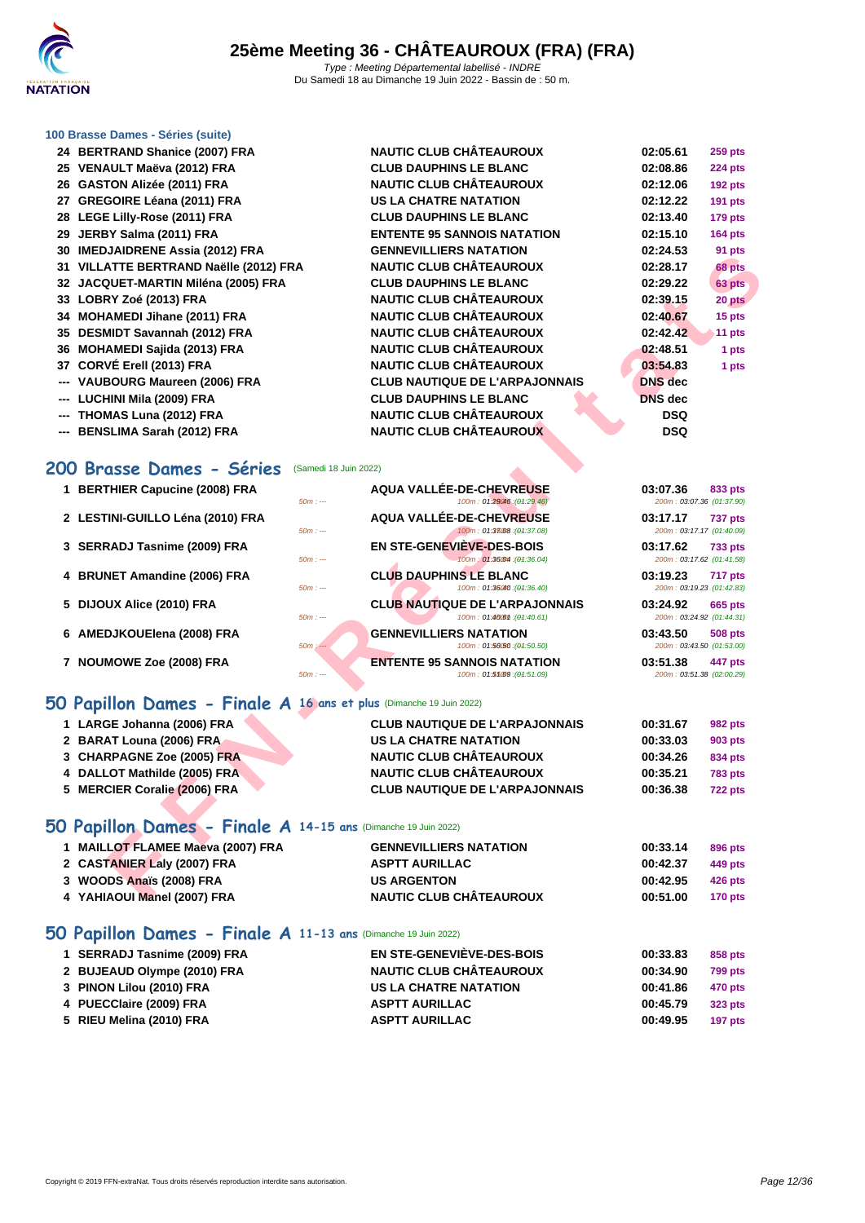

#### **[100 Brass](http://www.ffnatation.fr/webffn/index.php)e Dames - Séries (suite)**

- **24 BERTRAND Shanice (2007) FRA NAUTIC CLUB CHÂTEAUROUX 02:05.61 259 pts**
- **25 VENAULT Maëva (2012) FRA CLUB DAUPHINS LE BLANC 02:08.86 224 pts**
- **26 GASTON Alizée (2011) FRA**
- 27 **GREGOIRE Léana (2011) FRA**
- **28 LEGE Lilly-Rose (2011) FRA CLUB DAUPHINS LE BLANC 02:13.40 179 pts**
- **29 JERBY Salma (2011) FRA**
- **30 IMEDJAIDRENE Assia (2012) FRA**
- **31 VILLATTE BERTRAND Naëlle (2012) FRA**
- **32 JACQUET-MARTIN Miléna (2005) FRA**
- **33 LOBRY Zoé (2013) FRA NAUTIC CLUB CHÂTEAUROUX 02:39.15 20 pts**
- **34 MOHAMEDI Jihane (2011) FRA**
- **35 DESMIDT Savannah (2012) FRA**
- **36 MOHAMEDI Sajida (2013) FRA**
- **37 CORVÉ Erell (2013) FRA**
- --- **VAUBOURG Maureen (2006) FRA**
- **--- LUCHINI Mila (2009) FRA**
- **--- THOMAS Luna (2012) FRA**
- --- **BENSLIMA Sarah (2012) FRA**

#### **200 Brasse Dames - Séries** (Samedi 18 Juin 2022)

| <b>CLUB DAUPHINS LE BLANC</b>         |
|---------------------------------------|
| <b>NAUTIC CLUB CHÂTEAUROUX</b>        |
| <b>US LA CHATRE NATATION</b>          |
| <b>CLUB DAUPHINS LE BLANC</b>         |
| <b>ENTENTE 95 SANNOIS NATATION</b>    |
| <b>GENNEVILLIERS NATATION</b>         |
| <b>NAUTIC CLUB CHÂTEAUROUX</b>        |
| <b>CLUB DAUPHINS LE BLANC</b>         |
| <b>NAUTIC CLUB CHÂTEAUROUX</b>        |
| <b>NAUTIC CLUB CHÂTEAUROUX</b>        |
| <b>NAUTIC CLUB CHÂTEAUROUX</b>        |
| <b>NAUTIC CLUB CHÂTEAUROUX</b>        |
| <b>NAUTIC CLUB CHÂTEAUROUX</b>        |
| <b>CLUB NAUTIQUE DE L'ARPAJONNAIS</b> |
| <b>CLUB DAUPHINS LE BLANC</b>         |
| <b>NAUTIC CLUB CHÂTEAUROUX</b>        |
| <b>NAUTIC CLUB CHÂTEAUROUX</b>        |
|                                       |

| 02:05.61       | 259 pts |
|----------------|---------|
| 02:08.86       | 224 pts |
| 02:12.06       | 192 pts |
| 02:12.22       | 191 pts |
| 02:13.40       | 179 pts |
| 02:15.10       | 164 pts |
| 02:24.53       | 91 pts  |
| 02:28.17       | 68 pts  |
| 02:29.22       | 63 pts  |
| 02:39.15       | 20 pts  |
| 02:40.67       | 15 pts  |
| 02:42.42       | 11 pts  |
| 02:48.51       | 1 pts   |
| 03:54.83       | 1 pts   |
| DNS dec        |         |
| <b>DNS</b> dec |         |
| DSQ            |         |
| DSQ            |         |

| 03:07.36<br>200m: 03:07.36 (01:37.90)         | 833 pts        |
|-----------------------------------------------|----------------|
| 03:17.17 737 pts<br>200m: 03:17.17 (01:40.09) |                |
| 03:17.62 733 pts<br>200m: 03:17.62 (01:41.58) |                |
| 03:19.23 717 pts<br>200m: 03:19.23 (01:42.83) |                |
| 03:24.92 665 pts<br>200m: 03:24.92 (01:44.31) |                |
| 03:43.50<br>200m: 03:43.50 (01:53.00)         | <b>508 pts</b> |
| 03:51.38<br>200m: 03:51.38 (02:00.29)         | 447 pts        |

#### **50 Papillon Dames - Finale A 16 ans et plus** (Dimanche 19 Juin 2022)

| 30 INCOSAIDRENE ASSIG (2012) I RA                                   |                                                                    |                                       | ອ ເ µເຣ        |
|---------------------------------------------------------------------|--------------------------------------------------------------------|---------------------------------------|----------------|
| 31 VILLATTE BERTRAND Naëlle (2012) FRA                              | <b>NAUTIC CLUB CHÂTEAUROUX</b>                                     | 02:28.17                              | 68 pts         |
| 32 JACQUET-MARTIN Miléna (2005) FRA                                 | <b>CLUB DAUPHINS LE BLANC</b>                                      | 02:29.22                              | 63 pts         |
| 33 LOBRY Zoé (2013) FRA                                             | <b>NAUTIC CLUB CHÂTEAUROUX</b>                                     | 02:39.15                              | 20 pts         |
| 34 MOHAMEDI Jihane (2011) FRA                                       | <b>NAUTIC CLUB CHÂTEAUROUX</b>                                     | 02:40.67                              | 15 pts         |
| 35 DESMIDT Savannah (2012) FRA                                      | <b>NAUTIC CLUB CHÂTEAUROUX</b>                                     | 02:42.42                              | 11 pts         |
| 36 MOHAMEDI Sajida (2013) FRA                                       | <b>NAUTIC CLUB CHÂTEAUROUX</b>                                     | 02:48.51                              | 1 pts          |
| 37 CORVÉ Erell (2013) FRA                                           | <b>NAUTIC CLUB CHÂTEAUROUX</b>                                     | 03:54.83                              | 1 pts          |
| --- VAUBOURG Maureen (2006) FRA                                     | <b>CLUB NAUTIQUE DE L'ARPAJONNAIS</b>                              | <b>DNS</b> dec                        |                |
| LUCHINI Mila (2009) FRA                                             | <b>CLUB DAUPHINS LE BLANC</b>                                      | <b>DNS</b> dec                        |                |
| --- THOMAS Luna (2012) FRA                                          | <b>NAUTIC CLUB CHÂTEAUROUX</b>                                     | <b>DSQ</b>                            |                |
| --- BENSLIMA Sarah (2012) FRA                                       | <b>NAUTIC CLUB CHÂTEAUROUX</b>                                     | <b>DSQ</b>                            |                |
| 200 Brasse Dames - Séries                                           | (Samedi 18 Juin 2022)                                              |                                       |                |
| 1 BERTHIER Capucine (2008) FRA<br>$50m: -$                          | <b>AQUA VALLÉE-DE-CHEVREUSE</b><br>100m: 01:29046 : (01:29.46)     | 03:07.36<br>200m: 03:07.36 (01:37.90) | 833 pts        |
| 2 LESTINI-GUILLO Léna (2010) FRA<br>$50m: -$                        | <b>AQUA VALLÉE-DE-CHEVREUSE</b><br>100m: 01:38008 : (01:37.08)     | 03:17.17<br>200m: 03:17.17 (01:40.09) | <b>737 pts</b> |
| 3 SERRADJ Tasnime (2009) FRA<br>$50m: -$                            | EN STE-GENEVIEVE-DES-BOIS<br>100m: 01:360M : (01:36.04)            | 03:17.62<br>200m: 03:17.62 (01:41.58) | <b>733 pts</b> |
| 4 BRUNET Amandine (2006) FRA<br>$50m: -$                            | <b>CLUB DAUPHINS LE BLANC</b><br>100m: 01:36040 : (01:36.40)       | 03:19.23<br>200m: 03:19.23 (01:42.83) | 717 pts        |
| 5 DIJOUX Alice (2010) FRA<br>$50m: -$                               | <b>CLUB NAUTIQUE DE L'ARPAJONNAIS</b><br>100m: 01:460m; (04:40.61) | 03:24.92<br>200m: 03:24.92 (01:44.31) | 665 pts        |
| 6 AMEDJKOUElena (2008) FRA<br>$50m: -$                              | <b>GENNEVILLIERS NATATION</b><br>100m: 01:56/50 : (01:50.50)       | 03:43.50<br>200m: 03:43.50 (01:53.00) | <b>508 pts</b> |
| 7 NOUMOWE Zoe (2008) FRA<br>$50m: -$                                | <b>ENTENTE 95 SANNOIS NATATION</b><br>100m: 01:55009 : (01:51.09)  | 03:51.38<br>200m: 03:51.38 (02:00.29) | <b>447 pts</b> |
| 50 Papillon Dames - Finale A 16 ans et plus (Dimanche 19 Juin 2022) |                                                                    |                                       |                |
| 1 LARGE Johanna (2006) FRA                                          | <b>CLUB NAUTIQUE DE L'ARPAJONNAIS</b>                              | 00:31.67                              | 982 pts        |
| 2 BARAT Louna (2006) FRA                                            | <b>US LA CHATRE NATATION</b>                                       | 00:33.03                              | 903 pts        |
| 3 CHARPAGNE Zoe (2005) FRA                                          | <b>NAUTIC CLUB CHÂTEAUROUX</b>                                     | 00:34.26                              | 834 pts        |
| 4 DALLOT Mathilde (2005) FRA                                        | <b>NAUTIC CLUB CHÂTEAUROUX</b>                                     | 00:35.21                              | <b>783 pts</b> |
| 5 MERCIER Coralie (2006) FRA                                        | <b>CLUB NAUTIQUE DE L'ARPAJONNAIS</b>                              | 00:36.38                              | <b>722 pts</b> |
|                                                                     |                                                                    |                                       |                |
| 50 Papillon Dames - Finale A 14-15 ans (Dimanche 19 Juin 2022)      |                                                                    |                                       |                |
| 1 MAILLOT FLAMEE Maeva (2007) FRA                                   | <b>GENNEVILLIERS NATATION</b>                                      | 00:33.14                              | 896 pts        |
| 2 CASTANIER Laly (2007) FRA                                         | <b>ASPTT AURILLAC</b>                                              | 00:42.37                              | 449 pts        |
| 3 WOODS Anaïs (2008) FRA                                            | <b>US ARGENTON</b>                                                 | 00:42.95                              | 426 pts        |
| 4 YAHIAOUI Manel (2007) FRA                                         | <b>NAUTIC CLUB CHÂTEAUROUX</b>                                     | 00:51.00                              | <b>170 pts</b> |

#### **50 Papillon Dames - Finale A 14-15 ans** (Dimanche 19 Juin 2022)

| 1 MAILLOT FLAMEE Maeva (2007) FRA | <b>GENNEVILLIERS NATATION</b>  | 00:33.14 | 896 pts   |
|-----------------------------------|--------------------------------|----------|-----------|
| 2 CASTANIER Laly (2007) FRA       | <b>ASPTT AURILLAC</b>          | 00:42.37 | 449 pts   |
| 3 WOODS Anaïs (2008) FRA          | <b>US ARGENTON</b>             | 00:42.95 | 426 pts   |
| 4 YAHIAOUI Manel (2007) FRA       | <b>NAUTIC CLUB CHÂTEAUROUX</b> | 00:51.00 | 170 $pts$ |

### **50 Papillon Dames - Finale A 11-13 ans** (Dimanche 19 Juin 2022)

| 1 SERRADJ Tasnime (2009) FRA | EN STE-GENEVIÈVE-DES-BOIS      | 00:33.83 | 858 pts        |
|------------------------------|--------------------------------|----------|----------------|
| 2 BUJEAUD Olympe (2010) FRA  | <b>NAUTIC CLUB CHÂTEAUROUX</b> | 00:34.90 | <b>799 pts</b> |
| 3 PINON Lilou (2010) FRA     | US LA CHATRE NATATION          | 00:41.86 | 470 pts        |
| 4 PUECClaire (2009) FRA      | <b>ASPTT AURILLAC</b>          | 00:45.79 | 323 pts        |
| 5 RIEU Melina (2010) FRA     | <b>ASPTT AURILLAC</b>          | 00:49.95 | 197 pts        |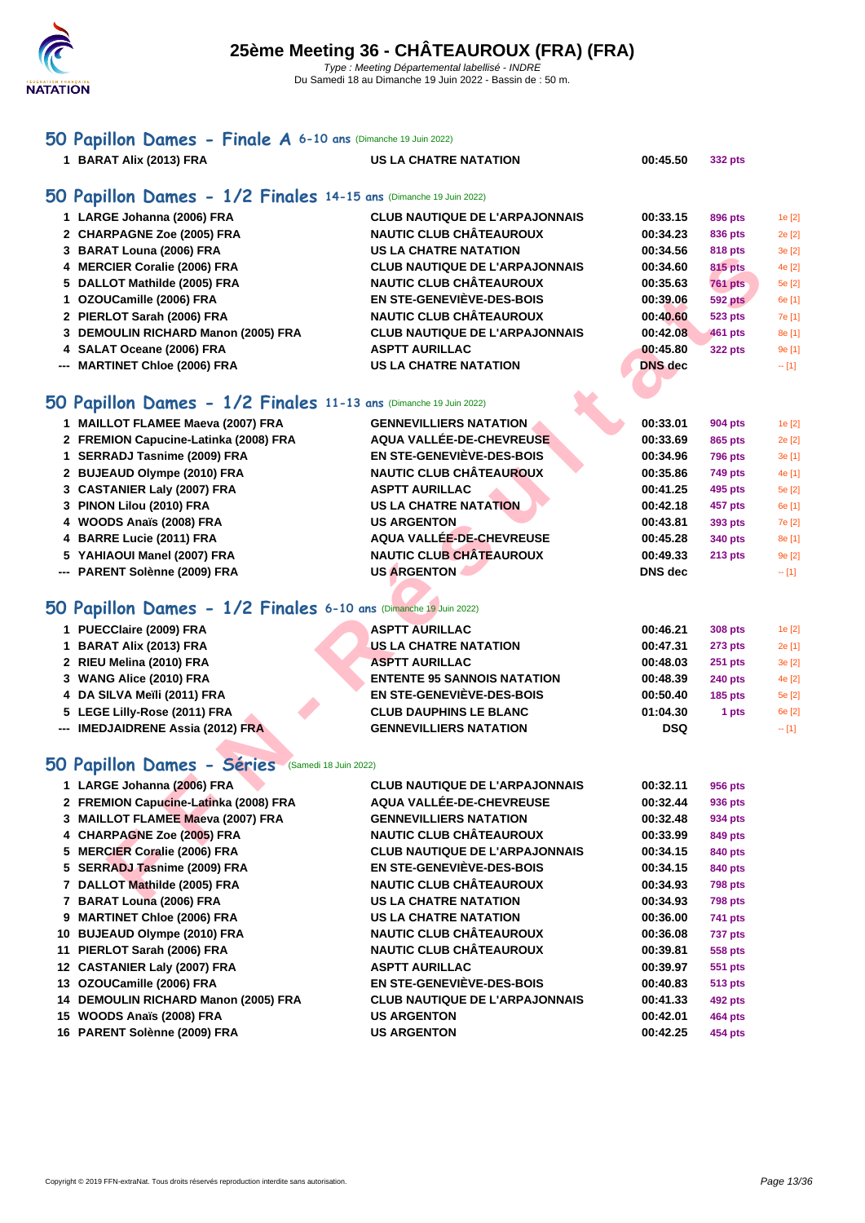

## **[50 Pap](http://www.ffnatation.fr/webffn/index.php)illon Dames - Finale A 6-10 ans** (Dimanche 19 Juin 2022)

**BARAT Alix (2013) FRA US LA CHATRE NATATION 00:45.50 332 pts**

#### **50 Papillon Dames - 1/2 Finales 14-15 ans** (Dimanche 19 Juin 2022)

| 1 LARGE Johanna (2006) FRA          | <b>CLUB NAUTIQUE DE L'ARPAJONNAIS</b> | 00:33.15       | 896 pts        | 1e [2]  |
|-------------------------------------|---------------------------------------|----------------|----------------|---------|
| 2 CHARPAGNE Zoe (2005) FRA          | <b>NAUTIC CLUB CHÂTEAUROUX</b>        | 00:34.23       | 836 pts        | 2e [2]  |
| 3 BARAT Louna (2006) FRA            | <b>US LA CHATRE NATATION</b>          | 00:34.56       | 818 pts        | 3e [2]  |
| 4 MERCIER Coralie (2006) FRA        | <b>CLUB NAUTIQUE DE L'ARPAJONNAIS</b> | 00:34.60       | <b>815 pts</b> | 4e [2]  |
| 5 DALLOT Mathilde (2005) FRA        | <b>NAUTIC CLUB CHÂTEAUROUX</b>        | 00:35.63       | <b>761 pts</b> | 5e [2]  |
| 1 OZOUCamille (2006) FRA            | EN STE-GENEVIÈVE-DES-BOIS             | 00:39.06       | <b>592 pts</b> | 6e [1]  |
| 2 PIERLOT Sarah (2006) FRA          | <b>NAUTIC CLUB CHÂTEAUROUX</b>        | 00:40.60       | <b>523 pts</b> | 7e [1]  |
| 3 DEMOULIN RICHARD Manon (2005) FRA | <b>CLUB NAUTIQUE DE L'ARPAJONNAIS</b> | 00:42.08       | 461 pts        | 8e [1]  |
| 4 SALAT Oceane (2006) FRA           | <b>ASPTT AURILLAC</b>                 | 00:45.80       | <b>322 pts</b> | 9e [1]  |
| --- MARTINET Chloe (2006) FRA       | <b>US LA CHATRE NATATION</b>          | <b>DNS</b> dec |                | $-$ [1] |
|                                     |                                       |                |                |         |

### **50 Papillon Dames - 1/2 Finales 11-13 ans** (Dimanche 19 Juin 2022)

| <b>J</b> DANAI LUURIQ (2000) INA                                  | 09 LA VIIAIRE MATATIUI                | vv.v+.jv       | o i o pls      | ן∠ן סט  |
|-------------------------------------------------------------------|---------------------------------------|----------------|----------------|---------|
| 4 MERCIER Coralie (2006) FRA                                      | <b>CLUB NAUTIQUE DE L'ARPAJONNAIS</b> | 00:34.60       | <b>815 pts</b> | 4e [2]  |
| 5 DALLOT Mathilde (2005) FRA                                      | <b>NAUTIC CLUB CHÂTEAUROUX</b>        | 00:35.63       | <b>761 pts</b> | 5e [2]  |
| 1 OZOUCamille (2006) FRA                                          | EN STE-GENEVIÈVE-DES-BOIS             | 00:39.06       | <b>592 pts</b> | 6e [1]  |
| 2 PIERLOT Sarah (2006) FRA                                        | <b>NAUTIC CLUB CHÂTEAUROUX</b>        | 00:40.60       | <b>523 pts</b> | 7e [1]  |
| 3 DEMOULIN RICHARD Manon (2005) FRA                               | <b>CLUB NAUTIQUE DE L'ARPAJONNAIS</b> | 00:42.08       | <b>461 pts</b> | 8e [1]  |
| 4 SALAT Oceane (2006) FRA                                         | <b>ASPTT AURILLAC</b>                 | 00:45.80       | <b>322 pts</b> | 9e [1]  |
| --- MARTINET Chloe (2006) FRA                                     | <b>US LA CHATRE NATATION</b>          | <b>DNS</b> dec |                | $- [1]$ |
|                                                                   |                                       |                |                |         |
| 50 Papillon Dames - 1/2 Finales 11-13 ans (Dimanche 19 Juin 2022) |                                       |                |                |         |
| 1 MAILLOT FLAMEE Maeva (2007) FRA                                 | <b>GENNEVILLIERS NATATION</b>         | 00:33.01       | 904 pts        | 1e [2]  |
| 2 FREMION Capucine-Latinka (2008) FRA                             | AQUA VALLÉE-DE-CHEVREUSE              | 00:33.69       | 865 pts        | 2e [2]  |
| 1 SERRADJ Tasnime (2009) FRA                                      | EN STE-GENEVIÈVE-DES-BOIS             | 00:34.96       | <b>796 pts</b> | 3e [1]  |
| 2 BUJEAUD Olympe (2010) FRA                                       | <b>NAUTIC CLUB CHÂTEAUROUX</b>        | 00:35.86       | 749 pts        | 4e [1]  |
| 3 CASTANIER Laly (2007) FRA                                       | <b>ASPTT AURILLAC</b>                 | 00:41.25       | 495 pts        | 5e [2]  |
| 3 PINON Lilou (2010) FRA                                          | <b>US LA CHATRE NATATION</b>          | 00:42.18       | 457 pts        | 6e [1]  |
| 4 WOODS Anaïs (2008) FRA                                          | <b>US ARGENTON</b>                    | 00:43.81       | 393 pts        | 7e [2]  |
| 4 BARRE Lucie (2011) FRA                                          | AQUA VALLÉE-DE-CHEVREUSE              | 00:45.28       | 340 pts        | 8e [1]  |
| 5 YAHIAOUI Manel (2007) FRA                                       | <b>NAUTIC CLUB CHÂTEAUROUX</b>        | 00:49.33       | $213$ pts      | 9e [2]  |
| --- PARENT Solènne (2009) FRA                                     | <b>US ARGENTON</b>                    | DNS dec        |                | $- [1]$ |
| 50 Papillon Dames - 1/2 Finales 6-10 ans (Dimanche 19 Juin 2022)  |                                       |                |                |         |
| 1 PUECClaire (2009) FRA                                           | <b>ASPTT AURILLAC</b>                 | 00:46.21       | 308 pts        | 1e [2]  |
| 1 BARAT Alix (2013) FRA                                           | <b>US LA CHATRE NATATION</b>          | 00:47.31       | 273 pts        | 2e [1]  |
| 2 RIEU Melina (2010) FRA                                          | <b>ASPTT AURILLAC</b>                 | 00:48.03       | <b>251 pts</b> | 3e [2]  |
| 3 WANG Alice (2010) FRA                                           | <b>ENTENTE 95 SANNOIS NATATION</b>    | 00:48.39       | <b>240 pts</b> | 4e [2]  |
| 4 DA SILVA Meïli (2011) FRA                                       | <b>EN STE-GENEVIÈVE-DES-BOIS</b>      | 00:50.40       | <b>185 pts</b> | 5e [2]  |
| 5 LEGE Lilly-Rose (2011) FRA                                      | <b>CLUB DAUPHINS LE BLANC</b>         | 01:04.30       | 1 pts          | 6e [2]  |
| --- IMEDJAIDRENE Assia (2012) FRA                                 | <b>GENNEVILLIERS NATATION</b>         | <b>DSQ</b>     |                | $- [1]$ |
| 50 Papillon Dames - Séries<br>(Samedi 18 Juin 2022)               |                                       |                |                |         |
| 1 LARGE Johanna (2006) FRA                                        | <b>CLUB NAUTIQUE DE L'ARPAJONNAIS</b> | 00:32.11       | 956 pts        |         |
| 2 FREMION Capucine-Latinka (2008) FRA                             | AQUA VALLÉE-DE-CHEVREUSE              | 00:32.44       | 936 pts        |         |
| 3 MAILLOT FLAMEE Maeva (2007) FRA                                 | <b>GENNEVILLIERS NATATION</b>         | 00:32.48       | 934 pts        |         |
| 4 CHARPAGNE Zoe (2005) FRA                                        | <b>NAUTIC CLUB CHÂTEAUROUX</b>        | 00:33.99       | 849 pts        |         |
| 5 MERCIER Coralie (2006) FRA                                      | <b>CLUB NAUTIQUE DE L'ARPAJONNAIS</b> | 00:34.15       | 840 pts        |         |
| 5 SERRADJ Tasnime (2009) FRA                                      | EN STE-GENEVIÈVE-DES-BOIS             | 00:34.15       | 840 pts        |         |
| 7 DALLOT Mathilde (2005) FRA                                      | <b>NAUTIC CLUB CHÂTEAUROUX</b>        | 00:34.93       | <b>798 pts</b> |         |
| ADATI AUSS (OOOC) EDA                                             | <b>HOLLA CUATRE MATATION</b>          | 00.2402        | $700 - 44$     |         |

### **50 Papillon Dames - 1/2 Finales 6-10 ans** (Dimanche 19 Juin 2022)

| 1 PUECClaire (2009) FRA           | <b>ASPTT AURILLAC</b>              | 00:46.21   | 308 pts        | 1e [2] |
|-----------------------------------|------------------------------------|------------|----------------|--------|
| 1 BARAT Alix (2013) FRA           | US LA CHATRE NATATION              | 00:47.31   | <b>273 pts</b> | 2e[1]  |
| 2 RIEU Melina (2010) FRA          | <b>ASPTT AURILLAC</b>              | 00:48.03   | <b>251 pts</b> | 3e[2]  |
| 3 WANG Alice (2010) FRA           | <b>ENTENTE 95 SANNOIS NATATION</b> | 00:48.39   | <b>240 pts</b> | 4e [2] |
| 4 DA SILVA Meïli (2011) FRA       | <b>EN STE-GENEVIÈVE-DES-BOIS</b>   | 00:50.40   | $185$ pts      | 5e [2] |
| 5 LEGE Lilly-Rose (2011) FRA      | <b>CLUB DAUPHINS LE BLANC</b>      | 01:04.30   | 1 pts          | 6e [2] |
| --- IMEDJAIDRENE Assia (2012) FRA | <b>GENNEVILLIERS NATATION</b>      | <b>DSQ</b> |                | $-11$  |

## **50 Papillon Dames - Séries** (Samedi 18 Juin 2022)

| 1 LARGE Johanna (2006) FRA            | <b>CLUB NAUTIQUE DE L'ARPAJONNAIS</b> | 00:32.11 | 956 pts        |
|---------------------------------------|---------------------------------------|----------|----------------|
| 2 FREMION Capucine-Latinka (2008) FRA | AQUA VALLÉE-DE-CHEVREUSE              | 00:32.44 | 936 pts        |
| 3 MAILLOT FLAMEE Maeva (2007) FRA     | <b>GENNEVILLIERS NATATION</b>         | 00:32.48 | 934 pts        |
| 4 CHARPAGNE Zoe (2005) FRA            | <b>NAUTIC CLUB CHÂTEAUROUX</b>        | 00:33.99 | 849 pts        |
| 5 MERCIER Coralie (2006) FRA          | <b>CLUB NAUTIQUE DE L'ARPAJONNAIS</b> | 00:34.15 | 840 pts        |
| 5 SERRADJ Tasnime (2009) FRA          | EN STE-GENEVIÈVE-DES-BOIS             | 00:34.15 | 840 pts        |
| 7 DALLOT Mathilde (2005) FRA          | <b>NAUTIC CLUB CHÂTEAUROUX</b>        | 00:34.93 | <b>798 pts</b> |
| 7 BARAT Louna (2006) FRA              | <b>US LA CHATRE NATATION</b>          | 00:34.93 | <b>798 pts</b> |
| 9 MARTINET Chloe (2006) FRA           | <b>US LA CHATRE NATATION</b>          | 00:36.00 | 741 pts        |
| 10 BUJEAUD Olympe (2010) FRA          | <b>NAUTIC CLUB CHÂTEAUROUX</b>        | 00:36.08 | 737 pts        |
| 11 PIERLOT Sarah (2006) FRA           | <b>NAUTIC CLUB CHÂTEAUROUX</b>        | 00:39.81 | 558 pts        |
| 12 CASTANIER Laly (2007) FRA          | <b>ASPTT AURILLAC</b>                 | 00:39.97 | <b>551 pts</b> |
| 13 OZOUCamille (2006) FRA             | EN STE-GENEVIÈVE-DES-BOIS             | 00:40.83 | <b>513 pts</b> |
| 14 DEMOULIN RICHARD Manon (2005) FRA  | <b>CLUB NAUTIQUE DE L'ARPAJONNAIS</b> | 00:41.33 | 492 pts        |
| 15 WOODS Anaïs (2008) FRA             | <b>US ARGENTON</b>                    | 00:42.01 | <b>464 pts</b> |
| 16 PARENT Solènne (2009) FRA          | <b>US ARGENTON</b>                    | 00:42.25 | 454 pts        |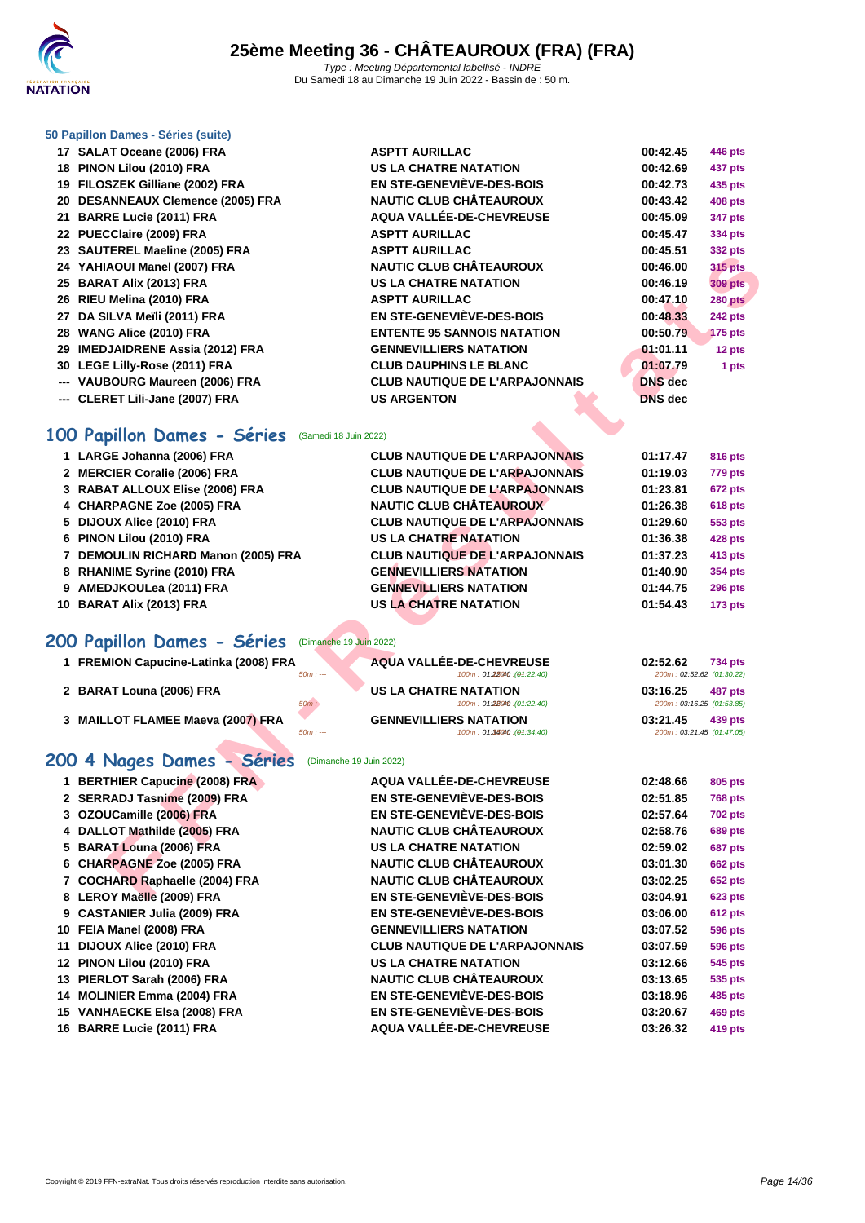

#### **[50 Papillo](http://www.ffnatation.fr/webffn/index.php)n Dames - Séries (suite)**

| 17 SALAT Oceane (2006) FRA                       | <b>ASPTT AURILLAC</b>                 | 00:42.45       | <b>446 pts</b> |
|--------------------------------------------------|---------------------------------------|----------------|----------------|
| 18 PINON Lilou (2010) FRA                        | <b>US LA CHATRE NATATION</b>          | 00:42.69       | 437 pts        |
| 19 FILOSZEK Gilliane (2002) FRA                  | EN STE-GENEVIÈVE-DES-BOIS             | 00:42.73       | 435 pts        |
| 20 DESANNEAUX Clemence (2005) FRA                | <b>NAUTIC CLUB CHÂTEAUROUX</b>        | 00:43.42       | <b>408 pts</b> |
| 21 BARRE Lucie (2011) FRA                        | AQUA VALLÉE-DE-CHEVREUSE              | 00:45.09       | <b>347 pts</b> |
| 22 PUECClaire (2009) FRA                         | <b>ASPTT AURILLAC</b>                 | 00:45.47       | 334 pts        |
| 23 SAUTEREL Maeline (2005) FRA                   | <b>ASPTT AURILLAC</b>                 | 00:45.51       | 332 pts        |
| 24 YAHIAOUI Manel (2007) FRA                     | <b>NAUTIC CLUB CHÂTEAUROUX</b>        | 00:46.00       | <b>315 pts</b> |
| 25 BARAT Alix (2013) FRA                         | <b>US LA CHATRE NATATION</b>          | 00:46.19       | <b>309 pts</b> |
| 26 RIEU Melina (2010) FRA                        | <b>ASPTT AURILLAC</b>                 | 00:47.10       | 280 pts        |
| 27 DA SILVA Meïli (2011) FRA                     | <b>EN STE-GENEVIÈVE-DES-BOIS</b>      | 00:48.33       | 242 pts        |
| 28 WANG Alice (2010) FRA                         | <b>ENTENTE 95 SANNOIS NATATION</b>    | 00:50.79       | 175 pts        |
| 29 IMEDJAIDRENE Assia (2012) FRA                 | <b>GENNEVILLIERS NATATION</b>         | 01:01.11       | 12 pts         |
| 30 LEGE Lilly-Rose (2011) FRA                    | <b>CLUB DAUPHINS LE BLANC</b>         | 01:07.79       | 1 pts          |
| --- VAUBOURG Maureen (2006) FRA                  | <b>CLUB NAUTIQUE DE L'ARPAJONNAIS</b> | <b>DNS</b> dec |                |
| --- CLERET Lili-Jane (2007) FRA                  | <b>US ARGENTON</b>                    | <b>DNS</b> dec |                |
| 00 Papillon Dames - Séries (Samedi 18 Juin 2022) |                                       |                |                |

# **100 Papillon Dames - Séries** (Samedi 18 Juin 2022)

| 23 SAUTENEE MAGNIUS (2003) I INA                 |                                                              | JJZ µເວ                                          |
|--------------------------------------------------|--------------------------------------------------------------|--------------------------------------------------|
| 24 YAHIAOUI Manel (2007) FRA                     | <b>NAUTIC CLUB CHÂTEAUROUX</b>                               | 00:46.00<br><b>315 pts</b>                       |
| 25 BARAT Alix (2013) FRA                         | <b>US LA CHATRE NATATION</b>                                 | 00:46.19<br><b>309 pts</b>                       |
| 26 RIEU Melina (2010) FRA                        | <b>ASPTT AURILLAC</b>                                        | 00:47.10<br><b>280 pts</b>                       |
| 27 DA SILVA Meïli (2011) FRA                     | <b>EN STE-GENEVIÈVE-DES-BOIS</b>                             | 00:48.33<br><b>242 pts</b>                       |
| 28 WANG Alice (2010) FRA                         | <b>ENTENTE 95 SANNOIS NATATION</b>                           | 00:50.79<br><b>175 pts</b>                       |
| 29 IMEDJAIDRENE Assia (2012) FRA                 | <b>GENNEVILLIERS NATATION</b>                                | 01:01.11<br>12 pts                               |
| 30 LEGE Lilly-Rose (2011) FRA                    | <b>CLUB DAUPHINS LE BLANC</b>                                | 01:07.79<br>1 pts                                |
| --- VAUBOURG Maureen (2006) FRA                  | <b>CLUB NAUTIQUE DE L'ARPAJONNAIS</b>                        | <b>DNS</b> dec                                   |
| --- CLERET Lili-Jane (2007) FRA                  | <b>US ARGENTON</b>                                           | <b>DNS</b> dec                                   |
| 00 Papillon Dames - Séries (Samedi 18 Juin 2022) |                                                              |                                                  |
| 1 LARGE Johanna (2006) FRA                       | <b>CLUB NAUTIQUE DE L'ARPAJONNAIS</b>                        | 01:17.47<br><b>816 pts</b>                       |
| 2 MERCIER Coralie (2006) FRA                     | <b>CLUB NAUTIQUE DE L'ARPAJONNAIS</b>                        | 01:19.03<br>779 pts                              |
| 3 RABAT ALLOUX Elise (2006) FRA                  | <b>CLUB NAUTIQUE DE L'ARPAJONNAIS</b>                        | 01:23.81<br>672 pts                              |
| 4 CHARPAGNE Zoe (2005) FRA                       | <b>NAUTIC CLUB CHÂTEAUROUX</b>                               | 01:26.38<br><b>618 pts</b>                       |
| 5 DIJOUX Alice (2010) FRA                        | <b>CLUB NAUTIQUE DE L'ARPAJONNAIS</b>                        | 01:29.60<br>553 pts                              |
| 6 PINON Lilou (2010) FRA                         | <b>US LA CHATRE NATATION</b>                                 | 01:36.38<br>428 pts                              |
| 7 DEMOULIN RICHARD Manon (2005) FRA              | <b>CLUB NAUTIQUE DE L'ARPAJONNAIS</b>                        | 01:37.23<br>413 pts                              |
| 8 RHANIME Syrine (2010) FRA                      | <b>GENNEVILLIERS NATATION</b>                                | 01:40.90<br>354 pts                              |
| 9 AMEDJKOULea (2011) FRA                         | <b>GENNEVILLIERS NATATION</b>                                | 01:44.75<br><b>296 pts</b>                       |
| 10 BARAT Alix (2013) FRA                         | <b>US LA CHATRE NATATION</b>                                 | 01:54.43<br><b>173 pts</b>                       |
| 00 Papillon Dames - Séries                       | (Dimanche 19 Juin 2022)                                      |                                                  |
| 1 FREMION Capucine-Latinka (2008) FRA            | <b>AQUA VALLÉE-DE-CHEVREUSE</b>                              | 02:52.62<br><b>734 pts</b>                       |
| $50m: -$                                         | 100m: 01:28040 : (01:22.40)                                  | 200m: 02:52.62 (01:30.22)                        |
| 2 BARAT Louna (2006) FRA                         | <b>US LA CHATRE NATATION</b>                                 | 03:16.25<br><b>487 pts</b>                       |
| 50m:                                             | 100m: 01:28040 : (01:22.40)                                  | 200m: 03:16.25 (01:53.85)                        |
| 3 MAILLOT FLAMEE Maeva (2007) FRA<br>$50m: -$    | <b>GENNEVILLIERS NATATION</b><br>100m: 01:34040 : (01:34.40) | 03:21.45<br>439 pts<br>200m: 03:21.45 (01:47.05) |
|                                                  |                                                              |                                                  |
| 00 4 Nages Dames - Séries                        | (Dimanche 19 Juin 2022)                                      |                                                  |
| 1 BERTHIER Capucine (2008) FRA                   | AQUA VALLÉE-DE-CHEVREUSE                                     | 02:48.66<br>805 pts                              |
| 2 SERRADJ Tasnime (2009) FRA                     | EN STE-GENEVIÈVE-DES-BOIS                                    | 02:51.85<br><b>768 pts</b>                       |
| 3 OZOUCamille (2006) FRA                         | <b>EN STE-GENEVIÈVE-DES-BOIS</b>                             | 02:57.64<br><b>702 pts</b>                       |
| 4 DALLOT Mathilde (2005) FRA                     | <b>NAUTIC CLUB CHÂTEAUROUX</b>                               | 02:58.76<br><b>689 pts</b>                       |
| 5 BARAT Louna (2006) FRA                         | <b>US LA CHATRE NATATION</b>                                 | 02:59.02<br>687 pts                              |
| 6 CHARPAGNE Zoe (2005) FRA                       | <b>NAUTIC CLUB CHÂTEAUROUX</b>                               | 03:01.30<br><b>662 pts</b>                       |
| 7 COCHARD Raphaelle (2004) FRA                   | <b>NAUTIC CLUB CHÂTEAUROUX</b>                               | 03:02.25<br><b>652 pts</b>                       |
| 8 LEROY Maëlle (2009) FRA                        | EN STE-GENEVIÈVE-DES-BOIS                                    | 03:04.91<br><b>623 pts</b>                       |

# **200 Papillon Dames - Séries** (Dimanche 19 Juin 2022)

| 1 FREMION Capucine-Latinka (2008) FRA |  | AQUA VALLÉE-DE-CHEVREUSE      | 02:52.62                  | <b>734 pts</b> |
|---------------------------------------|--|-------------------------------|---------------------------|----------------|
| $50m: --$                             |  | 100m: 01:28040 : (01:22.40)   | 200m: 02:52.62 (01:30.22) |                |
| 2 BARAT Louna (2006) FRA              |  | <b>US LA CHATRE NATATION</b>  | 03:16.25                  | <b>487 pts</b> |
| $50m: -$                              |  | 100m: 01:28040 : (01:22.40)   | 200m: 03:16.25 (01:53.85) |                |
| 3 MAILLOT FLAMEE Maeva (2007) FRA     |  | <b>GENNEVILLIERS NATATION</b> | 03:21.45                  | 439 pts        |
| $50m: --$                             |  | 100m: 01:34040 : (01:34.40)   | 200m: 03:21.45 (01:47.05) |                |

### **200 4 Nages Dames - Séries** (Dimanche 19 Juin 2022)

| 1 BERTHIER Capucine (2008) FRA | AQUA VALLÉE-DE-CHEVREUSE              | 02:48.66 | 805 pts        |
|--------------------------------|---------------------------------------|----------|----------------|
| 2 SERRADJ Tasnime (2009) FRA   | EN STE-GENEVIÈVE-DES-BOIS             | 02:51.85 | <b>768 pts</b> |
| 3 OZOUCamille (2006) FRA       | EN STE-GENEVIÈVE-DES-BOIS             | 02:57.64 | <b>702 pts</b> |
| 4 DALLOT Mathilde (2005) FRA   | <b>NAUTIC CLUB CHÂTEAUROUX</b>        | 02:58.76 | <b>689 pts</b> |
| 5 BARAT Louna (2006) FRA       | <b>US LA CHATRE NATATION</b>          | 02:59.02 | 687 pts        |
| 6 CHARPAGNE Zoe (2005) FRA     | <b>NAUTIC CLUB CHÂTEAUROUX</b>        | 03:01.30 | <b>662 pts</b> |
| 7 COCHARD Raphaelle (2004) FRA | <b>NAUTIC CLUB CHÂTEAUROUX</b>        | 03:02.25 | <b>652 pts</b> |
| 8 LEROY Maëlle (2009) FRA      | <b>EN STE-GENEVIÈVE-DES-BOIS</b>      | 03:04.91 | <b>623 pts</b> |
| 9 CASTANIER Julia (2009) FRA   | <b>EN STE-GENEVIÈVE-DES-BOIS</b>      | 03:06.00 | 612 pts        |
| 10 FEIA Manel (2008) FRA       | <b>GENNEVILLIERS NATATION</b>         | 03:07.52 | <b>596 pts</b> |
| 11 DIJOUX Alice (2010) FRA     | <b>CLUB NAUTIQUE DE L'ARPAJONNAIS</b> | 03:07.59 | <b>596 pts</b> |
| 12 PINON Lilou (2010) FRA      | <b>US LA CHATRE NATATION</b>          | 03:12.66 | <b>545 pts</b> |
| 13 PIERLOT Sarah (2006) FRA    | <b>NAUTIC CLUB CHÂTEAUROUX</b>        | 03:13.65 | 535 pts        |
| 14 MOLINIER Emma (2004) FRA    | EN STE-GENEVIÈVE-DES-BOIS             | 03:18.96 | 485 pts        |
| 15 VANHAECKE Elsa (2008) FRA   | EN STE-GENEVIÈVE-DES-BOIS             | 03:20.67 | 469 pts        |
| 16 BARRE Lucie (2011) FRA      | AQUA VALLÉE-DE-CHEVREUSE              | 03:26.32 | 419 pts        |
|                                |                                       |          |                |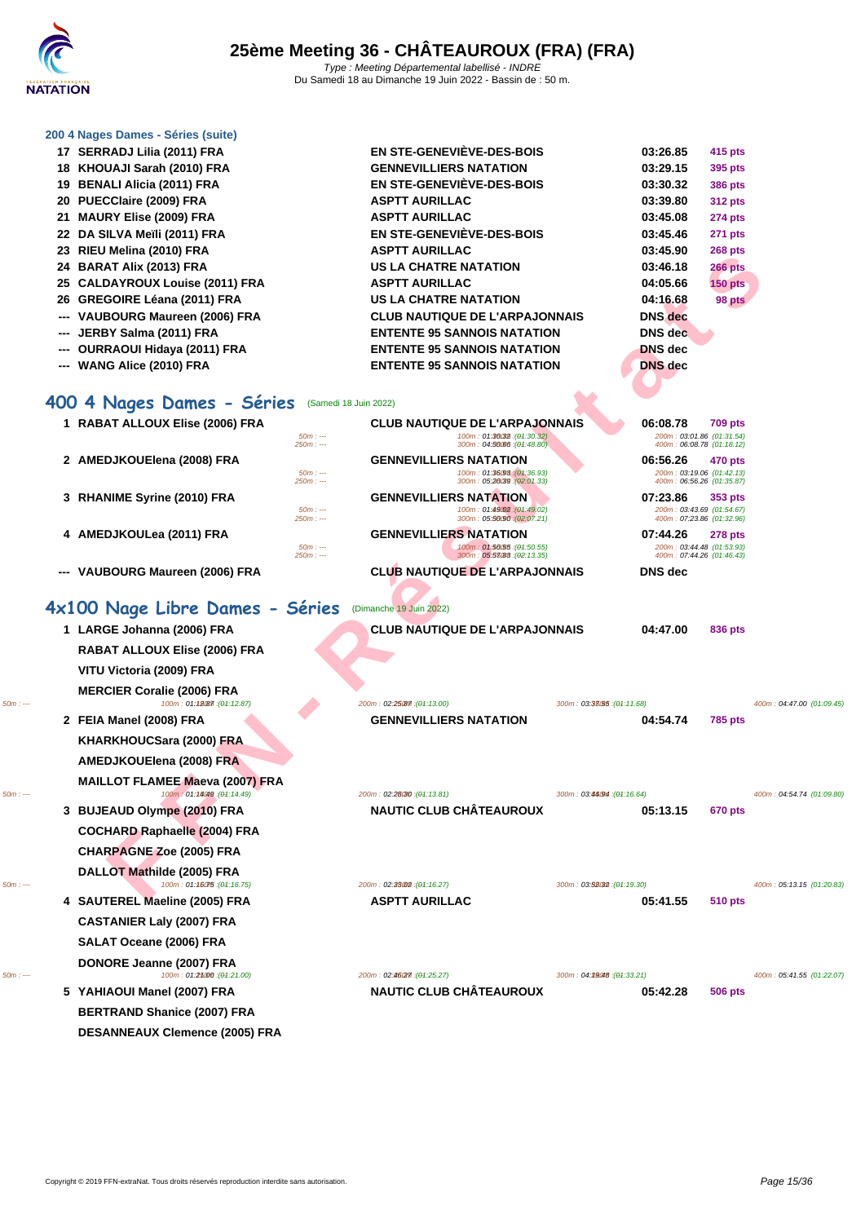

#### **[200 4 Nag](http://www.ffnatation.fr/webffn/index.php)es Dames - Séries (suite)**

| 17 SERRADJ Lilia (2011) FRA                     | <b>EN STE-GENEVIEVE-DES-BOIS</b>      | 03:26.85       | 415 pts        |
|-------------------------------------------------|---------------------------------------|----------------|----------------|
| 18 KHOUAJI Sarah (2010) FRA                     | <b>GENNEVILLIERS NATATION</b>         | 03:29.15       | 395 pts        |
| 19 BENALI Alicia (2011) FRA                     | <b>EN STE-GENEVIÈVE-DES-BOIS</b>      | 03:30.32       | <b>386 pts</b> |
| 20 PUECClaire (2009) FRA                        | <b>ASPTT AURILLAC</b>                 | 03:39.80       | <b>312 pts</b> |
| 21 MAURY Elise (2009) FRA                       | <b>ASPTT AURILLAC</b>                 | 03:45.08       | 274 pts        |
| 22 DA SILVA Meïli (2011) FRA                    | EN STE-GENEVIÈVE-DES-BOIS             | 03:45.46       | 271 pts        |
| 23 RIEU Melina (2010) FRA                       | <b>ASPTT AURILLAC</b>                 | 03:45.90       | <b>268 pts</b> |
| 24 BARAT Alix (2013) FRA                        | <b>US LA CHATRE NATATION</b>          | 03:46.18       | <b>266 pts</b> |
| 25 CALDAYROUX Louise (2011) FRA                 | <b>ASPTT AURILLAC</b>                 | 04:05.66       | <b>150 pts</b> |
| 26 GREGOIRE Léana (2011) FRA                    | <b>US LA CHATRE NATATION</b>          | 04:16.68       | 98 pts         |
| --- VAUBOURG Maureen (2006) FRA                 | <b>CLUB NAUTIQUE DE L'ARPAJONNAIS</b> | <b>DNS</b> dec |                |
| --- JERBY Salma (2011) FRA                      | <b>ENTENTE 95 SANNOIS NATATION</b>    | <b>DNS</b> dec |                |
| --- OURRAOUI Hidaya (2011) FRA                  | <b>ENTENTE 95 SANNOIS NATATION</b>    | <b>DNS</b> dec |                |
| --- WANG Alice (2010) FRA                       | <b>ENTENTE 95 SANNOIS NATATION</b>    | <b>DNS</b> dec |                |
| 00 4 Nages Dames - Séries (Samedi 18 Juin 2022) |                                       |                |                |

#### **400 4 Nages Dames - Séries** (Samedi 18 Juin 2022)

|           | <b>LU INLUMENTA (LUIU) I IN</b>                           |                       | טהשבות וניה וטח                                                      |                             | vj. Tj. ju                                             | zuo pis        |                           |
|-----------|-----------------------------------------------------------|-----------------------|----------------------------------------------------------------------|-----------------------------|--------------------------------------------------------|----------------|---------------------------|
|           | 24 BARAT Alix (2013) FRA                                  |                       | US LA CHATRE NATATION                                                |                             | 03:46.18                                               | <b>266 pts</b> |                           |
|           | 25 CALDAYROUX Louise (2011) FRA                           |                       | <b>ASPTT AURILLAC</b>                                                |                             | 04:05.66                                               | <b>150 pts</b> |                           |
|           | 26 GREGOIRE Léana (2011) FRA                              |                       | US LA CHATRE NATATION                                                |                             | 04:16.68                                               | 98 pts         |                           |
|           | --- VAUBOURG Maureen (2006) FRA                           |                       | <b>CLUB NAUTIQUE DE L'ARPAJONNAIS</b>                                |                             | <b>DNS</b> dec                                         |                |                           |
|           | --- JERBY Salma (2011) FRA                                |                       | <b>ENTENTE 95 SANNOIS NATATION</b>                                   |                             | <b>DNS</b> dec                                         |                |                           |
|           | --- OURRAOUI Hidaya (2011) FRA                            |                       | <b>ENTENTE 95 SANNOIS NATATION</b>                                   |                             | <b>DNS</b> dec                                         |                |                           |
|           | --- WANG Alice (2010) FRA                                 |                       | <b>ENTENTE 95 SANNOIS NATATION</b>                                   |                             | <b>DNS</b> dec                                         |                |                           |
|           | 400 4 Nages Dames - Séries                                | (Samedi 18 Juin 2022) |                                                                      |                             |                                                        |                |                           |
|           | 1 RABAT ALLOUX Elise (2006) FRA                           | $50m: -$              | <b>CLUB NAUTIQUE DE L'ARPAJONNAIS</b><br>100m: 01:36032 : (01:30.32) |                             | 06:08.78<br>200m: 03:01.86 (01:31.54)                  | <b>709 pts</b> |                           |
|           |                                                           | $250m: -$             | 300m: 04:56066 : (04:48.80)                                          |                             | 400m: 06:08.78 (01:18.12)                              |                |                           |
|           | 2 AMEDJKOUElena (2008) FRA                                |                       | <b>GENNEVILLIERS NATATION</b><br>100m: 01:36098 : (01:36.93)         |                             | 06:56.26<br>200m: 03:19.06 (01:42.13)                  | 470 pts        |                           |
|           |                                                           | $50m: -$<br>$250m: -$ | 300m: 05:20039 : (02:01.33)                                          |                             | 400m: 06:56.26 (01:35.87)                              |                |                           |
|           | 3 RHANIME Syrine (2010) FRA                               |                       | <b>GENNEVILLIERS NATATION</b>                                        |                             | 07:23.86                                               | 353 pts        |                           |
|           |                                                           | $50m: -$<br>$250m: -$ | 100m: 01:49.02 : (01:49.02)<br>300m: 05:56090 (02:07.21)             |                             | 200m: 03:43.69 (01:54.67)<br>400m: 07:23.86 (01:32.96) |                |                           |
|           | 4 AMEDJKOULea (2011) FRA                                  |                       | <b>GENNEVILLIERS NATATION</b>                                        |                             | 07:44.26                                               | <b>278 pts</b> |                           |
|           |                                                           | $50m: -$<br>$250m: -$ | 100m: 01:50.55 : (01:50.55)<br>300m: 05:53088 : (02:13.35)           |                             | 200m: 03:44.48 (01:53.93)<br>400m: 07:44.26 (01:46.43) |                |                           |
|           | --- VAUBOURG Maureen (2006) FRA                           |                       | <b>CLUB NAUTIQUE DE L'ARPAJONNAIS</b>                                |                             | <b>DNS</b> dec                                         |                |                           |
|           |                                                           |                       |                                                                      |                             |                                                        |                |                           |
|           | 4x100 Nage Libre Dames - Séries                           |                       | (Dimanche 19 Juin 2022)                                              |                             |                                                        |                |                           |
|           | 1 LARGE Johanna (2006) FRA                                |                       | <b>CLUB NAUTIQUE DE L'ARPAJONNAIS</b>                                |                             | 04:47.00                                               | 836 pts        |                           |
|           | RABAT ALLOUX Elise (2006) FRA                             |                       |                                                                      |                             |                                                        |                |                           |
|           | VITU Victoria (2009) FRA                                  |                       |                                                                      |                             |                                                        |                |                           |
|           | <b>MERCIER Coralie (2006) FRA</b>                         |                       |                                                                      |                             |                                                        |                |                           |
| 50m : --- | 100m: 01:1807 : (01:12.87)                                |                       | 200m: 02:25 (87 : (04:13.00)                                         | 300m: 03:38/55 : (04:11.68) |                                                        |                | 400m: 04:47.00 (01:09.45) |
|           | 2 FEIA Manel (2008) FRA                                   |                       | <b>GENNEVILLIERS NATATION</b>                                        |                             | 04:54.74                                               | <b>785 pts</b> |                           |
|           | KHARKHOUCSara (2000) FRA                                  |                       |                                                                      |                             |                                                        |                |                           |
|           | AMEDJKOUElena (2008) FRA                                  |                       |                                                                      |                             |                                                        |                |                           |
|           | <b>MAILLOT FLAMEE Maeva (2007) FRA</b>                    |                       |                                                                      |                             |                                                        |                |                           |
| $50m: -$  | 100m: 01:18049 : (01:14.49)                               |                       | 200m: 02:28030 : (04:13.81)                                          | 300m: 03:44094 : (01:16.64) |                                                        |                | 400m: 04:54.74 (01:09.80) |
|           | 3 BUJEAUD Olympe (2010) FRA                               |                       | <b>NAUTIC CLUB CHÂTEAUROUX</b>                                       |                             | 05:13.15                                               | <b>670 pts</b> |                           |
|           | <b>COCHARD Raphaelle (2004) FRA</b>                       |                       |                                                                      |                             |                                                        |                |                           |
|           | <b>CHARPAGNE Zoe (2005) FRA</b>                           |                       |                                                                      |                             |                                                        |                |                           |
|           |                                                           |                       |                                                                      |                             |                                                        |                |                           |
| $50m: -$  | DALLOT Mathilde (2005) FRA<br>100m: 01:16075 : (01:16.75) |                       | 200m: 02:33002 : (04:16.27)                                          | 300m: 03:58032 : (04:19.30) |                                                        |                | 400m: 05:13.15 (01:20.83) |
|           | 4 SAUTEREL Maeline (2005) FRA                             |                       | <b>ASPTT AURILLAC</b>                                                |                             | 05:41.55                                               | <b>510 pts</b> |                           |
|           | <b>CASTANIER Laly (2007) FRA</b>                          |                       |                                                                      |                             |                                                        |                |                           |
|           | SALAT Oceane (2006) FRA                                   |                       |                                                                      |                             |                                                        |                |                           |
|           | DONORE Jeanne (2007) FRA                                  |                       |                                                                      |                             |                                                        |                |                           |
| $50m: -$  | 100m: 01:25000 : (01:21.00)                               |                       | 200m: 02:46077: (04:25.27)                                           | 300m: 04:39048 : (04:33.21) |                                                        |                | 400m: 05:41.55 (01:22.07) |

**5 YAHIAOUI Manel (2007) FRA NAUTIC CLUB CHÂTEAUROUX 05:42.28 506 pts BERTRAND Shanice (2007) FRA DESANNEAUX Clemence (2005) FRA**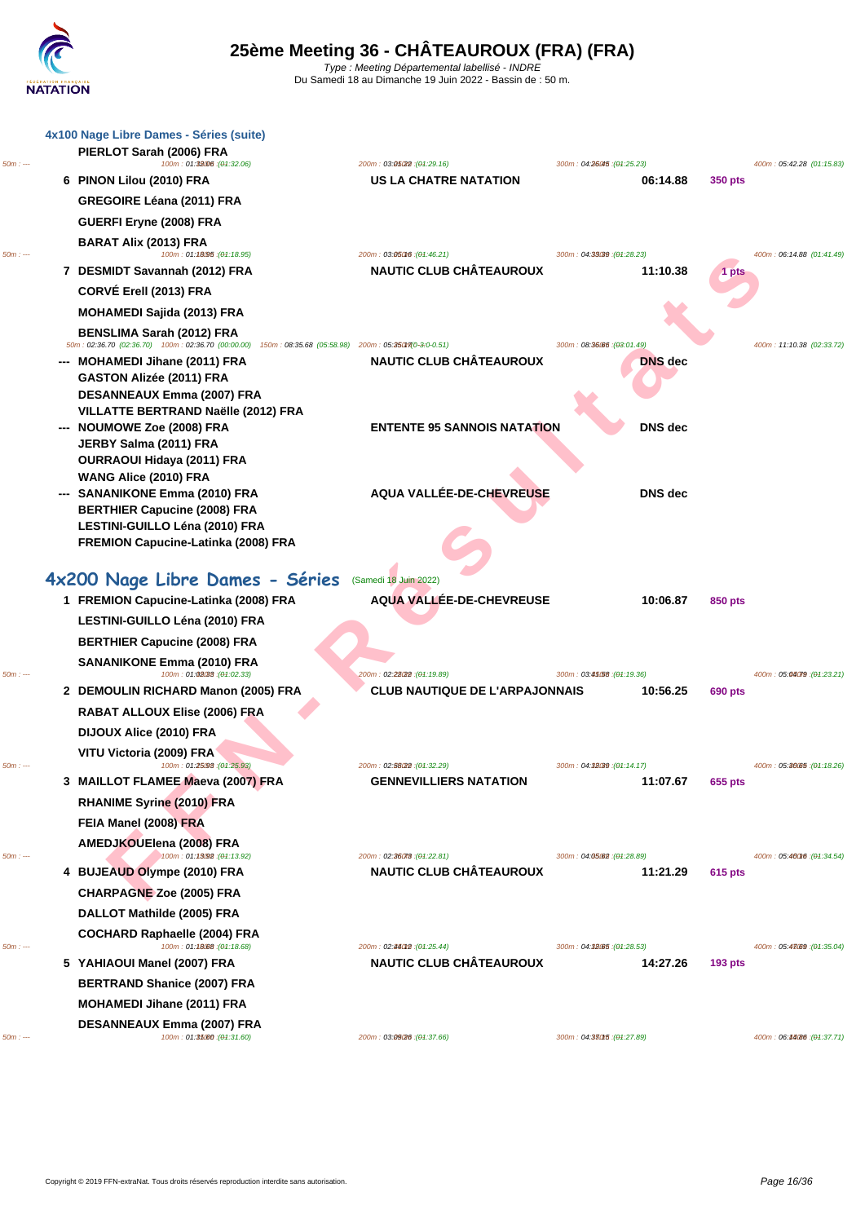

|          | 4x100 Nage Libre Dames - Séries (suite)<br>PIERLOT Sarah (2006) FRA                    |                                                               |                                         |                |                             |
|----------|----------------------------------------------------------------------------------------|---------------------------------------------------------------|-----------------------------------------|----------------|-----------------------------|
| $50m: -$ | 100m: 01:38006:(04:32.06)                                                              | 200m: 03:05:22 : (04:29.16)                                   | 300m: 04:26045 : (01:25.23)             |                | 400m: 05:42.28 (01:15.83)   |
|          | 6 PINON Lilou (2010) FRA                                                               | <b>US LA CHATRE NATATION</b>                                  | 06:14.88                                | 350 pts        |                             |
|          | <b>GREGOIRE Léana (2011) FRA</b>                                                       |                                                               |                                         |                |                             |
|          | GUERFI Eryne (2008) FRA                                                                |                                                               |                                         |                |                             |
| $50m: -$ | <b>BARAT Alix (2013) FRA</b><br>100m: 01:18095 : (01:18.95)                            | 200m: 03:05016 : (04:46.21)                                   | 300m: 04:33039 : (04:28.23)             |                | 400m: 06:14.88 (01:41.49)   |
|          | 7 DESMIDT Savannah (2012) FRA                                                          | <b>NAUTIC CLUB CHÂTEAUROUX</b>                                | 11:10.38                                | 1 pts          |                             |
|          | CORVÉ Erell (2013) FRA                                                                 |                                                               |                                         |                |                             |
|          | MOHAMEDI Sajida (2013) FRA                                                             |                                                               |                                         |                |                             |
|          |                                                                                        |                                                               |                                         |                |                             |
|          | <b>BENSLIMA Sarah (2012) FRA</b><br>50m: 02:36.70 (02:36.70) 100m: 02:36.70 (00:00.00) | 150m: 08:35.68 (05:58.98) 200m: 05:35017(0-3:0-0.51)          | 300m: 08:36.66 : (03:01.49)             |                | 400m: 11:10.38 (02:33.72)   |
|          | --- MOHAMEDI Jihane (2011) FRA                                                         | <b>NAUTIC CLUB CHÂTEAUROUX</b>                                | <b>DNS</b> dec                          |                |                             |
|          | GASTON Alizée (2011) FRA                                                               |                                                               |                                         |                |                             |
|          | DESANNEAUX Emma (2007) FRA                                                             |                                                               |                                         |                |                             |
|          | VILLATTE BERTRAND Naëlle (2012) FRA                                                    |                                                               |                                         |                |                             |
|          | --- NOUMOWE Zoe (2008) FRA<br>JERBY Salma (2011) FRA                                   | <b>ENTENTE 95 SANNOIS NATATION</b>                            | <b>DNS</b> dec                          |                |                             |
|          | OURRAOUI Hidaya (2011) FRA                                                             |                                                               |                                         |                |                             |
|          | WANG Alice (2010) FRA                                                                  |                                                               |                                         |                |                             |
|          | --- SANANIKONE Emma (2010) FRA                                                         | AQUA VALLÉE-DE-CHEVREUSE                                      | <b>DNS</b> dec                          |                |                             |
|          | <b>BERTHIER Capucine (2008) FRA</b>                                                    |                                                               |                                         |                |                             |
|          | LESTINI-GUILLO Léna (2010) FRA                                                         |                                                               |                                         |                |                             |
|          | FREMION Capucine-Latinka (2008) FRA                                                    |                                                               |                                         |                |                             |
|          |                                                                                        |                                                               |                                         |                |                             |
|          | 4x200 Nage Libre Dames - Séries (Samedi 18 Juin 2022)                                  |                                                               |                                         |                |                             |
|          | 1 FREMION Capucine-Latinka (2008) FRA                                                  | AQUA VALLÉE-DE-CHEVREUSE                                      | 10:06.87                                | 850 pts        |                             |
|          | LESTINI-GUILLO Léna (2010) FRA                                                         |                                                               |                                         |                |                             |
|          | <b>BERTHIER Capucine (2008) FRA</b>                                                    |                                                               |                                         |                |                             |
|          | <b>SANANIKONE Emma (2010) FRA</b>                                                      |                                                               |                                         |                |                             |
| $50m: -$ | 100m: 01:02.33 : (01:02.33)                                                            | 200m: 02:28(22 : (04:19.89)                                   | 300m : 03.4558 : (04.19.36)             |                | 400m: 05:04079 : (04:23.21) |
|          | 2 DEMOULIN RICHARD Manon (2005) FRA                                                    | CLUB NAUTIQUE DE L'ARPAJONNAIS                                | 10:56.25                                | <b>690 pts</b> |                             |
|          | RABAT ALLOUX Elise (2006) FRA                                                          |                                                               |                                         |                |                             |
|          | DIJOUX Alice (2010) FRA                                                                |                                                               |                                         |                |                             |
|          | VITU Victoria (2009) FRA                                                               |                                                               |                                         |                |                             |
| $50m: -$ | 100m: 01:25098 : (01:25.93)                                                            | 200m: 02:58022 : (04:32.29)                                   | 300m: 04:38039 : (04:14.17)             |                | 400m: 05:30.05 : (04:18.26) |
|          | 3 MAILLOT FLAMEE Maeva (2007) FRA                                                      | <b>GENNEVILLIERS NATATION</b>                                 | 11:07.67                                | 655 pts        |                             |
|          | RHANIME Syrine (2010) FRA                                                              |                                                               |                                         |                |                             |
|          | FEIA Manel (2008) FRA                                                                  |                                                               |                                         |                |                             |
|          | AMEDJKOUElena (2008) FRA                                                               |                                                               |                                         |                |                             |
| $50m: -$ | 100m: 01:13092 : (04:13.92)<br>4 BUJEAUD Olympe (2010) FRA                             | 200m: 02:36078 : (04:22.81)<br><b>NAUTIC CLUB CHÂTEAUROUX</b> | 300m: 04:05:02 : (01:28.89)<br>11:21.29 | 615 pts        | 400m: 05:46016 : (04:34.54) |
|          |                                                                                        |                                                               |                                         |                |                             |
|          | <b>CHARPAGNE Zoe (2005) FRA</b>                                                        |                                                               |                                         |                |                             |
|          | DALLOT Mathilde (2005) FRA                                                             |                                                               |                                         |                |                             |
| $50m: -$ | COCHARD Raphaelle (2004) FRA<br>100m: 01:18088 : (01:18.68)                            |                                                               |                                         |                |                             |
|          | 5 YAHIAOUI Manel (2007) FRA                                                            | 200m: 02:44012 : (04:25.44)<br><b>NAUTIC CLUB CHÂTEAUROUX</b> | 300m: 04:32.65 : (01:28.53)<br>14:27.26 | <b>193 pts</b> | 400m: 05:48.69 : (04:35.04) |
|          |                                                                                        |                                                               |                                         |                |                             |
|          | <b>BERTRAND Shanice (2007) FRA</b>                                                     |                                                               |                                         |                |                             |
|          | <b>MOHAMEDI Jihane (2011) FRA</b>                                                      |                                                               |                                         |                |                             |
| $50m: -$ | DESANNEAUX Emma (2007) FRA<br>100m: 01:35.60 : (01:31.60)                              | 200m: 03:09(26 : (04:37.66)                                   | 300m: 04:380f5 : (04:27.89)             |                | 400m: 06:44086 : (04:37.71) |
|          |                                                                                        |                                                               |                                         |                |                             |
|          |                                                                                        |                                                               |                                         |                |                             |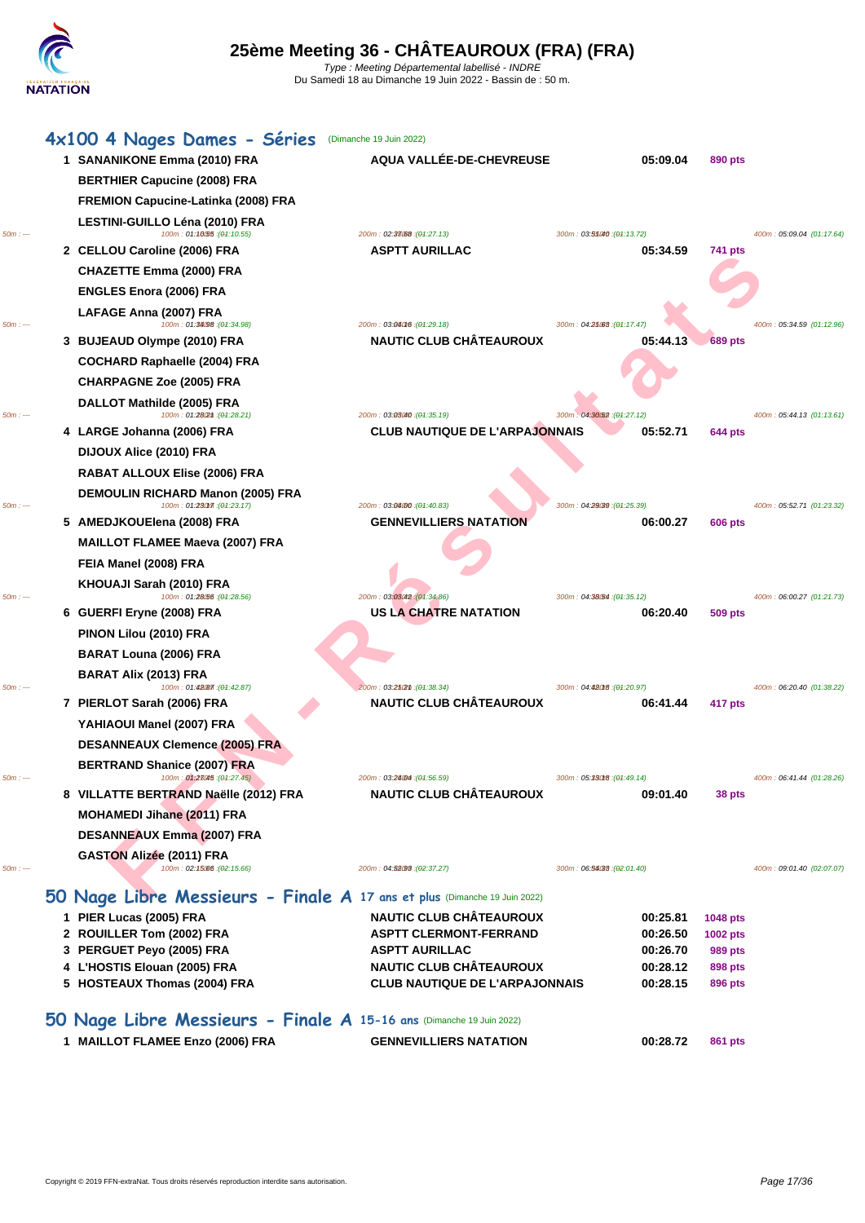|           | 4x100 4 Nages Dames - Séries                                              | (Dimanche 19 Juin 2022)                                                 |                                         |                    |                           |
|-----------|---------------------------------------------------------------------------|-------------------------------------------------------------------------|-----------------------------------------|--------------------|---------------------------|
|           | 1 SANANIKONE Emma (2010) FRA                                              | AQUA VALLÉE-DE-CHEVREUSE                                                | 05:09.04                                | 890 pts            |                           |
|           | <b>BERTHIER Capucine (2008) FRA</b>                                       |                                                                         |                                         |                    |                           |
|           | <b>FREMION Capucine-Latinka (2008) FRA</b>                                |                                                                         |                                         |                    |                           |
| $50m: -$  | LESTINI-GUILLO Léna (2010) FRA<br>100m: 01:10.55 : (01:10.55)             | 200m: 02:33088 : (04:27.13)                                             | 300m: 03:55040 : (01:13.72)             |                    | 400m: 05:09.04 (01:17.64) |
|           | 2 CELLOU Caroline (2006) FRA                                              | <b>ASPTT AURILLAC</b>                                                   | 05:34.59                                | 741 pts            |                           |
|           | <b>CHAZETTE Emma (2000) FRA</b>                                           |                                                                         |                                         |                    |                           |
|           | <b>ENGLES Enora (2006) FRA</b>                                            |                                                                         |                                         |                    |                           |
| 50m : --- | LAFAGE Anna (2007) FRA<br>100m: 01:34.98 : (01:34.98)                     | 200m: 03:06016 : (04:29.18)                                             | 300m: 04:25.63 : (04:17.47)             |                    | 400m: 05:34.59 (01:12.96) |
|           | 3 BUJEAUD Olympe (2010) FRA                                               | <b>NAUTIC CLUB CHÂTEAUROUX</b>                                          | 05:44.13                                | <b>689 pts</b>     |                           |
|           | <b>COCHARD Raphaelle (2004) FRA</b>                                       |                                                                         |                                         |                    |                           |
|           | <b>CHARPAGNE Zoe (2005) FRA</b>                                           |                                                                         |                                         |                    |                           |
| $50m: -$  | DALLOT Mathilde (2005) FRA<br>100m: 01:28(2th: (01:28.21)                 | 200m: 03:03040 : (04:35.19)                                             | 300m: 04:30.52 : (01:27.12)             |                    | 400m: 05:44.13 (01:13.61) |
|           | 4 LARGE Johanna (2006) FRA                                                | <b>CLUB NAUTIQUE DE L'ARPAJONNAIS</b>                                   | 05:52.71                                | 644 pts            |                           |
|           | DIJOUX Alice (2010) FRA                                                   |                                                                         |                                         |                    |                           |
|           | RABAT ALLOUX Elise (2006) FRA                                             |                                                                         |                                         |                    |                           |
| 50m : --- | DEMOULIN RICHARD Manon (2005) FRA<br>100m: 01:230m : (01:23.17)           | 200m: 03:04:00 : (04:40.83)                                             | 300m: 04:29039 : (01:25.39)             |                    | 400m: 05:52.71 (01:23.32) |
|           | 5 AMEDJKOUElena (2008) FRA                                                | <b>GENNEVILLIERS NATATION</b>                                           | 06:00.27                                | <b>606 pts</b>     |                           |
|           | <b>MAILLOT FLAMEE Maeva (2007) FRA</b>                                    |                                                                         |                                         |                    |                           |
|           | FEIA Manel (2008) FRA                                                     |                                                                         |                                         |                    |                           |
| $50m: -$  | KHOUAJI Sarah (2010) FRA<br>100m: 01:28.56 : (01:28.56)                   | 200m: 03:03:042 : (04:34.86)                                            |                                         |                    |                           |
|           | 6 GUERFI Eryne (2008) FRA                                                 | US LA CHATRE NATATION                                                   | 300m: 04:38/54 : (01:35.12)<br>06:20.40 | <b>509 pts</b>     | 400m: 06:00.27 (01:21.73) |
|           | PINON Lilou (2010) FRA                                                    |                                                                         |                                         |                    |                           |
|           | <b>BARAT Louna (2006) FRA</b>                                             |                                                                         |                                         |                    |                           |
|           | <b>BARAT Alix (2013) FRA</b>                                              |                                                                         |                                         |                    |                           |
| 50m : --- | 100m: 01:48 (87 : (01:42.87)                                              | 200m: 03:25(2m : (04:38.34)                                             | 300m: 04:480f8 : (01:20.97)             |                    | 400m: 06:20.40 (01:38.22) |
|           | 7 PIERLOT Sarah (2006) FRA                                                | <b>NAUTIC CLUB CHÂTEAUROUX</b>                                          | 06:41.44                                | 417 pts            |                           |
|           | YAHIAOUI Manel (2007) FRA                                                 |                                                                         |                                         |                    |                           |
|           | <b>DESANNEAUX Clemence (2005) FRA</b>                                     |                                                                         |                                         |                    |                           |
| 50m : --- | <b>BERTRAND Shanice (2007) FRA</b><br>100m: 01.28045: (01.27.45)          | 200m: 03: <b>240M;</b> (04:56.59)                                       | 300m : 05.33018 : (04.49.14)            |                    | 400m: 06:41.44 (01:28.26) |
|           | 8 VILLATTE BERTRAND Naëlle (2012) FRA                                     | <b>NAUTIC CLUB CHÂTEAUROUX</b>                                          | 09:01.40                                | 38 pts             |                           |
|           | <b>MOHAMEDI Jihane (2011) FRA</b>                                         |                                                                         |                                         |                    |                           |
|           | <b>DESANNEAUX Emma (2007) FRA</b>                                         |                                                                         |                                         |                    |                           |
| $50m: -$  | GASTON Alizée (2011) FRA<br>100m: 02:15.00 : (02:15.66)                   | 200m: 04:53093 : (02:37.27)                                             | 300m: 06:56038 : (02:01.40)             |                    | 400m: 09:01.40 (02:07.07) |
|           | 50 Nage Libre Messieurs - Finale A 17 ans et plus (Dimanche 19 Juin 2022) |                                                                         |                                         |                    |                           |
|           | 1 PIER Lucas (2005) FRA                                                   | <b>NAUTIC CLUB CHÂTEAUROUX</b>                                          | 00:25.81                                | 1048 pts           |                           |
|           | 2 ROUILLER Tom (2002) FRA                                                 | <b>ASPTT CLERMONT-FERRAND</b>                                           | 00:26.50                                | 1002 pts           |                           |
|           | 3 PERGUET Peyo (2005) FRA                                                 | <b>ASPTT AURILLAC</b>                                                   | 00:26.70                                | 989 pts            |                           |
|           | 4 L'HOSTIS Elouan (2005) FRA<br>5 HOSTEAUX Thomas (2004) FRA              | <b>NAUTIC CLUB CHATEAUROUX</b><br><b>CLUB NAUTIQUE DE L'ARPAJONNAIS</b> | 00:28.12<br>00:28.15                    | 898 pts<br>896 pts |                           |
|           |                                                                           |                                                                         |                                         |                    |                           |
|           | 50 Nage Libre Messieurs - Finale A 15-16 ans (Dimanche 19 Juin 2022)      |                                                                         |                                         |                    |                           |
|           | 1 MAILLOT FLAMEE Enzo (2006) FRA                                          | <b>GENNEVILLIERS NATATION</b>                                           | 00:28.72                                | 861 pts            |                           |
|           |                                                                           |                                                                         |                                         |                    |                           |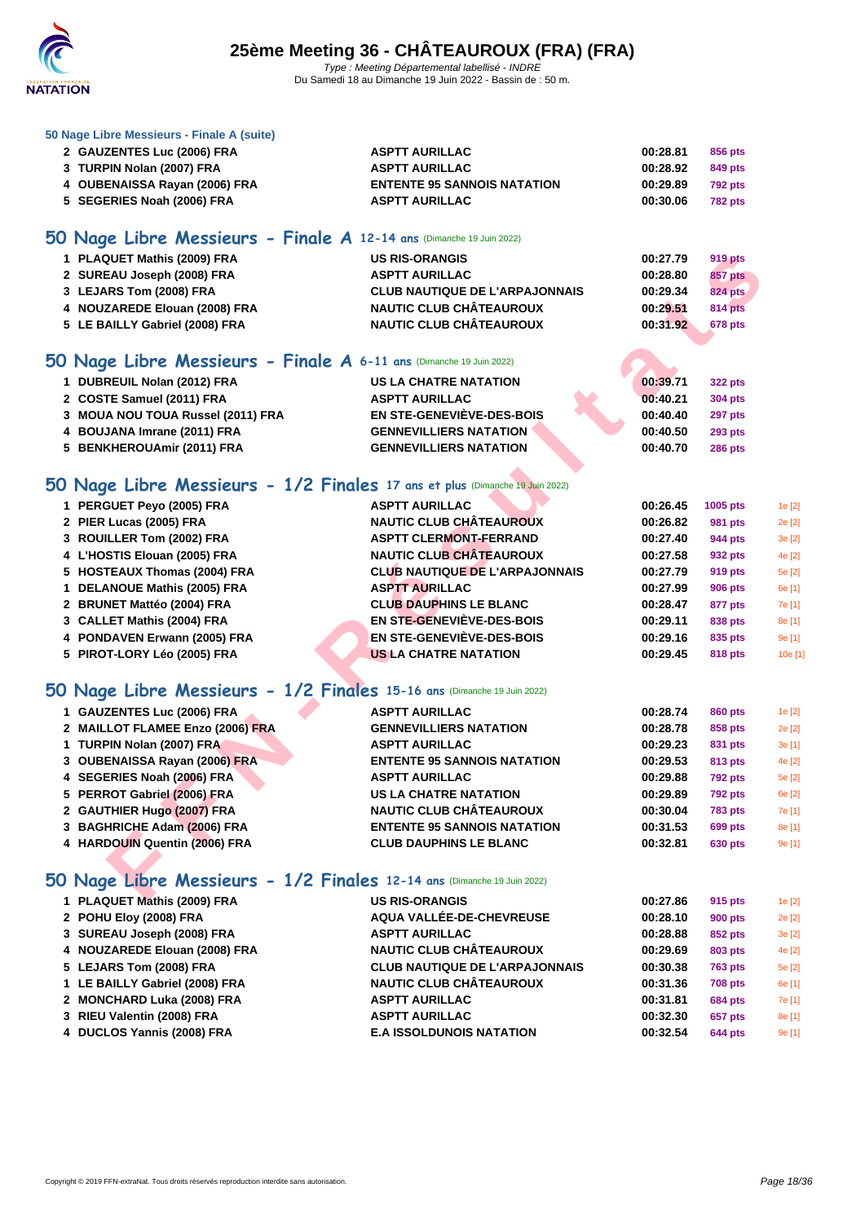

|  |  | 50 Nage Libre Messieurs - Finale A (suite) |  |  |
|--|--|--------------------------------------------|--|--|
|--|--|--------------------------------------------|--|--|

| 2 GAUZENTES Luc (2006) FRA    | <b>ASPTT AURILLAC</b>              | 00:28.81 | 856 pts        |
|-------------------------------|------------------------------------|----------|----------------|
| 3 TURPIN Nolan (2007) FRA     | <b>ASPTT AURILLAC</b>              | 00:28.92 | 849 pts        |
| 4 OUBENAISSA Rayan (2006) FRA | <b>ENTENTE 95 SANNOIS NATATION</b> | 00:29.89 | 792 pts        |
| 5 SEGERIES Noah (2006) FRA    | <b>ASPTT AURILLAC</b>              | 00:30.06 | <b>782 pts</b> |

### **50 Nage Libre Messieurs - Finale A 12-14 ans** (Dimanche 19 Juin 2022)

| 1 PLAQUET Mathis (2009) FRA    | <b>US RIS-ORANGIS</b>                 | 00:27.79 | 919 pts        |
|--------------------------------|---------------------------------------|----------|----------------|
| 2 SUREAU Joseph (2008) FRA     | <b>ASPTT AURILLAC</b>                 | 00:28.80 | 857 pts        |
| 3 LEJARS Tom (2008) FRA        | <b>CLUB NAUTIQUE DE L'ARPAJONNAIS</b> | 00:29.34 | 824 pts        |
| 4 NOUZAREDE Elouan (2008) FRA  | <b>NAUTIC CLUB CHÂTEAUROUX</b>        | 00:29.51 | <b>814 pts</b> |
| 5 LE BAILLY Gabriel (2008) FRA | <b>NAUTIC CLUB CHÂTEAUROUX</b>        | 00:31.92 | <b>678 pts</b> |
|                                |                                       |          |                |

#### **50 Nage Libre Messieurs - Finale A 6-11 ans** (Dimanche 19 Juin 2022)

| 1 DUBREUIL Nolan (2012) FRA       | US LA CHATRE NATATION         |  | 00:39.71 | <b>322 pts</b> |
|-----------------------------------|-------------------------------|--|----------|----------------|
| 2 COSTE Samuel (2011) FRA         | <b>ASPTT AURILLAC</b>         |  | 00:40.21 | 304 pts        |
| 3 MOUA NOU TOUA Russel (2011) FRA | EN STE-GENEVIÈVE-DES-BOIS     |  | 00:40.40 | 297 pts        |
| 4 BOUJANA Imrane (2011) FRA       | <b>GENNEVILLIERS NATATION</b> |  | 00:40.50 | <b>293 pts</b> |
| 5 BENKHEROUAmir (2011) FRA        | <b>GENNEVILLIERS NATATION</b> |  | 00:40.70 | <b>286 pts</b> |
|                                   |                               |  |          |                |

### **50 Nage Libre Messieurs - 1/2 Finales 17 ans et plus** (Dimanche 19 Juin 2022)

| 1 PLAQUET Mathis (2009) FRA                                                  | <b>US RIS-ORANGIS</b>                 | 00:27.79 | <b>919 pts</b>    |         |
|------------------------------------------------------------------------------|---------------------------------------|----------|-------------------|---------|
| 2 SUREAU Joseph (2008) FRA                                                   | <b>ASPTT AURILLAC</b>                 | 00:28.80 | <b>857 pts</b>    |         |
| 3 LEJARS Tom (2008) FRA                                                      | <b>CLUB NAUTIQUE DE L'ARPAJONNAIS</b> | 00:29.34 | <b>824 pts</b>    |         |
| 4 NOUZAREDE Elouan (2008) FRA                                                | <b>NAUTIC CLUB CHÂTEAUROUX</b>        | 00:29.51 | 814 pts           |         |
| 5 LE BAILLY Gabriel (2008) FRA                                               | <b>NAUTIC CLUB CHÂTEAUROUX</b>        | 00:31.92 | 678 pts           |         |
|                                                                              |                                       |          |                   |         |
| 50 Nage Libre Messieurs - Finale A 6-11 ans (Dimanche 19 Juin 2022)          |                                       |          |                   |         |
| 1 DUBREUIL Nolan (2012) FRA                                                  | <b>US LA CHATRE NATATION</b>          | 00:39.71 | <b>322 pts</b>    |         |
| 2 COSTE Samuel (2011) FRA                                                    | <b>ASPTT AURILLAC</b>                 | 00:40.21 | <b>304 pts</b>    |         |
| 3 MOUA NOU TOUA Russel (2011) FRA                                            | <b>EN STE-GENEVIÈVE-DES-BOIS</b>      | 00:40.40 | <b>297 pts</b>    |         |
| 4 BOUJANA Imrane (2011) FRA                                                  | <b>GENNEVILLIERS NATATION</b>         | 00:40.50 | <b>293 pts</b>    |         |
| 5 BENKHEROUAmir (2011) FRA                                                   | <b>GENNEVILLIERS NATATION</b>         | 00:40.70 | <b>286 pts</b>    |         |
|                                                                              |                                       |          |                   |         |
| 50 Nage Libre Messieurs - 1/2 Finales 17 ans et plus (Dimanche 19 Juin 2022) |                                       |          |                   |         |
| 1 PERGUET Peyo (2005) FRA                                                    | <b>ASPTT AURILLAC</b>                 | 00:26.45 | 1005 pts          | 1e [2]  |
| 2 PIER Lucas (2005) FRA                                                      | <b>NAUTIC CLUB CHÂTEAUROUX</b>        | 00:26.82 | <b>981 pts</b>    | 2e [2]  |
| 3 ROUILLER Tom (2002) FRA                                                    | <b>ASPTT CLERMONT-FERRAND</b>         | 00:27.40 | 944 pts           | 3e [2]  |
| 4 L'HOSTIS Elouan (2005) FRA                                                 | <b>NAUTIC CLUB CHÂTEAUROUX</b>        | 00:27.58 | 932 pts           | 4e [2]  |
| 5 HOSTEAUX Thomas (2004) FRA                                                 | <b>CLUB NAUTIQUE DE L'ARPAJONNAIS</b> | 00:27.79 | <b>919 pts</b>    | 5e [2]  |
| 1 DELANOUE Mathis (2005) FRA                                                 | <b>ASPTT AURILLAC</b>                 | 00:27.99 | <b>906 pts</b>    | 6e [1]  |
| 2 BRUNET Mattéo (2004) FRA                                                   | <b>CLUB DAUPHINS LE BLANC</b>         | 00:28.47 | 877 pts           | 7e [1]  |
| 3 CALLET Mathis (2004) FRA                                                   | EN STE-GENEVIEVE-DES-BOIS             | 00:29.11 | 838 pts           | 8e [1]  |
| 4 PONDAVEN Erwann (2005) FRA                                                 | <b>EN STE-GENEVIÈVE-DES-BOIS</b>      | 00:29.16 | 835 pts           | 9e [1]  |
| 5 PIROT-LORY Léo (2005) FRA                                                  | <b>US LA CHATRE NATATION</b>          | 00:29.45 | <b>818 pts</b>    | 10e [1] |
|                                                                              |                                       |          |                   |         |
| 50 Nage Libre Messieurs - 1/2 Finales 15-16 ans (Dimanche 19 Juin 2022)      |                                       |          |                   |         |
| 1 GAUZENTES Luc (2006) FRA                                                   | <b>ASPTT AURILLAC</b>                 | 00:28.74 | 860 pts           | 1e [2]  |
| 2 MAILLOT FLAMEE Enzo (2006) FRA                                             | <b>GENNEVILLIERS NATATION</b>         | 00:28.78 | 858 pts           | 2e [2]  |
| 1 TURPIN Nolan (2007) FRA                                                    | <b>ASPTT AURILLAC</b>                 | 00:29.23 | 831 pts           | 3e [1]  |
| 3 OUBENAISSA Rayan (2006) FRA                                                | <b>ENTENTE 95 SANNOIS NATATION</b>    | 00:29.53 | 813 pts           | 4e [2]  |
| 4 SEGERIES Noah (2006) FRA                                                   | <b>ASPTT AURILLAC</b>                 | 00:29.88 | <b>792 pts</b>    | 5e [2]  |
| 5 PERROT Gabriel (2006) FRA                                                  | <b>US LA CHATRE NATATION</b>          | 00:29.89 | <b>792 pts</b>    | 6e [2]  |
| 2 GAUTHIER Hugo (2007) FRA                                                   | <b>NAUTIC CLUB CHÂTEAUROUX</b>        | 00:30.04 | <b>783 pts</b>    | 7e [1]  |
| 3 BAGHRICHE Adam (2006) FRA                                                  | <b>ENTENTE 95 SANNOIS NATATION</b>    | 00:31.53 | <b>699 pts</b>    | 8e [1]  |
| 4 HARDOUIN Quentin (2006) FRA                                                | <b>CLUB DAUPHINS LE BLANC</b>         | 00:32.81 | <b>630 pts</b>    | 9e [1]  |
|                                                                              |                                       |          |                   |         |
| 50 Nage Libre Messieurs - 1/2 Finales 12-14 ans (Dimanche 19 Juin 2022)      |                                       |          |                   |         |
| 4 BLAQUET Methic (2000) FBA                                                  | <b>LIC DIC ODAMOIC</b>                | 00.07.0C | $0.4E$ and $0.4E$ |         |

### **50 Nage Libre Messieurs - 1/2 Finales 15-16 ans** (Dimanche 19 Juin 2022)

| 1 GAUZENTES Luc (2006) FRA       | <b>ASPTT AURILLAC</b>              | 00:28.74 | 860 pts        | 1e[2]  |
|----------------------------------|------------------------------------|----------|----------------|--------|
| 2 MAILLOT FLAMEE Enzo (2006) FRA | <b>GENNEVILLIERS NATATION</b>      | 00:28.78 | 858 pts        | 2e [2] |
| 1 TURPIN Nolan (2007) FRA        | <b>ASPTT AURILLAC</b>              | 00:29.23 | 831 pts        | 3e [1] |
| 3 OUBENAISSA Rayan (2006) FRA    | <b>ENTENTE 95 SANNOIS NATATION</b> | 00:29.53 | 813 pts        | 4e [2] |
| 4 SEGERIES Noah (2006) FRA       | <b>ASPTT AURILLAC</b>              | 00:29.88 | <b>792 pts</b> | 5e [2] |
| 5 PERROT Gabriel (2006) FRA      | <b>US LA CHATRE NATATION</b>       | 00:29.89 | <b>792 pts</b> | 6e [2] |
| 2 GAUTHIER Hugo (2007) FRA       | <b>NAUTIC CLUB CHÂTEAUROUX</b>     | 00:30.04 | <b>783 pts</b> | 7e [1] |
| 3 BAGHRICHE Adam (2006) FRA      | <b>ENTENTE 95 SANNOIS NATATION</b> | 00:31.53 | 699 pts        | 8e [1] |
| 4 HARDOUIN Quentin (2006) FRA    | <b>CLUB DAUPHINS LE BLANC</b>      | 00:32.81 | <b>630 pts</b> | 9e [1] |
|                                  |                                    |          |                |        |

# **50 Nage Libre Messieurs - 1/2 Finales 12-14 ans** (Dimanche 19 Juin 2022)

| 1 PLAQUET Mathis (2009) FRA    | <b>US RIS-ORANGIS</b>                 | 00:27.86 | 915 pts        | 1e[2]  |
|--------------------------------|---------------------------------------|----------|----------------|--------|
| 2 POHU Eloy (2008) FRA         | AQUA VALLÉE-DE-CHEVREUSE              | 00:28.10 | <b>900 pts</b> | 2e [2] |
| 3 SUREAU Joseph (2008) FRA     | <b>ASPTT AURILLAC</b>                 | 00:28.88 | 852 pts        | 3e [2] |
| 4 NOUZAREDE Elouan (2008) FRA  | <b>NAUTIC CLUB CHÂTEAUROUX</b>        | 00:29.69 | <b>803 pts</b> | 4e [2] |
| 5 LEJARS Tom (2008) FRA        | <b>CLUB NAUTIQUE DE L'ARPAJONNAIS</b> | 00:30.38 | <b>763 pts</b> | 5e [2] |
| 1 LE BAILLY Gabriel (2008) FRA | <b>NAUTIC CLUB CHÂTEAUROUX</b>        | 00:31.36 | <b>708 pts</b> | 6e [1] |
| 2 MONCHARD Luka (2008) FRA     | <b>ASPTT AURILLAC</b>                 | 00:31.81 | <b>684 pts</b> | 7e [1] |
| 3 RIEU Valentin (2008) FRA     | <b>ASPTT AURILLAC</b>                 | 00:32.30 | 657 pts        | 8e [1] |
| 4 DUCLOS Yannis (2008) FRA     | <b>E.A ISSOLDUNOIS NATATION</b>       | 00:32.54 | <b>644 pts</b> | 9e [1] |
|                                |                                       |          |                |        |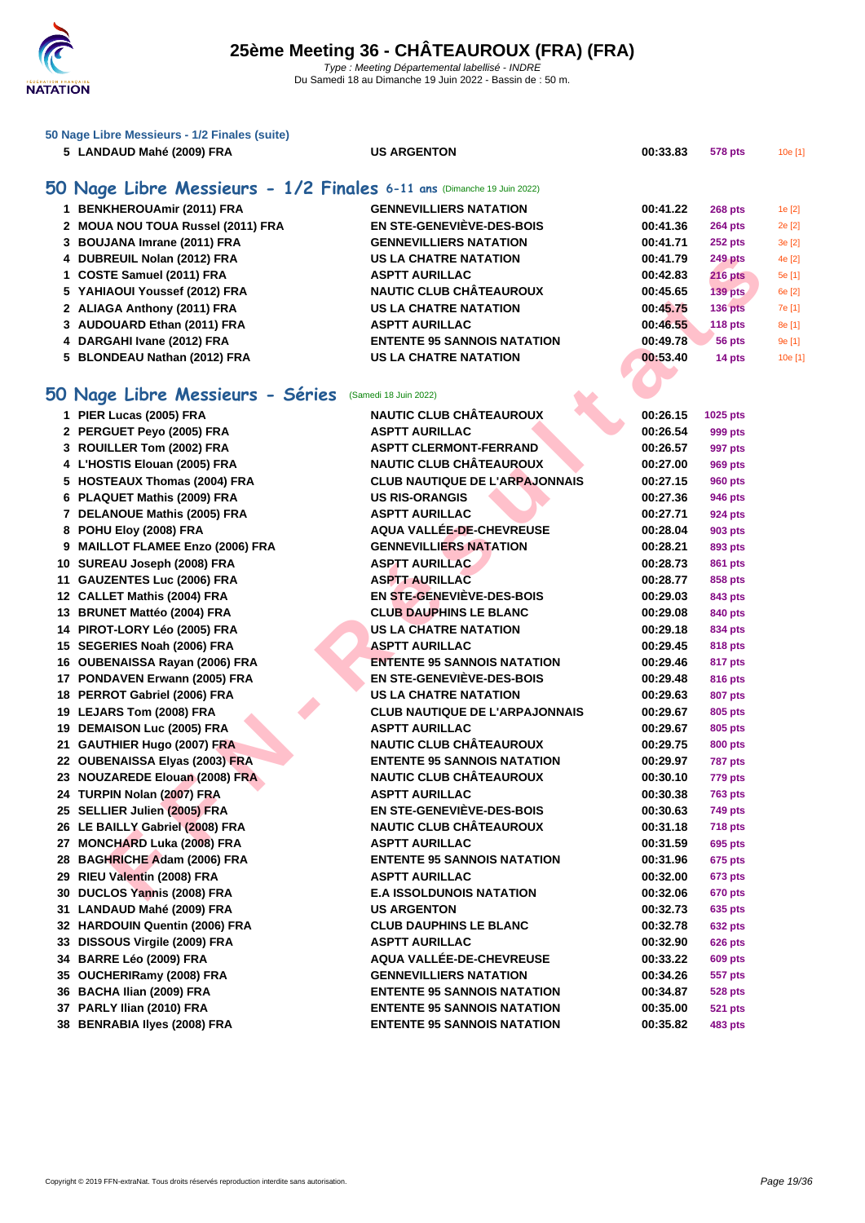| 50 Nage Libre Messieurs - 1/2 Finales (suite) |  |
|-----------------------------------------------|--|
|-----------------------------------------------|--|

|  | 5 LANDAUD Mahé (2009) FRA |  |  |  |
|--|---------------------------|--|--|--|
|--|---------------------------|--|--|--|

### **50 Nage Libre Messieurs - 1/2 Finales 6-11 ans** (Dimanche 19 Juin 2022)

| 1 BENKHEROUAmir (2011) FRA        | <b>GENNEVILLIERS NATATION</b>      | 00:41.22 | <b>268 pts</b> | 1e [2]  |
|-----------------------------------|------------------------------------|----------|----------------|---------|
| 2 MOUA NOU TOUA Russel (2011) FRA | EN STE-GENEVIÈVE-DES-BOIS          | 00:41.36 | <b>264 pts</b> | 2e [2]  |
| 3 BOUJANA Imrane (2011) FRA       | <b>GENNEVILLIERS NATATION</b>      | 00:41.71 | <b>252 pts</b> | 3e[2]   |
| 4 DUBREUIL Nolan (2012) FRA       | <b>US LA CHATRE NATATION</b>       | 00:41.79 | <b>249 pts</b> | 4e [2]  |
| 1 COSTE Samuel (2011) FRA         | <b>ASPTT AURILLAC</b>              | 00:42.83 | <b>216 pts</b> | 5e [1]  |
| 5 YAHIAOUI Youssef (2012) FRA     | <b>NAUTIC CLUB CHÂTEAUROUX</b>     | 00:45.65 | $139$ pts      | 6e [2]  |
| 2 ALIAGA Anthony (2011) FRA       | <b>US LA CHATRE NATATION</b>       | 00:45.75 | $136$ pts      | 7e [1]  |
| 3 AUDOUARD Ethan (2011) FRA       | <b>ASPTT AURILLAC</b>              | 00:46.55 | 118 pts        | 8e [1]  |
| 4 DARGAHI Ivane (2012) FRA        | <b>ENTENTE 95 SANNOIS NATATION</b> | 00:49.78 | 56 pts         | 9e [1]  |
| 5 BLONDEAU Nathan (2012) FRA      | <b>US LA CHATRE NATATION</b>       | 00:53.40 | 14 pts         | 10e [1] |
|                                   |                                    |          |                |         |

### **50 Nage Libre Messieurs - Séries** (Samedi 18 Juin 2022)

| 1  | PIER Lucas (2005) FRA                 |
|----|---------------------------------------|
| 2  | PERGUET Peyo (2005) FRA               |
| 3  | ROUILLER Tom (2002) FRA               |
| 4  | L'HOSTIS Elouan (2005) FRA            |
| 5  | <b>HOSTEAUX Thomas (2004) FRA</b>     |
| 6  | PLAQUET Mathis (2009) FRA             |
| 7  | <b>DELANOUE Mathis (2005) FRA</b>     |
| 8  | POHU Eloy (2008) FRA                  |
| 9  | <b>MAILLOT FLAMEE Enzo (2006) FRA</b> |
| 10 | SUREAU Joseph (2008) FRA              |
| 11 | <b>GAUZENTES Luc (2006) FRA</b>       |
| 12 | <b>CALLET Mathis (2004) FRA</b>       |
| 13 | <b>BRUNET Mattéo (2004) FRA</b>       |
| 14 | PIROT-LORY Léo (2005) FRA             |
|    | 15 SEGERIES Noah (2006) FRA           |
|    | 16 OUBENAISSA Rayan (2006) FRA        |
| 17 | PONDAVEN Erwann (2005) FRA            |
| 18 | PERROT Gabriel (2006) FRA             |
| 19 | LEJARS Tom (2008) FRA                 |
| 19 | <b>DEMAISON Luc (2005) FRA</b>        |
| 21 | <b>GAUTHIER Hugo (2007) FRA</b>       |
| 22 | <b>OUBENAISSA Elyas (2003) FRA</b>    |
| 23 | <b>NOUZAREDE Elouan (2008) FRA</b>    |
| 24 | TURPIN Nolan (2007) FRA               |
|    | 25 SELLIER Julien (2005) FRA          |
| 26 | LE BAILLY Gabriel (2008) FRA          |
| 27 | <b>MONCHARD Luka (2008) FRA</b>       |
| 28 | <b>BAGHRICHE Adam (2006) FRA</b>      |
| 29 | RIEU Valentin (2008) FRA              |
| 30 | DUCLOS Yannis (2008) FRA              |
| 31 | LANDAUD Mahé (2009) FRA               |
| 32 | <b>HARDOUIN Quentin (2006) FRA</b>    |
| 33 | DISSOUS Virgile (2009) FRA            |
| 34 | BARRE Léo (2009) FRA                  |
| 35 | OUCHERIRamy (2008) FRA                |
| 36 | BACHA Ilian (2009) FRA                |
| 37 | PARLY Ilian (2010) FRA                |
| 38 | <b>BENRABIA Ilyes (2008) FRA</b>      |

| 4 DUBREUIL Nolan (2012) FRA                           | <b>US LA CHATRE NATATION</b>          | 00:41.79 | <b>249 pts</b> |   |
|-------------------------------------------------------|---------------------------------------|----------|----------------|---|
| 1 COSTE Samuel (2011) FRA                             | <b>ASPTT AURILLAC</b>                 | 00:42.83 | <b>216 pts</b> |   |
| 5 YAHIAOUI Youssef (2012) FRA                         | <b>NAUTIC CLUB CHÂTEAUROUX</b>        | 00:45.65 | <b>139 pts</b> | € |
| 2 ALIAGA Anthony (2011) FRA                           | <b>US LA CHATRE NATATION</b>          | 00:45.75 | <b>136 pts</b> |   |
| 3 AUDOUARD Ethan (2011) FRA                           | <b>ASPTT AURILLAC</b>                 | 00:46.55 | 118 pts        |   |
| 4 DARGAHI Ivane (2012) FRA                            | <b>ENTENTE 95 SANNOIS NATATION</b>    | 00:49.78 | 56 pts         |   |
| 5 BLONDEAU Nathan (2012) FRA                          | <b>US LA CHATRE NATATION</b>          | 00:53.40 | 14 pts         |   |
|                                                       |                                       |          |                |   |
| O Nage Libre Messieurs - Séries (Samedi 18 Juin 2022) |                                       |          |                |   |
| 1 PIER Lucas (2005) FRA                               | <b>NAUTIC CLUB CHÂTEAUROUX</b>        | 00:26.15 | 1025 pts       |   |
| 2 PERGUET Peyo (2005) FRA                             | <b>ASPTT AURILLAC</b>                 | 00:26.54 | 999 pts        |   |
| 3 ROUILLER Tom (2002) FRA                             | <b>ASPTT CLERMONT-FERRAND</b>         | 00:26.57 | 997 pts        |   |
| 4 L'HOSTIS Elouan (2005) FRA                          | <b>NAUTIC CLUB CHÂTEAUROUX</b>        | 00:27.00 | 969 pts        |   |
| 5 HOSTEAUX Thomas (2004) FRA                          | <b>CLUB NAUTIQUE DE L'ARPAJONNAIS</b> | 00:27.15 | <b>960 pts</b> |   |
| 6 PLAQUET Mathis (2009) FRA                           | <b>US RIS-ORANGIS</b>                 | 00:27.36 | 946 pts        |   |
| 7 DELANOUE Mathis (2005) FRA                          | <b>ASPTT AURILLAC</b>                 | 00:27.71 | 924 pts        |   |
| 8 POHU Eloy (2008) FRA                                | AQUA VALLÉE-DE-CHEVREUSE              | 00:28.04 | 903 pts        |   |
| 9 MAILLOT FLAMEE Enzo (2006) FRA                      | <b>GENNEVILLIERS NATATION</b>         | 00:28.21 | 893 pts        |   |
| 10 SUREAU Joseph (2008) FRA                           | <b>ASPTT AURILLAC</b>                 | 00:28.73 | 861 pts        |   |
| 11 GAUZENTES Luc (2006) FRA                           | <b>ASPTT AURILLAC</b>                 | 00:28.77 | 858 pts        |   |
| 12 CALLET Mathis (2004) FRA                           | <b>EN STE-GENEVIEVE-DES-BOIS</b>      | 00:29.03 | 843 pts        |   |
| 13 BRUNET Mattéo (2004) FRA                           | <b>CLUB DAUPHINS LE BLANC</b>         | 00:29.08 | 840 pts        |   |
| 14 PIROT-LORY Léo (2005) FRA                          | <b>US LA CHATRE NATATION</b>          | 00:29.18 | 834 pts        |   |
| 15 SEGERIES Noah (2006) FRA                           | <b>ASPTT AURILLAC</b>                 | 00:29.45 | 818 pts        |   |
| 16 OUBENAISSA Rayan (2006) FRA                        | <b>ENTENTE 95 SANNOIS NATATION</b>    | 00:29.46 | 817 pts        |   |
| 17 PONDAVEN Erwann (2005) FRA                         | <b>EN STE-GENEVIÈVE-DES-BOIS</b>      | 00:29.48 | 816 pts        |   |
| 18 PERROT Gabriel (2006) FRA                          | <b>US LA CHATRE NATATION</b>          | 00:29.63 | 807 pts        |   |
| 19 LEJARS Tom (2008) FRA                              | <b>CLUB NAUTIQUE DE L'ARPAJONNAIS</b> | 00:29.67 | 805 pts        |   |
| 19 DEMAISON Luc (2005) FRA                            | <b>ASPTT AURILLAC</b>                 | 00:29.67 | 805 pts        |   |
| 21 GAUTHIER Hugo (2007) FRA                           | <b>NAUTIC CLUB CHÂTEAUROUX</b>        | 00:29.75 | <b>800 pts</b> |   |
| 22 OUBENAISSA Elyas (2003) FRA                        | <b>ENTENTE 95 SANNOIS NATATION</b>    | 00:29.97 | <b>787 pts</b> |   |
| 23 NOUZAREDE Elouan (2008) FRA                        | <b>NAUTIC CLUB CHÂTEAUROUX</b>        | 00:30.10 | <b>779 pts</b> |   |
| 24 TURPIN Nolan (2007) FRA                            | <b>ASPTT AURILLAC</b>                 | 00:30.38 | <b>763 pts</b> |   |
| 25 SELLIER Julien (2005) FRA                          | EN STE-GENEVIÈVE-DES-BOIS             | 00:30.63 | <b>749 pts</b> |   |
| 26 LE BAILLY Gabriel (2008) FRA                       | <b>NAUTIC CLUB CHÂTEAUROUX</b>        | 00:31.18 | <b>718 pts</b> |   |
| 27 MONCHARD Luka (2008) FRA                           | <b>ASPTT AURILLAC</b>                 | 00:31.59 | 695 pts        |   |
| 28 BAGHRICHE Adam (2006) FRA                          | <b>ENTENTE 95 SANNOIS NATATION</b>    | 00:31.96 | 675 pts        |   |
| 29 RIEU Valentin (2008) FRA                           | <b>ASPTT AURILLAC</b>                 | 00:32.00 | <b>673 pts</b> |   |
| 30 DUCLOS Yannis (2008) FRA                           | <b>E.A ISSOLDUNOIS NATATION</b>       | 00:32.06 | <b>670 pts</b> |   |
| 31 LANDAUD Mahé (2009) FRA                            | <b>US ARGENTON</b>                    | 00:32.73 | 635 pts        |   |
| 32 HARDOUIN Quentin (2006) FRA                        | <b>CLUB DAUPHINS LE BLANC</b>         | 00:32.78 | 632 pts        |   |
| 33 DISSOUS Virgile (2009) FRA                         | <b>ASPTT AURILLAC</b>                 | 00:32.90 | <b>626 pts</b> |   |
| 34 BARRE Léo (2009) FRA                               | AQUA VALLÉE-DE-CHEVREUSE              | 00:33.22 | <b>609 pts</b> |   |
| 35 OUCHERIRamy (2008) FRA                             | <b>GENNEVILLIERS NATATION</b>         | 00:34.26 | 557 pts        |   |
| 36 BACHA Ilian (2009) FRA                             | <b>ENTENTE 95 SANNOIS NATATION</b>    | 00:34.87 | <b>528 pts</b> |   |
| 37 PARLY Ilian (2010) FRA                             | <b>ENTENTE 95 SANNOIS NATATION</b>    | 00:35.00 | <b>521 pts</b> |   |
| 38 BENRABIA Ilyes (2008) FRA                          | <b>ENTENTE 95 SANNOIS NATATION</b>    | 00:35.82 | 483 pts        |   |

**578 pts 578 pts 10e [1] 10.33.83 578 pts 10e [1]**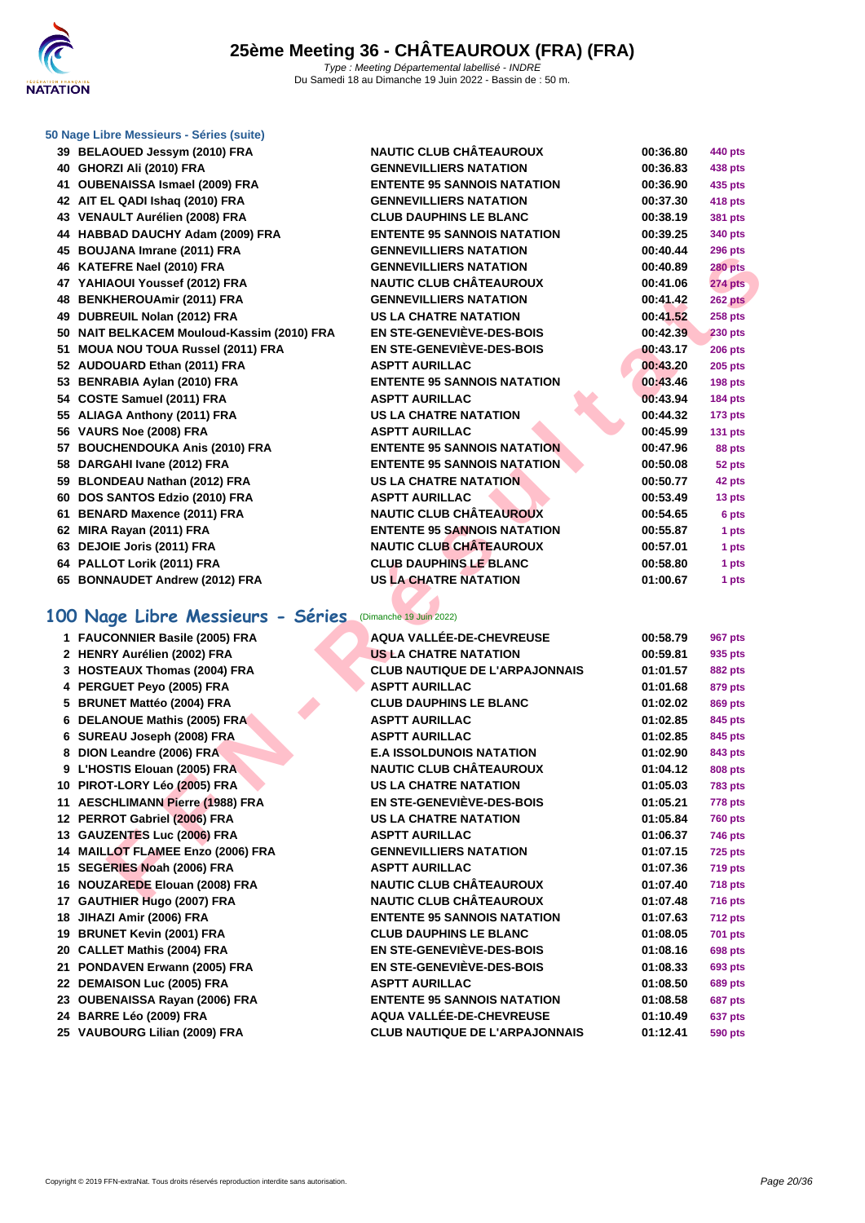

#### **[50 Nage L](http://www.ffnatation.fr/webffn/index.php)ibre Messieurs - Séries (suite)**

- **BELAOUED Jessym (2010) FRA NAUTIC CLUB CHÂTEAUROUX 00:36.80 440 pts GHORZI Ali (2010) FRA GENNEVILLIERS NATATION 00:36.83 438 pts OUBENAISSA Ismael (2009) FRA ENTENTE 95 SANNOIS NATATION 00:36.90 435 pts AIT EL QADI Ishaq (2010) FRA GENNEVILLIERS NATATION 00:37.30 418 pts VENAULT Aurélien (2008) FRA CLUB DAUPHINS LE BLANC 00:38.19 381 pts HABBAD DAUCHY Adam (2009) FRA ENTENTE 95 SANNOIS NATATION 00:39.25 340 pts BOUJANA Imrane (2011) FRA GENNEVILLIERS NATATION 00:40.44 296 pts KATEFRE Nael (2010) FRA GENNEVILLIERS NATATION 00:40.89 280 pts YAHIAOUI Youssef (2012) FRA NAUTIC CLUB CHÂTEAUROUX 00:41.06 274 pts BENKHEROUAmir (2011) FRA GENNEVILLIERS NATATION 00:41.42 262 pts DUBREUIL Nolan (2012) FRA US LA CHATRE NATATION 00:41.52 258 pts NAIT BELKACEM Mouloud-Kassim (2010) FRA EN STE-GENEVIÈVE-DES-BOIS 00:42.39 230 pts MOUA NOU TOUA Russel (2011) FRA EN STE-GENEVIÈVE-DES-BOIS 00:43.17 206 pts AUDOUARD Ethan (2011) FRA ASPTT AURILLAC 00:43.20 205 pts BENRABIA Aylan (2010) FRA ENTENTE 95 SANNOIS NATATION 00:43.46 198 pts COSTE Samuel (2011) FRA ASPTT AURILLAC 00:43.94 184 pts ALIAGA Anthony (2011) FRA US LA CHATRE NATATION 00:44.32 173 pts VAURS Noe (2008) FRA ASPTT AURILLAC 00:45.99 131 pts BOUCHENDOUKA Anis (2010) FRA ENTENTE 95 SANNOIS NATATION 00:47.96 88 pts DARGAHI Ivane (2012) FRA ENTENTE 95 SANNOIS NATATION 00:50.08 52 pts BLONDEAU Nathan (2012) FRA US LA CHATRE NATATION 00:50.77 42 pts DOS SANTOS Edzio (2010) FRA ASPTT AURILLAC 00:53.49 13 pts BENARD Maxence (2011) FRA NAUTIC CLUB CHÂTEAUROUX 00:54.65 6 pts MIRA Rayan (2011) FRA ENTENTE 95 SANNOIS NATATION 00:55.87 1 pts DEJOIE Joris (2011) FRA NAUTIC CLUB CHÂTEAUROUX 00:57.01 1 pts PALLOT Lorik (2011) FRA CLUB DAUPHINS LE BLANC 00:58.80 1 pts**
- **BONNAUDET Andrew (2012) FRA US LA CHATRE NATATION 01:00.67 1 pts**

#### **100 Nage Libre Messieurs - Séries** (Dimanche 19 Juin 2022)

| <b>BOOSHIVA IIIII AIIC (2011) I IVA</b>                  |                                       |          | zau pis        |
|----------------------------------------------------------|---------------------------------------|----------|----------------|
| 46 KATEFRE Nael (2010) FRA                               | <b>GENNEVILLIERS NATATION</b>         | 00:40.89 | <b>280 pts</b> |
| 47 YAHIAOUI Youssef (2012) FRA                           | <b>NAUTIC CLUB CHÂTEAUROUX</b>        | 00:41.06 | <b>274 pts</b> |
| 48 BENKHEROUAmir (2011) FRA                              | <b>GENNEVILLIERS NATATION</b>         | 00:41.42 | 262 pts        |
| 49 DUBREUIL Nolan (2012) FRA                             | <b>US LA CHATRE NATATION</b>          | 00:41.52 | <b>258 pts</b> |
| 50 NAIT BELKACEM Mouloud-Kassim (2010) FRA               | <b>EN STE-GENEVIÈVE-DES-BOIS</b>      | 00:42.39 | <b>230 pts</b> |
| 51 MOUA NOU TOUA Russel (2011) FRA                       | <b>EN STE-GENEVIÈVE-DES-BOIS</b>      | 00:43.17 | <b>206 pts</b> |
| 52 AUDOUARD Ethan (2011) FRA                             | <b>ASPTT AURILLAC</b>                 | 00:43.20 | <b>205 pts</b> |
| 53 BENRABIA Aylan (2010) FRA                             | <b>ENTENTE 95 SANNOIS NATATION</b>    | 00:43.46 | <b>198 pts</b> |
| 54 COSTE Samuel (2011) FRA                               | <b>ASPTT AURILLAC</b>                 | 00:43.94 | <b>184 pts</b> |
| 55 ALIAGA Anthony (2011) FRA                             | <b>US LA CHATRE NATATION</b>          | 00:44.32 | <b>173 pts</b> |
| 56 VAURS Noe (2008) FRA                                  | <b>ASPTT AURILLAC</b>                 | 00:45.99 | <b>131 pts</b> |
| 57 BOUCHENDOUKA Anis (2010) FRA                          | <b>ENTENTE 95 SANNOIS NATATION</b>    | 00:47.96 | 88 pts         |
| 58 DARGAHI Ivane (2012) FRA                              | <b>ENTENTE 95 SANNOIS NATATION</b>    | 00:50.08 | 52 pts         |
| 59 BLONDEAU Nathan (2012) FRA                            | <b>US LA CHATRE NATATION</b>          | 00:50.77 | 42 pts         |
| 60 DOS SANTOS Edzio (2010) FRA                           | <b>ASPTT AURILLAC</b>                 | 00:53.49 | 13 pts         |
| 61 BENARD Maxence (2011) FRA                             | <b>NAUTIC CLUB CHÂTEAUROUX</b>        | 00:54.65 | 6 pts          |
| 62 MIRA Rayan (2011) FRA                                 | <b>ENTENTE 95 SANNOIS NATATION</b>    | 00:55.87 | 1 pts          |
| 63 DEJOIE Joris (2011) FRA                               | <b>NAUTIC CLUB CHÂTEAUROUX</b>        | 00:57.01 | 1 pts          |
| 64 PALLOT Lorik (2011) FRA                               | <b>CLUB DAUPHINS LE BLANC</b>         | 00:58.80 | 1 pts          |
| 65 BONNAUDET Andrew (2012) FRA                           | <b>US LA CHATRE NATATION</b>          | 01:00.67 | 1 pts          |
|                                                          |                                       |          |                |
| 00 Nage Libre Messieurs - Séries (Dimanche 19 Juin 2022) |                                       |          |                |
| 1 FAUCONNIER Basile (2005) FRA                           | AQUA VALLÉE-DE-CHEVREUSE              | 00:58.79 | 967 pts        |
| 2 HENRY Aurélien (2002) FRA                              | <b>US LA CHATRE NATATION</b>          | 00:59.81 | 935 pts        |
| 3 HOSTEAUX Thomas (2004) FRA                             | <b>CLUB NAUTIQUE DE L'ARPAJONNAIS</b> | 01:01.57 | <b>882 pts</b> |
| 4 PERGUET Peyo (2005) FRA                                | <b>ASPTT AURILLAC</b>                 | 01:01.68 | 879 pts        |
| 5 BRUNET Mattéo (2004) FRA                               | <b>CLUB DAUPHINS LE BLANC</b>         | 01:02.02 | 869 pts        |
| 6 DELANOUE Mathis (2005) FRA                             | <b>ASPTT AURILLAC</b>                 | 01:02.85 | 845 pts        |
| 6 SUREAU Joseph (2008) FRA                               | <b>ASPTT AURILLAC</b>                 | 01:02.85 | 845 pts        |
| 8 DION Leandre (2006) FRA                                | <b>E.A ISSOLDUNOIS NATATION</b>       | 01:02.90 | 843 pts        |
| 9 L'HOSTIS Elouan (2005) FRA                             | <b>NAUTIC CLUB CHÂTEAUROUX</b>        | 01:04.12 | 808 pts        |
| 10 PIROT-LORY Léo (2005) FRA                             | <b>US LA CHATRE NATATION</b>          | 01:05.03 | <b>783 pts</b> |
| 11 AESCHLIMANN Pierre (1988) FRA                         | <b>EN STE-GENEVIÈVE-DES-BOIS</b>      | 01:05.21 | <b>778 pts</b> |
| 12 PERROT Gabriel (2006) FRA                             | <b>US LA CHATRE NATATION</b>          | 01:05.84 | <b>760 pts</b> |
| 13 GAUZENTES Luc (2006) FRA                              | <b>ASPTT AURILLAC</b>                 | 01:06.37 | 746 pts        |
| 14 MAILLOT FLAMEE Enzo (2006) FRA                        | <b>GENNEVILLIERS NATATION</b>         | 01:07.15 | <b>725 pts</b> |
| 15 SEGERIES Noah (2006) FRA                              | <b>ASPTT AURILLAC</b>                 | 01:07.36 | 719 pts        |
| 16 NOUZAREDE Elouan (2008) FRA                           | <b>NAUTIC CLUB CHÂTEAUROUX</b>        | 01:07.40 | <b>718 pts</b> |
| 17 GAUTHIER Hugo (2007) FRA                              | NAUTIC CLUB CHÂTEAUROUX               | 01:07.48 | <b>716 pts</b> |
| 18 JIHAZI Amir (2006) FRA                                | <b>ENTENTE 95 SANNOIS NATATION</b>    | 01:07.63 | <b>712 pts</b> |
| 19 BRUNET Kevin (2001) FRA                               | <b>CLUB DAUPHINS LE BLANC</b>         | 01:08.05 | 701 pts        |
| 20 CALLET Mathis (2004) FRA                              | <b>EN STE-GENEVIÈVE-DES-BOIS</b>      | 01:08.16 | <b>698 pts</b> |
| 21 PONDAVEN Erwann (2005) FRA                            | EN STE-GENEVIÈVE-DES-BOIS             | 01:08.33 | 693 pts        |
| 22 DEMAISON Luc (2005) FRA                               | <b>ASPTT AURILLAC</b>                 | 01:08.50 | <b>689 pts</b> |
| 23 OUBENAISSA Rayan (2006) FRA                           | <b>ENTENTE 95 SANNOIS NATATION</b>    | 01:08.58 | 687 pts        |
| 24 BARRE Léo (2009) FRA                                  | AQUA VALLÉE-DE-CHEVREUSE              | 01:10.49 | <b>637 pts</b> |
| 25 VAUBOURG Lilian (2009) FRA                            | <b>CLUB NAUTIQUE DE L'ARPAJONNAIS</b> | 01:12.41 | 590 pts        |
|                                                          |                                       |          |                |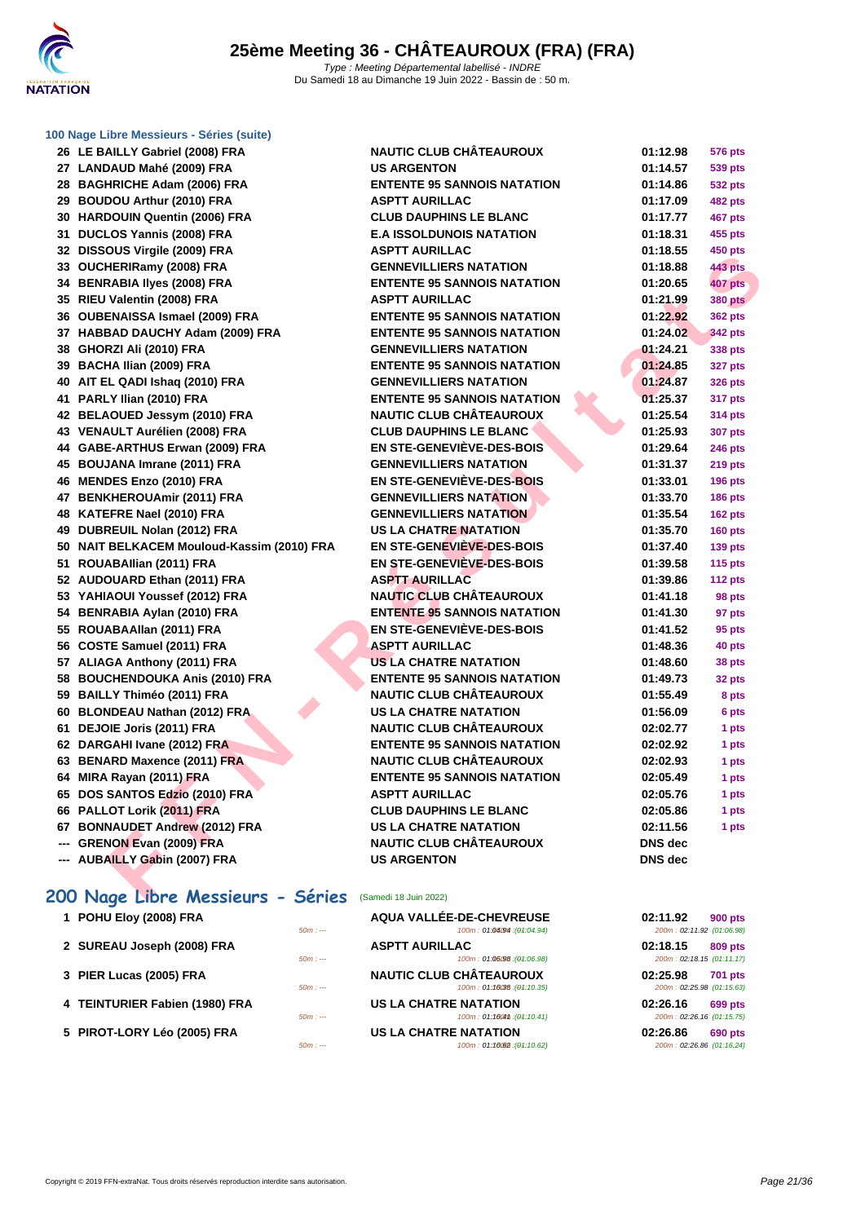

**[100 Nage](http://www.ffnatation.fr/webffn/index.php) Libre Messieurs - Séries (suite)**

| 26 LE BAILLY Gabriel (2008) FRA            | <b>NAUTIC CLUB CHÂTEAUROUX</b>     | 01:12.98       | <b>576 pts</b> |
|--------------------------------------------|------------------------------------|----------------|----------------|
| 27 LANDAUD Mahé (2009) FRA                 | <b>US ARGENTON</b>                 | 01:14.57       | <b>539 pts</b> |
| 28 BAGHRICHE Adam (2006) FRA               | <b>ENTENTE 95 SANNOIS NATATION</b> | 01:14.86       | <b>532 pts</b> |
| 29 BOUDOU Arthur (2010) FRA                | <b>ASPTT AURILLAC</b>              | 01:17.09       | <b>482 pts</b> |
| 30 HARDOUIN Quentin (2006) FRA             | <b>CLUB DAUPHINS LE BLANC</b>      | 01:17.77       | 467 pts        |
| 31 DUCLOS Yannis (2008) FRA                | <b>E.A ISSOLDUNOIS NATATION</b>    | 01:18.31       | 455 pts        |
| 32 DISSOUS Virgile (2009) FRA              | <b>ASPTT AURILLAC</b>              | 01:18.55       | <b>450 pts</b> |
| 33 OUCHERIRamy (2008) FRA                  | <b>GENNEVILLIERS NATATION</b>      | 01:18.88       | <b>443 pts</b> |
| 34 BENRABIA Ilyes (2008) FRA               | <b>ENTENTE 95 SANNOIS NATATION</b> | 01:20.65       | 407 pts        |
| 35 RIEU Valentin (2008) FRA                | <b>ASPTT AURILLAC</b>              | 01:21.99       | <b>380 pts</b> |
| 36 OUBENAISSA Ismael (2009) FRA            | <b>ENTENTE 95 SANNOIS NATATION</b> | 01:22.92       | <b>362 pts</b> |
| 37 HABBAD DAUCHY Adam (2009) FRA           | <b>ENTENTE 95 SANNOIS NATATION</b> | 01:24.02       | <b>342 pts</b> |
| 38 GHORZI Ali (2010) FRA                   | <b>GENNEVILLIERS NATATION</b>      | 01:24.21       | 338 pts        |
| 39 BACHA Ilian (2009) FRA                  | <b>ENTENTE 95 SANNOIS NATATION</b> | 01:24.85       | <b>327 pts</b> |
| 40 AIT EL QADI Ishaq (2010) FRA            | <b>GENNEVILLIERS NATATION</b>      | 01:24.87       | <b>326 pts</b> |
| 41 PARLY Ilian (2010) FRA                  | <b>ENTENTE 95 SANNOIS NATATION</b> | 01:25.37       | 317 pts        |
| 42 BELAOUED Jessym (2010) FRA              | <b>NAUTIC CLUB CHÂTEAUROUX</b>     | 01:25.54       | <b>314 pts</b> |
| 43 VENAULT Aurélien (2008) FRA             | <b>CLUB DAUPHINS LE BLANC</b>      | 01:25.93       | <b>307 pts</b> |
| 44 GABE-ARTHUS Erwan (2009) FRA            | <b>EN STE-GENEVIÈVE-DES-BOIS</b>   | 01:29.64       | <b>246 pts</b> |
| 45 BOUJANA Imrane (2011) FRA               | <b>GENNEVILLIERS NATATION</b>      | 01:31.37       | 219 pts        |
| 46 MENDES Enzo (2010) FRA                  | <b>EN STE-GENEVIÈVE-DES-BOIS</b>   | 01:33.01       | 196 pts        |
| 47 BENKHEROUAmir (2011) FRA                | <b>GENNEVILLIERS NATATION</b>      | 01:33.70       | <b>186 pts</b> |
| 48 KATEFRE Nael (2010) FRA                 | <b>GENNEVILLIERS NATATION</b>      | 01:35.54       | 162 pts        |
| 49 DUBREUIL Nolan (2012) FRA               | <b>US LA CHATRE NATATION</b>       | 01:35.70       | <b>160 pts</b> |
| 50 NAIT BELKACEM Mouloud-Kassim (2010) FRA | <b>EN STE-GENEVIÈVE-DES-BOIS</b>   | 01:37.40       | <b>139 pts</b> |
| 51 ROUABAllian (2011) FRA                  | <b>EN STE-GENEVIÈVE-DES-BOIS</b>   | 01:39.58       | <b>115 pts</b> |
| 52 AUDOUARD Ethan (2011) FRA               | <b>ASPTT AURILLAC</b>              | 01:39.86       | 112 pts        |
| 53 YAHIAOUI Youssef (2012) FRA             | <b>NAUTIC CLUB CHÂTEAUROUX</b>     | 01:41.18       | 98 pts         |
| 54 BENRABIA Aylan (2010) FRA               | <b>ENTENTE 95 SANNOIS NATATION</b> | 01:41.30       | 97 pts         |
| 55 ROUABAAllan (2011) FRA                  | EN STE-GENEVIÈVE-DES-BOIS          | 01:41.52       | 95 pts         |
| 56 COSTE Samuel (2011) FRA                 | <b>ASPTT AURILLAC</b>              | 01:48.36       | 40 pts         |
| 57 ALIAGA Anthony (2011) FRA               | <b>US LA CHATRE NATATION</b>       | 01:48.60       | 38 pts         |
| 58 BOUCHENDOUKA Anis (2010) FRA            | <b>ENTENTE 95 SANNOIS NATATION</b> | 01:49.73       | 32 pts         |
| 59 BAILLY Thiméo (2011) FRA                | <b>NAUTIC CLUB CHÂTEAUROUX</b>     | 01:55.49       | 8 pts          |
| 60 BLONDEAU Nathan (2012) FRA              | <b>US LA CHATRE NATATION</b>       | 01:56.09       | 6 pts          |
| 61 DEJOIE Joris (2011) FRA                 | <b>NAUTIC CLUB CHÂTEAUROUX</b>     | 02:02.77       | 1 pts          |
| 62 DARGAHI Ivane (2012) FRA                | <b>ENTENTE 95 SANNOIS NATATION</b> | 02:02.92       | 1 pts          |
| 63 BENARD Maxence (2011) FRA               | <b>NAUTIC CLUB CHÂTEAUROUX</b>     | 02:02.93       | 1 pts          |
| 64 MIRA Rayan (2011) FRA                   | <b>ENTENTE 95 SANNOIS NATATION</b> | 02:05.49       | 1 pts          |
| 65 DOS SANTOS Edzio (2010) FRA             | <b>ASPTT AURILLAC</b>              | 02:05.76       |                |
| 66 PALLOT Lorik (2011) FRA                 | <b>CLUB DAUPHINS LE BLANC</b>      | 02:05.86       | 1 pts          |
|                                            | <b>US LA CHATRE NATATION</b>       |                | 1 pts          |
| 67 BONNAUDET Andrew (2012) FRA             |                                    | 02:11.56       | 1 pts          |
| --- GRENON Evan (2009) FRA                 | <b>NAUTIC CLUB CHÂTEAUROUX</b>     | <b>DNS</b> dec |                |
| --- AUBAILLY Gabin (2007) FRA              | <b>US ARGENTON</b>                 | <b>DNS</b> dec |                |

# **200 Nage Libre Messieurs - Séries** (Samedi 18 Juin 2022)

| 2 SUREAU Joseph (2008) F |
|--------------------------|
| 1 POHU Eloy (2008) FRA   |

- **3 [PIER Lucas \(2005\) FRA](http://www.ffnatation.fr/webffn/resultats.php?idact=nat&go=epr&idcpt=78531&idepr=53) Biggs CLUB CONTING CONTA**
- **TEINTURIER Fabien (1980) FRA 69m**
- **PIROT-LORY Léo (2005) FRA**

| <b>NAUTIC CLUB CHÂTEAUROUX</b>     |
|------------------------------------|
| <b>JS ARGENTON</b>                 |
| <b>ENTENTE 95 SANNOIS NATATION</b> |
| <b>ASPTT AURILLAC</b>              |
| CLUB DAUPHINS LE BLANC             |
| <b>E.A ISSOLDUNOIS NATATION</b>    |
| <b>ASPTT AURILLAC</b>              |
| <b>GENNEVILLIERS NATATION</b>      |
| <b>ENTENTE 95 SANNOIS NATATION</b> |
| <b>ASPTT AURILLAC</b>              |
| <b>ENTENTE 95 SANNOIS NATATION</b> |
| <b>ENTENTE 95 SANNOIS NATATION</b> |
| <b>GENNEVILLIERS NATATION</b>      |
| <b>ENTENTE 95 SANNOIS NATATION</b> |
| <b>GENNEVILLIERS NATATION</b>      |
| <b>ENTENTE 95 SANNOIS NATATION</b> |
| <b>NAUTIC CLUB CHÄTEAUROUX</b>     |
| <b>CLUB DAUPHINS LE BLANC</b>      |
| EN STE-GENEVIÈVE-DES-BOIS          |
| <b>GENNEVILLIERS NATATION</b>      |
| EN STE-GENEVIÈVE-DES-BOIS          |
| <b>GENNEVILLIERS NATATION</b>      |
| <b>GENNEVILLIERS NATATION</b>      |
| <b>JS LA CHATRE NATATION</b>       |
| EN STE-GENEVIÈVE-DES-BOIS          |
| EN STE-GENEVIÈVE-DES-BOIS          |
| <b>ASPTT AURILLAC</b>              |
| <b>VAUTIC CLUB CHÂTEAUROUX</b>     |
| <b>ENTENTE 95 SANNOIS NATATION</b> |
| EN STE-GENEVIÈVE-DES-BOIS          |
| <b>\SPTT AURILLAC</b>              |
| <b>JS LA CHATRE NATATION</b>       |
| <b>ENTENTE 95 SANNOIS NATATION</b> |
| <b>NAUTIC CLUB CHÂTEAUROUX</b>     |
| <b>JS LA CHATRE NATATION</b>       |
| <b>VAUTIC CLUB CHÂTEAUROUX</b>     |
| <b>ENTENTE 95 SANNOIS NATATION</b> |
| <b>NAUTIC CLUB CHÂTEAUROUX</b>     |
| <b>ENTENTE 95 SANNOIS NATATION</b> |
| <b>ASPTT AURILLAC</b>              |
| CLUB DAUPHINS LE BLANC             |
| <b>JS LA CHATRE NATATION</b>       |
| <b>NAUTIC CLUB CHÂTEAUROUX</b>     |
| <b>JS ARGENTON</b>                 |
|                                    |

| 1 POHU Eloy (2008) FRA         | $50m: -$ | AQUA VALLÉE-DE-CHEVREUSE<br>100m: 01:04094 : (04:04.94)       | 02:11.92 | <b>900 pts</b><br>200m: 02:11.92 (01:06.98) |
|--------------------------------|----------|---------------------------------------------------------------|----------|---------------------------------------------|
| 2 SUREAU Joseph (2008) FRA     | $50m: -$ | <b>ASPTT AURILLAC</b><br>100m: 01:06/98 : (01:06.98)          | 02:18.15 | 809 pts<br>200m: 02:18.15 (01:11.17)        |
| 3 PIER Lucas (2005) FRA        | $50m: -$ | <b>NAUTIC CLUB CHÂTEAUROUX</b><br>100m: 01:16035 : (01:10.35) | 02:25.98 | <b>701 pts</b><br>200m: 02:25.98 (01:15.63) |
| 4 TEINTURIER Fabien (1980) FRA | $50m: -$ | <b>US LA CHATRE NATATION</b><br>100m: 01:160m : (04:10.41)    | 02:26.16 | 699 pts<br>200m: 02:26.16 (01:15.75)        |
| 5 PIROT-LORY Léo (2005) FRA    | $50m: -$ | <b>US LA CHATRE NATATION</b><br>100m: 01:1662: (04:10.62)     | 02:26.86 | <b>690 pts</b><br>200m: 02:26.86 (01:16.24) |

| 01:14.57             | 539 pts        |
|----------------------|----------------|
| 01:14.86             | 532 pts        |
| 01:17.09             | <b>482 pts</b> |
| 01:17.77             | 467 pts        |
| 01:18.31             | 455 pts        |
| 01:18.55             | <b>450 pts</b> |
| 01:18.88             | <b>443 pts</b> |
| 01:20.65             | <b>407 pts</b> |
| 01:21.99             | <b>380 pts</b> |
| 01:22.92             | <b>362 pts</b> |
| 01:24.02             | <b>342 pts</b> |
| 01:24.21             | 338 pts        |
| 01:24.85             | 327 pts        |
| 01:24.87             | <b>326 pts</b> |
| 01:25.37             | 317 pts        |
| 01:25.54             | <b>314 pts</b> |
| 01:25.93             | 307 pts        |
| 01:29.64             | 246 pts        |
| 01:31.37             | 219 pts        |
| 01:33.01             | 196 pts        |
| 01:33.70             | 186 pts        |
| 01:35.54             | 162 pts        |
| 01:35.70             | 160 pts        |
| 01:37.40             | 139 pts        |
| 01:39.58             | 115 pts        |
| 01:39.86             | 112 pts        |
| 01:41.18             | 98 pts         |
| 01:41.30             | 97 pts         |
| 01:41.52             | 95 pts         |
| 01:48.36<br>01:48.60 | 40 pts         |
|                      | 38 pts         |
| 01:49.73<br>01:55.49 | 32 pts         |
| 01:56.09             | 8 pts          |
| 02:02.77             | 6 pts          |
| 02:02.92             | 1 pts          |
| 02:02.93             | 1 pts          |
| 02:05.49             | 1 pts<br>1 pts |
| 02:05.76             | 1 pts          |
| 02:05.86             | 1 pts          |
| 02:11.56             | 1 pts          |
| DNS dec              |                |
| DNS dec              |                |
|                      |                |

| 02:11.92<br>200m: 02:11.92 (01:06.98) | <b>900 pts</b> |
|---------------------------------------|----------------|
| 02:18.15<br>200m: 02:18.15 (01:11.17) | <b>809 pts</b> |
| 02:25.98<br>200m: 02:25.98 (01:15.63) | <b>701 pts</b> |
| 02:26.16<br>200m: 02:26.16 (01:15.75) | <b>699 pts</b> |
| 02:26.86<br>200m: 02:26.86 (01:16.24) | <b>690 pts</b> |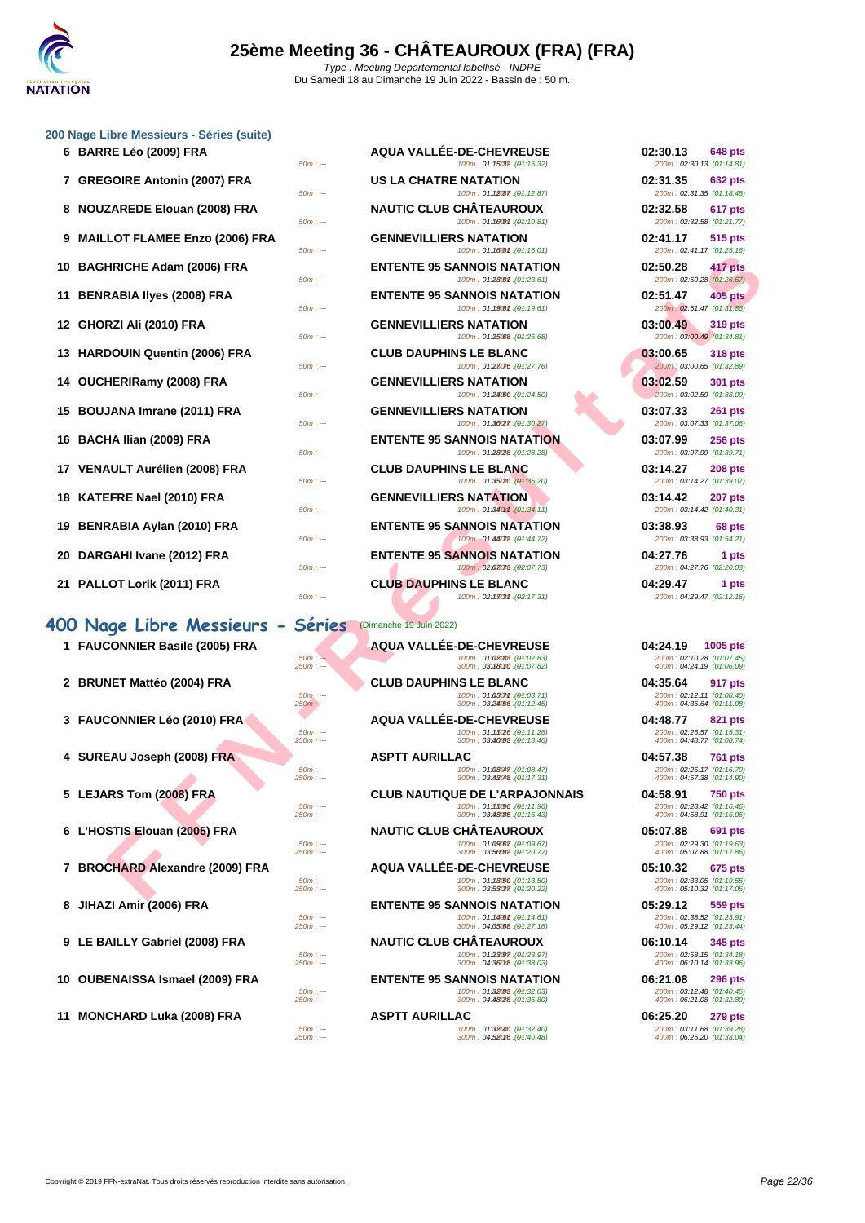

#### **[200 Nage](http://www.ffnatation.fr/webffn/index.php) Libre Messieurs - Séries (suite)**

| 6 BARRE Léo (2009) FRA           |
|----------------------------------|
| 7 GREGOIRE Antonin (2007) FRA    |
| 8 NOUZAREDE Elouan (2008) FRA    |
| 9 MAILLOT FLAMEE Enzo (2006) FRA |
| 10 BAGHRICHE Adam (2006) FRA     |
| 11 BENRABIA Ilyes (2008) FRA     |
| 12 GHORZI Ali (2010) FRA         |
| 13 HARDOUIN Quentin (2006) FRA   |
| 14 OUCHERIRamy (2008) FRA        |
| 15 BOUJANA Imrane (2011) FRA     |
| 16 BACHA Ilian (2009) FRA        |
| 17 VENAULT Aurélien (2008) FRA   |
| 18 KATEFRE Nael (2010) FRA       |
| 19 BENRABIA Aylan (2010) FRA     |
| 20 DARGAHI Ivane (2012) FRA      |
| 21 PALLOT Lorik (2011) FRA       |
| 00 Noge Libre Messieurs -        |

### **400 Nage Libre Messieurs - S**

| <b>I FAUCUNNIEN BASIIE (2003) FNA</b> |
|---------------------------------------|
| 2 BRUNET Mattéo (2004) FRA            |
| 3 FAUCONNIER Léo (2010) FRA           |
| 4 SUREAU Joseph (2008) FRA            |
| 5 LEJARS Tom (2008) FRA               |
| 6 L'HOSTIS Elouan (2005) FRA          |
| 7 BROCHARD Alexandre (2009) FRA       |
| 8 JIHAZI Amir (2006) FRA              |
| 9 LE BAILLY Gabriel (2008) FRA        |
| 10 OUBENAISSA Ismael (2009) FRA       |
|                                       |

|   | 6 BARRE Léo (2009) FRA<br>$50m: -$                      | <b>AQUA VALLEE-DE-CHEVREUSE</b><br>100m: 01:15032 : (01:15.32)                                | 02:30.13<br><b>648 pts</b><br>200m: 02:30.13 (01:14.81)                        |
|---|---------------------------------------------------------|-----------------------------------------------------------------------------------------------|--------------------------------------------------------------------------------|
|   | 7 GREGOIRE Antonin (2007) FRA<br>$50m: -$               | US LA CHATRE NATATION<br>100m: 01:18087 : (04:12.87)                                          | 02:31.35<br><b>632 pts</b><br>200m: 02:31.35 (01:18.48)                        |
| 8 | <b>NOUZAREDE Elouan (2008) FRA</b><br>$50m: -$          | <b>NAUTIC CLUB CHATEAUROUX</b><br>100m: 01:100m : (01:10.81)                                  | 02:32.58<br>617 pts<br>200m: 02:32.58 (01:21.77)                               |
| 9 | <b>MAILLOT FLAMEE Enzo (2006) FRA</b><br>$50m: -$       | <b>GENNEVILLIERS NATATION</b><br>100m: 01:160m : (01:16.01)                                   | 02:41.17<br>515 pts<br>200m: 02:41.17 (01:25.16)                               |
|   | 10 BAGHRICHE Adam (2006) FRA<br>$50m: -$                | <b>ENTENTE 95 SANNOIS NATATION</b><br>100m: 01:23.61 : (01:23.61)                             | 02:50.28<br>417 pts<br>200m: 02:50.28 (01:26.67)                               |
|   | 11   BENRABIA IIves (2008) FRA<br>$50m: -$              | <b>ENTENTE 95 SANNOIS NATATION</b><br>100m: 01:190m : (01:19.61)                              | 02:51.47<br><b>405 pts</b><br>200m: 02:51.47 (01:31.86)                        |
|   | 12   GHORZI Ali (2010) FRA<br>$50m: -$                  | <b>GENNEVILLIERS NATATION</b><br>100m: 01:25.68 : (01:25.68)                                  | 03:00.49<br>319 pts<br>200m: 03:00.49 (01:34.81)                               |
|   | 13 HARDOUIN Quentin (2006) FRA                          | <b>CLUB DAUPHINS LE BLANC</b>                                                                 | 03:00.65<br><b>318 pts</b>                                                     |
|   | $50m: -$<br>14 OUCHERIRamy (2008) FRA                   | 100m: 01:28076 : (01:27.76)<br><b>GENNEVILLIERS NATATION</b>                                  | 200m: 03:00.65 (01:32.89)<br>03:02.59<br>301 pts                               |
|   | $50m: -$<br>15 BOUJANA Imrane (2011) FRA                | 100m: 01:24/50 : (01:24.50)<br><b>GENNEVILLIERS NATATION</b>                                  | 200m: 03:02.59 (01:38.09)<br>03:07.33<br><b>261 pts</b>                        |
|   | $50m: -$<br>16   BACHA Ilian (2009) FRA                 | 100m: 01:36/27 : (01:30.27)<br><b>ENTENTE 95 SANNOIS NATATION</b>                             | 200m: 03:07.33 (01:37.06)<br>03:07.99<br><b>256 pts</b>                        |
|   | $50m: -$<br>17   VENAULT Aurélien (2008) FRA            | 100m: 01:28/28 : (01:28.28)<br><b>CLUB DAUPHINS LE BLANC</b>                                  | 200m: 03:07.99 (01:39.71)<br>03:14.27<br><b>208 pts</b>                        |
|   | $50m: -$<br>18   KATEFRE Nael (2010) FRA                | 100m: 01:35(20: (01:35.20)<br><b>GENNEVILLIERS NATATION</b>                                   | 200m: 03:14.27 (01:39.07)<br>03:14.42<br>207 pts                               |
|   | $50m: -$<br>19 BENRABIA Aylan (2010) FRA                | 100m: 01:340mm : (01:34.11)<br><b>ENTENTE 95 SANNOIS NATATION</b>                             | 200m: 03:14.42 (01:40.31)<br>03:38.93<br>68 pts                                |
|   | $50m: -$<br>20   DARGAHI Ivane (2012) FRA               | 100m: 01:44072 : (01:44.72)<br><b>ENTENTE 95 SANNOIS NATATION</b>                             | 200m: 03:38.93 (01:54.21)<br>04:27.76<br>1 pts                                 |
|   | $50m: -$<br>21 PALLOT Lorik (2011) FRA<br>$50m: -$      | 100m: 02:03078 : (02:07.73)<br><b>CLUB DAUPHINS LE BLANC</b><br>100m: 02:13031 : (02:17.31)   | 200m: 04:27.76 (02:20.03)<br>04:29.47<br>1 pts<br>200m: 04:29.47 (02:12.16)    |
|   |                                                         |                                                                                               |                                                                                |
|   | 00 Nage Libre Messieurs - Séri <u>es</u>                | (Dimanche 19 Juin 2022)                                                                       |                                                                                |
|   | 1 FAUCONNIER Basile (2005) FRA<br>$50m: -$<br>$250m: -$ | <b>AQUA VALLÉE-DE-CHEVREUSE</b><br>100m: 01:02(88): (04:02.83)<br>300m: 03:38010 : (04:07.82) | 04:24.19<br>1005 pts<br>200m: 02:10.28 (01:07.45)<br>400m: 04:24.19 (01:06.09) |
|   | 2 BRUNET Mattéo (2004) FRA<br>$50m$ : ---<br>250m : --- | <b>CLUB DAUPHINS LE BLANC</b><br>100m: 01:030mm : (01:03.71)<br>300m: 03:24/56 : (04:12.45)   | 04:35.64<br>917 pts<br>200m: 02:12.11 (01:08.40)<br>400m: 04:35.64 (01:11.08)  |
|   | 3 FAUCONNIER Léo (2010) FRA<br>$50m: -$<br>$250m: -$    | <b>AQUA VALLEE-DE-CHEVREUSE</b><br>100m: 01:15(26 : (01:11.26)                                | 04:48.77<br>821 pts<br>200m: 02:26.57 (01:15.31)                               |
|   | 4 SUREAU Joseph (2008) FRA                              | 300m: 03:46008 : (01:13.46)<br><b>ASPTT AURILLAC</b>                                          | 400m: 04:48.77 (01:08.74)<br>04:57.38<br><b>761 pts</b>                        |
|   | $50m: -$<br>$250m: -$                                   | 100m: 01:08047. (01:08.47)<br>300m: 03:48048 : (04:17.31)                                     | 200m: 02:25.17 (01:16.70)<br>400m: 04:57.38 (01:14.90)                         |
|   | 5 LEJARS Tom (2008) FRA                                 | <b>CLUB NAUTIQUE DE L'ARPAJONNAIS</b>                                                         | 04:58.91<br><b>750 pts</b>                                                     |
|   | $50m: -$<br>$250m: -$                                   | 100m: 01:15096 : (01:11.96)<br>300m: 03:43/85 : (04:15.43)                                    | 200m: 02:28.42 (01:16.46)<br>400m: 04:58.91 (01:15.06)                         |
|   | 6 L'HOSTIS Elouan (2005) FRA<br>$50m: -$                | <b>NAUTIC CLUB CHATEAUROUX</b><br>100m: 01:09 (87: (04: 09.67)                                | 05:07.88<br><b>691 pts</b><br>200m: 02:29.30 (01:19.63)                        |
|   | $250m: -$                                               | 300m: 03:56002 : (04:20.72)                                                                   | 400m: 05:07.88 (01:17.86)                                                      |
|   | 7 BROCHARD Alexandre (2009) FRA<br>$50m: -$             | <b>AQUA VALLÉE-DE-CHEVREUSE</b><br>100m: 01:13/50 : (01:13.50)                                | 05:10.32<br>675 pts<br>200m: 02:33.05 (01:19.55)                               |
|   | $250m$ : ---                                            | 300m: 03:53027 : (04:20.22)                                                                   | 400m: 05:10.32 (01:17.05)                                                      |

> **ENTENTE 95 SANNOIS NATATION 05:29.12 559 pts**<br>  $\frac{50m}{2}$  **Den 05:29.12 559 pts** 50m : ---<br>250m : --- 100m : 01:14.6150m : 04:05.680 (01:14.61) 250m : 04:05.680 (01:27.16)

> **9 LE BAILLY Gabriel (2008) FRA NAUTIC CLUB CHÂTEAUROUX 06:10.14 345 pts** 50m : --- 100m : 01:23.97 150m : --- (01:23.97) 200m : 02:58.15 (01:34.18) 250m : --- 300m : 04:36.1850m : --- (01:38.03) 400m : 06:10.14 (01:33.96)

> **10 OUBENAISSA Ismael (2009) FRA ENTENTE 95 SANNOIS NATATION 06:21.08 296 pts**  $\begin{array}{l} 50m: \cdots \\ 50m: \cdots \end{array} \qquad \qquad \begin{array}{l} 100m: \ \ 01:32008 \ \ \vdots \ \ 04:32.03) \end{array} \qquad \qquad \begin{array}{l} 100m: \ \ 01:32.80) \end{array} \qquad \qquad \begin{array}{l} 200m: \ \ 01:40.45) \end{array} \qquad \qquad \begin{array}{l} 200m: \ \ 01:32.80) \end{array} \qquad \qquad \begin{array}{l} 200m: \ \ 01:32.80) \$

> 50m : --- 100m : 01:32.40 150m : --- (01:32.40) 200m : 03:11.68 (01:39.28) 250m : --- 300m : 04:52.16 350m : --- (01:40.48) 400m : 06:25.20 (01:33.04)

| UZ:3U.13 648 PTS<br>200m: 02:30.13 (01:14.81)           |
|---------------------------------------------------------|
| 02:31.35 632 pts<br>200m: 02:31.35 (01:18.48)           |
| 02:32.58 617 pts<br>200m: 02:32.58 (01:21.77)           |
| 02:41.17 515 pts<br>200m: 02:41.17 (01:25.16)           |
| 02:50.28 417 pts<br>200m: 02:50.28 (01:26.67)           |
| 02:51.47 405 pts<br>200m: 02:51.47 (01:31.86)           |
| 03:00.49 319 pts<br>$\frac{200m}{103:00.49}$ (01:34.81) |
| 03:00.65 318 pts<br>200m: 03:00.65 (01:32.89)           |
| 03:02.59 301 pts<br>200m: 03:02.59 (01:38.09)           |
| 03:07.33 261 pts<br>200m: 03:07.33 (01:37.06)           |
| 03:07.99 256 pts<br>200m: 03:07.99 (01:39.71)           |
| 03:14.27 208 pts<br>200m: 03:14.27 (01:39.07)           |
| 03:14.42 207 pts<br>200m: 03:14.42 (01:40.31)           |
| 03:38.93 68 pts<br>200m: 03:38.93 (01:54.21)            |
| 04:27.76<br>1 pts<br>200m: 04:27.76 (02:20.03)          |
| 04:29.47<br>1 pts<br>200m: 04:29.47 (02:12.16)          |
|                                                         |

200m : 02:38.52 (01:23.91)<br>400m : 05:29.12 (01:23.44)

**11 MONCHARD Luka (2008) FRA ASPTT AURILLAC** *100m : 01:38(40 : 49:32.40)* **<b>06:25.20 279 pts**<br> *50m : --- 200m : 01:38(40 : 41:32.40) 100m : 01:38(40 : 49:32.40) 200m : 03:11.68* **(01:39.28)**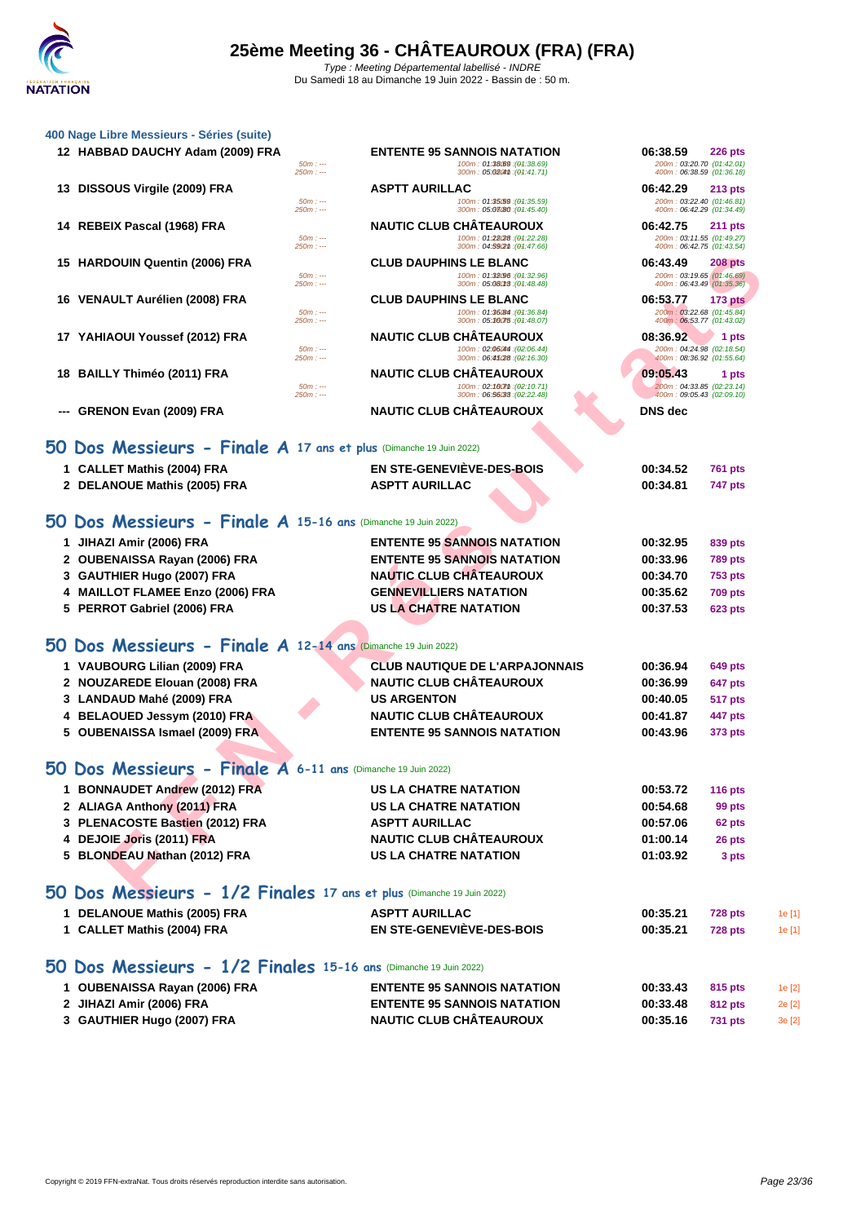|    | 400 Nage Libre Messieurs - Séries (suite)                             |                                                                                        |                                                        |        |
|----|-----------------------------------------------------------------------|----------------------------------------------------------------------------------------|--------------------------------------------------------|--------|
|    | 12 HABBAD DAUCHY Adam (2009) FRA                                      | <b>ENTENTE 95 SANNOIS NATATION</b><br>06:38.59                                         | <b>226 pts</b>                                         |        |
|    |                                                                       | $50m: -$<br>100m: 01:38.69 : (01:38.69)<br>300m: 05:0204th: (04:41.71)<br>$250m: -$    | 200m: 03:20.70 (01:42.01)<br>400m: 06:38.59 (01:36.18) |        |
| 13 | DISSOUS Virgile (2009) FRA                                            | <b>ASPTT AURILLAC</b><br>06:42.29                                                      | <b>213 pts</b>                                         |        |
|    |                                                                       | 100m: 01:35.59 : (01:35.59)<br>$50m: -$                                                | 200m: 03:22.40 (01:46.81)                              |        |
|    |                                                                       | 300m: 05:08/80 : (04:45.40)<br>$250m: -$<br><b>NAUTIC CLUB CHATEAUROUX</b><br>06:42.75 | 400m: 06:42.29 (01:34.49)                              |        |
|    | 14 REBEIX Pascal (1968) FRA                                           | 100m: 01:28(28 : (01:22.28)<br>$50m: -$                                                | <b>211 pts</b><br>200m: 03:11.55 (01:49.27)            |        |
|    |                                                                       | $250m: -$<br>300m: 04:59(2m : (04:47.66)                                               | 400m: 06:42.75 (01:43.54)                              |        |
|    | 15 HARDOUIN Quentin (2006) FRA                                        | <b>CLUB DAUPHINS LE BLANC</b><br>06:43.49<br>$50m: -$<br>100m: 01:32.96 : (01:32.96)   | <b>208 pts</b><br>200m: 03:19.65 (01:46.69)            |        |
|    |                                                                       | $250m: -$<br>300m: 05:08018: (04:48.48)                                                | 400m: 06:43.49 (01:35.36)                              |        |
|    | 16 VENAULT Aurélien (2008) FRA                                        | <b>CLUB DAUPHINS LE BLANC</b><br>06:53.77<br>100m: 01:36/84 : (01:36.84)<br>$50m: -$   | <b>173 pts</b><br>200m: 03:22.68 (01:45.84)            |        |
|    |                                                                       | 300m: 05:36075 : (04:48.07)<br>$250m: -$                                               | 400m: 06:53.77 (01:43.02)                              |        |
|    | 17 YAHIAOUI Youssef (2012) FRA                                        | <b>NAUTIC CLUB CHATEAUROUX</b><br>08:36.92<br>100m: 02:06044 : (02:06.44)<br>$50m: -$  | 1 pts<br>200m: 04:24.98 (02:18.54)                     |        |
|    |                                                                       | 300m: 06:45/28 : (02:16.30)<br>$250m: -$                                               | 400m: 08:36.92 (01:55.64)                              |        |
| 18 | <b>BAILLY Thiméo (2011) FRA</b>                                       | <b>NAUTIC CLUB CHATEAUROUX</b><br>09:05.43                                             | 1 pts                                                  |        |
|    |                                                                       | $50m: -$<br>100m: 02:160mm: (02:10.71)<br>300m: 06:56033 : (02:22.48)<br>$250m: -$     | 200m: 04:33.85 (02:23.14)<br>400m: 09:05.43 (02:09.10) |        |
|    | <b>GRENON Evan (2009) FRA</b>                                         | <b>NAUTIC CLUB CHÂTEAUROUX</b><br><b>DNS</b> dec                                       |                                                        |        |
|    |                                                                       |                                                                                        |                                                        |        |
|    | 50 Dos Messieurs - Finale A 17 ans et plus (Dimanche 19 Juin 2022)    |                                                                                        |                                                        |        |
|    | 1 CALLET Mathis (2004) FRA                                            | <b>EN STE-GENEVIÈVE-DES-BOIS</b><br>00:34.52                                           | <b>761 pts</b>                                         |        |
|    | 2 DELANOUE Mathis (2005) FRA                                          | <b>ASPTT AURILLAC</b><br>00:34.81                                                      | <b>747 pts</b>                                         |        |
|    |                                                                       |                                                                                        |                                                        |        |
|    | 50 Dos Messieurs - Finale A 15-16 ans (Dimanche 19 Juin 2022)         |                                                                                        |                                                        |        |
|    | 1 JIHAZI Amir (2006) FRA                                              | <b>ENTENTE 95 SANNOIS NATATION</b><br>00:32.95                                         | 839 pts                                                |        |
| 2  | <b>OUBENAISSA Rayan (2006) FRA</b>                                    | <b>ENTENTE 95 SANNOIS NATATION</b><br>00:33.96                                         | <b>789 pts</b>                                         |        |
| 3  | GAUTHIER Hugo (2007) FRA                                              | <b>NAUTIC CLUB CHÂTEAUROUX</b><br>00:34.70                                             | <b>753 pts</b>                                         |        |
|    | 4 MAILLOT FLAMEE Enzo (2006) FRA                                      | <b>GENNEVILLIERS NATATION</b><br>00:35.62                                              | <b>709 pts</b>                                         |        |
|    | 5 PERROT Gabriel (2006) FRA                                           | <b>US LA CHATRE NATATION</b><br>00:37.53                                               | <b>623 pts</b>                                         |        |
|    | 50 Dos Messieurs - Finale A 12-14 ans (Dimanche 19 Juin 2022)         |                                                                                        |                                                        |        |
|    | 1 VAUBOURG Lilian (2009) FRA                                          | <b>CLUB NAUTIQUE DE L'ARPAJONNAIS</b><br>00:36.94                                      | 649 pts                                                |        |
|    | 2 NOUZAREDE Elouan (2008) FRA                                         | <b>NAUTIC CLUB CHÂTEAUROUX</b><br>00:36.99                                             | 647 pts                                                |        |
|    | 3 LANDAUD Mahé (2009) FRA                                             | <b>US ARGENTON</b><br>00:40.05                                                         | 517 pts                                                |        |
|    | BELAOUED Jessym (2010) FRA                                            | <b>NAUTIC CLUB CHÂTEAUROUX</b><br>00:41.87                                             | 447 pts                                                |        |
|    | 5 OUBENAISSA Ismael (2009) FRA                                        | <b>ENTENTE 95 SANNOIS NATATION</b><br>00:43.96                                         | 373 pts                                                |        |
|    |                                                                       |                                                                                        |                                                        |        |
|    | 50 Dos Messieurs - Finale A 6-11 ans (Dimanche 19 Juin 2022)          |                                                                                        |                                                        |        |
|    | 1 BONNAUDET Andrew (2012) FRA                                         | <b>US LA CHATRE NATATION</b><br>00:53.72                                               | <b>116 pts</b>                                         |        |
|    | 2 ALIAGA Anthony (2011) FRA                                           | <b>US LA CHATRE NATATION</b><br>00:54.68                                               | 99 pts                                                 |        |
|    | 3 PLENACOSTE Bastien (2012) FRA                                       | <b>ASPTT AURILLAC</b><br>00:57.06                                                      | 62 pts                                                 |        |
|    | 4 DEJOIE Joris (2011) FRA                                             | <b>NAUTIC CLUB CHÂTEAUROUX</b><br>01:00.14                                             | 26 pts                                                 |        |
|    | 5 BLONDEAU Nathan (2012) FRA                                          | <b>US LA CHATRE NATATION</b><br>01:03.92                                               | 3 pts                                                  |        |
|    |                                                                       |                                                                                        |                                                        |        |
|    | 50 Dos Messieurs - 1/2 Finales 17 ans et plus (Dimanche 19 Juin 2022) |                                                                                        |                                                        |        |
|    | 1 DELANOUE Mathis (2005) FRA                                          | <b>ASPTT AURILLAC</b><br>00:35.21                                                      | <b>728 pts</b>                                         | 1e [1] |
|    | 1 CALLET Mathis (2004) FRA                                            | <b>EN STE-GENEVIÈVE-DES-BOIS</b><br>00:35.21                                           | <b>728 pts</b>                                         | 1e [1] |

## **[50 Dos Messieurs - 1/2 Finales](http://www.ffnatation.fr/webffn/resultats.php?idact=nat&go=epr&idcpt=78531&idepr=61) 15-16 ans** (Dimanche 19 Juin 2022)

| 1 OUBENAISSA Rayan (2006) FRA | <b>ENTENTE 95 SANNOIS NATATION</b> | 00:33.43 | 815 pts | 1e [2] |
|-------------------------------|------------------------------------|----------|---------|--------|
| 2 JIHAZI Amir (2006) FRA      | <b>ENTENTE 95 SANNOIS NATATION</b> | 00:33.48 | 812 pts | 2e[2]  |
| 3 GAUTHIER Hugo (2007) FRA    | <b>NAUTIC CLUB CHÂTEAUROUX</b>     | 00:35.16 | 731 pts | 3e[2]  |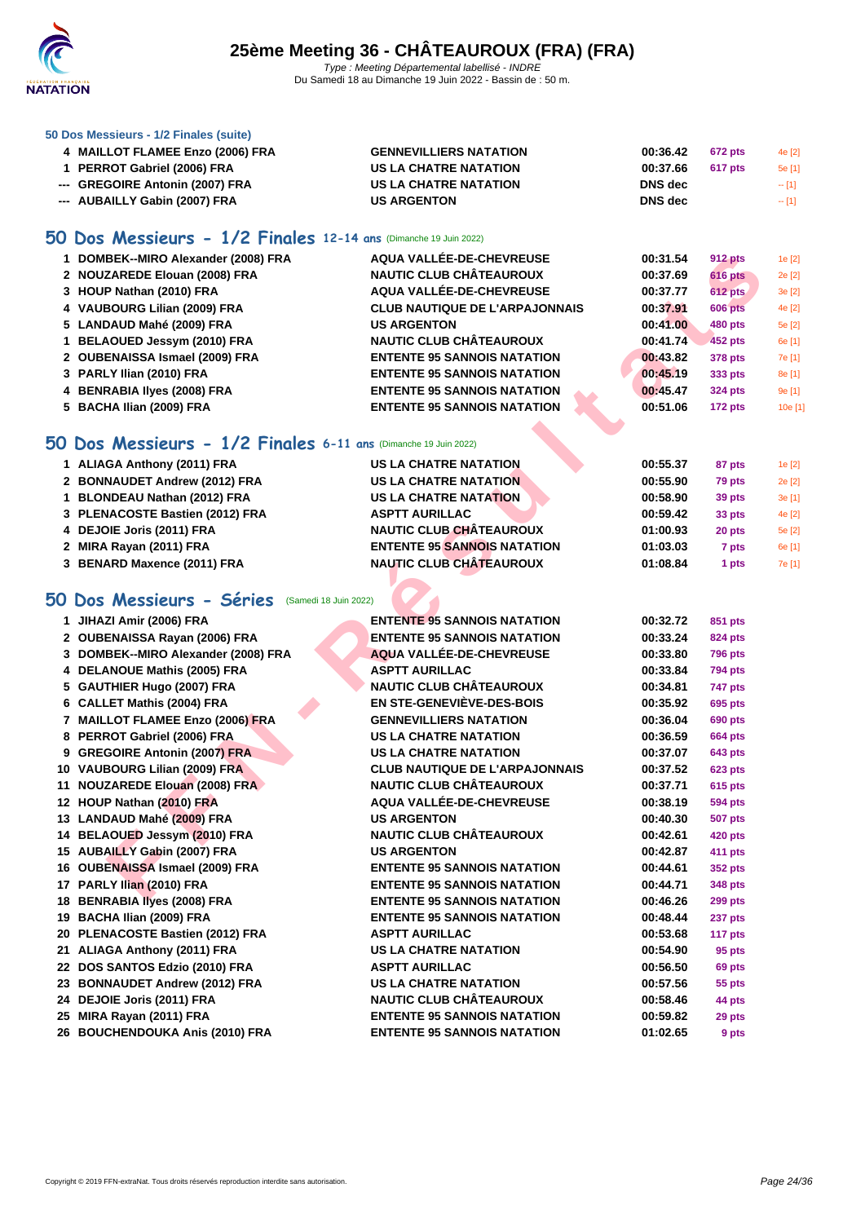

#### **[50 Dos M](http://www.ffnatation.fr/webffn/index.php)essieurs - 1/2 Finales (suite)**

| 4 MAILLOT FLAMEE Enzo (2006) FRA | <b>GENNEVILLIERS NATATION</b> | 00:36.42       | 672 pts | 4e [2] |
|----------------------------------|-------------------------------|----------------|---------|--------|
| 1 PERROT Gabriel (2006) FRA      | US LA CHATRE NATATION         | 00:37.66       | 617 pts | 5e [1] |
| --- GREGOIRE Antonin (2007) FRA  | US LA CHATRE NATATION         | <b>DNS</b> dec |         | $-11$  |
| --- AUBAILLY Gabin (2007) FRA    | <b>US ARGENTON</b>            | <b>DNS</b> dec |         | $-11$  |

### **50 Dos Messieurs - 1/2 Finales 12-14 ans** (Dimanche 19 Juin 2022)

| 1 DOMBEK--MIRO Alexander (2008) FRA | AQUA VALLÉE-DE-CHEVREUSE              | 00:31.54 | <b>912 pts</b> | 1e [2]  |
|-------------------------------------|---------------------------------------|----------|----------------|---------|
| 2 NOUZAREDE Elouan (2008) FRA       | <b>NAUTIC CLUB CHÂTEAUROUX</b>        | 00:37.69 | <b>616 pts</b> | 2e [2]  |
| 3 HOUP Nathan (2010) FRA            | AQUA VALLÉE-DE-CHEVREUSE              | 00:37.77 | <b>612 pts</b> | 3e[2]   |
| 4 VAUBOURG Lilian (2009) FRA        | <b>CLUB NAUTIQUE DE L'ARPAJONNAIS</b> | 00:37.91 | <b>606 pts</b> | 4e [2]  |
| 5 LANDAUD Mahé (2009) FRA           | <b>US ARGENTON</b>                    | 00:41.00 | 480 pts        | 5e [2]  |
| 1 BELAOUED Jessym (2010) FRA        | <b>NAUTIC CLUB CHÂTEAUROUX</b>        | 00:41.74 | 452 pts        | 6e [1]  |
| 2 OUBENAISSA Ismael (2009) FRA      | <b>ENTENTE 95 SANNOIS NATATION</b>    | 00:43.82 | 378 pts        | 7e [1]  |
| 3 PARLY Ilian (2010) FRA            | <b>ENTENTE 95 SANNOIS NATATION</b>    | 00:45.19 | 333 pts        | 8e [1]  |
| 4 BENRABIA Ilyes (2008) FRA         | <b>ENTENTE 95 SANNOIS NATATION</b>    | 00:45.47 | <b>324 pts</b> | 9e [1]  |
| 5 BACHA Ilian (2009) FRA            | <b>ENTENTE 95 SANNOIS NATATION</b>    | 00:51.06 | $172$ pts      | 10e [1] |
|                                     |                                       |          |                |         |

### **50 Dos Messieurs - 1/2 Finales 6-11 ans** (Dimanche 19 Juin 2022)

| 1 ALIAGA Anthony (2011) FRA     | <b>US LA CHATRE NATATION</b>       | 00:55.37 | 87 pts | 1e [2] |
|---------------------------------|------------------------------------|----------|--------|--------|
| 2 BONNAUDET Andrew (2012) FRA   | <b>US LA CHATRE NATATION</b>       | 00:55.90 | 79 pts | 2e [2] |
| 1 BLONDEAU Nathan (2012) FRA    | <b>US LA CHATRE NATATION</b>       | 00:58.90 | 39 pts | 3e[1]  |
| 3 PLENACOSTE Bastien (2012) FRA | <b>ASPTT AURILLAC</b>              | 00:59.42 | 33 pts | 4e [2] |
| 4 DEJOIE Joris (2011) FRA       | <b>NAUTIC CLUB CHÂTEAUROUX</b>     | 01:00.93 | 20 pts | 5e [2] |
| 2 MIRA Rayan (2011) FRA         | <b>ENTENTE 95 SANNOIS NATATION</b> | 01:03.03 | 7 pts  | 6e [1] |
| 3 BENARD Maxence (2011) FRA     | <b>NAUTIC CLUB CHÂTEAUROUX</b>     | 01:08.84 | 1 pts  | 7e [1] |

### **50 Dos Messieurs - Séries** (Samedi 18 Juin 2022)

| 1 DOMBEK--MIRO Alexander (2008) FRA                            | AQUA VALLÉE-DE-CHEVREUSE              | 00:31.54 | <b>912 pts</b> |   |
|----------------------------------------------------------------|---------------------------------------|----------|----------------|---|
| 2 NOUZAREDE Elouan (2008) FRA                                  | <b>NAUTIC CLUB CHÂTEAUROUX</b>        | 00:37.69 | <b>616 pts</b> |   |
| 3 HOUP Nathan (2010) FRA                                       | AQUA VALLÉE-DE-CHEVREUSE              | 00:37.77 | <b>612 pts</b> | ć |
| 4 VAUBOURG Lilian (2009) FRA                                   | <b>CLUB NAUTIQUE DE L'ARPAJONNAIS</b> | 00:37.91 | <b>606 pts</b> |   |
| 5 LANDAUD Mahé (2009) FRA                                      | <b>US ARGENTON</b>                    | 00:41.00 | 480 pts        |   |
| 1 BELAOUED Jessym (2010) FRA                                   | <b>NAUTIC CLUB CHÂTEAUROUX</b>        | 00:41.74 | 452 pts        |   |
| 2 OUBENAISSA Ismael (2009) FRA                                 | <b>ENTENTE 95 SANNOIS NATATION</b>    | 00:43.82 | 378 pts        |   |
| 3 PARLY Ilian (2010) FRA                                       | <b>ENTENTE 95 SANNOIS NATATION</b>    | 00:45.19 | 333 pts        |   |
| 4 BENRABIA Ilyes (2008) FRA                                    | <b>ENTENTE 95 SANNOIS NATATION</b>    | 00:45.47 | 324 pts        |   |
| 5 BACHA Ilian (2009) FRA                                       | <b>ENTENTE 95 SANNOIS NATATION</b>    | 00:51.06 | 172 pts        |   |
|                                                                |                                       |          |                |   |
| O Dos Messieurs - 1/2 Finales 6-11 ans (Dimanche 19 Juin 2022) |                                       |          |                |   |
| 1 ALIAGA Anthony (2011) FRA                                    | <b>US LA CHATRE NATATION</b>          | 00:55.37 | 87 pts         |   |
| 2 BONNAUDET Andrew (2012) FRA                                  | <b>US LA CHATRE NATATION</b>          | 00:55.90 | 79 pts         | ź |
| 1 BLONDEAU Nathan (2012) FRA                                   | <b>US LA CHATRE NATATION</b>          | 00:58.90 | 39 pts         |   |
| 3 PLENACOSTE Bastien (2012) FRA                                | <b>ASPTT AURILLAC</b>                 | 00:59.42 | 33 pts         |   |
| 4 DEJOIE Joris (2011) FRA                                      | <b>NAUTIC CLUB CHÂTEAUROUX</b>        | 01:00.93 | 20 pts         |   |
| 2 MIRA Rayan (2011) FRA                                        | <b>ENTENTE 95 SANNOIS NATATION</b>    | 01:03.03 | 7 pts          |   |
| 3 BENARD Maxence (2011) FRA                                    | <b>NAUTIC CLUB CHÂTEAUROUX</b>        | 01:08.84 | 1 pts          |   |
|                                                                |                                       |          |                |   |
| iO Dos Messieurs - Séries<br>(Samedi 18 Juin 2022)             |                                       |          |                |   |
| 1 JIHAZI Amir (2006) FRA                                       | <b>ENTENTE 95 SANNOIS NATATION</b>    | 00:32.72 | 851 pts        |   |
| 2 OUBENAISSA Rayan (2006) FRA                                  | <b>ENTENTE 95 SANNOIS NATATION</b>    | 00:33.24 | 824 pts        |   |
| 3 DOMBEK--MIRO Alexander (2008) FRA                            | AQUA VALLÉE-DE-CHEVREUSE              | 00:33.80 | 796 pts        |   |
| 4 DELANOUE Mathis (2005) FRA                                   | <b>ASPTT AURILLAC</b>                 | 00:33.84 | <b>794 pts</b> |   |
| 5 GAUTHIER Hugo (2007) FRA                                     | <b>NAUTIC CLUB CHÂTEAUROUX</b>        | 00:34.81 | <b>747 pts</b> |   |
| 6 CALLET Mathis (2004) FRA                                     | <b>EN STE-GENEVIÈVE-DES-BOIS</b>      | 00:35.92 | 695 pts        |   |
| 7 MAILLOT FLAMEE Enzo (2006) FRA                               | <b>GENNEVILLIERS NATATION</b>         | 00:36.04 | 690 pts        |   |
| 8 PERROT Gabriel (2006) FRA                                    | <b>US LA CHATRE NATATION</b>          | 00:36.59 | <b>664 pts</b> |   |
| 9 GREGOIRE Antonin (2007) FRA                                  | <b>US LA CHATRE NATATION</b>          | 00:37.07 | <b>643 pts</b> |   |
| 10 VAUBOURG Lilian (2009) FRA                                  | <b>CLUB NAUTIQUE DE L'ARPAJONNAIS</b> | 00:37.52 | <b>623 pts</b> |   |
| 11 NOUZAREDE Elouan (2008) FRA                                 | <b>NAUTIC CLUB CHÂTEAUROUX</b>        | 00:37.71 | <b>615 pts</b> |   |
| 12 HOUP Nathan (2010) FRA                                      | AQUA VALLÉE-DE-CHEVREUSE              | 00:38.19 | <b>594 pts</b> |   |
| 13 LANDAUD Mahé (2009) FRA                                     | <b>US ARGENTON</b>                    | 00:40.30 | <b>507 pts</b> |   |
| 14 BELAOUED Jessym (2010) FRA                                  | <b>NAUTIC CLUB CHÂTEAUROUX</b>        | 00:42.61 | <b>420 pts</b> |   |
| 15 AUBAILLY Gabin (2007) FRA                                   | <b>US ARGENTON</b>                    | 00:42.87 | 411 pts        |   |
| 16 OUBENAISSA Ismael (2009) FRA                                | <b>ENTENTE 95 SANNOIS NATATION</b>    | 00:44.61 | 352 pts        |   |
| 17 PARLY Ilian (2010) FRA                                      | <b>ENTENTE 95 SANNOIS NATATION</b>    | 00:44.71 | 348 pts        |   |
| 18 BENRABIA Ilyes (2008) FRA                                   | <b>ENTENTE 95 SANNOIS NATATION</b>    | 00:46.26 | 299 pts        |   |
| 19 BACHA Ilian (2009) FRA                                      | <b>ENTENTE 95 SANNOIS NATATION</b>    | 00:48.44 | <b>237 pts</b> |   |
| 20 PLENACOSTE Bastien (2012) FRA                               | <b>ASPTT AURILLAC</b>                 | 00:53.68 | 117 pts        |   |
| 21 ALIAGA Anthony (2011) FRA                                   | <b>US LA CHATRE NATATION</b>          | 00:54.90 | 95 pts         |   |
| 22 DOS SANTOS Edzio (2010) FRA                                 | <b>ASPTT AURILLAC</b>                 | 00:56.50 | 69 pts         |   |
| 23 BONNAUDET Andrew (2012) FRA                                 | <b>US LA CHATRE NATATION</b>          | 00:57.56 | 55 pts         |   |
| 24 DEJOIE Joris (2011) FRA                                     | NAUTIC CLUB CHÂTEAUROUX               | 00:58.46 | 44 pts         |   |
| 25 MIRA Rayan (2011) FRA                                       | <b>ENTENTE 95 SANNOIS NATATION</b>    | 00:59.82 | 29 pts         |   |
| 26 BOUCHENDOUKA Anis (2010) FRA                                | <b>ENTENTE 95 SANNOIS NATATION</b>    | 01:02.65 | 9 pts          |   |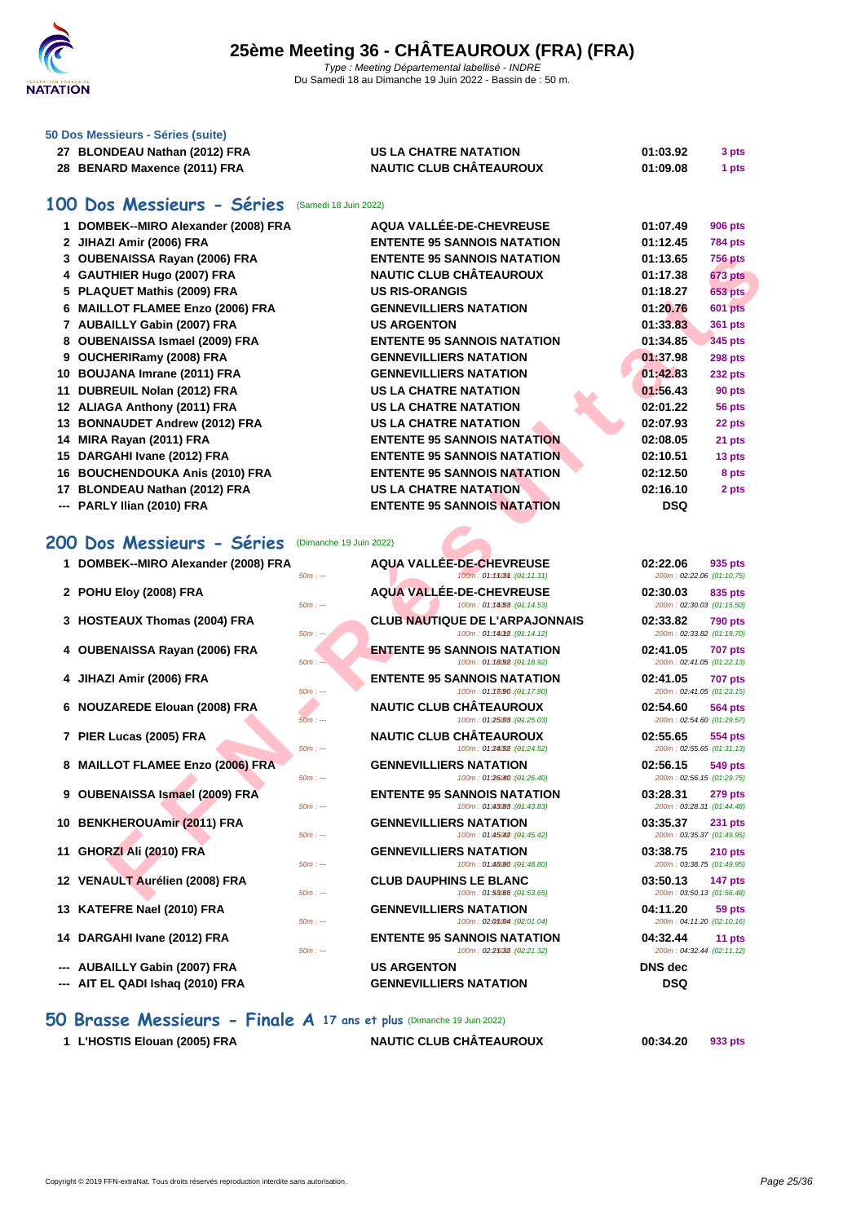

|  |  | 50 Dos Messieurs - Séries (suite) |  |  |  |  |
|--|--|-----------------------------------|--|--|--|--|
|--|--|-----------------------------------|--|--|--|--|

| 27 BLONDEAU Nathan (2012) FRA | US LA CHATRE NATATION          | 01:03.92 | 3 pts |
|-------------------------------|--------------------------------|----------|-------|
| 28 BENARD Maxence (2011) FRA  | <b>NAUTIC CLUB CHÂTEAUROUX</b> | 01:09.08 | 1 pts |

#### **100 Dos Messieurs - Séries** (Samedi 18 Juin 2022)

|    | 1 DOMBEK--MIRO Alexander (2008) FRA        | AQUA VALLÉE-DE-CHEVREUSE                                             | 01:07.49                              | 906 pts        |
|----|--------------------------------------------|----------------------------------------------------------------------|---------------------------------------|----------------|
|    | 2 JIHAZI Amir (2006) FRA                   | <b>ENTENTE 95 SANNOIS NATATION</b>                                   | 01:12.45                              | 784 pts        |
|    | 3 OUBENAISSA Rayan (2006) FRA              | <b>ENTENTE 95 SANNOIS NATATION</b>                                   | 01:13.65                              | <b>756 pts</b> |
|    | 4 GAUTHIER Hugo (2007) FRA                 | <b>NAUTIC CLUB CHÂTEAUROUX</b>                                       | 01:17.38                              | 673 pts        |
|    | 5 PLAQUET Mathis (2009) FRA                | <b>US RIS-ORANGIS</b>                                                | 01:18.27                              | <b>653 pts</b> |
|    | 6 MAILLOT FLAMEE Enzo (2006) FRA           | <b>GENNEVILLIERS NATATION</b>                                        | 01:20.76                              | 601 pts        |
|    | 7 AUBAILLY Gabin (2007) FRA                | <b>US ARGENTON</b>                                                   | 01:33.83                              | 361 pts        |
|    | 8 OUBENAISSA Ismael (2009) FRA             | <b>ENTENTE 95 SANNOIS NATATION</b>                                   | 01:34.85                              | <b>345 pts</b> |
|    | 9 OUCHERIRamy (2008) FRA                   | <b>GENNEVILLIERS NATATION</b>                                        | 01:37.98                              | 298 pts        |
|    | 10 BOUJANA Imrane (2011) FRA               | <b>GENNEVILLIERS NATATION</b>                                        | 01:42.83                              | 232 pts        |
| 11 | DUBREUIL Nolan (2012) FRA                  | <b>US LA CHATRE NATATION</b>                                         | 01:56.43                              | 90 pts         |
|    | 12 ALIAGA Anthony (2011) FRA               | <b>US LA CHATRE NATATION</b>                                         | 02:01.22                              | 56 pts         |
| 13 | <b>BONNAUDET Andrew (2012) FRA</b>         | <b>US LA CHATRE NATATION</b>                                         | 02:07.93                              | 22 pts         |
| 14 | MIRA Rayan (2011) FRA                      | <b>ENTENTE 95 SANNOIS NATATION</b>                                   | 02:08.05                              | 21 pts         |
|    | 15 DARGAHI Ivane (2012) FRA                | <b>ENTENTE 95 SANNOIS NATATION</b>                                   | 02:10.51                              | 13 pts         |
|    | 16 BOUCHENDOUKA Anis (2010) FRA            | <b>ENTENTE 95 SANNOIS NATATION</b>                                   | 02:12.50                              | 8 pts          |
|    | 17 BLONDEAU Nathan (2012) FRA              | US LA CHATRE NATATION                                                | 02:16.10                              | 2 pts          |
|    | PARLY Ilian (2010) FRA                     | <b>ENTENTE 95 SANNOIS NATATION</b>                                   | <b>DSQ</b>                            |                |
|    | 1 DOMBEK--MIRO Alexander (2008) FRA        | <b>AQUA VALLÉE-DE-CHEVREUSE</b>                                      | 02:22.06                              | 935 pts        |
|    | $50m: -$                                   | 100m: 01:15031 : (04:11.31)                                          | 200m: 02:22.06 (01:10.75)             |                |
|    | 2 POHU Eloy (2008) FRA                     | <b>AQUA VALLEE-DE-CHEVREUSE</b>                                      | 02:30.03                              | 835 pts        |
|    | $50m: -$                                   | 100m: 01:14.53 : (01:14.53)                                          | 200m: 02:30.03 (01:15.50)             |                |
|    | 3 HOSTEAUX Thomas (2004) FRA<br>$50m: -$   | <b>CLUB NAUTIQUE DE L'ARPAJONNAIS</b><br>100m: 01:14012 : (01:14.12) | 02:33.82<br>200m: 02:33.82 (01:19.70) | <b>790 pts</b> |
|    | 4 OUBENAISSA Rayan (2006) FRA              | <b>ENTENTE 95 SANNOIS NATATION</b>                                   | 02:41.05                              | <b>707 pts</b> |
|    | $50m: -$                                   | 100m: 01:18092 : (04:18.92)                                          | 200m: 02:41.05 (01:22.13)             |                |
|    | 4 JIHAZI Amir (2006) FRA                   | <b>ENTENTE 95 SANNOIS NATATION</b>                                   | 02:41.05                              | <b>707 pts</b> |
|    | $50m: -$                                   | 100m: 01:13090 : (01:17.90)                                          | 200m: 02:41.05 (01:23.15)             |                |
|    | 6 NOUZAREDE Elouan (2008) FRA              | <b>NAUTIC CLUB CHÂTEAUROUX</b>                                       | 02:54.60                              | 564 pts        |
|    | $50m: -$                                   | 100m: 01:25.03 : (01:25.03)                                          | 200m: 02:54.60 (01:29.57)             |                |
|    | 7 PIER Lucas (2005) FRA<br>$50m: -$        | <b>NAUTIC CLUB CHÂTEAUROUX</b><br>100m: 01:24.52 : (01:24.52)        | 02:55.65<br>200m: 02:55.65 (01:31.13) | <b>554 pts</b> |
|    | 8 MAILLOT FLAMEE Enzo (2006) FRA           | <b>GENNEVILLIERS NATATION</b>                                        | 02:56.15                              |                |
|    | $50m: -$                                   | 100m: 01:26040 : (01:26.40)                                          | 200m: 02:56.15 (01:29.75)             | 549 pts        |
|    | 9 OUBENAISSA Ismael (2009) FRA             | <b>ENTENTE 95 SANNOIS NATATION</b>                                   | 03:28.31                              | <b>279 pts</b> |
|    | $50m: -$                                   | 100m: 01:43088 : (04:43.83)                                          | 200m: 03:28.31 (01:44.48)             |                |
|    | 10 BENKHEROUAmir (2011) FRA                | <b>GENNEVILLIERS NATATION</b>                                        | 03:35.37                              | <b>231 pts</b> |
|    | $50m: -$                                   | 100m: 01:45042 : (01:45.42)                                          | 200m: 03:35.37 (01:49.95)             |                |
| 11 | GHORZI Ali (2010) FRA                      | <b>GENNEVILLIERS NATATION</b>                                        | 03:38.75                              | <b>210 pts</b> |
|    | $50m: -$                                   | 100m: 01:48(80 : (04:48.80)                                          | 200m: 03:38.75 (01:49.95)             |                |
|    | 12 VENAULT Aurélien (2008) FRA<br>$50m: -$ | <b>CLUB DAUPHINS LE BLANC</b><br>100m: 01:53.05 : (04:53.65)         | 03:50.13<br>200m: 03:50.13 (01:56.48) | <b>147 pts</b> |
|    |                                            |                                                                      |                                       |                |

- 
- 
- **8 MAILLOT FLAMEE Enzo (2006) FRA GENNEVILLIERS NATATION 02:56.15 549 pts**<br> **60m**:  $\frac{549 \text{ Hz}}{40 \text{ Hz}}$  **GENNEVILLIERS NATATION 100m**: 04:2640) **02:56.15 01:256.15 01:256.15 01:256.15**
- 

- 
- 
- **13 KATEFRE Nael (2010) FRA GENNEVILLIERS NATATION 04:11.20 59 pts**
- 
- **--- AUBAILLY Gabin (2007) FRA US ARGENTON DNS dec**
- **--- AIT EL QADI Ishaq (2010) FRA GENNEVILLIERS NATATION DSQ**

#### **50 Brasse Messieurs - Finale A 17 ans et plus** (Dimanche 19 Juin 2022)

**1 L'HOSTIS Elouan (2005) FRA NAUTIC CLUB CHÂTEAUROUX 00:34.20 933 pts**

**12 VENAULT Aurélien (2008) FRA CLUB DAUPHINS LE BLANC 03:50.13 03:50.13 147 pts**<br> **100m** : 01:53005 (94:53.65) **01:50.648 101:56.48** 

50m : --- 100m : 02:01.04 150m : --- (02:01.04) 200m : 04:11.20 (02:10.16)

**14 DARGAHI Ivane (2012) FRA ENTENTE 95 SANNOIS NATATION 04:32.44 11 pts**<br>  $\frac{50m}{...}$  **ENTENTE 95 SANNOIS NATATION 02:21:32 09:22:323 04:32.44 02:11.12**  $100m$  :  $02:25032$  : $(02:21.32)$ 

**6 NOUZAREDE Elouan (2008) FRA NAUTIC CLUB CHÂTEAUROUX 02:54.60 564 pts** 200m : 02:54.60 (01:29.57) **7 PIER Lucas (2005) FRA NAUTIC CLUB CHÂTEAUROUX 02:55.65 554 pts**<br> **100m** : 0124690 (04:24.52) **02:05 200m** : 02:55.65  $200m$  : 02:55.65 (01:31.13) 200m : 02:56.15 (01:29.75) 50m : --- 100m : 01:43.83 150m : --- (01:43.83) 200m : 03:28.31 (01:44.48) 200m : 03:35.37 (01:49.95) 200m : 03:38.75 (01:49.95) 200m : 03:50.13 (01:56.48)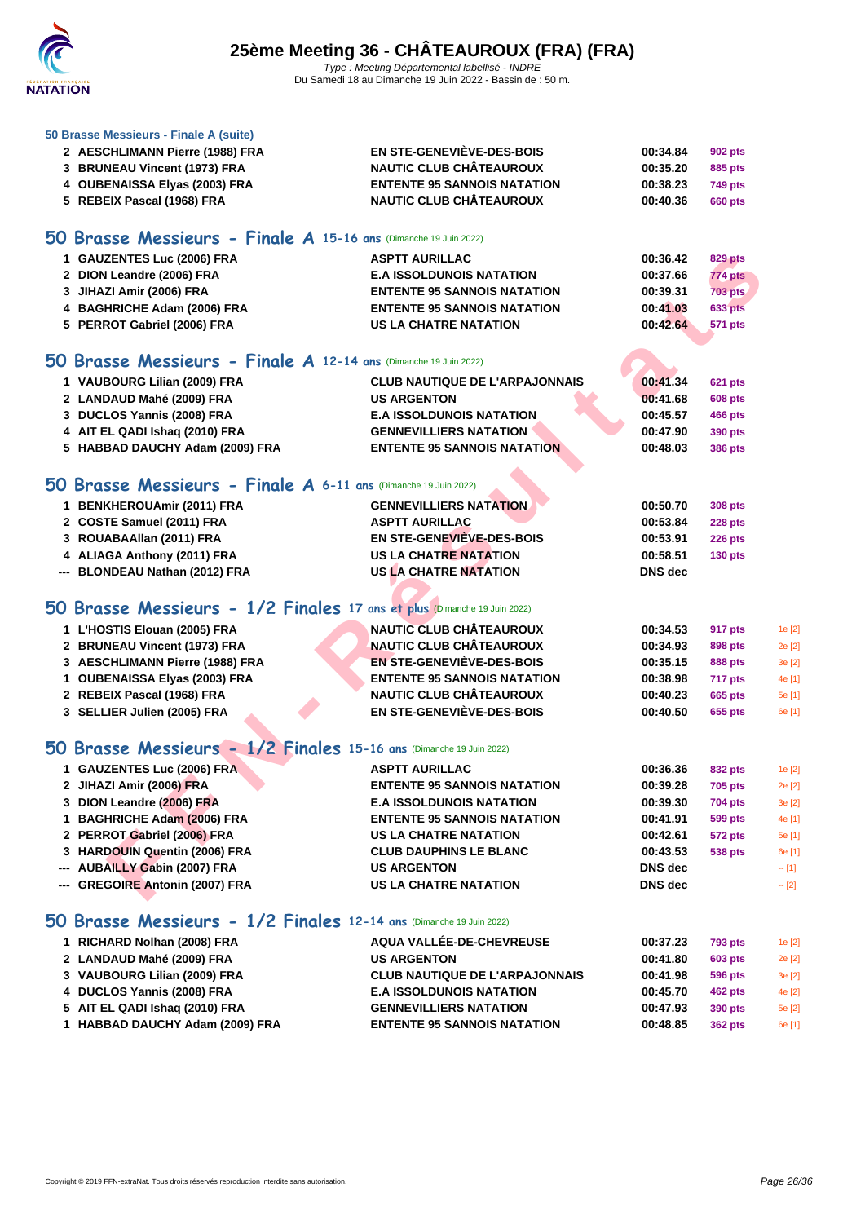

#### **[50 Brasse](http://www.ffnatation.fr/webffn/index.php) Messieurs - Finale A (suite)**

| 2 AESCHLIMANN Pierre (1988) FRA | <b>EN STE-GENEVIÈVE-DES-BOIS</b>   | 00:34.84 | 902 pts        |
|---------------------------------|------------------------------------|----------|----------------|
| 3 BRUNEAU Vincent (1973) FRA    | <b>NAUTIC CLUB CHÂTEAUROUX</b>     | 00:35.20 | 885 pts        |
| 4 OUBENAISSA Elyas (2003) FRA   | <b>ENTENTE 95 SANNOIS NATATION</b> | 00:38.23 | <b>749 pts</b> |
| 5 REBEIX Pascal (1968) FRA      | <b>NAUTIC CLUB CHÂTEAUROUX</b>     | 00:40.36 | 660 pts        |
|                                 |                                    |          |                |

#### **50 Brasse Messieurs - Finale A 15-16 ans** (Dimanche 19 Juin 2022)

| 1 GAUZENTES Luc (2006) FRA  | <b>ASPTT AURILLAC</b>              | 00:36.42 | 829 pts        |
|-----------------------------|------------------------------------|----------|----------------|
| 2 DION Leandre (2006) FRA   | <b>E.A ISSOLDUNOIS NATATION</b>    | 00:37.66 | <b>774 pts</b> |
| 3 JIHAZI Amir (2006) FRA    | <b>ENTENTE 95 SANNOIS NATATION</b> | 00:39.31 | <b>703 pts</b> |
| 4 BAGHRICHE Adam (2006) FRA | <b>ENTENTE 95 SANNOIS NATATION</b> | 00:41.03 | <b>633 pts</b> |
| 5 PERROT Gabriel (2006) FRA | <b>US LA CHATRE NATATION</b>       | 00:42.64 | 571 pts        |

## **50 Brasse Messieurs - Finale A 12-14 ans** (Dimanche 19 Juin 2022)

| 1 VAUBOURG Lilian (2009) FRA    | <b>CLUB NAUTIQUE DE L'ARPAJONNAIS</b> | 00:41.34 | <b>621 pts</b> |
|---------------------------------|---------------------------------------|----------|----------------|
| 2 LANDAUD Mahé (2009) FRA       | <b>US ARGENTON</b>                    | 00:41.68 | <b>608 pts</b> |
| 3 DUCLOS Yannis (2008) FRA      | <b>E.A ISSOLDUNOIS NATATION</b>       | 00:45.57 | 466 pts        |
| 4 AIT EL QADI Ishaq (2010) FRA  | <b>GENNEVILLIERS NATATION</b>         | 00:47.90 | 390 pts        |
| 5 HABBAD DAUCHY Adam (2009) FRA | <b>ENTENTE 95 SANNOIS NATATION</b>    | 00:48.03 | <b>386 pts</b> |

### **50 Brasse Messieurs - Finale A 6-11 ans** (Dimanche 19 Juin 2022)

| 1 BENKHEROUAmir (2011) FRA     | <b>GENNEVILLIERS NATATION</b> | 00:50.70 | 308 pts        |
|--------------------------------|-------------------------------|----------|----------------|
| 2 COSTE Samuel (2011) FRA      | <b>ASPTT AURILLAC</b>         | 00:53.84 | <b>228 pts</b> |
| 3 ROUABAAllan (2011) FRA       | EN STE-GENEVIÈVE-DES-BOIS     | 00:53.91 | <b>226 pts</b> |
| 4 ALIAGA Anthony (2011) FRA    | <b>US LA CHATRE NATATION</b>  | 00:58.51 | $130$ pts      |
| --- BLONDEAU Nathan (2012) FRA | <b>US LA CHATRE NATATION</b>  | DNS dec  |                |

#### **50 Brasse Messieurs - 1/2 Finales 17 ans et plus** (Dimanche 19 Juin 2022)

| 1 L'HOSTIS Elouan (2005) FRA    | <b>NAUTIC CLUB CHÂTEAUROUX</b>     | 00:34.53 | 917 pts        | 1e [2] |
|---------------------------------|------------------------------------|----------|----------------|--------|
| 2 BRUNEAU Vincent (1973) FRA    | <b>NAUTIC CLUB CHÂTEAUROUX</b>     | 00:34.93 | 898 pts        | 2e [2] |
| 3 AESCHLIMANN Pierre (1988) FRA | <b>EN STE-GENEVIÈVE-DES-BOIS</b>   | 00:35.15 | 888 pts        | 3e [2] |
| 1 OUBENAISSA Elyas (2003) FRA   | <b>ENTENTE 95 SANNOIS NATATION</b> | 00:38.98 | <b>717 pts</b> | 4e [1] |
| 2 REBEIX Pascal (1968) FRA      | <b>NAUTIC CLUB CHÂTEAUROUX</b>     | 00:40.23 | 665 pts        | 5e [1] |
| 3 SELLIER Julien (2005) FRA     | EN STE-GENEVIÈVE-DES-BOIS          | 00:40.50 | 655 pts        | 6e [1] |

### **50 Brasse Messieurs - 1/2 Finales 15-16 ans** (Dimanche 19 Juin 2022)

| 1 GAUZENTES Luc (2006) FRA                                               | <b>ASPTT AURILLAC</b>                 | 00:36.42       | <b>829 pts</b> |         |
|--------------------------------------------------------------------------|---------------------------------------|----------------|----------------|---------|
| 2 DION Leandre (2006) FRA                                                | <b>E.A ISSOLDUNOIS NATATION</b>       | 00:37.66       | 774 pts        |         |
| 3 JIHAZI Amir (2006) FRA                                                 | <b>ENTENTE 95 SANNOIS NATATION</b>    | 00:39.31       | <b>703 pts</b> |         |
| 4 BAGHRICHE Adam (2006) FRA                                              | <b>ENTENTE 95 SANNOIS NATATION</b>    | 00:41.03       | <b>633 pts</b> |         |
| 5 PERROT Gabriel (2006) FRA                                              | <b>US LA CHATRE NATATION</b>          | 00:42.64       | <b>571 pts</b> |         |
|                                                                          |                                       |                |                |         |
| iO Brasse Messieurs - Finale A 12-14 ans (Dimanche 19 Juin 2022)         |                                       |                |                |         |
| 1 VAUBOURG Lilian (2009) FRA                                             | <b>CLUB NAUTIQUE DE L'ARPAJONNAIS</b> | 00:41.34       | <b>621 pts</b> |         |
| 2 LANDAUD Mahé (2009) FRA                                                | <b>US ARGENTON</b>                    | 00:41.68       | <b>608 pts</b> |         |
| 3 DUCLOS Yannis (2008) FRA                                               | <b>E.A ISSOLDUNOIS NATATION</b>       | 00:45.57       | 466 pts        |         |
| 4 AIT EL QADI Ishaq (2010) FRA                                           | <b>GENNEVILLIERS NATATION</b>         | 00:47.90       | 390 pts        |         |
| 5 HABBAD DAUCHY Adam (2009) FRA                                          | <b>ENTENTE 95 SANNOIS NATATION</b>    | 00:48.03       | <b>386 pts</b> |         |
|                                                                          |                                       |                |                |         |
| iO Brasse Messieurs - Finale A 6-11 ans (Dimanche 19 Juin 2022)          |                                       |                |                |         |
| 1 BENKHEROUAmir (2011) FRA                                               | <b>GENNEVILLIERS NATATION</b>         | 00:50.70       | 308 pts        |         |
| 2 COSTE Samuel (2011) FRA                                                | <b>ASPTT AURILLAC</b>                 | 00:53.84       | <b>228 pts</b> |         |
| 3 ROUABAAllan (2011) FRA                                                 | EN STE-GENEVIEVE-DES-BOIS             | 00:53.91       | <b>226 pts</b> |         |
| 4 ALIAGA Anthony (2011) FRA                                              | <b>US LA CHATRE NATATION</b>          | 00:58.51       | <b>130 pts</b> |         |
| --- BLONDEAU Nathan (2012) FRA                                           | <b>US LA CHATRE NATATION</b>          | <b>DNS</b> dec |                |         |
|                                                                          |                                       |                |                |         |
| iO Brasse Messieurs - 1/2 Finales 17 ans et plus (Dimanche 19 Juin 2022) |                                       |                |                |         |
| 1 L'HOSTIS Elouan (2005) FRA                                             | <b>NAUTIC CLUB CHÂTEAUROUX</b>        | 00:34.53       | 917 pts        | 1e [2]  |
| 2 BRUNEAU Vincent (1973) FRA                                             | <b>NAUTIC CLUB CHÂTEAUROUX</b>        | 00:34.93       | 898 pts        | 2e [2]  |
| 3 AESCHLIMANN Pierre (1988) FRA                                          | <b>EN STE-GENEVIÈVE-DES-BOIS</b>      | 00:35.15       | <b>888 pts</b> | 3e [2]  |
| 1 OUBENAISSA Elyas (2003) FRA                                            | <b>ENTENTE 95 SANNOIS NATATION</b>    | 00:38.98       | 717 pts        | 4e [1]  |
| 2 REBEIX Pascal (1968) FRA                                               | <b>NAUTIC CLUB CHÂTEAUROUX</b>        | 00:40.23       | <b>665 pts</b> | 5e [1]  |
| 3 SELLIER Julien (2005) FRA                                              | EN STE-GENEVIÈVE-DES-BOIS             | 00:40.50       | 655 pts        | 6e [1]  |
|                                                                          |                                       |                |                |         |
| iO Brasse Messieurs - 1/2 Finales 15-16 ans (Dimanche 19 Juin 2022)      |                                       |                |                |         |
| 1 GAUZENTES Luc (2006) FRA                                               | <b>ASPTT AURILLAC</b>                 | 00:36.36       | 832 pts        | 1e [2]  |
| 2 JIHAZI Amir (2006) FRA                                                 | <b>ENTENTE 95 SANNOIS NATATION</b>    | 00:39.28       | <b>705 pts</b> | 2e [2]  |
| 3 DION Leandre (2006) FRA                                                | <b>E.A ISSOLDUNOIS NATATION</b>       | 00:39.30       | <b>704 pts</b> | 3e [2]  |
| 1 BAGHRICHE Adam (2006) FRA                                              | <b>ENTENTE 95 SANNOIS NATATION</b>    | 00:41.91       | <b>599 pts</b> | 4e [1]  |
| 2 PERROT Gabriel (2006) FRA                                              | <b>US LA CHATRE NATATION</b>          | 00:42.61       | <b>572 pts</b> | 5e [1]  |
| 3 HARDOUIN Quentin (2006) FRA                                            | <b>CLUB DAUPHINS LE BLANC</b>         | 00:43.53       | <b>538 pts</b> | 6e [1]  |
| --- AUBAILLY Gabin (2007) FRA                                            | <b>US ARGENTON</b>                    | DNS dec        |                | $- [1]$ |
| --- GREGOIRE Antonin (2007) FRA                                          | <b>US LA CHATRE NATATION</b>          | <b>DNS</b> dec |                | $-$ [2] |
|                                                                          |                                       |                |                |         |

#### **50 Brasse Messieurs - 1/2 Finales 12-14 ans** (Dimanche 19 Juin 2022)

| 1 RICHARD Nolhan (2008) FRA     | AQUA VALLÉE-DE-CHEVREUSE              | 00:37.23 | <b>793 pts</b> | 1e [2] |
|---------------------------------|---------------------------------------|----------|----------------|--------|
| 2 LANDAUD Mahé (2009) FRA       | <b>US ARGENTON</b>                    | 00:41.80 | <b>603 pts</b> | 2e [2] |
| 3 VAUBOURG Lilian (2009) FRA    | <b>CLUB NAUTIQUE DE L'ARPAJONNAIS</b> | 00:41.98 | 596 pts        | 3e [2] |
| 4 DUCLOS Yannis (2008) FRA      | <b>E.A ISSOLDUNOIS NATATION</b>       | 00:45.70 | <b>462 pts</b> | 4e [2] |
| 5 AIT EL QADI Ishaq (2010) FRA  | <b>GENNEVILLIERS NATATION</b>         | 00:47.93 | 390 pts        | 5e [2] |
| 1 HABBAD DAUCHY Adam (2009) FRA | <b>ENTENTE 95 SANNOIS NATATION</b>    | 00:48.85 | <b>362 pts</b> | 6e [1] |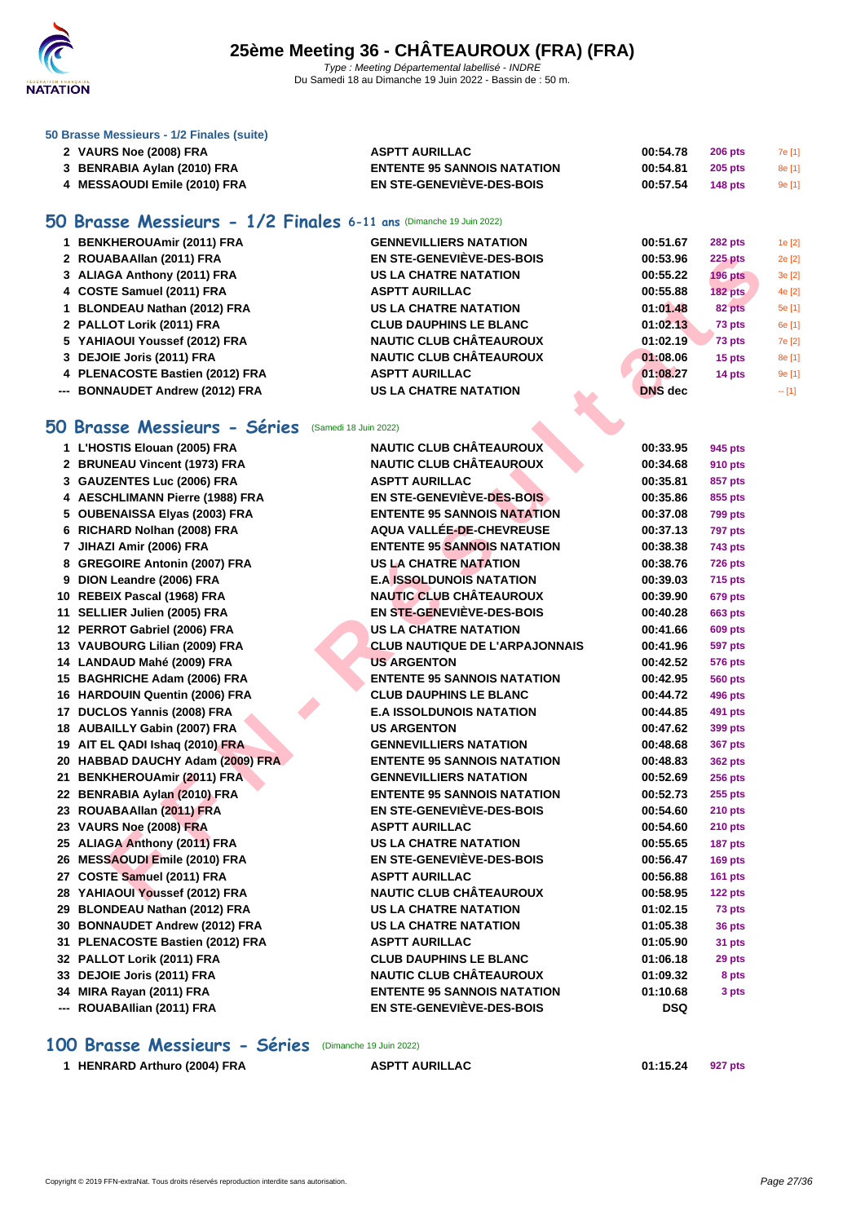

#### **[50 Brasse](http://www.ffnatation.fr/webffn/index.php) Messieurs - 1/2 Finales (suite)**

| 2 VAURS Noe (2008) FRA      | ASPTT AURILLAC                     | 00:54.78 | $206$ pts | 7e [1] |
|-----------------------------|------------------------------------|----------|-----------|--------|
| 3 BENRABIA Aylan (2010) FRA | <b>ENTENTE 95 SANNOIS NATATION</b> | 00:54.81 | 205 pts   | 8e [1] |
| MESSAOUDI Emile (2010) FRA  | EN STE-GENEVIÈVE-DES-BOIS          | 00:57.54 | 148 $pts$ | 9e[1]  |

### **50 Brasse Messieurs - 1/2 Finales 6-11 ans** (Dimanche 19 Juin 2022)

| 1 BENKHEROUAmir (2011) FRA      | <b>GENNEVILLIERS NATATION</b>    | 00:51.67       | <b>282 pts</b> | 1e [2]  |
|---------------------------------|----------------------------------|----------------|----------------|---------|
| 2 ROUABAAIIan (2011) FRA        | <b>EN STE-GENEVIÈVE-DES-BOIS</b> | 00:53.96       | $225$ pts      | 2e [2]  |
| 3 ALIAGA Anthony (2011) FRA     | <b>US LA CHATRE NATATION</b>     | 00:55.22       | <b>196 pts</b> | 3e[2]   |
| 4 COSTE Samuel (2011) FRA       | <b>ASPTT AURILLAC</b>            | 00:55.88       | <b>182 pts</b> | 4e [2]  |
| 1 BLONDEAU Nathan (2012) FRA    | <b>US LA CHATRE NATATION</b>     | 01:01.48       | 82 pts         | 5e [1]  |
| 2 PALLOT Lorik (2011) FRA       | <b>CLUB DAUPHINS LE BLANC</b>    | 01:02.13       | 73 pts         | 6e [1]  |
| 5 YAHIAOUI Youssef (2012) FRA   | <b>NAUTIC CLUB CHÂTEAUROUX</b>   | 01:02.19       | 73 pts         | 7e [2]  |
| 3 DEJOIE Joris (2011) FRA       | <b>NAUTIC CLUB CHÂTEAUROUX</b>   | 01:08.06       | 15 pts         | 8e [1]  |
| 4 PLENACOSTE Bastien (2012) FRA | <b>ASPTT AURILLAC</b>            | 01:08.27       | 14 pts         | 9e[1]   |
| --- BONNAUDET Andrew (2012) FRA | <b>US LA CHATRE NATATION</b>     | <b>DNS</b> dec |                | $-$ [1] |
|                                 |                                  |                |                |         |

### **50 Brasse Messieurs - Séries** (Samedi 18 Juin 2022)

| 2 ROUABAAllan (2011) FRA                             | <b>EN STE-GENEVIEVE-DES-BOIS</b>      | 00:53.96       | <b>225 pts</b> |   |
|------------------------------------------------------|---------------------------------------|----------------|----------------|---|
| 3 ALIAGA Anthony (2011) FRA                          | <b>US LA CHATRE NATATION</b>          | 00:55.22       | <b>196 pts</b> |   |
| 4 COSTE Samuel (2011) FRA                            | <b>ASPTT AURILLAC</b>                 | 00:55.88       | <b>182 pts</b> | ż |
| 1 BLONDEAU Nathan (2012) FRA                         | <b>US LA CHATRE NATATION</b>          | 01:01.48       | 82 pts         |   |
| 2 PALLOT Lorik (2011) FRA                            | <b>CLUB DAUPHINS LE BLANC</b>         | 01:02.13       | 73 pts         |   |
| 5 YAHIAOUI Youssef (2012) FRA                        | <b>NAUTIC CLUB CHÂTEAUROUX</b>        | 01:02.19       | 73 pts         |   |
| 3 DEJOIE Joris (2011) FRA                            | <b>NAUTIC CLUB CHÂTEAUROUX</b>        | 01:08.06       | 15 pts         |   |
| 4 PLENACOSTE Bastien (2012) FRA                      | <b>ASPTT AURILLAC</b>                 | 01:08.27       | 14 pts         |   |
| --- BONNAUDET Andrew (2012) FRA                      | <b>US LA CHATRE NATATION</b>          | <b>DNS</b> dec |                |   |
|                                                      |                                       |                |                |   |
| 0 Brasse Messieurs - Séries<br>(Samedi 18 Juin 2022) |                                       |                |                |   |
| 1 L'HOSTIS Elouan (2005) FRA                         | <b>NAUTIC CLUB CHÂTEAUROUX</b>        | 00:33.95       | 945 pts        |   |
| 2 BRUNEAU Vincent (1973) FRA                         | <b>NAUTIC CLUB CHÂTEAUROUX</b>        | 00:34.68       | <b>910 pts</b> |   |
| 3 GAUZENTES Luc (2006) FRA                           | <b>ASPTT AURILLAC</b>                 | 00:35.81       | 857 pts        |   |
| 4 AESCHLIMANN Pierre (1988) FRA                      | EN STE-GENEVIÈVE-DES-BOIS             | 00:35.86       | 855 pts        |   |
| 5 OUBENAISSA Elyas (2003) FRA                        | <b>ENTENTE 95 SANNOIS NATATION</b>    | 00:37.08       | <b>799 pts</b> |   |
| 6 RICHARD Nolhan (2008) FRA                          | AQUA VALLÉE-DE-CHEVREUSE              | 00:37.13       | <b>797 pts</b> |   |
| 7 JIHAZI Amir (2006) FRA                             | <b>ENTENTE 95 SANNOIS NATATION</b>    | 00:38.38       | 743 pts        |   |
| 8 GREGOIRE Antonin (2007) FRA                        | <b>US LA CHATRE NATATION</b>          | 00:38.76       | <b>726 pts</b> |   |
| 9 DION Leandre (2006) FRA                            | <b>E.A ISSOLDUNOIS NATATION</b>       | 00:39.03       | 715 pts        |   |
| 10 REBEIX Pascal (1968) FRA                          | <b>NAUTIC CLUB CHÂTEAUROUX</b>        | 00:39.90       | <b>679 pts</b> |   |
| 11 SELLIER Julien (2005) FRA                         | <b>EN STE-GENEVIÈVE-DES-BOIS</b>      | 00:40.28       | <b>663 pts</b> |   |
| 12 PERROT Gabriel (2006) FRA                         | <b>US LA CHATRE NATATION</b>          | 00:41.66       | <b>609 pts</b> |   |
| 13 VAUBOURG Lilian (2009) FRA                        | <b>CLUB NAUTIQUE DE L'ARPAJONNAIS</b> | 00:41.96       | <b>597 pts</b> |   |
| 14 LANDAUD Mahé (2009) FRA                           | <b>US ARGENTON</b>                    | 00:42.52       | <b>576 pts</b> |   |
| 15 BAGHRICHE Adam (2006) FRA                         | <b>ENTENTE 95 SANNOIS NATATION</b>    | 00:42.95       | <b>560 pts</b> |   |
| 16 HARDOUIN Quentin (2006) FRA                       | <b>CLUB DAUPHINS LE BLANC</b>         | 00:44.72       | 496 pts        |   |
| 17 DUCLOS Yannis (2008) FRA                          | <b>E.A ISSOLDUNOIS NATATION</b>       | 00:44.85       | 491 pts        |   |
| 18 AUBAILLY Gabin (2007) FRA                         | <b>US ARGENTON</b>                    | 00:47.62       | 399 pts        |   |
| 19 AIT EL QADI Ishaq (2010) FRA                      | <b>GENNEVILLIERS NATATION</b>         | 00:48.68       | <b>367 pts</b> |   |
| 20 HABBAD DAUCHY Adam (2009) FRA                     | <b>ENTENTE 95 SANNOIS NATATION</b>    | 00:48.83       | <b>362 pts</b> |   |
| 21 BENKHEROUAmir (2011) FRA                          | <b>GENNEVILLIERS NATATION</b>         | 00:52.69       | <b>256 pts</b> |   |
| 22 BENRABIA Aylan (2010) FRA                         | <b>ENTENTE 95 SANNOIS NATATION</b>    | 00:52.73       | 255 pts        |   |
| 23 ROUABAAllan (2011) FRA                            | <b>EN STE-GENEVIÈVE-DES-BOIS</b>      | 00:54.60       | <b>210 pts</b> |   |
| 23 VAURS Noe (2008) FRA                              | <b>ASPTT AURILLAC</b>                 | 00:54.60       | <b>210 pts</b> |   |
| 25 ALIAGA Anthony (2011) FRA                         | <b>US LA CHATRE NATATION</b>          | 00:55.65       | 187 pts        |   |
| 26 MESSAOUDI Emile (2010) FRA                        | <b>EN STE-GENEVIÈVE-DES-BOIS</b>      | 00:56.47       | $169$ pts      |   |
| 27 COSTE Samuel (2011) FRA                           | <b>ASPTT AURILLAC</b>                 | 00:56.88       | <b>161 pts</b> |   |
| 28 YAHIAOUI Youssef (2012) FRA                       | <b>NAUTIC CLUB CHÂTEAUROUX</b>        | 00:58.95       | 122 pts        |   |
| 29 BLONDEAU Nathan (2012) FRA                        | <b>US LA CHATRE NATATION</b>          | 01:02.15       | 73 pts         |   |
| 30 BONNAUDET Andrew (2012) FRA                       | <b>US LA CHATRE NATATION</b>          | 01:05.38       | 36 pts         |   |
| 31 PLENACOSTE Bastien (2012) FRA                     | <b>ASPTT AURILLAC</b>                 | 01:05.90       | 31 pts         |   |
| 32 PALLOT Lorik (2011) FRA                           | <b>CLUB DAUPHINS LE BLANC</b>         | 01:06.18       | 29 pts         |   |
| 33 DEJOIE Joris (2011) FRA                           | <b>NAUTIC CLUB CHÂTEAUROUX</b>        | 01:09.32       | 8 pts          |   |
| 34 MIRA Rayan (2011) FRA                             | <b>ENTENTE 95 SANNOIS NATATION</b>    | 01:10.68       | 3 pts          |   |
| --- ROUABAllian (2011) FRA                           | <b>EN STE-GENEVIÈVE-DES-BOIS</b>      | <b>DSQ</b>     |                |   |
|                                                      |                                       |                |                |   |

## **100 Brasse Messieurs - Séries** (Dimanche 19 Juin 2022)

|  | 1 HENRARD Arthuro (2004) FRA |  |  |  |
|--|------------------------------|--|--|--|
|--|------------------------------|--|--|--|

**HENRARD Arthuro (2004) FRA ASPTT AURILLAC 01:15.24 927 pts**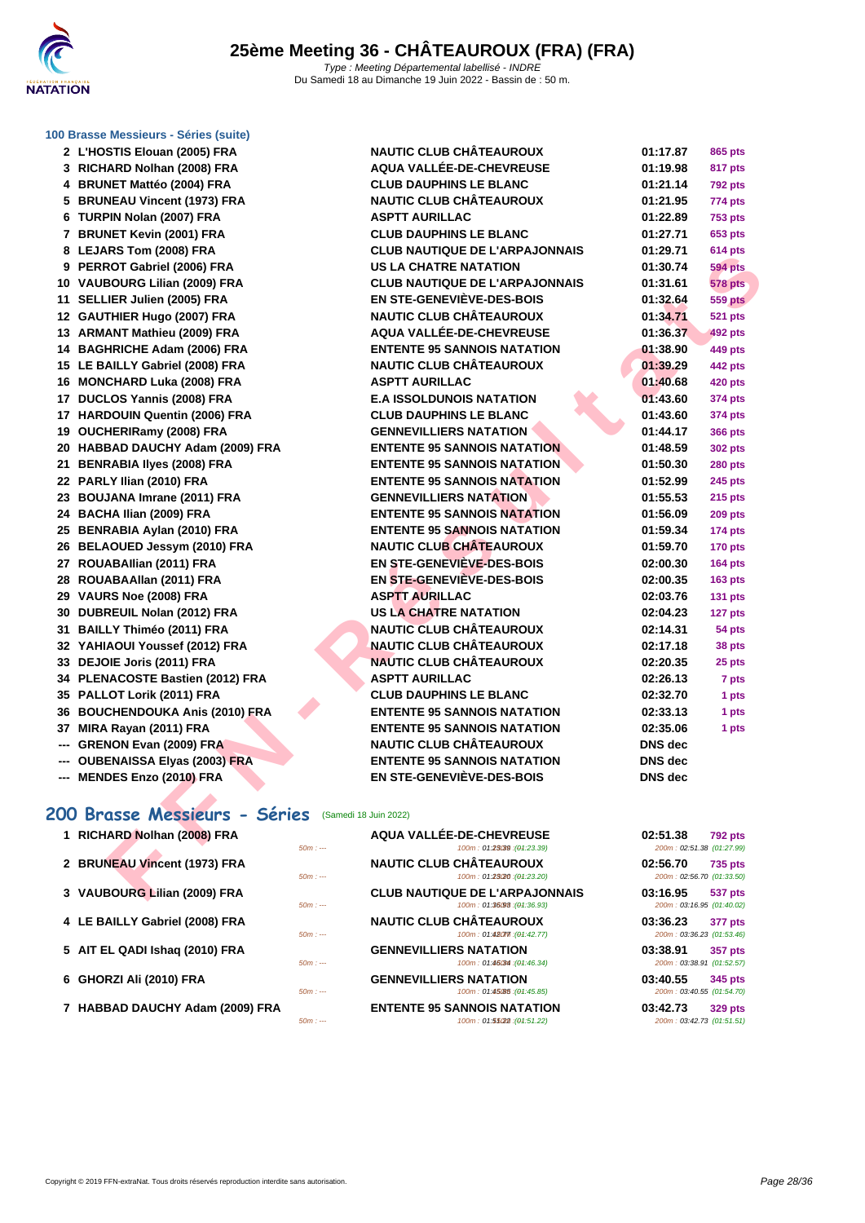

**[100 Brass](http://www.ffnatation.fr/webffn/index.php)e Messieurs - Séries (suite)**

| 2 L'HOSTIS Elouan (2005) FRA                           | <b>NAUTIC CLUB CHÂTEAUROUX</b>                                | 01:17.87                              | 865 pts        |
|--------------------------------------------------------|---------------------------------------------------------------|---------------------------------------|----------------|
| 3 RICHARD Nolhan (2008) FRA                            | AQUA VALLÉE-DE-CHEVREUSE                                      | 01:19.98                              | 817 pts        |
| 4 BRUNET Mattéo (2004) FRA                             | <b>CLUB DAUPHINS LE BLANC</b>                                 | 01:21.14                              | <b>792 pts</b> |
| 5 BRUNEAU Vincent (1973) FRA                           | <b>NAUTIC CLUB CHÂTEAUROUX</b>                                | 01:21.95                              | 774 pts        |
| 6 TURPIN Nolan (2007) FRA                              | <b>ASPTT AURILLAC</b>                                         | 01:22.89                              | <b>753 pts</b> |
| 7 BRUNET Kevin (2001) FRA                              | <b>CLUB DAUPHINS LE BLANC</b>                                 | 01:27.71                              | 653 pts        |
| 8 LEJARS Tom (2008) FRA                                | <b>CLUB NAUTIQUE DE L'ARPAJONNAIS</b>                         | 01:29.71                              | <b>614 pts</b> |
| 9 PERROT Gabriel (2006) FRA                            | <b>US LA CHATRE NATATION</b>                                  | 01:30.74                              | <b>594 pts</b> |
| 10 VAUBOURG Lilian (2009) FRA                          | <b>CLUB NAUTIQUE DE L'ARPAJONNAIS</b>                         | 01:31.61                              | <b>578 pts</b> |
| 11 SELLIER Julien (2005) FRA                           | <b>EN STE-GENEVIÈVE-DES-BOIS</b>                              | 01:32.64                              | <b>559 pts</b> |
| 12 GAUTHIER Hugo (2007) FRA                            | <b>NAUTIC CLUB CHÂTEAUROUX</b>                                | 01:34.71                              | 521 pts        |
| 13 ARMANT Mathieu (2009) FRA                           | AQUA VALLÉE-DE-CHEVREUSE                                      | 01:36.37                              | 492 pts        |
| 14 BAGHRICHE Adam (2006) FRA                           | <b>ENTENTE 95 SANNOIS NATATION</b>                            | 01:38.90                              | 449 pts        |
| 15 LE BAILLY Gabriel (2008) FRA                        | <b>NAUTIC CLUB CHÂTEAUROUX</b>                                | 01:39.29                              | 442 pts        |
| 16 MONCHARD Luka (2008) FRA                            | <b>ASPTT AURILLAC</b>                                         | 01:40.68                              | <b>420 pts</b> |
| 17 DUCLOS Yannis (2008) FRA                            | <b>E.A ISSOLDUNOIS NATATION</b>                               | 01:43.60                              | 374 pts        |
| 17 HARDOUIN Quentin (2006) FRA                         | <b>CLUB DAUPHINS LE BLANC</b>                                 | 01:43.60                              | 374 pts        |
| 19 OUCHERIRamy (2008) FRA                              | <b>GENNEVILLIERS NATATION</b>                                 | 01:44.17                              | 366 pts        |
| 20 HABBAD DAUCHY Adam (2009) FRA                       | <b>ENTENTE 95 SANNOIS NATATION</b>                            | 01:48.59                              | 302 pts        |
| 21 BENRABIA Ilyes (2008) FRA                           | <b>ENTENTE 95 SANNOIS NATATION</b>                            | 01:50.30                              | <b>280 pts</b> |
| 22 PARLY Ilian (2010) FRA                              | <b>ENTENTE 95 SANNOIS NATATION</b>                            | 01:52.99                              | <b>245 pts</b> |
| 23 BOUJANA Imrane (2011) FRA                           | <b>GENNEVILLIERS NATATION</b>                                 | 01:55.53                              | 215 pts        |
| 24 BACHA Ilian (2009) FRA                              | <b>ENTENTE 95 SANNOIS NATATION</b>                            | 01:56.09                              | <b>209 pts</b> |
| 25 BENRABIA Aylan (2010) FRA                           | <b>ENTENTE 95 SANNOIS NATATION</b>                            | 01:59.34                              | 174 pts        |
| 26 BELAOUED Jessym (2010) FRA                          | <b>NAUTIC CLUB CHÂTEAUROUX</b>                                | 01:59.70                              | <b>170 pts</b> |
| 27 ROUABAllian (2011) FRA                              | EN STE-GENEVIEVE-DES-BOIS                                     | 02:00.30                              | <b>164 pts</b> |
| 28 ROUABAAllan (2011) FRA                              | <b>EN STE-GENEVIÈVE-DES-BOIS</b>                              | 02:00.35                              | <b>163 pts</b> |
| 29 VAURS Noe (2008) FRA                                | <b>ASPTT AURILLAC</b>                                         | 02:03.76                              | 131 pts        |
| 30 DUBREUIL Nolan (2012) FRA                           | <b>US LA CHATRE NATATION</b>                                  | 02:04.23                              | 127 pts        |
| 31 BAILLY Thiméo (2011) FRA                            | <b>NAUTIC CLUB CHÂTEAUROUX</b>                                | 02:14.31                              | 54 pts         |
| 32 YAHIAOUI Youssef (2012) FRA                         | <b>NAUTIC CLUB CHÂTEAUROUX</b>                                | 02:17.18                              | 38 pts         |
| 33 DEJOIE Joris (2011) FRA                             | <b>NAUTIC CLUB CHÂTEAUROUX</b>                                | 02:20.35                              | 25 pts         |
| 34 PLENACOSTE Bastien (2012) FRA                       | <b>ASPTT AURILLAC</b>                                         | 02:26.13                              | 7 pts          |
| 35 PALLOT Lorik (2011) FRA                             | <b>CLUB DAUPHINS LE BLANC</b>                                 | 02:32.70                              | 1 pts          |
| 36 BOUCHENDOUKA Anis (2010) FRA                        | <b>ENTENTE 95 SANNOIS NATATION</b>                            | 02:33.13                              | 1 pts          |
| 37 MIRA Rayan (2011) FRA                               | <b>ENTENTE 95 SANNOIS NATATION</b>                            | 02:35.06                              | 1 pts          |
| --- GRENON Evan (2009) FRA                             | <b>NAUTIC CLUB CHÂTEAUROUX</b>                                | <b>DNS</b> dec                        |                |
| --- OUBENAISSA Elyas (2003) FRA                        | <b>ENTENTE 95 SANNOIS NATATION</b>                            | <b>DNS</b> dec                        |                |
| --- MENDES Enzo (2010) FRA                             | EN STE-GENEVIÈVE-DES-BOIS                                     | <b>DNS</b> dec                        |                |
|                                                        |                                                               |                                       |                |
| 200 Brasse Messieurs - Séries<br>(Samedi 18 Juin 2022) |                                                               |                                       |                |
| 1 RICHARD Nolhan (2008) FRA                            | AQUA VALLÉE-DE-CHEVREUSE                                      | 02:51.38                              | <b>792 pts</b> |
| $50m: -$                                               | 100m: 01:23039 : (01:23.39)                                   | 200m: 02:51.38 (01:27.99)             |                |
| 2 BRUNEAU Vincent (1973) FRA<br>$50m: -$               | <b>NAUTIC CLUB CHATEAUROUX</b><br>100m: 01:23/20 : (01:23.20) | 02:56.70<br>200m: 02:56.70 (01:33.50) | 735 pts        |
| 3 VAUBOURG Lilian (2009) FRA                           | <b>CLUB NAUTIQUE DE L'ARPAJONNAIS</b>                         | 03:16.95                              | 537 pts        |

### **200 Brasse Messieurs - Séries** (Samedi 18 Juin 2022)

| 1 RICHARD Nolhan (2008) FRA     | $50m: -$ | AQUA VALLÉE-DE-CHEVREUSE<br>100m: 01:25039 : (04:23.39)              | 02:51.38<br>200m: 02:51.38 (01:27.99) | <b>792 pts</b> |
|---------------------------------|----------|----------------------------------------------------------------------|---------------------------------------|----------------|
| 2 BRUNEAU Vincent (1973) FRA    | $50m: -$ | <b>NAUTIC CLUB CHÂTEAUROUX</b><br>100m: 01:23(20 : (01:23.20)        | 02:56.70<br>200m: 02:56.70 (01:33.50) | <b>735 pts</b> |
| 3 VAUBOURG Lilian (2009) FRA    | $50m: -$ | <b>CLUB NAUTIQUE DE L'ARPAJONNAIS</b><br>100m: 01:36098 : (04:36.93) | 03:16.95<br>200m: 03:16.95 (01:40.02) | 537 pts        |
| 4 LE BAILLY Gabriel (2008) FRA  | $50m: -$ | <b>NAUTIC CLUB CHÂTEAUROUX</b><br>100m: 01.48077::(04:42.77)         | 03:36.23<br>200m: 03:36.23 (01:53.46) | 377 pts        |
| 5 AIT EL QADI Ishaq (2010) FRA  | $50m: -$ | <b>GENNEVILLIERS NATATION</b><br>100m: 01:46034:(04:46.34)           | 03:38.91<br>200m: 03:38.91 (01:52.57) | 357 pts        |
| 6 GHORZI Ali (2010) FRA         | $50m: -$ | <b>GENNEVILLIERS NATATION</b><br>100m: 01:45(85 : (04:45.85)         | 03:40.55<br>200m: 03:40.55 (01:54.70) | 345 pts        |
| 7 HABBAD DAUCHY Adam (2009) FRA |          | <b>ENTENTE 95 SANNOIS NATATION</b>                                   | 03:42.73                              | 329 pts        |

| $50m: -$ | AQUA VALLÉE-DE-CHEVREUSE<br>100m: 01:25039 : (01:23.39)              | 02:51.38<br><b>792 pts</b><br>200m: 02:51.38 (01:27.99) |
|----------|----------------------------------------------------------------------|---------------------------------------------------------|
| $50m: -$ | <b>NAUTIC CLUB CHÂTEAUROUX</b><br>100m: 01:23(20: (01:23.20)         | 02:56.70<br><b>735 pts</b><br>200m: 02:56.70 (01:33.50) |
| $50m: -$ | <b>CLUB NAUTIQUE DE L'ARPAJONNAIS</b><br>100m: 01:36098 : (04:36.93) | 03:16.95<br>537 pts<br>200m: 03:16.95 (01:40.02)        |
| $50m: -$ | <b>NAUTIC CLUB CHÂTEAUROUX</b><br>100m: 01:48077 : (04:42.77)        | 03:36.23<br>377 pts<br>200m: 03:36.23 (01:53.46)        |
| $50m: -$ | <b>GENNEVILLIERS NATATION</b><br>100m: 01:46034 : (01:46.34)         | 03:38.91<br>357 pts<br>200m: 03:38.91 (01:52.57)        |
|          | <b>CENNEVILLIEDO NATATION</b>                                        | 00. IO FF<br>$\sim$ 4 $\sim$ 4 $\sim$                   |

*FABBAD* **ENTENTE 95 SANNOIS NATATION**  $\frac{50m}{100m}$  : 01:55029 : (04:51.22)  $\frac{100 \text{m}}{200 \text{m}}$ : 01:55022 : $\left(\theta$ 4:51.22) 200m : 03:42.73  $\left(01:51.51\right)$ 

| 01:21.14       | <b>792 pts</b> |
|----------------|----------------|
| 01:21.95       | 774 pts        |
| 01:22.89       | <b>753 pts</b> |
| 01:27.71       | 653 pts        |
| 01:29.71       | 614 pts        |
| 01:30.74       | <b>594 pts</b> |
| 01:31.61       | <b>578 pts</b> |
| 01:32.64       | <b>559 pts</b> |
| 01:34.71       | 521 pts        |
| 01:36.37       | <b>492 pts</b> |
| 01:38.90       | <b>449 pts</b> |
| 01:39.29       | 442 pts        |
| 01:40.68       | <b>420 pts</b> |
| 01:43.60       | 374 pts        |
| 01:43.60       | 374 pts        |
| þ<br>01:44.17  | 366 pts        |
| 01:48.59       | 302 pts        |
| 01:50.30       | <b>280 pts</b> |
| 01:52.99       | 245 pts        |
| 01:55.53       | <b>215 pts</b> |
| 01:56.09       | <b>209 pts</b> |
| 01:59.34       | 174 pts        |
| 01:59.70       | 170 pts        |
| 02:00.30       | 164 pts        |
| 02:00.35       | 163 pts        |
| 02:03.76       | 131 pts        |
| 02:04.23       | 127 pts        |
| 02:14.31       | 54 pts         |
| 02:17.18       | 38 pts         |
| 02:20.35       | 25 pts         |
| 02:26.13       | 7 pts          |
| 02:32.70       | 1 pts          |
| 02:33.13       | 1 pts          |
| 02:35.06       | 1 pts          |
| DNS dec        |                |
| <b>DNS</b> dec |                |
| <b>DNS</b> dec |                |
|                |                |

| 02:51.38<br>200m: 02:51.38 (01:27.99) | 792 pts        |
|---------------------------------------|----------------|
| 02:56.70<br>200m: 02:56.70 (01:33.50) | 735 pts        |
| 03:16.95<br>200m: 03:16.95 (01:40.02) | 537 pts        |
| 03:36.23<br>200m: 03:36.23 (01:53.46) | 377 pts        |
| 03:38.91<br>200m: 03:38.91 (01:52.57) | <b>357 pts</b> |
| 03:40.55<br>200m: 03:40.55 (01:54.70) | 345 pts        |
| 03:42.73<br>200m: 03:42.73 (01:51.51) | <b>329 pts</b> |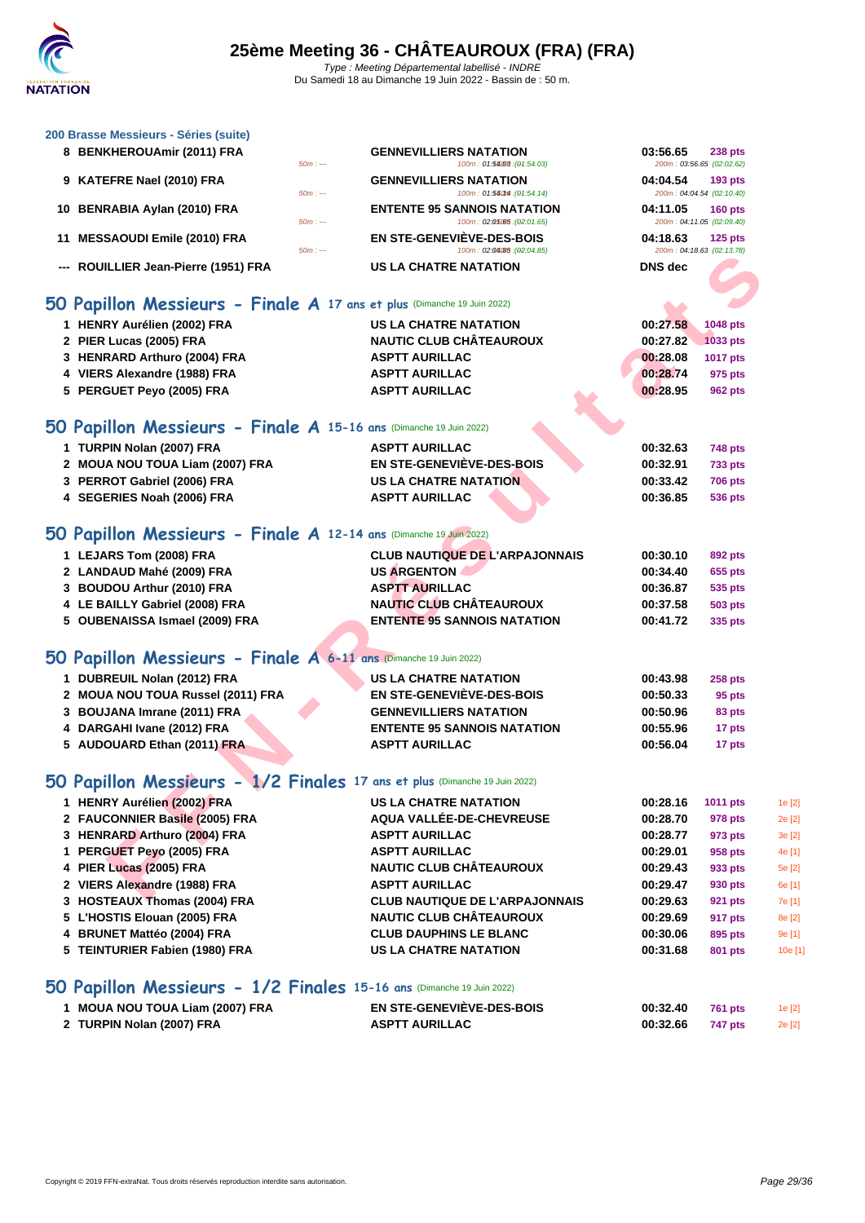#### **[200 Brass](http://www.ffnatation.fr/webffn/index.php)e Messieurs - Séries (suite)**

| 8 BENKHEROUAmir (2011) FRA                                           |          | <b>GENNEVILLIERS NATATION</b>      | 03:56.65                  | <b>238 pts</b> |
|----------------------------------------------------------------------|----------|------------------------------------|---------------------------|----------------|
|                                                                      | $50m: -$ | 100m: 01:54.08 : (01:54.03)        | 200m: 03:56.65 (02:02.62) |                |
| 9 KATEFRE Nael (2010) FRA                                            |          | <b>GENNEVILLIERS NATATION</b>      | 04:04.54                  | <b>193 pts</b> |
|                                                                      | $50m: -$ | 100m: 01:560m : (01:54.14)         | 200m: 04:04.54 (02:10.40) |                |
| 10 BENRABIA Aylan (2010) FRA                                         |          | <b>ENTENTE 95 SANNOIS NATATION</b> | 04:11.05                  | <b>160 pts</b> |
|                                                                      | $50m: -$ | 100m: 02:05.055:(02:01.65)         | 200m: 04:11.05 (02:09.40) |                |
| 11 MESSAOUDI Emile (2010) FRA                                        |          | EN STE-GENEVIÈVE-DES-BOIS          | 04:18.63                  | 125 pts        |
|                                                                      | $50m: -$ | 100m: 02:04/85 : (02:04.85)        | 200m: 04:18.63 (02:13.78) |                |
| --- ROUILLIER Jean-Pierre (1951) FRA                                 |          | <b>US LA CHATRE NATATION</b>       | <b>DNS</b> dec            |                |
|                                                                      |          |                                    |                           |                |
| $\Omega$ Deutline Magazineers Plugha A (7) and the contract $\Omega$ |          |                                    |                           |                |

#### **50 Papillon Messieurs - Finale A 17 ans et plus** (Dimanche 19 Juin 2022)

| --- ROUILLIER Jean-Pierre (1951) FRA                                       | <b>US LA CHATRE NATATION</b>          | <b>DNS</b> dec |                |  |
|----------------------------------------------------------------------------|---------------------------------------|----------------|----------------|--|
| 50 Papillon Messieurs - Finale A 17 ans et plus (Dimanche 19 Juin 2022)    |                                       |                |                |  |
| 1 HENRY Aurélien (2002) FRA                                                | <b>US LA CHATRE NATATION</b>          | 00:27.58       | 1048 pts       |  |
| 2 PIER Lucas (2005) FRA                                                    | <b>NAUTIC CLUB CHÂTEAUROUX</b>        | 00:27.82       | 1033 pts       |  |
| 3 HENRARD Arthuro (2004) FRA                                               | <b>ASPTT AURILLAC</b>                 | 00:28.08       | 1017 pts       |  |
| 4 VIERS Alexandre (1988) FRA                                               | <b>ASPTT AURILLAC</b>                 | 00:28.74       | 975 pts        |  |
| 5 PERGUET Peyo (2005) FRA                                                  | <b>ASPTT AURILLAC</b>                 | 00:28.95       | <b>962 pts</b> |  |
| 50 Papillon Messieurs - Finale A 15-16 ans (Dimanche 19 Juin 2022)         |                                       |                |                |  |
| 1 TURPIN Nolan (2007) FRA                                                  | <b>ASPTT AURILLAC</b>                 | 00:32.63       | 748 pts        |  |
| 2 MOUA NOU TOUA Liam (2007) FRA                                            | <b>EN STE-GENEVIÈVE-DES-BOIS</b>      | 00:32.91       | <b>733 pts</b> |  |
| 3 PERROT Gabriel (2006) FRA                                                | <b>US LA CHATRE NATATION</b>          | 00:33.42       | <b>706 pts</b> |  |
| 4 SEGERIES Noah (2006) FRA                                                 | <b>ASPTT AURILLAC</b>                 | 00:36.85       | <b>536 pts</b> |  |
| 50 Papillon Messieurs - Finale A 12-14 ans (Dimanche 19 Juin 2022)         |                                       |                |                |  |
| 1 LEJARS Tom (2008) FRA                                                    | <b>CLUB NAUTIQUE DE L'ARPAJONNAIS</b> | 00:30.10       | 892 pts        |  |
| 2 LANDAUD Mahé (2009) FRA                                                  | <b>US ARGENTON</b>                    | 00:34.40       | 655 pts        |  |
| 3 BOUDOU Arthur (2010) FRA                                                 | <b>ASPTT AURILLAC</b>                 | 00:36.87       | 535 pts        |  |
| 4 LE BAILLY Gabriel (2008) FRA                                             | <b>NAUTIC CLUB CHÂTEAUROUX</b>        | 00:37.58       | <b>503 pts</b> |  |
| 5 OUBENAISSA Ismael (2009) FRA                                             | <b>ENTENTE 95 SANNOIS NATATION</b>    | 00:41.72       | 335 pts        |  |
| 50 Papillon Messieurs - Finale A 6-11 ans (Dimanche 19 Juin 2022)          |                                       |                |                |  |
| 1 DUBREUIL Nolan (2012) FRA                                                | <b>US LA CHATRE NATATION</b>          | 00:43.98       | <b>258 pts</b> |  |
| 2 MOUA NOU TOUA Russel (2011) FRA                                          | EN STE-GENEVIÈVE-DES-BOIS             | 00:50.33       | 95 pts         |  |
| 3 BOUJANA Imrane (2011) FRA                                                | <b>GENNEVILLIERS NATATION</b>         | 00:50.96       | 83 pts         |  |
| 4 DARGAHI Ivane (2012) FRA                                                 | <b>ENTENTE 95 SANNOIS NATATION</b>    | 00:55.96       | 17 pts         |  |
| 5 AUDOUARD Ethan (2011) FRA                                                | <b>ASPTT AURILLAC</b>                 | 00:56.04       | 17 pts         |  |
| 50 Papillon Messieurs - 1/2 Finales 17 ans et plus (Dimanche 19 Juin 2022) |                                       |                |                |  |
| 1 HENRY Aurélien (2002) FRA                                                | <b>US LA CHATRE NATATION</b>          | 00:28.16       | 1011 pts       |  |
| 2 FAUCONNIER Basile (2005) FRA                                             | AQUA VALLÉE-DE-CHEVREUSE              | 00:28.70       | 978 pts        |  |
| 3 HENRARD Arthuro (2004) FRA                                               | <b>ASPTT AURILLAC</b>                 | 00:28.77       | 973 pts        |  |
| 1 PERGUET Peyo (2005) FRA                                                  | <b>ASPTT AURILLAC</b>                 | 00:29.01       | 958 pts        |  |
| 4 PIER Lucas (2005) FRA                                                    | <b>NAUTIC CLUB CHÂTEAUROUX</b>        | 00:29.43       | 933 pts        |  |
| 2 VIERS Alexandre (1988) FRA                                               | <b>ASPTT AURILLAC</b>                 | 00:29.47       | 930 pts        |  |
| $2.$ HOCTEALLY Themse (2004) EDA                                           | CLUD MAUTIOUE BE LIADDA IOMMAIC       | 00.2063        | $0.24 - 1.5$   |  |

| 2 LANDAUD Mahé (2009) FRA      | <b>US ARGENTON</b>                 | 00:34.40 | 655 pts |
|--------------------------------|------------------------------------|----------|---------|
| 3 BOUDOU Arthur (2010) FRA     | <b>ASPTT AURILLAC</b>              | 00:36.87 | 535 pts |
| 4 LE BAILLY Gabriel (2008) FRA | <b>NAUTIC CLUB CHÂTEAUROUX</b>     | 00:37.58 | 503 pts |
| 5 OUBENAISSA Ismael (2009) FRA | <b>ENTENTE 95 SANNOIS NATATION</b> | 00:41.72 | 335 pts |
|                                |                                    |          |         |

## **50 Papillon Messieurs - Finale A 6-11 ans** (Dimanche 19 Juin 2022)

| 1 DUBREUIL Nolan (2012) FRA       | <b>US LA CHATRE NATATION</b>       | 00:43.98 | <b>258 pts</b> |
|-----------------------------------|------------------------------------|----------|----------------|
| 2 MOUA NOU TOUA Russel (2011) FRA | EN STE-GENEVIÈVE-DES-BOIS          | 00:50.33 | 95 pts         |
| 3 BOUJANA Imrane (2011) FRA       | <b>GENNEVILLIERS NATATION</b>      | 00:50.96 | 83 pts         |
| 4 DARGAHI Ivane (2012) FRA        | <b>ENTENTE 95 SANNOIS NATATION</b> | 00:55.96 | 17 pts         |
| 5 AUDOUARD Ethan (2011) FRA       | <b>ASPTT AURILLAC</b>              | 00:56.04 | 17 pts         |

# **50 Papillon Messieurs - 1/2 Finales 17 ans et plus** (Dimanche 19 Juin 2022)

| 1 HENRY Aurélien (2002) FRA    | <b>US LA CHATRE NATATION</b>          | 00:28.16 | 1011 pts | 1e [2]  |
|--------------------------------|---------------------------------------|----------|----------|---------|
| 2 FAUCONNIER Basile (2005) FRA | AQUA VALLÉE-DE-CHEVREUSE              | 00:28.70 | 978 pts  | 2e [2]  |
| 3 HENRARD Arthuro (2004) FRA   | <b>ASPTT AURILLAC</b>                 | 00:28.77 | 973 pts  | 3e[2]   |
| 1 PERGUET Peyo (2005) FRA      | <b>ASPTT AURILLAC</b>                 | 00:29.01 | 958 pts  | 4e [1]  |
| 4 PIER Lucas (2005) FRA        | <b>NAUTIC CLUB CHÂTEAUROUX</b>        | 00:29.43 | 933 pts  | 5e [2]  |
| 2 VIERS Alexandre (1988) FRA   | <b>ASPTT AURILLAC</b>                 | 00:29.47 | 930 pts  | 6e [1]  |
| 3 HOSTEAUX Thomas (2004) FRA   | <b>CLUB NAUTIQUE DE L'ARPAJONNAIS</b> | 00:29.63 | 921 pts  | 7e [1]  |
| 5 L'HOSTIS Elouan (2005) FRA   | <b>NAUTIC CLUB CHÂTEAUROUX</b>        | 00:29.69 | 917 pts  | 8e [2]  |
| 4 BRUNET Mattéo (2004) FRA     | <b>CLUB DAUPHINS LE BLANC</b>         | 00:30.06 | 895 pts  | 9e [1]  |
| 5 TEINTURIER Fabien (1980) FRA | <b>US LA CHATRE NATATION</b>          | 00:31.68 | 801 pts  | 10e [1] |
|                                |                                       |          |          |         |

## **50 Papillon Messieurs - 1/2 Finales 15-16 ans** (Dimanche 19 Juin 2022)

| . MOUA NOU TOUA Liam (2007) FRA | <b>EN STE-GENEVIÈVE-DES-BOIS</b> | 00:32.40         | 761 pts | 1e $[2]$ |
|---------------------------------|----------------------------------|------------------|---------|----------|
| 2 TURPIN Nolan (2007) FRA       | <b>ASPTT AURILLAC</b>            | 00:32.66 747 pts |         | 2e [2]   |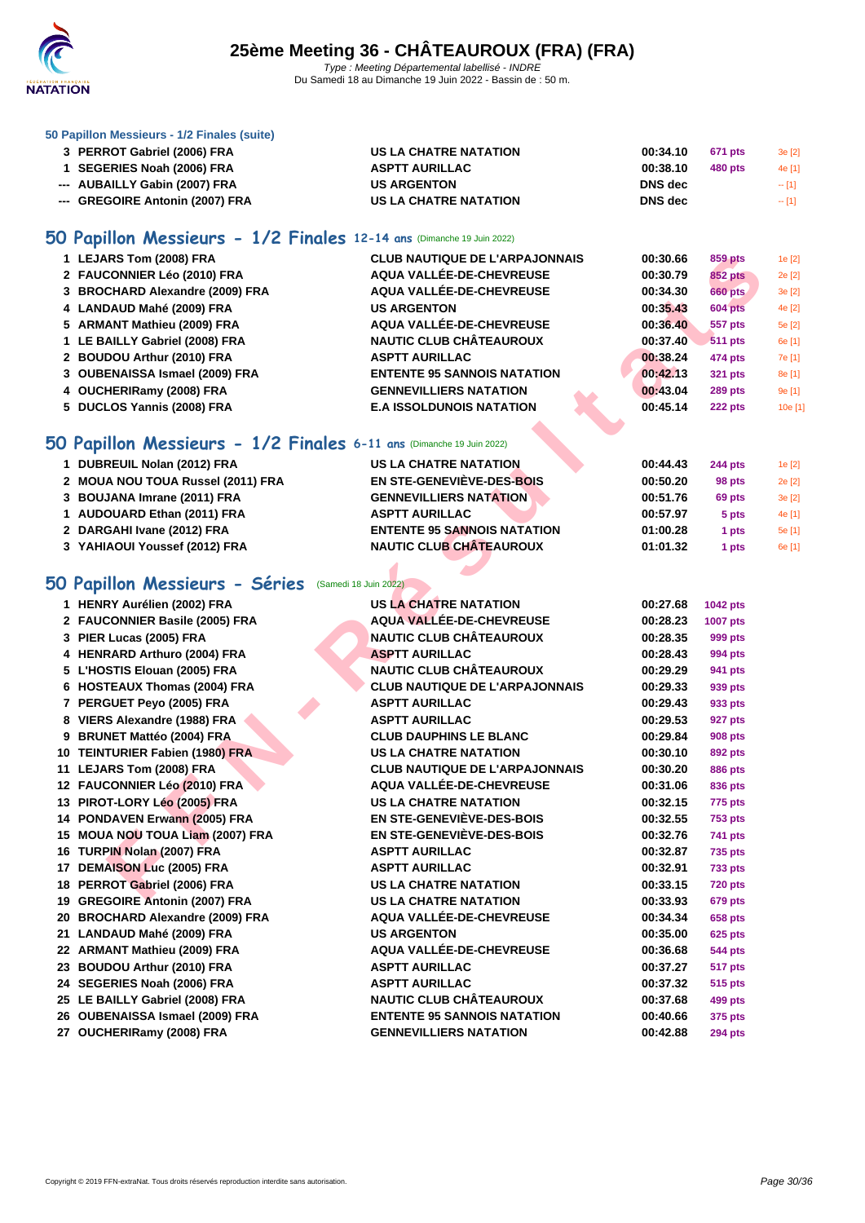

#### **[50 Papillo](http://www.ffnatation.fr/webffn/index.php)n Messieurs - 1/2 Finales (suite)**

| 3 PERROT Gabriel (2006) FRA     | US LA CHATRE NATATION | 00:34.10<br>671 pts | 3e[2]  |
|---------------------------------|-----------------------|---------------------|--------|
| 1 SEGERIES Noah (2006) FRA      | <b>ASPTT AURILLAC</b> | 00:38.10<br>480 pts | 4e [1] |
| --- AUBAILLY Gabin (2007) FRA   | <b>US ARGENTON</b>    | <b>DNS</b> dec      | $-11$  |
| --- GREGOIRE Antonin (2007) FRA | US LA CHATRE NATATION | <b>DNS</b> dec      | $-11$  |

## **50 Papillon Messieurs - 1/2 Finales 12-14 ans** (Dimanche 19 Juin 2022)

| 1 LEJARS Tom (2008) FRA         | <b>CLUB NAUTIQUE DE L'ARPAJONNAIS</b> | 00:30.66 | 859 pts        | 1e [2]  |
|---------------------------------|---------------------------------------|----------|----------------|---------|
| 2 FAUCONNIER Léo (2010) FRA     | AQUA VALLÉE-DE-CHEVREUSE              | 00:30.79 | <b>852 pts</b> | 2e [2]  |
| 3 BROCHARD Alexandre (2009) FRA | AQUA VALLÉE-DE-CHEVREUSE              | 00:34.30 | 660 pts        | 3e[2]   |
| 4 LANDAUD Mahé (2009) FRA       | <b>US ARGENTON</b>                    | 00:35.43 | <b>604 pts</b> | 4e [2]  |
| 5 ARMANT Mathieu (2009) FRA     | AQUA VALLÉE-DE-CHEVREUSE              | 00:36.40 | 557 pts        | 5e [2]  |
| 1 LE BAILLY Gabriel (2008) FRA  | <b>NAUTIC CLUB CHÂTEAUROUX</b>        | 00:37.40 | <b>511 pts</b> | 6e [1]  |
| 2 BOUDOU Arthur (2010) FRA      | <b>ASPTT AURILLAC</b>                 | 00:38.24 | 474 pts        | 7e [1]  |
| 3 OUBENAISSA Ismael (2009) FRA  | <b>ENTENTE 95 SANNOIS NATATION</b>    | 00:42.13 | 321 pts        | 8e [1]  |
| 4 OUCHERIRamy (2008) FRA        | <b>GENNEVILLIERS NATATION</b>         | 00:43.04 | <b>289 pts</b> | 9e [1]  |
| 5 DUCLOS Yannis (2008) FRA      | <b>E.A ISSOLDUNOIS NATATION</b>       | 00:45.14 | <b>222 pts</b> | 10e [1] |
|                                 |                                       |          |                |         |

# **50 Papillon Messieurs - 1/2 Finales 6-11 ans** (Dimanche 19 Juin 2022)

| 1 DUBREUIL Nolan (2012) FRA       | <b>US LA CHATRE NATATION</b>       | 00:44.43 | <b>244 pts</b> | 1e [2] |
|-----------------------------------|------------------------------------|----------|----------------|--------|
| 2 MOUA NOU TOUA Russel (2011) FRA | EN STE-GENEVIÈVE-DES-BOIS          | 00:50.20 | 98 pts         | 2e [2] |
| 3 BOUJANA Imrane (2011) FRA       | <b>GENNEVILLIERS NATATION</b>      | 00:51.76 | 69 pts         | 3e [2] |
| 1 AUDOUARD Ethan (2011) FRA       | <b>ASPTT AURILLAC</b>              | 00:57.97 | 5 pts          | 4e [1] |
| 2 DARGAHI Ivane (2012) FRA        | <b>ENTENTE 95 SANNOIS NATATION</b> | 01:00.28 | 1 pts          | 5e [1] |
| 3 YAHIAOUI Youssef (2012) FRA     | <b>NAUTIC CLUB CHÂTEAUROUX</b>     | 01:01.32 | 1 pts          | 6e [1] |

# **50 Papillon Messieurs - Séries** (Samedi 18 Juin 2022)

| 1 LEJARS Tom (2008) FRA                                              | <b>CLUB NAUTIQUE DE L'ARPAJONNAIS</b> | 00:30.66 | <b>859 pts</b>  |   |
|----------------------------------------------------------------------|---------------------------------------|----------|-----------------|---|
| 2 FAUCONNIER Léo (2010) FRA                                          | AQUA VALLÉE-DE-CHEVREUSE              | 00:30.79 | <b>852 pts</b>  |   |
| 3 BROCHARD Alexandre (2009) FRA                                      | AQUA VALLÉE-DE-CHEVREUSE              | 00:34.30 | <b>660 pts</b>  | ć |
| 4 LANDAUD Mahé (2009) FRA                                            | <b>US ARGENTON</b>                    | 00:35.43 | <b>604 pts</b>  |   |
| 5 ARMANT Mathieu (2009) FRA                                          | AQUA VALLÉE-DE-CHEVREUSE              | 00:36.40 | 557 pts         |   |
| 1 LE BAILLY Gabriel (2008) FRA                                       | <b>NAUTIC CLUB CHÂTEAUROUX</b>        | 00:37.40 | <b>511 pts</b>  |   |
| 2 BOUDOU Arthur (2010) FRA                                           | <b>ASPTT AURILLAC</b>                 | 00:38.24 | 474 pts         |   |
| 3 OUBENAISSA Ismael (2009) FRA                                       | <b>ENTENTE 95 SANNOIS NATATION</b>    | 00:42.13 | 321 pts         |   |
| 4 OUCHERIRamy (2008) FRA                                             | <b>GENNEVILLIERS NATATION</b>         | 00:43.04 | <b>289 pts</b>  |   |
| 5 DUCLOS Yannis (2008) FRA                                           | <b>E.A ISSOLDUNOIS NATATION</b>       | 00:45.14 | 222 pts         |   |
|                                                                      |                                       |          |                 |   |
| iO Papillon Messieurs - 1/2 Finales 6-11 ans (Dimanche 19 Juin 2022) |                                       |          |                 |   |
| 1 DUBREUIL Nolan (2012) FRA                                          | <b>US LA CHATRE NATATION</b>          | 00:44.43 | 244 pts         |   |
| 2 MOUA NOU TOUA Russel (2011) FRA                                    | EN STE-GENEVIÈVE-DES-BOIS             | 00:50.20 | 98 pts          | í |
| 3 BOUJANA Imrane (2011) FRA                                          | <b>GENNEVILLIERS NATATION</b>         | 00:51.76 | 69 pts          |   |
| 1 AUDOUARD Ethan (2011) FRA                                          | <b>ASPTT AURILLAC</b>                 | 00:57.97 | 5 pts           |   |
| 2 DARGAHI Ivane (2012) FRA                                           | <b>ENTENTE 95 SANNOIS NATATION</b>    | 01:00.28 | 1 pts           |   |
| 3 YAHIAOUI Youssef (2012) FRA                                        | <b>NAUTIC CLUB CHÂTEAUROUX</b>        | 01:01.32 | 1 pts           |   |
|                                                                      |                                       |          |                 |   |
| iO Papillon Messieurs - Séries<br>(Samedi 18 Juin 2022)              |                                       |          |                 |   |
| 1 HENRY Aurélien (2002) FRA                                          | <b>US LA CHATRE NATATION</b>          | 00:27.68 | <b>1042 pts</b> |   |
| 2 FAUCONNIER Basile (2005) FRA                                       | AQUA VALLÉE-DE-CHEVREUSE              | 00:28.23 | <b>1007 pts</b> |   |
| 3 PIER Lucas (2005) FRA                                              | <b>NAUTIC CLUB CHÂTEAUROUX</b>        | 00:28.35 | 999 pts         |   |
| 4 HENRARD Arthuro (2004) FRA                                         | <b>ASPTT AURILLAC</b>                 | 00:28.43 | 994 pts         |   |
| 5 L'HOSTIS Elouan (2005) FRA                                         | NAUTIC CLUB CHÂTEAUROUX               | 00:29.29 | 941 pts         |   |
| 6 HOSTEAUX Thomas (2004) FRA                                         | <b>CLUB NAUTIQUE DE L'ARPAJONNAIS</b> | 00:29.33 | 939 pts         |   |
| 7 PERGUET Peyo (2005) FRA                                            | <b>ASPTT AURILLAC</b>                 | 00:29.43 | 933 pts         |   |
| 8 VIERS Alexandre (1988) FRA                                         | <b>ASPTT AURILLAC</b>                 | 00:29.53 | 927 pts         |   |
| 9 BRUNET Mattéo (2004) FRA                                           | <b>CLUB DAUPHINS LE BLANC</b>         | 00:29.84 | 908 pts         |   |
| 10 TEINTURIER Fabien (1980) FRA                                      | <b>US LA CHATRE NATATION</b>          | 00:30.10 | 892 pts         |   |
| 11 LEJARS Tom (2008) FRA                                             | <b>CLUB NAUTIQUE DE L'ARPAJONNAIS</b> | 00:30.20 | <b>886 pts</b>  |   |
| 12 FAUCONNIER Léo (2010) FRA                                         | AQUA VALLÉE-DE-CHEVREUSE              | 00:31.06 | 836 pts         |   |
| 13 PIROT-LORY Léo (2005) FRA                                         | <b>US LA CHATRE NATATION</b>          | 00:32.15 | 775 pts         |   |
| 14 PONDAVEN Erwann (2005) FRA                                        | <b>EN STE-GENEVIÈVE-DES-BOIS</b>      | 00:32.55 | <b>753 pts</b>  |   |
| 15 MOUA NOU TOUA Liam (2007) FRA                                     | EN STE-GENEVIÈVE-DES-BOIS             | 00:32.76 | 741 pts         |   |
| 16 TURPIN Nolan (2007) FRA                                           | <b>ASPTT AURILLAC</b>                 | 00:32.87 | 735 pts         |   |
| 17 DEMAISON Luc (2005) FRA                                           | <b>ASPTT AURILLAC</b>                 | 00:32.91 | 733 pts         |   |
| 18 PERROT Gabriel (2006) FRA                                         | <b>US LA CHATRE NATATION</b>          | 00:33.15 | <b>720 pts</b>  |   |
| 19 GREGOIRE Antonin (2007) FRA                                       | <b>US LA CHATRE NATATION</b>          | 00:33.93 | <b>679 pts</b>  |   |
| 20 BROCHARD Alexandre (2009) FRA                                     | AQUA VALLÉE-DE-CHEVREUSE              | 00:34.34 | 658 pts         |   |
| 21 LANDAUD Mahé (2009) FRA                                           | <b>US ARGENTON</b>                    | 00:35.00 | 625 pts         |   |
| 22 ARMANT Mathieu (2009) FRA                                         | AQUA VALLÉE-DE-CHEVREUSE              | 00:36.68 | <b>544 pts</b>  |   |
| 23 BOUDOU Arthur (2010) FRA                                          | <b>ASPTT AURILLAC</b>                 | 00:37.27 | <b>517 pts</b>  |   |
| 24 SEGERIES Noah (2006) FRA                                          | <b>ASPTT AURILLAC</b>                 | 00:37.32 | 515 pts         |   |
| 25 LE BAILLY Gabriel (2008) FRA                                      | <b>NAUTIC CLUB CHÂTEAUROUX</b>        | 00:37.68 | 499 pts         |   |
| 26 OUBENAISSA Ismael (2009) FRA                                      | <b>ENTENTE 95 SANNOIS NATATION</b>    | 00:40.66 | 375 pts         |   |
| 27 OUCHERIRamy (2008) FRA                                            | <b>GENNEVILLIERS NATATION</b>         | 00:42.88 | <b>294 pts</b>  |   |
|                                                                      |                                       |          |                 |   |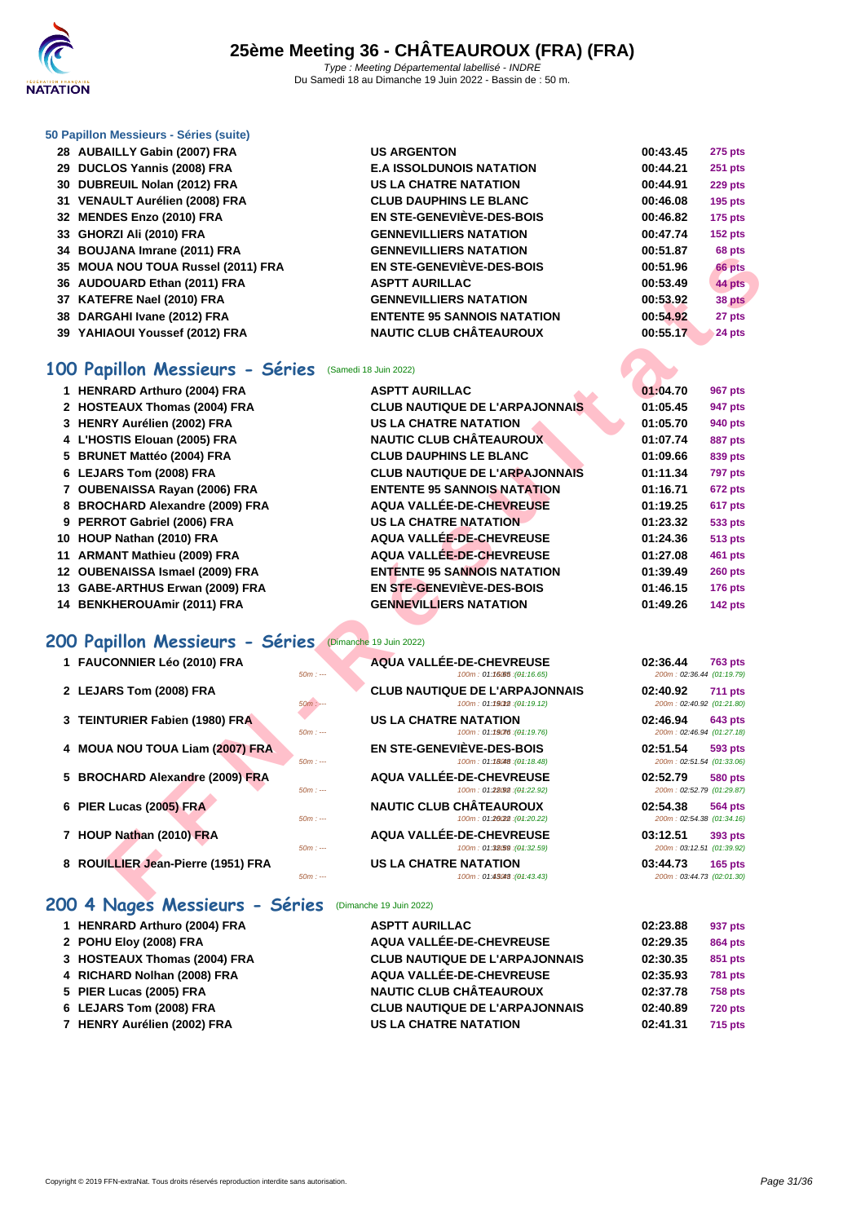

#### **[50 Papillo](http://www.ffnatation.fr/webffn/index.php)n Messieurs - Séries (suite)**

| 28 AUBAILLY Gabin (2007) FRA       | <b>US ARGENTON</b>                 | 00:43.45 | <b>275 pts</b> |
|------------------------------------|------------------------------------|----------|----------------|
| 29 DUCLOS Yannis (2008) FRA        | <b>E.A ISSOLDUNOIS NATATION</b>    | 00:44.21 | <b>251 pts</b> |
| 30 DUBREUIL Nolan (2012) FRA       | <b>US LA CHATRE NATATION</b>       | 00:44.91 | 229 pts        |
| 31 VENAULT Aurélien (2008) FRA     | <b>CLUB DAUPHINS LE BLANC</b>      | 00:46.08 | <b>195 pts</b> |
| 32 MENDES Enzo (2010) FRA          | EN STE-GENEVIÈVE-DES-BOIS          | 00:46.82 | 175 pts        |
| 33 GHORZI Ali (2010) FRA           | <b>GENNEVILLIERS NATATION</b>      | 00:47.74 | 152 pts        |
| 34 BOUJANA Imrane (2011) FRA       | <b>GENNEVILLIERS NATATION</b>      | 00:51.87 | 68 pts         |
| 35 MOUA NOU TOUA Russel (2011) FRA | EN STE-GENEVIÈVE-DES-BOIS          | 00:51.96 | 66 pts         |
| 36 AUDOUARD Ethan (2011) FRA       | <b>ASPTT AURILLAC</b>              | 00:53.49 | 44 pts         |
| 37 KATEFRE Nael (2010) FRA         | <b>GENNEVILLIERS NATATION</b>      | 00:53.92 | 38 pts         |
| 38 DARGAHI Ivane (2012) FRA        | <b>ENTENTE 95 SANNOIS NATATION</b> | 00:54.92 | 27 pts         |
| 39 YAHIAOUI Youssef (2012) FRA     | <b>NAUTIC CLUB CHÂTEAUROUX</b>     | 00:55.17 | 24 pts         |

### **100 Papillon Messieurs - Séries** (Samedi 18 Juin 2022)

|    | <b>BUUJARA IIIII GIIE (ZUI IIII INA</b>         |                                                             |                                       | νο μιο         |
|----|-------------------------------------------------|-------------------------------------------------------------|---------------------------------------|----------------|
|    | 35 MOUA NOU TOUA Russel (2011) FRA              | <b>EN STE-GENEVIÈVE-DES-BOIS</b>                            | 00:51.96                              | 66 pts         |
|    | 36 AUDOUARD Ethan (2011) FRA                    | <b>ASPTT AURILLAC</b>                                       | 00:53.49                              | 44 pts         |
|    | 37 KATEFRE Nael (2010) FRA                      | <b>GENNEVILLIERS NATATION</b>                               | 00:53.92                              | 38 pts         |
|    | 38 DARGAHI Ivane (2012) FRA                     | <b>ENTENTE 95 SANNOIS NATATION</b>                          | 00:54.92                              | 27 pts         |
|    | 39 YAHIAOUI Youssef (2012) FRA                  | <b>NAUTIC CLUB CHÂTEAUROUX</b>                              | 00:55.17                              | 24 pts         |
|    |                                                 |                                                             |                                       |                |
|    | 100 Papillon Messieurs - Séries                 | (Samedi 18 Juin 2022)                                       |                                       |                |
|    | 1 HENRARD Arthuro (2004) FRA                    | <b>ASPTT AURILLAC</b>                                       | 01:04.70                              | 967 pts        |
|    | 2 HOSTEAUX Thomas (2004) FRA                    | <b>CLUB NAUTIQUE DE L'ARPAJONNAIS</b>                       | 01:05.45                              | 947 pts        |
|    | 3 HENRY Aurélien (2002) FRA                     | <b>US LA CHATRE NATATION</b>                                | 01:05.70                              | 940 pts        |
|    | 4 L'HOSTIS Elouan (2005) FRA                    | <b>NAUTIC CLUB CHÂTEAUROUX</b>                              | 01:07.74                              | <b>887 pts</b> |
|    | 5 BRUNET Mattéo (2004) FRA                      | <b>CLUB DAUPHINS LE BLANC</b>                               | 01:09.66                              | 839 pts        |
|    | 6 LEJARS Tom (2008) FRA                         | <b>CLUB NAUTIQUE DE L'ARPAJONNAIS</b>                       | 01:11.34                              | 797 pts        |
|    | 7 OUBENAISSA Rayan (2006) FRA                   | <b>ENTENTE 95 SANNOIS NATATION</b>                          | 01:16.71                              | 672 pts        |
|    | 8 BROCHARD Alexandre (2009) FRA                 | <b>AQUA VALLÉE-DE-CHEVREUSE</b>                             | 01:19.25                              | 617 pts        |
| 9  | PERROT Gabriel (2006) FRA                       | <b>US LA CHATRE NATATION</b>                                | 01:23.32                              | 533 pts        |
|    | 10 HOUP Nathan (2010) FRA                       | AQUA VALLÉE-DE-CHEVREUSE                                    | 01:24.36                              | <b>513 pts</b> |
| 11 | <b>ARMANT Mathieu (2009) FRA</b>                | <b>AQUA VALLÉE-DE-CHEVREUSE</b>                             | 01:27.08                              | 461 pts        |
|    | 12 OUBENAISSA Ismael (2009) FRA                 | <b>ENTENTE 95 SANNOIS NATATION</b>                          | 01:39.49                              | <b>260 pts</b> |
|    | 13 GABE-ARTHUS Erwan (2009) FRA                 | EN STE-GENEVIEVE-DES-BOIS                                   | 01:46.15                              | 176 pts        |
|    | 14 BENKHEROUAmir (2011) FRA                     | <b>GENNEVILLIERS NATATION</b>                               | 01:49.26                              | 142 pts        |
|    |                                                 |                                                             |                                       |                |
|    | 200 Papillon Messieurs - Séries                 | (Dimanche 19 Juin 2022)                                     |                                       |                |
|    | 1 FAUCONNIER Léo (2010) FRA                     | AQUA VALLÉE-DE-CHEVREUSE                                    | 02:36.44                              | <b>763 pts</b> |
|    | $50m: -$                                        | 100m: 01:16.05 : (01:16.65)                                 | 200m: 02:36.44 (01:19.79)             |                |
|    | 2 LEJARS Tom (2008) FRA<br>$50m$ : $-$          | <b>CLUB NAUTIQUE DE L'ARPAJONNAIS</b>                       | 02:40.92<br>200m: 02:40.92 (01:21.80) | 711 pts        |
|    |                                                 | 100m: 01:19012 : (01:19.12)                                 |                                       |                |
|    |                                                 |                                                             |                                       |                |
| 3  | <b>TEINTURIER Fabien (1980) FRA</b><br>$50m: -$ | <b>US LA CHATRE NATATION</b><br>100m: 01:19076 : (01:19.76) | 02:46.94<br>200m: 02:46.94 (01:27.18) | <b>643 pts</b> |
|    |                                                 |                                                             |                                       |                |
|    | 4 MOUA NOU TOUA Liam (2007) FRA<br>$50m: -$     | EN STE-GENEVIÈVE-DES-BOIS<br>100m: 01:18048 : (01:18.48)    | 02:51.54<br>200m: 02:51.54 (01:33.06) | 593 pts        |
|    | 5 BROCHARD Alexandre (2009) FRA                 | AQUA VALLÉE-DE-CHEVREUSE                                    | 02:52.79                              | <b>580 pts</b> |
|    | $50m: -$                                        | 100m: 01:28092 : (01:22.92)                                 | 200m: 02:52.79 (01:29.87)             |                |
| 6  | PIER Lucas (2005) FRA                           | <b>NAUTIC CLUB CHÂTEAUROUX</b>                              | 02:54.38                              | <b>564 pts</b> |
|    | $50m: -$                                        | 100m: 01:2022 : (01:20.22)                                  | 200m: 02:54.38 (01:34.16)             |                |
|    | 7 HOUP Nathan (2010) FRA                        | AQUA VALLÉE-DE-CHEVREUSE                                    | 03:12.51                              | 393 pts        |
|    | $50m: -$<br>8 ROUILLIER Jean-Pierre (1951) FRA  | 100m: 01:32.59 : (01:32.59)<br><b>US LA CHATRE NATATION</b> | 200m: 03:12.51 (01:39.92)<br>03:44.73 | <b>165 pts</b> |

### **200 Papillon Messieurs - Séries** (Dimanche 19 Juin 2022)

| 1 FAUCONNIER Léo (2010) FRA |  |
|-----------------------------|--|
|                             |  |

- **LEJARS Tom (2008) FRA CLUB NAUTIQUE DE L'ARPAJONNAIS 100m** : 01:19018 (94:19.12)
- **TEINTURIER Fabien (1980) FRA US LA CHATRE NATATION 100m**: 01:1908:49
- **MOUA NOU TOUA Liam (2007) FRA EN STE-GENEVIÈVE-DES-BOIS 02:51.54 593 pts**
- **BROCHARD Alexandre (2009) FRA AQUA VALLÉE-DE-CHEVREUSE 02:52.79 580 pts**
- **PIER Lucas (2005) FRA NAUTIC CLUB CHÂTEAUROUX**
- **HOUP Nathan (2010) FRA AQUA VALLÉE-DE-CHEVREUSE 100m**: 01:32659 **(04:32.59**)
- ROUILLIER Jean-Pierre (1951) FRA US LA CHATRE NATATION

#### **200 4 Nages Messieurs - Séries** (Dimanche 19 Juin 2022)

- **HENRARD Arthuro (2004) FRA**
- **POHU Eloy (2008) FRA**
- **HOSTEAUX Thomas (2004) FRA**
- [RICHARD Nolhan \(2008\) FRA](http://www.ffnatation.fr/webffn/resultats.php?idact=nat&go=epr&idcpt=78531&idepr=91)
- **PIER Lucas (2005) FRA**
- **LEJARS Tom (2008) FRA CLUB NAUTIQUE DE L'ARPAJONNAIS 02:40.89 720 pts**
- **HENRY Aurélien (2002) FRA US LA CHATRE NATATION 02:41.31 715 pts**

| <b>ASPTT AURILLAC</b>                 |
|---------------------------------------|
| AQUA VALLÉE-DE-CHEVREUSE              |
| <b>CLUB NAUTIQUE DE L'ARPAJONNAIS</b> |
| AQUA VALLÉE-DE-CHEVREUSE              |
| <b>NAUTIC CLUB CHÂTEAUROUX</b>        |
| <b>CLUB NAUTIQUE DE L'ARPAJONNAIS</b> |
| <b>US LA CHATRE NATATION</b>          |

|          | <b>AQUA VALLÉE-DE-CHEVREUSE</b>                                      | 02:36.44<br><b>763 pts</b>                              |
|----------|----------------------------------------------------------------------|---------------------------------------------------------|
| $50m: -$ | 100m: 01:16065 : (01:16.65)                                          | 200m: 02:36.44 (01:19.79)                               |
| $50m: -$ | <b>CLUB NAUTIQUE DE L'ARPAJONNAIS</b><br>100m: 01:19012 : (01:19.12) | 02:40.92<br><b>711 pts</b><br>200m: 02:40.92 (01:21.80) |
| $50m: -$ | <b>US LA CHATRE NATATION</b><br>100m: 01:19076 : (04:19.76)          | 02:46.94<br><b>643 pts</b><br>200m: 02:46.94 (01:27.18) |
| $50m: -$ | EN STE-GENEVIÈVE-DES-BOIS<br>100m: 01:18048 : (01:18.48)             | 02:51.54<br>593 pts<br>200m: 02:51.54 (01:33.06)        |
| $50m: -$ | <b>AQUA VALLÉE-DE-CHEVREUSE</b><br>100m: 01:28(92): (01:22.92)       | 02:52.79<br>580 pts<br>200m: 02:52.79 (01:29.87)        |
| $50m: -$ | <b>NAUTIC CLUB CHÂTEAUROUX</b><br>100m: 01:26(22): (04:20.22)        | 02:54.38<br>564 pts<br>200m: 02:54.38 (01:34.16)        |
| $50m: -$ | AQUA VALLÉE-DE-CHEVREUSE<br>100m: 01:32.59 : (01:32.59)              | 03:12.51<br>393 pts<br>200m: 03:12.51 (01:39.92)        |
| $50m: -$ | <b>US LA CHATRE NATATION</b><br>100m: 01:45048 : (04:43.43)          | 03:44.73<br>$165$ pts<br>200m: 03:44.73 (02:01.30)      |

| 02:23.88 | 937 pts        |
|----------|----------------|
| 02:29.35 | <b>864 pts</b> |
| 02:30.35 | <b>851 pts</b> |
| 02:35.93 | <b>781 pts</b> |
| 02:37.78 | 758 pts        |
| 02:40.89 | <b>720 pts</b> |
| 02:41.31 | 715 pts        |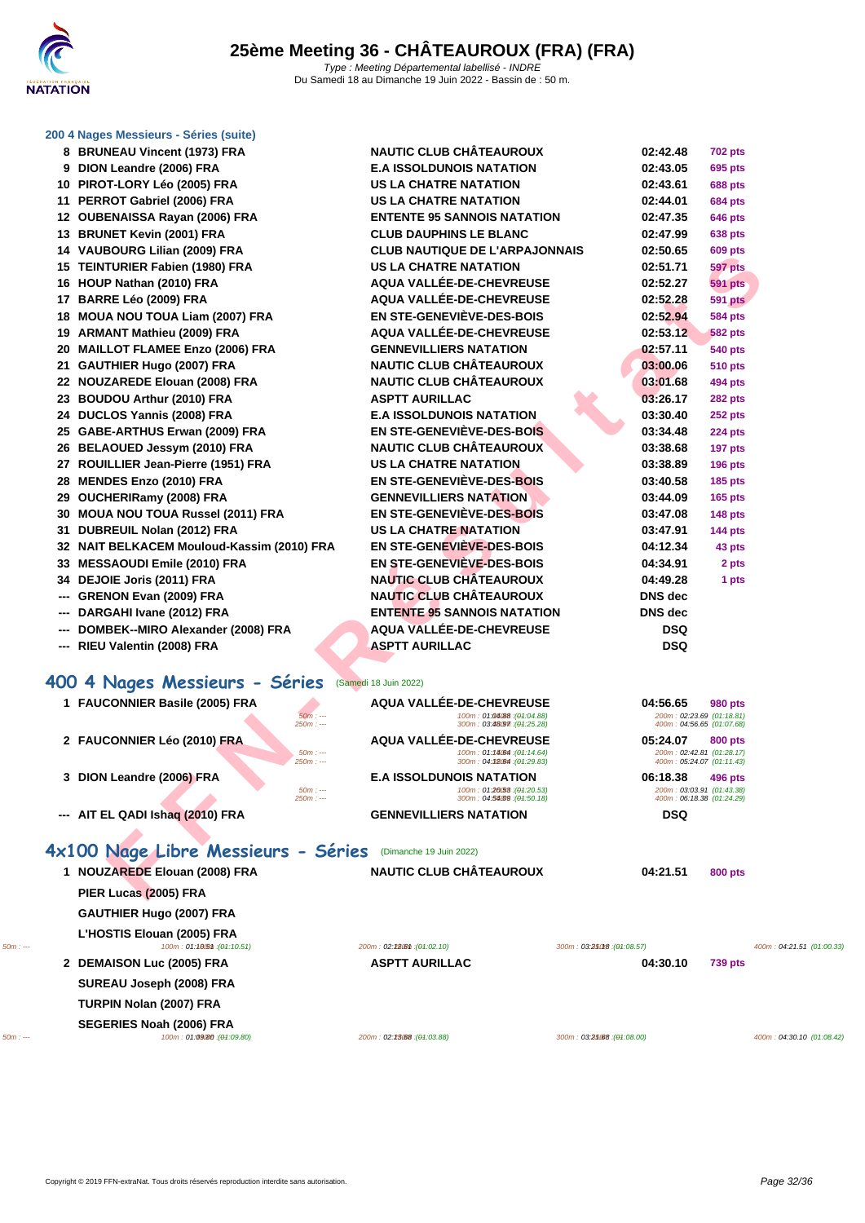

#### **[200 4 Nag](http://www.ffnatation.fr/webffn/index.php)es Messieurs - Séries (suite)**

|          |     | 8 BRUNEAU Vincent (1973) FRA                         | <b>NAUTIC CLUB CHATEAUROUX</b>                              |                             | 02:42.48                                               | <b>702 pts</b> |                           |
|----------|-----|------------------------------------------------------|-------------------------------------------------------------|-----------------------------|--------------------------------------------------------|----------------|---------------------------|
|          |     | 9 DION Leandre (2006) FRA                            | <b>E.A ISSOLDUNOIS NATATION</b>                             |                             | 02:43.05                                               | 695 pts        |                           |
|          |     | 10 PIROT-LORY Léo (2005) FRA                         | <b>US LA CHATRE NATATION</b>                                |                             | 02:43.61                                               | <b>688 pts</b> |                           |
|          |     | 11 PERROT Gabriel (2006) FRA                         | <b>US LA CHATRE NATATION</b>                                |                             | 02:44.01                                               | <b>684 pts</b> |                           |
|          |     | 12 OUBENAISSA Rayan (2006) FRA                       | <b>ENTENTE 95 SANNOIS NATATION</b>                          |                             | 02:47.35                                               | <b>646 pts</b> |                           |
|          |     | 13 BRUNET Kevin (2001) FRA                           | <b>CLUB DAUPHINS LE BLANC</b>                               |                             | 02:47.99                                               | 638 pts        |                           |
|          |     | 14 VAUBOURG Lilian (2009) FRA                        | <b>CLUB NAUTIQUE DE L'ARPAJONNAIS</b>                       |                             | 02:50.65                                               | <b>609 pts</b> |                           |
|          |     | 15 TEINTURIER Fabien (1980) FRA                      | <b>US LA CHATRE NATATION</b>                                |                             | 02:51.71                                               | <b>597 pts</b> |                           |
|          |     | 16 HOUP Nathan (2010) FRA                            | AQUA VALLÉE-DE-CHEVREUSE                                    |                             | 02:52.27                                               | <b>591 pts</b> |                           |
|          |     | 17 BARRE Léo (2009) FRA                              | AQUA VALLÉE-DE-CHEVREUSE                                    |                             | 02:52.28                                               | <b>591 pts</b> |                           |
|          |     | 18 MOUA NOU TOUA Liam (2007) FRA                     | EN STE-GENEVIÈVE-DES-BOIS                                   |                             | 02:52.94                                               | <b>584 pts</b> |                           |
|          |     | 19 ARMANT Mathieu (2009) FRA                         | AQUA VALLÉE-DE-CHEVREUSE                                    |                             | 02:53.12                                               | <b>582 pts</b> |                           |
|          |     | 20 MAILLOT FLAMEE Enzo (2006) FRA                    | <b>GENNEVILLIERS NATATION</b>                               |                             | 02:57.11                                               | <b>540 pts</b> |                           |
|          |     | 21 GAUTHIER Hugo (2007) FRA                          | <b>NAUTIC CLUB CHÂTEAUROUX</b>                              |                             | 03:00.06                                               | <b>510 pts</b> |                           |
|          |     | 22 NOUZAREDE Elouan (2008) FRA                       | <b>NAUTIC CLUB CHÂTEAUROUX</b>                              |                             | 03:01.68                                               | 494 pts        |                           |
|          |     | 23 BOUDOU Arthur (2010) FRA                          | <b>ASPTT AURILLAC</b>                                       |                             | 03:26.17                                               | <b>282 pts</b> |                           |
|          |     | 24 DUCLOS Yannis (2008) FRA                          | <b>E.A ISSOLDUNOIS NATATION</b>                             |                             | 03:30.40                                               | <b>252 pts</b> |                           |
|          |     | 25 GABE-ARTHUS Erwan (2009) FRA                      | EN STE-GENEVIEVE-DES-BOIS                                   |                             | 03:34.48                                               | <b>224 pts</b> |                           |
|          |     | 26 BELAOUED Jessym (2010) FRA                        | <b>NAUTIC CLUB CHÂTEAUROUX</b>                              |                             | 03:38.68                                               | <b>197 pts</b> |                           |
|          |     | 27 ROUILLIER Jean-Pierre (1951) FRA                  | <b>US LA CHATRE NATATION</b>                                |                             | 03:38.89                                               | <b>196 pts</b> |                           |
|          |     | 28 MENDES Enzo (2010) FRA                            | <b>EN STE-GENEVIÈVE-DES-BOIS</b>                            |                             | 03:40.58                                               | <b>185 pts</b> |                           |
|          |     | 29 OUCHERIRamy (2008) FRA                            | <b>GENNEVILLIERS NATATION</b>                               |                             | 03:44.09                                               | <b>165 pts</b> |                           |
|          |     | 30 MOUA NOU TOUA Russel (2011) FRA                   | EN STE-GENEVIÈVE-DES-BOIS                                   |                             | 03:47.08                                               | <b>148 pts</b> |                           |
|          |     | 31 DUBREUIL Nolan (2012) FRA                         | <b>US LA CHATRE NATATION</b>                                |                             | 03:47.91                                               | <b>144 pts</b> |                           |
|          |     | 32 NAIT BELKACEM Mouloud-Kassim (2010) FRA           | EN STE-GENEVIEVE-DES-BOIS                                   |                             | 04:12.34                                               | 43 pts         |                           |
|          |     | 33 MESSAOUDI Emile (2010) FRA                        | EN STE-GENEVIÈVE-DES-BOIS                                   |                             | 04:34.91                                               | 2 pts          |                           |
|          |     | 34 DEJOIE Joris (2011) FRA                           | <b>NAUTIC CLUB CHÂTEAUROUX</b>                              |                             | 04:49.28                                               | 1 pts          |                           |
|          | --- | <b>GRENON Evan (2009) FRA</b>                        | <b>NAUTIC CLUB CHÂTEAUROUX</b>                              |                             | DNS dec                                                |                |                           |
|          |     | DARGAHI Ivane (2012) FRA                             | <b>ENTENTE 95 SANNOIS NATATION</b>                          |                             | <b>DNS</b> dec                                         |                |                           |
|          | --- | DOMBEK--MIRO Alexander (2008) FRA                    | AQUA VALLÉE-DE-CHEVREUSE                                    |                             | <b>DSQ</b>                                             |                |                           |
|          |     | RIEU Valentin (2008) FRA                             | <b>ASPTT AURILLAC</b>                                       |                             | <b>DSQ</b>                                             |                |                           |
|          |     |                                                      |                                                             |                             |                                                        |                |                           |
|          |     | 400 4 Nages Messieurs - Séries (Samedi 18 Juin 2022) |                                                             |                             |                                                        |                |                           |
|          |     | 1 FAUCONNIER Basile (2005) FRA                       | AQUA VALLÉE-DE-CHEVREUSE                                    |                             | 04:56.65                                               | 980 pts        |                           |
|          |     | $50m: -$<br>$250m: -$                                | 100m: 01:04/88: (01:04.88)<br>300m: 03:48097 : (01:25.28)   |                             | 200m: 02:23.69 (01:18.81)<br>400m: 04:56.65 (01:07.68) |                |                           |
|          |     | 2 FAUCONNIER Léo (2010) FRA                          | AQUA VALLÉE-DE-CHEVREUSE                                    |                             | 05:24.07                                               | 800 pts        |                           |
|          |     | $50m: -$<br>$250m: --$                               | 100m: 01:14064 : (01:14.64)<br>300m: 04:38/64 : (01:29.83)  |                             | 200m: 02:42.81 (01:28.17)<br>400m: 05:24.07 (01:11.43) |                |                           |
|          |     | 3 DION Leandre (2006) FRA                            | <b>E.A ISSOLDUNOIS NATATION</b>                             |                             | 06:18.38                                               | 496 pts        |                           |
|          |     | $50m: -$                                             | 100m: 01:20058 : (01:20.53)                                 |                             | 200m: 03:03.91 (01:43.38)                              |                |                           |
|          |     | $250m: -$<br>--- AIT EL QADI Ishaq (2010) FRA        | 300m: 04:5409 : (01:50.18)<br><b>GENNEVILLIERS NATATION</b> |                             | 400m: 06:18.38 (01:24.29)<br><b>DSQ</b>                |                |                           |
|          |     |                                                      |                                                             |                             |                                                        |                |                           |
|          |     |                                                      |                                                             |                             |                                                        |                |                           |
|          |     | 4x100 Nage Libre Messieurs - Séries                  | (Dimanche 19 Juin 2022)                                     |                             |                                                        |                |                           |
|          |     | 1 NOUZAREDE Elouan (2008) FRA                        | <b>NAUTIC CLUB CHÂTEAUROUX</b>                              |                             | 04:21.51                                               | 800 pts        |                           |
|          |     | PIER Lucas (2005) FRA                                |                                                             |                             |                                                        |                |                           |
|          |     | <b>GAUTHIER Hugo (2007) FRA</b>                      |                                                             |                             |                                                        |                |                           |
|          |     | L'HOSTIS Elouan (2005) FRA                           |                                                             |                             |                                                        |                |                           |
| $50m: -$ |     | 100m: 01:1005m: (01:10.51)                           | 200m: 02:28.6th : (04:02.10)                                | 300m: 03:250f8 : (01:08.57) |                                                        |                | 400m: 04:21.51 (01:00.33) |
|          |     | 2 DEMAISON Luc (2005) FRA                            | <b>ASPTT AURILLAC</b>                                       |                             | 04:30.10                                               | <b>739 pts</b> |                           |
|          |     | SUREAU Joseph (2008) FRA                             |                                                             |                             |                                                        |                |                           |
|          |     | TURPIN Nolan (2007) FRA                              |                                                             |                             |                                                        |                |                           |
|          |     | SEGERIES Noah (2006) FRA                             |                                                             |                             |                                                        |                |                           |
| $50m: -$ |     | 100m: 01:09/80 : (01:09.80)                          | 200m: 02:23.68 : (04:03.88)                                 | 300m: 03:25.68 : (04:08.00) |                                                        |                | 400m: 04:30.10 (01:08.42) |

Copyright © 2019 FFN-extraNat. Tous droits réservés reproduction interdite sans autorisation.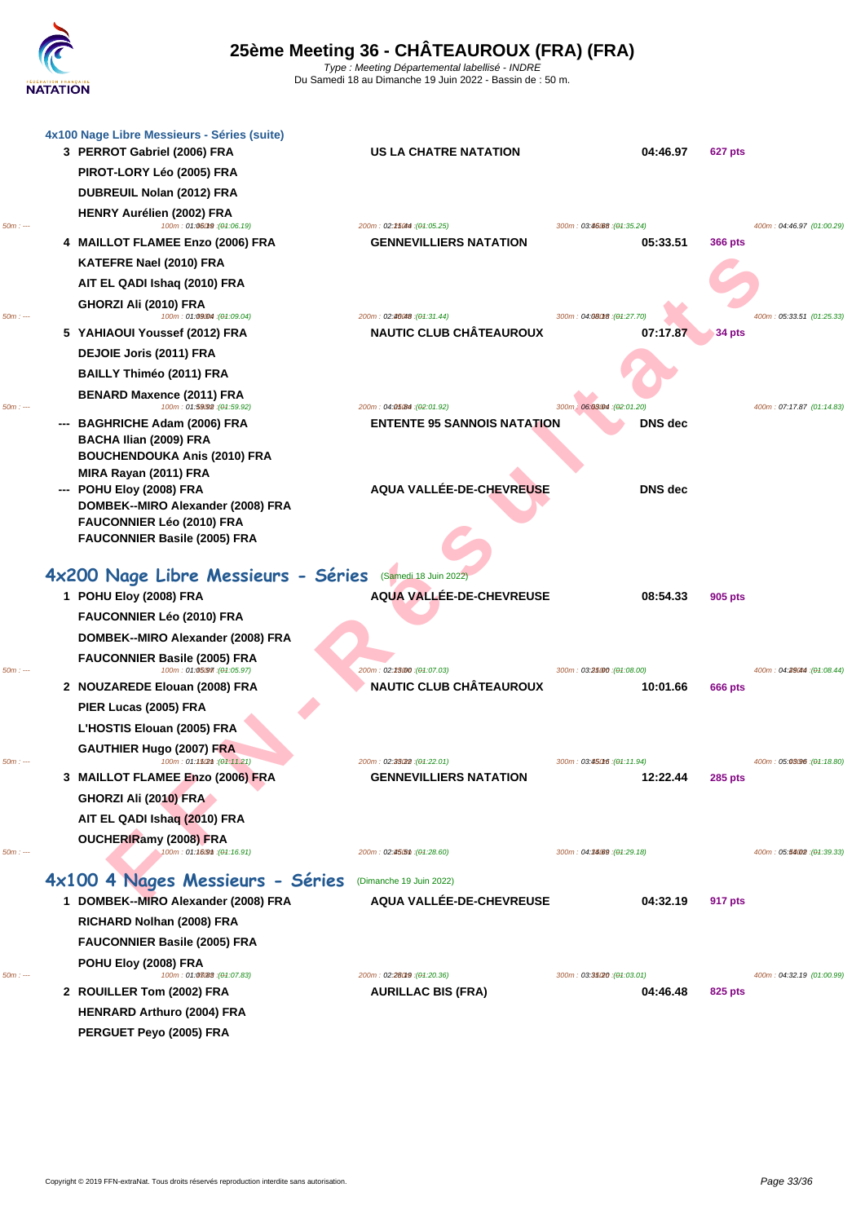

|          | 4x100 Nage Libre Messieurs - Séries (suite)<br>3 PERROT Gabriel (2006) FRA | US LA CHATRE NATATION                                    | 04:46.97                                | 627 pts                              |  |
|----------|----------------------------------------------------------------------------|----------------------------------------------------------|-----------------------------------------|--------------------------------------|--|
|          | PIROT-LORY Léo (2005) FRA                                                  |                                                          |                                         |                                      |  |
|          | DUBREUIL Nolan (2012) FRA                                                  |                                                          |                                         |                                      |  |
|          | HENRY Aurélien (2002) FRA                                                  |                                                          |                                         |                                      |  |
| $50m: -$ | 100m: 01:06019 : (01:06.19)                                                | 200m: 02:25044 : (04:05.25)                              | 300m: 03:46:68 : (01:35.24)             | 400m: 04:46.97 (01:00.29)            |  |
|          | 4 MAILLOT FLAMEE Enzo (2006) FRA                                           | <b>GENNEVILLIERS NATATION</b>                            | 05:33.51                                | <b>366 pts</b>                       |  |
|          | KATEFRE Nael (2010) FRA                                                    |                                                          |                                         |                                      |  |
|          | AIT EL QADI Ishaq (2010) FRA                                               |                                                          |                                         |                                      |  |
| 50m:     | GHORZI Ali (2010) FRA<br>100m: 01:09004 : (01:09.04)                       | 200m: 02:46048: (04:31.44)                               | 300m: 04:08018 : (04:27.70)             | 400m: 05:33.51 (01:25.33)            |  |
|          | 5 YAHIAOUI Youssef (2012) FRA                                              | <b>NAUTIC CLUB CHÂTEAUROUX</b>                           | 07:17.87                                | $34$ pts                             |  |
|          | DEJOIE Joris (2011) FRA                                                    |                                                          |                                         |                                      |  |
|          | <b>BAILLY Thiméo (2011) FRA</b>                                            |                                                          |                                         |                                      |  |
| $50m: -$ | <b>BENARD Maxence (2011) FRA</b><br>100m: 01:59092 : (01:59.92)            | 200m: 04:05:84 : (02:01.92)                              | 300m: 06:03004 : (02:01.20)             | 400m: 07:17.87 (01:14.83)            |  |
|          | --- BAGHRICHE Adam (2006) FRA                                              | <b>ENTENTE 95 SANNOIS NATATION</b>                       | DNS dec                                 |                                      |  |
|          | <b>BACHA Ilian (2009) FRA</b>                                              |                                                          |                                         |                                      |  |
|          | <b>BOUCHENDOUKA Anis (2010) FRA</b>                                        |                                                          |                                         |                                      |  |
|          | MIRA Rayan (2011) FRA<br>--- POHU Eloy (2008) FRA                          | AQUA VALLÉE-DE-CHEVREUSE                                 | <b>DNS</b> dec                          |                                      |  |
|          | DOMBEK--MIRO Alexander (2008) FRA                                          |                                                          |                                         |                                      |  |
|          | FAUCONNIER Léo (2010) FRA                                                  |                                                          |                                         |                                      |  |
|          | <b>FAUCONNIER Basile (2005) FRA</b>                                        |                                                          |                                         |                                      |  |
|          | 4x200 Nage Libre Messieurs - Séries (Samedi 18 Juin 2022)                  |                                                          |                                         |                                      |  |
|          | 1 POHU Eloy (2008) FRA                                                     | AQUA VALLÉE-DE-CHEVREUSE                                 | 08:54.33                                | 905 pts                              |  |
|          | FAUCONNIER Léo (2010) FRA                                                  |                                                          |                                         |                                      |  |
|          | DOMBEK--MIRO Alexander (2008) FRA                                          |                                                          |                                         |                                      |  |
|          | <b>FAUCONNIER Basile (2005) FRA</b>                                        |                                                          |                                         |                                      |  |
| $50m: -$ | 100m: 01:05097 : (01:05.97)                                                | 200m: 02:23000 : (04:07.03)                              | 300m: 03:25000 : (04:08.00)             | 400m: 04:29044 : (04:08.44)          |  |
|          | 2 NOUZAREDE Elouan (2008) FRA                                              | NAUTIC CLUB CHÂTEAUROUX                                  | 10:01.66                                | <b>666 pts</b>                       |  |
|          | PIER Lucas (2005) FRA                                                      |                                                          |                                         |                                      |  |
|          | L'HOSTIS Elouan (2005) FRA                                                 |                                                          |                                         |                                      |  |
| 50m :    | <b>GAUTHIER Hugo (2007) FRA</b><br>100m: 01:15(2m : (01:11.21)             | 200m: 02:33022 : (04:22.01)                              | 300m: 03:450f6 : (01:11.94)             | 400m: 05:03:06 : (04:18.80)          |  |
|          | 3 MAILLOT FLAMEE Enzo (2006) FRA                                           | <b>GENNEVILLIERS NATATION</b>                            | 12:22.44                                | 285 pts                              |  |
|          | GHORZI Ali (2010) FRA                                                      |                                                          |                                         |                                      |  |
|          | AIT EL QADI Ishaq (2010) FRA                                               |                                                          |                                         |                                      |  |
|          | OUCHERIRamy (2008) FRA                                                     |                                                          |                                         |                                      |  |
| $50m: -$ | 100m: 01:1609m: (01:16.91)                                                 | 200m: 02:45.5m : (04:28.60)                              | 300m: 04:34/69 : (01:29.18)             | 400m: 05:54002 : (04:39.33)          |  |
|          | 4x100 4 Nages Messieurs - Séries (Dimanche 19 Juin 2022)                   |                                                          |                                         |                                      |  |
|          | 1 DOMBEK--MIRO Alexander (2008) FRA                                        | AQUA VALLÉE-DE-CHEVREUSE                                 | 04:32.19 917 pts                        |                                      |  |
|          | RICHARD Nolhan (2008) FRA                                                  |                                                          |                                         |                                      |  |
|          | <b>FAUCONNIER Basile (2005) FRA</b>                                        |                                                          |                                         |                                      |  |
|          | POHU Eloy (2008) FRA                                                       |                                                          |                                         |                                      |  |
| $50m: -$ | 100m: 01:0888 : (01:07.83)<br>2 ROUILLER Tom (2002) FRA                    | 200m: 02:28019 : (04:20.36)<br><b>AURILLAC BIS (FRA)</b> | 300m: 03:35/20 : (04:03.01)<br>04:46.48 | 400m: 04:32.19 (01:00.99)<br>825 pts |  |
|          |                                                                            |                                                          |                                         |                                      |  |
|          |                                                                            |                                                          |                                         |                                      |  |
|          | <b>HENRARD Arthuro (2004) FRA</b><br>PERGUET Peyo (2005) FRA               |                                                          |                                         |                                      |  |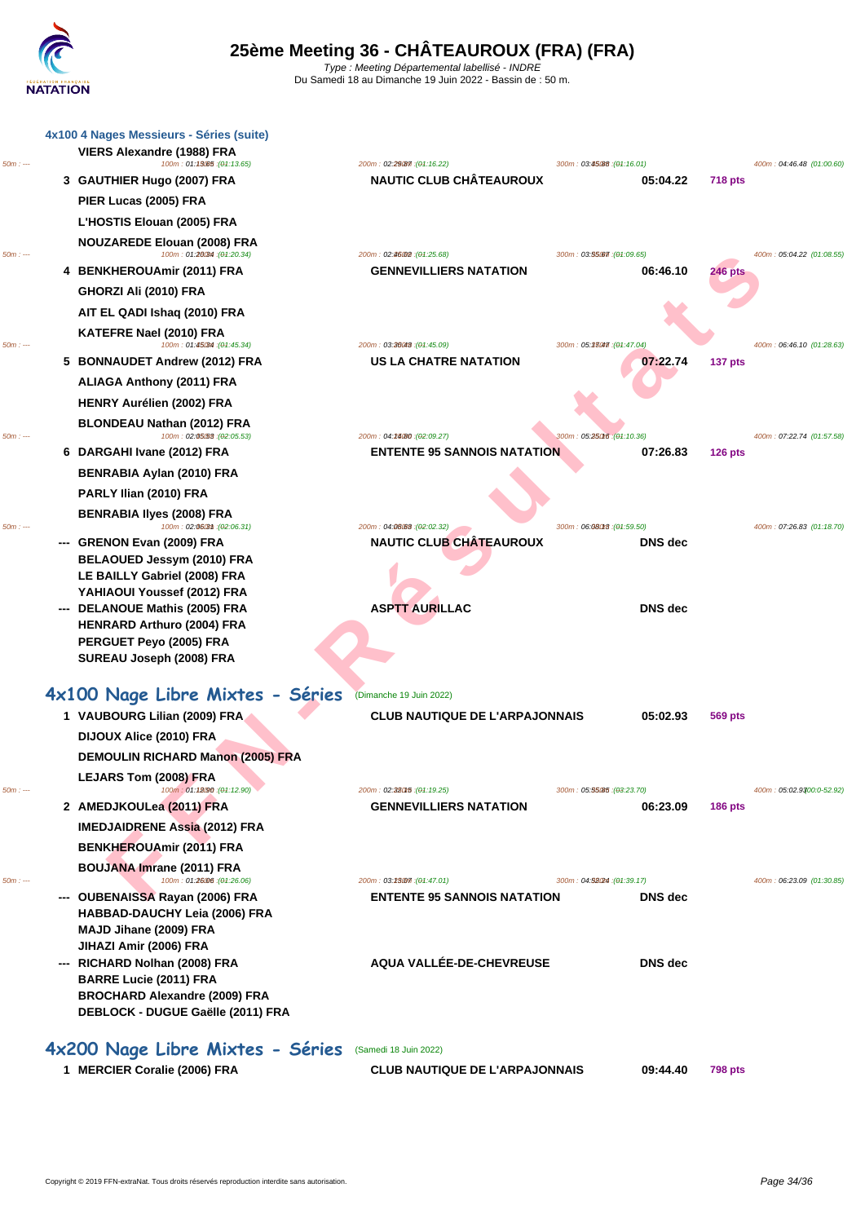|           |    | 4x100 4 Nages Messieurs - Séries (suite)                          |                                                                  |                                        |                |                           |
|-----------|----|-------------------------------------------------------------------|------------------------------------------------------------------|----------------------------------------|----------------|---------------------------|
| 50m : --- |    | VIERS Alexandre (1988) FRA<br>100m: 01:13065 : (01:13.65)         | 200m: 02:29 (87:16.22)                                           | 300m : 03:45.88 : (04:16.01)           |                | 400m: 04:46.48 (01:00.60) |
|           |    | 3 GAUTHIER Hugo (2007) FRA                                        | <b>NAUTIC CLUB CHÂTEAUROUX</b>                                   | 05:04.22                               | <b>718 pts</b> |                           |
|           |    | PIER Lucas (2005) FRA                                             |                                                                  |                                        |                |                           |
|           |    | L'HOSTIS Elouan (2005) FRA                                        |                                                                  |                                        |                |                           |
| 50m : --- |    | <b>NOUZAREDE Elouan (2008) FRA</b><br>100m: 01:26034 : (01:20.34) | 200m: 02:46002: (04:25.68)                                       | 300m: 03:55.67 : (01:09.65)            |                | 400m: 05:04.22 (01:08.55) |
|           |    | 4 BENKHEROUAmir (2011) FRA                                        | <b>GENNEVILLIERS NATATION</b>                                    | 06:46.10                               | 246 pts        |                           |
|           |    | GHORZI Ali (2010) FRA                                             |                                                                  |                                        |                |                           |
|           |    | AIT EL QADI Ishaq (2010) FRA                                      |                                                                  |                                        |                |                           |
|           |    | KATEFRE Nael (2010) FRA                                           |                                                                  |                                        |                |                           |
| 50m : --- | 5. | 100m: 01:45034 : (01:45.34)<br><b>BONNAUDET Andrew (2012) FRA</b> | 200m: 03:36048 : (04:45.09)<br>US LA CHATRE NATATION             | 300m: 05:33047.(04:47.04)<br>07:22.74  | 137 pts        | 400m: 06:46.10 (01:28.63) |
|           |    |                                                                   |                                                                  |                                        |                |                           |
|           |    | <b>ALIAGA Anthony (2011) FRA</b>                                  |                                                                  |                                        |                |                           |
|           |    | <b>HENRY Aurélien (2002) FRA</b>                                  |                                                                  |                                        |                |                           |
| 50m : --- |    | BLONDEAU Nathan (2012) FRA<br>100m: 02:05.53 : (02:05.53)         | 200m: 04:24/80 : (02:09.27)                                      | 300m: 05:25016 : (04:10.36)            |                | 400m: 07:22.74 (01:57.58) |
|           |    | 6 DARGAHI Ivane (2012) FRA                                        | <b>ENTENTE 95 SANNOIS NATATION</b>                               | 07:26.83                               | $126$ pts      |                           |
|           |    | BENRABIA Aylan (2010) FRA                                         |                                                                  |                                        |                |                           |
|           |    | PARLY Ilian (2010) FRA                                            |                                                                  |                                        |                |                           |
| $50m: -$  |    | <b>BENRABIA Ilyes (2008) FRA</b><br>100m: 02:06(3th: (02:06.31)   | 200m: 04:08:63 : (02:02.32)                                      | 300m: 06:08018 : (01:59.50)            |                | 400m: 07:26.83 (01:18.70) |
|           |    | --- GRENON Evan (2009) FRA                                        | <b>NAUTIC CLUB CHÂTEAUROUX</b>                                   | <b>DNS</b> dec                         |                |                           |
|           |    | BELAOUED Jessym (2010) FRA                                        |                                                                  |                                        |                |                           |
|           |    | LE BAILLY Gabriel (2008) FRA                                      |                                                                  |                                        |                |                           |
|           |    | YAHIAOUI Youssef (2012) FRA                                       |                                                                  |                                        |                |                           |
|           |    | --- DELANOUE Mathis (2005) FRA                                    | <b>ASPTT AURILLAC</b>                                            | <b>DNS</b> dec                         |                |                           |
|           |    | <b>HENRARD Arthuro (2004) FRA</b><br>PERGUET Peyo (2005) FRA      |                                                                  |                                        |                |                           |
|           |    | SUREAU Joseph (2008) FRA                                          |                                                                  |                                        |                |                           |
|           |    |                                                                   |                                                                  |                                        |                |                           |
|           |    | 4x100 Nage Libre Mixtes - Séries                                  | (Dimanche 19 Juin 2022)                                          |                                        |                |                           |
|           |    | 1 VAUBOURG Lilian (2009) FRA                                      | <b>CLUB NAUTIQUE DE L'ARPAJONNAIS</b>                            | 05:02.93                               | 569 pts        |                           |
|           |    | DIJOUX Alice (2010) FRA                                           |                                                                  |                                        |                |                           |
|           |    | <b>DEMOULIN RICHARD Manon (2005) FRA</b>                          |                                                                  |                                        |                |                           |
|           |    | LEJARS Tom (2008) FRA                                             |                                                                  |                                        |                |                           |
| $50m: -$  |    | 100m: 01:12090 : (01:12.90)                                       | 200m: 02:380f5 : (04:19.25)                                      | 300m: 05:55.85 : (03:23.70)            |                | 400m: 05:02.9300:0-52.92) |
|           |    | 2 AMEDJKOULea (2011) FRA                                          | <b>GENNEVILLIERS NATATION</b>                                    | 06:23.09                               | <b>186 pts</b> |                           |
|           |    | <b>IMEDJAIDRENE Assia (2012) FRA</b>                              |                                                                  |                                        |                |                           |
|           |    | <b>BENKHEROUAmir (2011) FRA</b>                                   |                                                                  |                                        |                |                           |
|           |    | BOUJANA Imrane (2011) FRA                                         |                                                                  |                                        |                |                           |
| $50m: -$  |    | 100m: 01:26006 : (01:26.06)<br>--- OUBENAISSA Rayan (2006) FRA    | 200m: 03:23007: (04:47.01)<br><b>ENTENTE 95 SANNOIS NATATION</b> | 300m: 04:52024 : (01:39.17)<br>DNS dec |                | 400m: 06:23.09 (01:30.85) |
|           |    | <b>HABBAD-DAUCHY Leia (2006) FRA</b>                              |                                                                  |                                        |                |                           |
|           |    | MAJD Jihane (2009) FRA                                            |                                                                  |                                        |                |                           |
|           |    | JIHAZI Amir (2006) FRA                                            |                                                                  |                                        |                |                           |
|           |    | --- RICHARD Nolhan (2008) FRA                                     | AQUA VALLÉE-DE-CHEVREUSE                                         | <b>DNS</b> dec                         |                |                           |
|           |    | <b>BARRE Lucie (2011) FRA</b>                                     |                                                                  |                                        |                |                           |
|           |    | <b>BROCHARD Alexandre (2009) FRA</b>                              |                                                                  |                                        |                |                           |
|           |    | DEBLOCK - DUGUE Gaëlle (2011) FRA                                 |                                                                  |                                        |                |                           |
|           |    | 4x200 Nage Libre Mixtes - Séries                                  | (Samedi 18 Juin 2022)                                            |                                        |                |                           |
|           |    | 1 MERCIER Coralie (2006) FRA                                      | <b>CLUB NAUTIQUE DE L'ARPAJONNAIS</b>                            | 09:44.40                               | <b>798 pts</b> |                           |
|           |    |                                                                   |                                                                  |                                        |                |                           |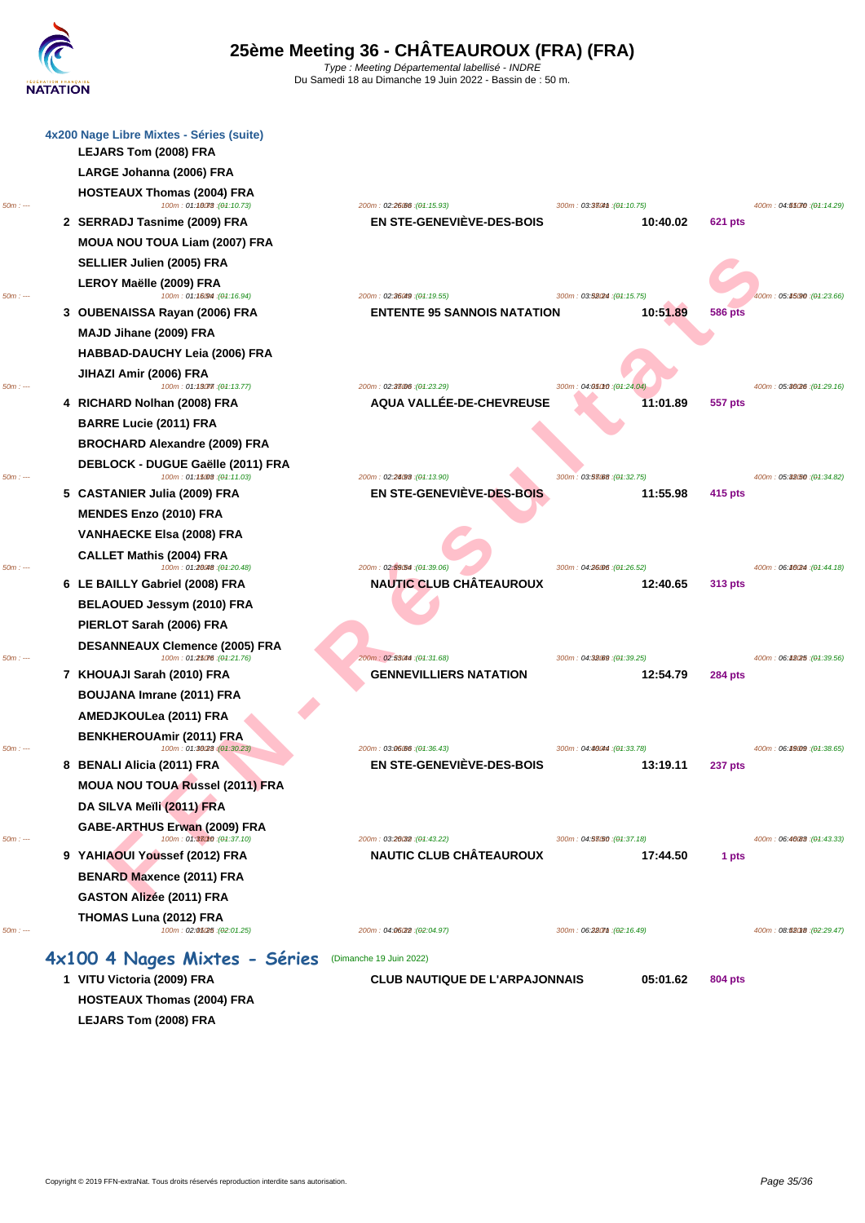| 4x200 Nage Libre Mixtes - Séries (suite) |                                                                                                                                                                                                                                                                                                                                                                                                                                                                                                                                                                                                                                                           |                                                                                                                                                             |                                                                                                                                                                    |                                                                 |
|------------------------------------------|-----------------------------------------------------------------------------------------------------------------------------------------------------------------------------------------------------------------------------------------------------------------------------------------------------------------------------------------------------------------------------------------------------------------------------------------------------------------------------------------------------------------------------------------------------------------------------------------------------------------------------------------------------------|-------------------------------------------------------------------------------------------------------------------------------------------------------------|--------------------------------------------------------------------------------------------------------------------------------------------------------------------|-----------------------------------------------------------------|
| LARGE Johanna (2006) FRA                 |                                                                                                                                                                                                                                                                                                                                                                                                                                                                                                                                                                                                                                                           |                                                                                                                                                             |                                                                                                                                                                    |                                                                 |
| <b>HOSTEAUX Thomas (2004) FRA</b>        |                                                                                                                                                                                                                                                                                                                                                                                                                                                                                                                                                                                                                                                           |                                                                                                                                                             |                                                                                                                                                                    | 400m: 04:55070 : (04:14.29)                                     |
| 2 SERRADJ Tasnime (2009) FRA             | EN STE-GENEVIÈVE-DES-BOIS                                                                                                                                                                                                                                                                                                                                                                                                                                                                                                                                                                                                                                 | 10:40.02                                                                                                                                                    | 621 pts                                                                                                                                                            |                                                                 |
| MOUA NOU TOUA Liam (2007) FRA            |                                                                                                                                                                                                                                                                                                                                                                                                                                                                                                                                                                                                                                                           |                                                                                                                                                             |                                                                                                                                                                    |                                                                 |
| SELLIER Julien (2005) FRA                |                                                                                                                                                                                                                                                                                                                                                                                                                                                                                                                                                                                                                                                           |                                                                                                                                                             |                                                                                                                                                                    |                                                                 |
| LEROY Maëlle (2009) FRA                  |                                                                                                                                                                                                                                                                                                                                                                                                                                                                                                                                                                                                                                                           |                                                                                                                                                             |                                                                                                                                                                    |                                                                 |
|                                          | 200m: 02:36049 : (04:19.55)                                                                                                                                                                                                                                                                                                                                                                                                                                                                                                                                                                                                                               |                                                                                                                                                             |                                                                                                                                                                    | 400m: 05:45:90 : (04:23.66)                                     |
|                                          |                                                                                                                                                                                                                                                                                                                                                                                                                                                                                                                                                                                                                                                           |                                                                                                                                                             |                                                                                                                                                                    |                                                                 |
|                                          |                                                                                                                                                                                                                                                                                                                                                                                                                                                                                                                                                                                                                                                           |                                                                                                                                                             |                                                                                                                                                                    |                                                                 |
|                                          |                                                                                                                                                                                                                                                                                                                                                                                                                                                                                                                                                                                                                                                           |                                                                                                                                                             |                                                                                                                                                                    |                                                                 |
| 100m: 01:13077 : (01:13.77)              | 200m: 02:33006 : (04:23.29)                                                                                                                                                                                                                                                                                                                                                                                                                                                                                                                                                                                                                               | 300m; 04:050r0 : (01:24.04)                                                                                                                                 |                                                                                                                                                                    | 400m: 05:30(26 : (04:29.16)                                     |
|                                          |                                                                                                                                                                                                                                                                                                                                                                                                                                                                                                                                                                                                                                                           |                                                                                                                                                             |                                                                                                                                                                    |                                                                 |
|                                          |                                                                                                                                                                                                                                                                                                                                                                                                                                                                                                                                                                                                                                                           |                                                                                                                                                             |                                                                                                                                                                    |                                                                 |
|                                          |                                                                                                                                                                                                                                                                                                                                                                                                                                                                                                                                                                                                                                                           |                                                                                                                                                             |                                                                                                                                                                    |                                                                 |
| 100m: 01:15008 : (01:11.03)              | 200m: 02:24098 : (04:13.90)                                                                                                                                                                                                                                                                                                                                                                                                                                                                                                                                                                                                                               | 300m: 03:53088 : (01:32.75)                                                                                                                                 |                                                                                                                                                                    | 400m: 05:32.50 : (04:34.82)                                     |
| 5 CASTANIER Julia (2009) FRA             | EN STE-GENEVIÈVE-DES-BOIS                                                                                                                                                                                                                                                                                                                                                                                                                                                                                                                                                                                                                                 | 11:55.98                                                                                                                                                    | 415 pts                                                                                                                                                            |                                                                 |
| <b>MENDES Enzo (2010) FRA</b>            |                                                                                                                                                                                                                                                                                                                                                                                                                                                                                                                                                                                                                                                           |                                                                                                                                                             |                                                                                                                                                                    |                                                                 |
| <b>VANHAECKE Elsa (2008) FRA</b>         |                                                                                                                                                                                                                                                                                                                                                                                                                                                                                                                                                                                                                                                           |                                                                                                                                                             |                                                                                                                                                                    |                                                                 |
| <b>CALLET Mathis (2004) FRA</b>          |                                                                                                                                                                                                                                                                                                                                                                                                                                                                                                                                                                                                                                                           |                                                                                                                                                             |                                                                                                                                                                    | 400m: 06:46024 : (04:44.18)                                     |
| 6 LE BAILLY Gabriel (2008) FRA           | <b>NAUTIC CLUB CHÂTEAUROUX</b>                                                                                                                                                                                                                                                                                                                                                                                                                                                                                                                                                                                                                            | 12:40.65                                                                                                                                                    | 313 pts                                                                                                                                                            |                                                                 |
| BELAOUED Jessym (2010) FRA               |                                                                                                                                                                                                                                                                                                                                                                                                                                                                                                                                                                                                                                                           |                                                                                                                                                             |                                                                                                                                                                    |                                                                 |
| PIERLOT Sarah (2006) FRA                 |                                                                                                                                                                                                                                                                                                                                                                                                                                                                                                                                                                                                                                                           |                                                                                                                                                             |                                                                                                                                                                    |                                                                 |
| <b>DESANNEAUX Clemence (2005) FRA</b>    |                                                                                                                                                                                                                                                                                                                                                                                                                                                                                                                                                                                                                                                           |                                                                                                                                                             |                                                                                                                                                                    |                                                                 |
| $100m : 01:25076$ : (01:21.76)           | 200m: 02:53044 : (04:31.68)                                                                                                                                                                                                                                                                                                                                                                                                                                                                                                                                                                                                                               | 300m: 04:32.09 : (04:39.25)                                                                                                                                 |                                                                                                                                                                    | 400m: 06:48025 : (04:39.56)                                     |
|                                          |                                                                                                                                                                                                                                                                                                                                                                                                                                                                                                                                                                                                                                                           |                                                                                                                                                             |                                                                                                                                                                    |                                                                 |
|                                          |                                                                                                                                                                                                                                                                                                                                                                                                                                                                                                                                                                                                                                                           |                                                                                                                                                             |                                                                                                                                                                    |                                                                 |
|                                          |                                                                                                                                                                                                                                                                                                                                                                                                                                                                                                                                                                                                                                                           |                                                                                                                                                             |                                                                                                                                                                    |                                                                 |
| 100m: 01:36028 : (01:30.23)              | 200m: 03:06:06 : (04:36.43)                                                                                                                                                                                                                                                                                                                                                                                                                                                                                                                                                                                                                               | 300m: 04:46044 : (01:33.78)                                                                                                                                 |                                                                                                                                                                    | 400m: 06:49.09 : (04:38.65)                                     |
|                                          |                                                                                                                                                                                                                                                                                                                                                                                                                                                                                                                                                                                                                                                           |                                                                                                                                                             |                                                                                                                                                                    |                                                                 |
|                                          |                                                                                                                                                                                                                                                                                                                                                                                                                                                                                                                                                                                                                                                           |                                                                                                                                                             |                                                                                                                                                                    |                                                                 |
|                                          |                                                                                                                                                                                                                                                                                                                                                                                                                                                                                                                                                                                                                                                           |                                                                                                                                                             |                                                                                                                                                                    |                                                                 |
| 100m: 01:37010 : (01:37.10)              | 200m: 03:26032 : (04:43.22)                                                                                                                                                                                                                                                                                                                                                                                                                                                                                                                                                                                                                               | 300m: 04:58(50 : (01:37.18)                                                                                                                                 |                                                                                                                                                                    | 400m: 06:40088 : (04:43.33)                                     |
| 9 YAHIAOUI Youssef (2012) FRA            | <b>NAUTIC CLUB CHÂTEAUROUX</b>                                                                                                                                                                                                                                                                                                                                                                                                                                                                                                                                                                                                                            | 17:44.50                                                                                                                                                    | 1 pts                                                                                                                                                              |                                                                 |
| <b>BENARD Maxence (2011) FRA</b>         |                                                                                                                                                                                                                                                                                                                                                                                                                                                                                                                                                                                                                                                           |                                                                                                                                                             |                                                                                                                                                                    |                                                                 |
| <b>GASTON Alizée (2011) FRA</b>          |                                                                                                                                                                                                                                                                                                                                                                                                                                                                                                                                                                                                                                                           |                                                                                                                                                             |                                                                                                                                                                    |                                                                 |
| THOMAS Luna (2012) FRA                   |                                                                                                                                                                                                                                                                                                                                                                                                                                                                                                                                                                                                                                                           |                                                                                                                                                             |                                                                                                                                                                    |                                                                 |
|                                          | LEJARS Tom (2008) FRA<br>100m: 01:16078 : (01:10.73)<br>100m: 01:16094 : (01:16.94)<br>3 OUBENAISSA Rayan (2006) FRA<br>MAJD Jihane (2009) FRA<br>HABBAD-DAUCHY Leia (2006) FRA<br>JIHAZI Amir (2006) FRA<br>4 RICHARD Nolhan (2008) FRA<br><b>BARRE Lucie (2011) FRA</b><br><b>BROCHARD Alexandre (2009) FRA</b><br>DEBLOCK - DUGUE Gaëlle (2011) FRA<br>100m: 01:20048 : (01:20.48)<br>7 KHOUAJI Sarah (2010) FRA<br><b>BOUJANA Imrane (2011) FRA</b><br>AMEDJKOULea (2011) FRA<br><b>BENKHEROUAmir (2011) FRA</b><br>8 BENALI Alicia (2011) FRA<br><b>MOUA NOU TOUA Russel (2011) FRA</b><br>DA SILVA Meïli (2011) FRA<br>GABE-ARTHUS Erwan (2009) FRA | 200m: 02:26:06 : (04:15.93)<br>AQUA VALLÉE-DE-CHEVREUSE<br>200m: 02:59.54 : (04:39.06)<br><b>GENNEVILLIERS NATATION</b><br><b>EN STE-GENEVIÈVE-DES-BOIS</b> | 300m: 03:380m : (04:10.75)<br>300m: 03:52/24 : (04:15.75)<br><b>ENTENTE 95 SANNOIS NATATION</b><br>10:51.89<br>11:01.89<br>300m: 04:26006 : (04:26.52)<br>12:54.79 | <b>586 pts</b><br>557 pts<br><b>284 pts</b><br>13:19.11 237 pts |

**HOSTEAUX Thomas (2004) FRA [LEJARS Tom \(2008\) FRA](http://www.ffnatation.fr/webffn/resultats.php?idact=nat&go=epr&idcpt=78531&idepr=36)**

|          | 2 SERRADJ I ASNIME (2009) FRA<br>MOUA NOU TOUA Liam (2007) FRA<br>SELLIER Julien (2005) FRA<br>LEROY Maëlle (2009) FRA  | EN STE-GENEVIEVE-DES-BOIS                                        | 10:40.02                                |                |                             |
|----------|-------------------------------------------------------------------------------------------------------------------------|------------------------------------------------------------------|-----------------------------------------|----------------|-----------------------------|
| $50m: -$ | 100m: 01:16094 : (01:16.94)<br>3 OUBENAISSA Rayan (2006) FRA<br>MAJD Jihane (2009) FRA<br>HABBAD-DAUCHY Leia (2006) FRA | 200m: 02:36049: (04:19.55)<br><b>ENTENTE 95 SANNOIS NATATION</b> | 300m: 03:58024 : (04:15.75)<br>10:51.89 | <b>586 pts</b> | 400m: 05:45090 : (04:23.66) |
| $50m: -$ | JIHAZI Amir (2006) FRA<br>100m: 01:13077 : (01:13.77)<br>4 RICHARD Nolhan (2008) FRA                                    | 200m: 02:38006 : (04:23.29)<br>AQUA VALLÉE-DE-CHEVREUSE          | 300m; 04:05010 : (01:24.04)<br>11:01.89 | 557 pts        | 400m: 05:36026 : (04:29.16) |
|          | <b>BARRE Lucie (2011) FRA</b><br><b>BROCHARD Alexandre (2009) FRA</b><br>DEBLOCK - DUGUE Gaëlle (2011) FRA              |                                                                  |                                         |                |                             |
| $50m: -$ | 100m: 01:15008 : (04:11.03)<br>5 CASTANIER Julia (2009) FRA                                                             | 200m: 02:24093: (04:13.90)<br>EN STE-GENEVIÈVE-DES-BOIS          | 300m: 03:53088 : (04:32.75)<br>11:55.98 | 415 pts        | 400m: 05:32050 : (04:34.82) |
|          | <b>MENDES Enzo (2010) FRA</b><br><b>VANHAECKE Elsa (2008) FRA</b>                                                       |                                                                  |                                         |                |                             |
| $50m: -$ | <b>CALLET Mathis (2004) FRA</b><br>100m: 01:20048 : (01:20.48)                                                          | 200m: 02:59.54 : (04:39.06)                                      | 300m: 04:26006 : (04:26.52)             |                | 400m: 06:40(24 : (04:44.18) |
|          | 6 LE BAILLY Gabriel (2008) FRA<br>BELAOUED Jessym (2010) FRA                                                            | <b>NAUTIC CLUB CHÂTEAUROUX</b>                                   | 12:40.65                                | 313 pts        |                             |
| $50m: -$ | PIERLOT Sarah (2006) FRA<br><b>DESANNEAUX Clemence (2005) FRA</b><br>100m: 01:25076:(04:21.76)                          | 200m: 02:53044 : (04:31.68)                                      | 300m: 04:32.09 : (04:39.25)             |                | 400m: 06:48025 : (04:39.56) |
|          | 7 KHOUAJI Sarah (2010) FRA<br><b>BOUJANA Imrane (2011) FRA</b>                                                          | <b>GENNEVILLIERS NATATION</b>                                    | 12:54.79                                | <b>284 pts</b> |                             |
|          | AMEDJKOULea (2011) FRA<br><b>BENKHEROUAmir (2011) ERA</b>                                                               |                                                                  |                                         |                |                             |
| $50m: -$ | 100m: 01:30028 (01:30.23)<br>8 BENALI Alicia (2011) FRA<br><b>MOUA NOU TOUA Russel (2011) FRA</b>                       | 200m: 03:06:06 : (04:36.43)<br><b>EN STE-GENEVIÈVE-DES-BOIS</b>  | 300m: 04:46044 : (04:33.78)<br>13:19.11 | <b>237 pts</b> | 400m: 06:49.09 : (04:38.65) |
| $50m: -$ | DA SILVA Meïli (2011) FRA<br>GABE-ARTHUS Erwan (2009) FRA<br>100m: 01:38010 : (01:37.10)                                | 200m: 03:26032 : (04:43.22)                                      | 300m: 04:58/50 : (04:37.18)             |                | 400m: 06:40088 : (04:43.33) |
|          | 9 YAHIAOUI Youssef (2012) FRA<br><b>BENARD Maxence (2011) FRA</b><br><b>GASTON Alizée (2011) FRA</b>                    | <b>NAUTIC CLUB CHÂTEAUROUX</b>                                   | 17:44.50                                | 1 pts          |                             |
|          | THOMAS Luna (2012) FRA                                                                                                  |                                                                  |                                         |                |                             |

**1 VITU Victoria (2009) FRA CLUB NAUTIQUE DE L'ARPAJONNAIS 05:01.62 804 pts**